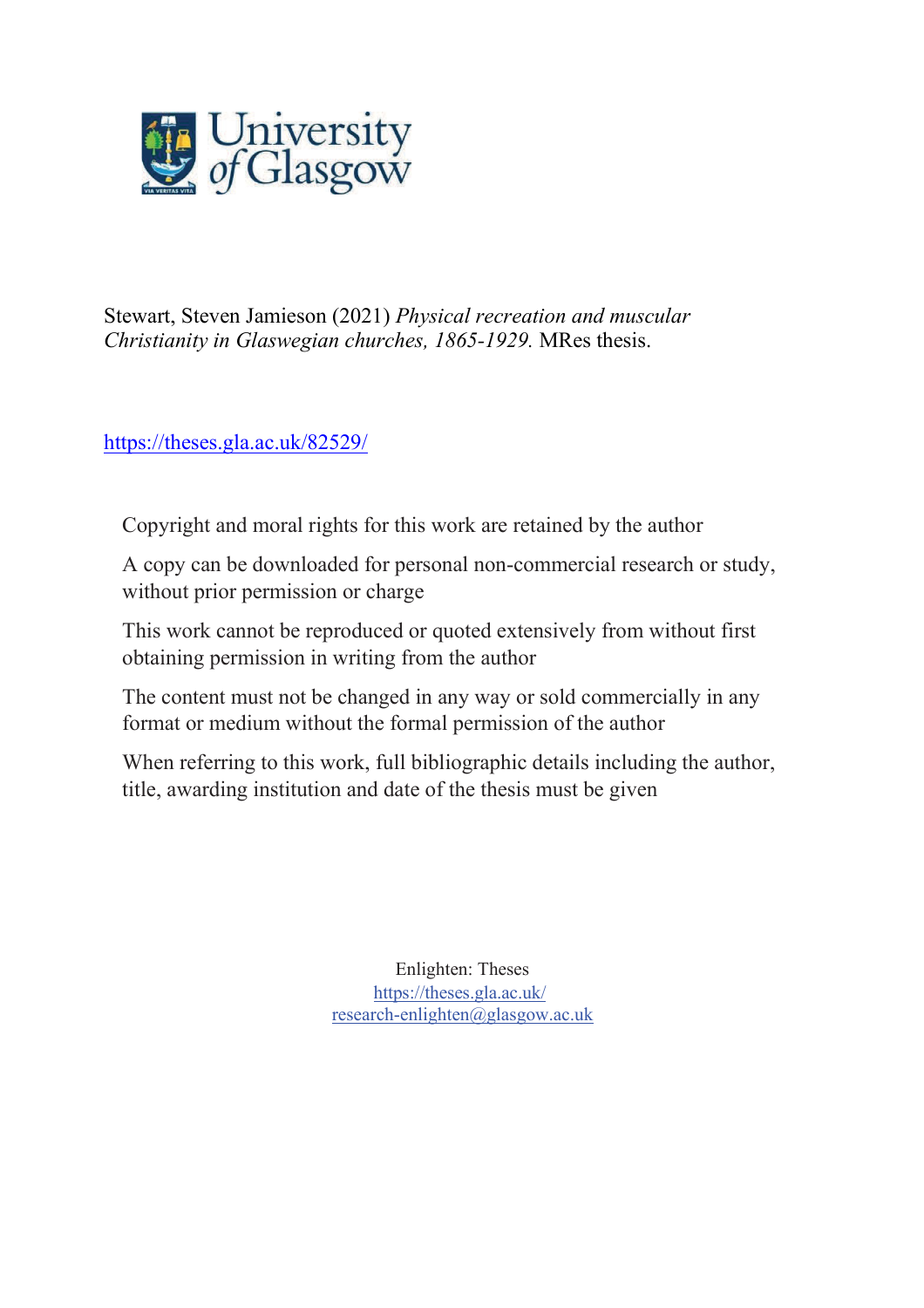

Stewart, Steven Jamieson (2021) *Physical recreation and muscular Christianity in Glaswegian churches, 1865-1929.* MRes thesis.

<https://theses.gla.ac.uk/82529/>

Copyright and moral rights for this work are retained by the author

A copy can be downloaded for personal non-commercial research or study, without prior permission or charge

This work cannot be reproduced or quoted extensively from without first obtaining permission in writing from the author

The content must not be changed in any way or sold commercially in any format or medium without the formal permission of the author

When referring to this work, full bibliographic details including the author, title, awarding institution and date of the thesis must be given

> Enlighten: Theses https://theses.gla.ac.uk/ [research-enlighten@glasgow.ac.uk](mailto:research-enlighten@glasgow.ac.uk)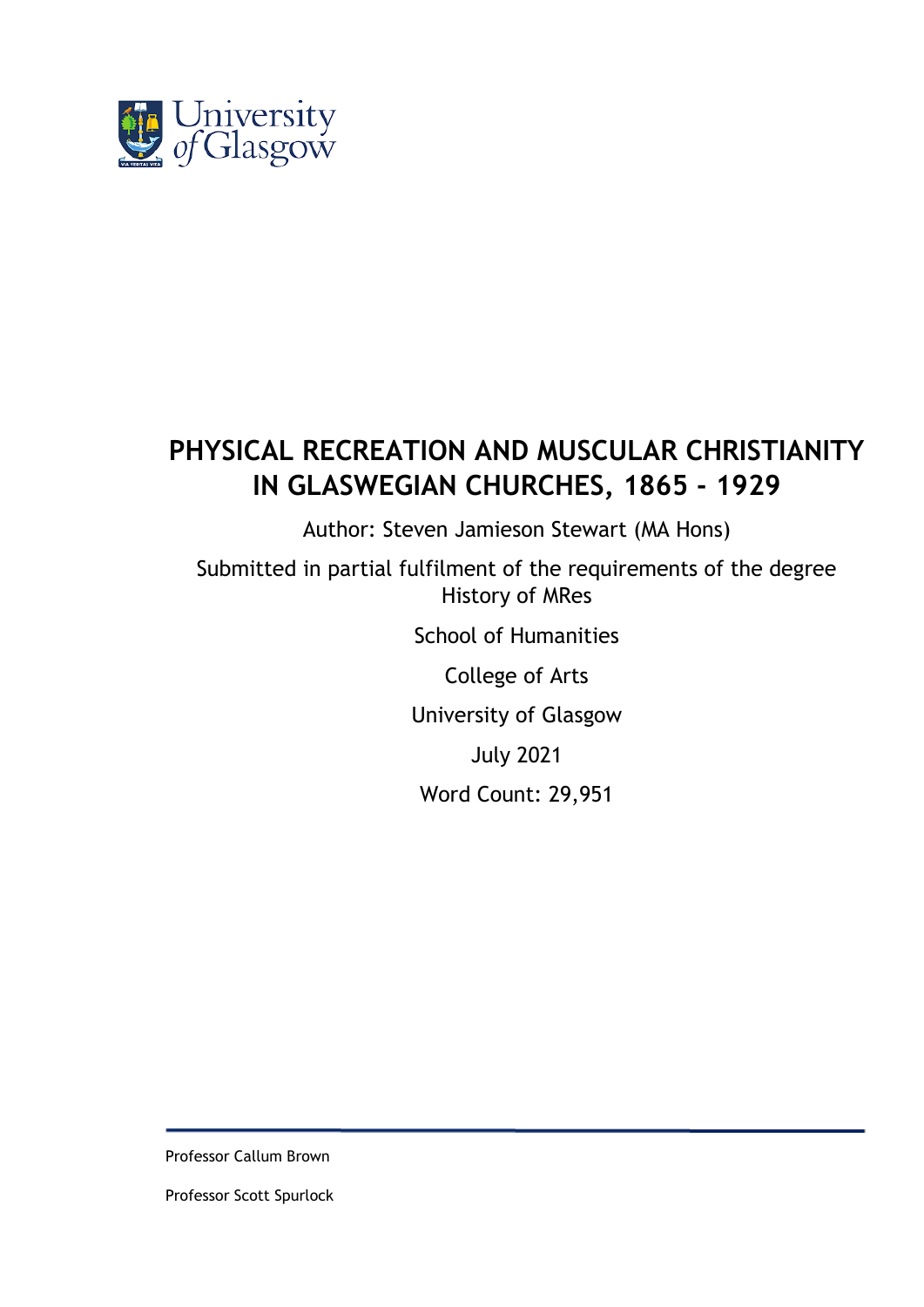

# **PHYSICAL RECREATION AND MUSCULAR CHRISTIANITY IN GLASWEGIAN CHURCHES, 1865 - 1929**

Author: Steven Jamieson Stewart (MA Hons)

Submitted in partial fulfilment of the requirements of the degree History of MRes

School of Humanities

College of Arts

University of Glasgow

July 2021

Word Count: 29,951

Professor Callum Brown

Professor Scott Spurlock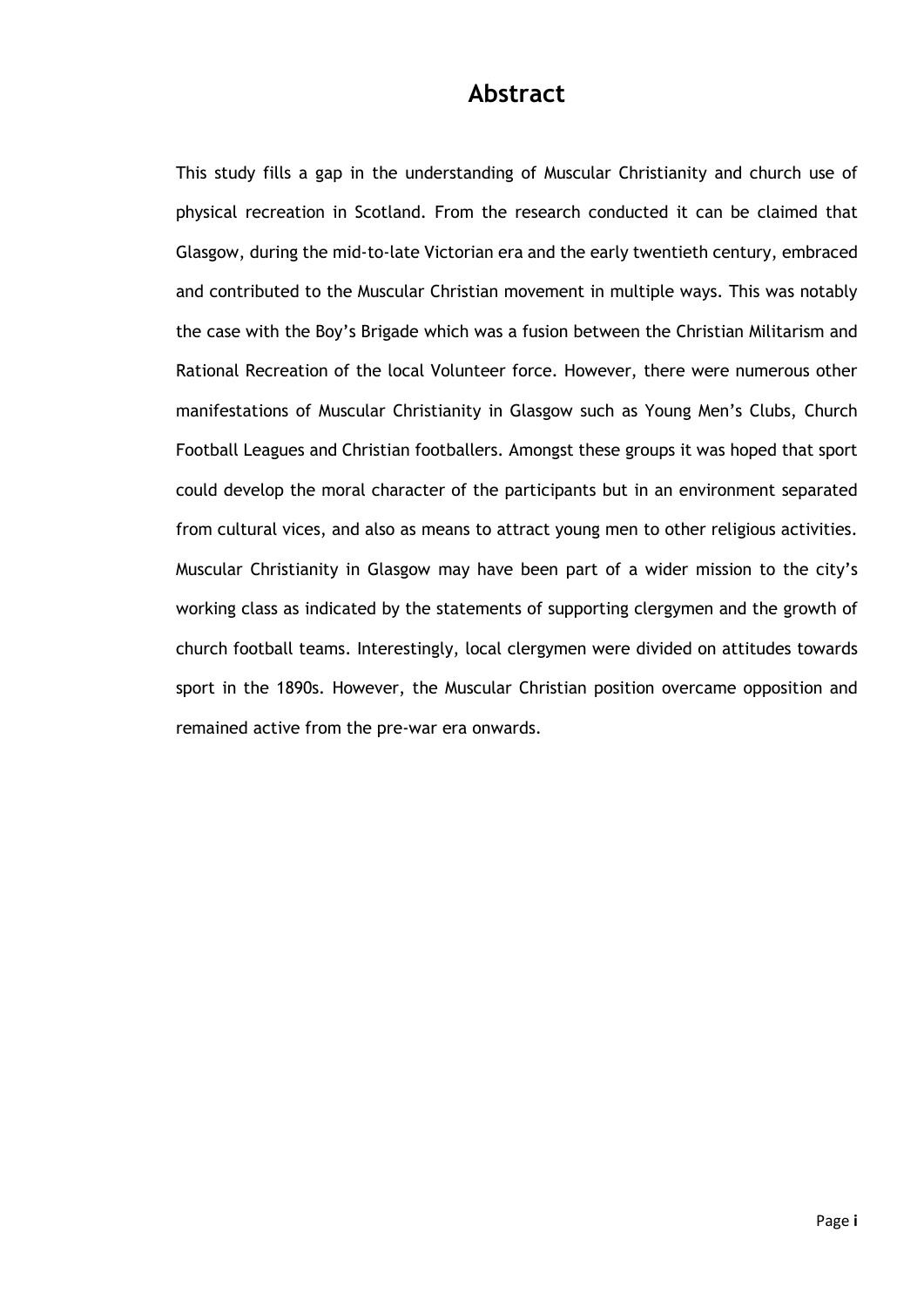### **Abstract**

This study fills a gap in the understanding of Muscular Christianity and church use of physical recreation in Scotland. From the research conducted it can be claimed that Glasgow, during the mid-to-late Victorian era and the early twentieth century, embraced and contributed to the Muscular Christian movement in multiple ways. This was notably the case with the Boy's Brigade which was a fusion between the Christian Militarism and Rational Recreation of the local Volunteer force. However, there were numerous other manifestations of Muscular Christianity in Glasgow such as Young Men's Clubs, Church Football Leagues and Christian footballers. Amongst these groups it was hoped that sport could develop the moral character of the participants but in an environment separated from cultural vices, and also as means to attract young men to other religious activities. Muscular Christianity in Glasgow may have been part of a wider mission to the city's working class as indicated by the statements of supporting clergymen and the growth of church football teams. Interestingly, local clergymen were divided on attitudes towards sport in the 1890s. However, the Muscular Christian position overcame opposition and remained active from the pre-war era onwards.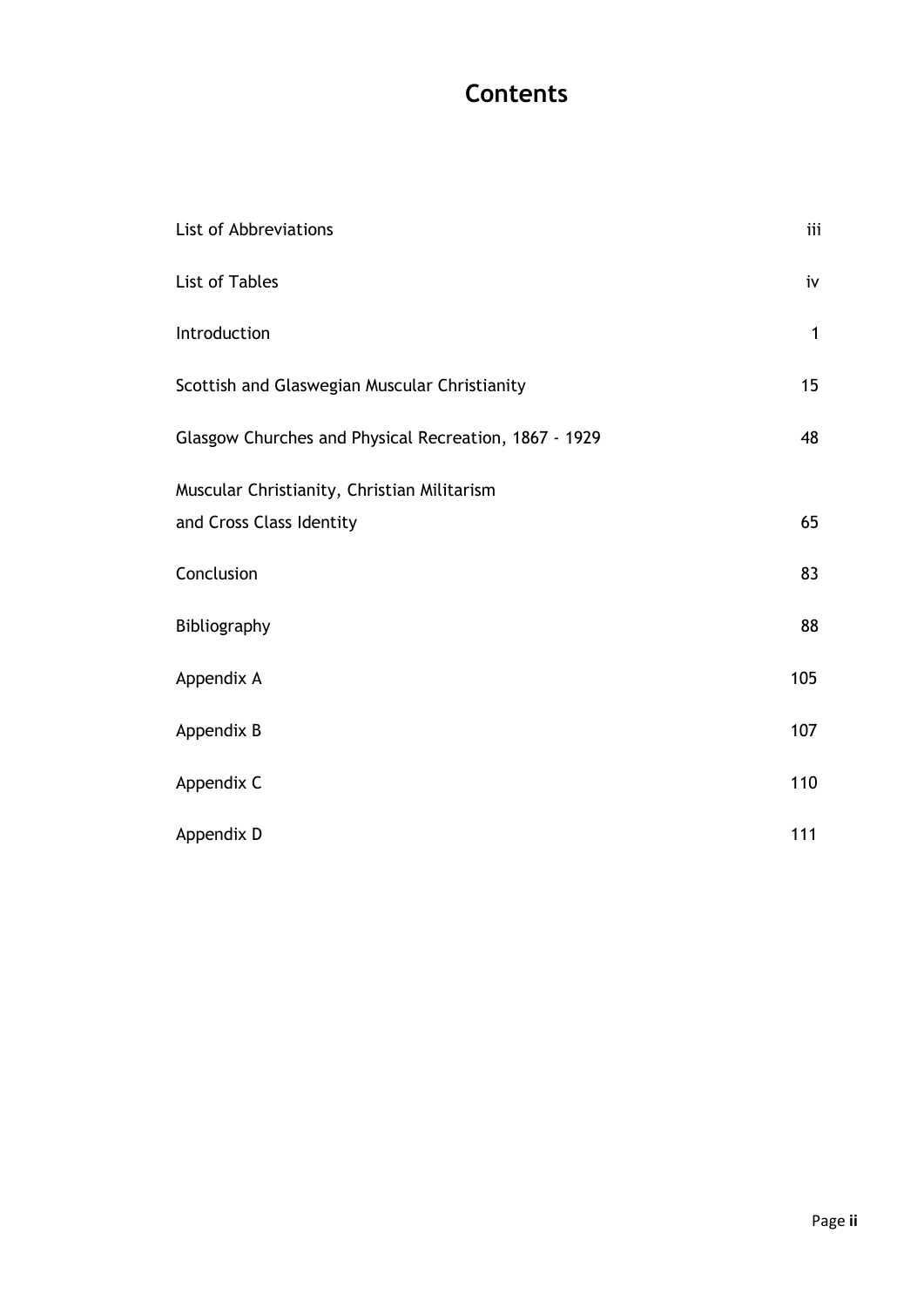## **Contents**

| List of Abbreviations                                 | iii          |
|-------------------------------------------------------|--------------|
| List of Tables                                        | iv           |
| Introduction                                          | $\mathbf{1}$ |
| Scottish and Glaswegian Muscular Christianity         | 15           |
| Glasgow Churches and Physical Recreation, 1867 - 1929 | 48           |
| Muscular Christianity, Christian Militarism           |              |
| and Cross Class Identity                              | 65           |
| Conclusion                                            | 83           |
| Bibliography                                          | 88           |
| Appendix A                                            | 105          |
| Appendix B                                            | 107          |
| Appendix C                                            | 110          |
| Appendix D                                            | 111          |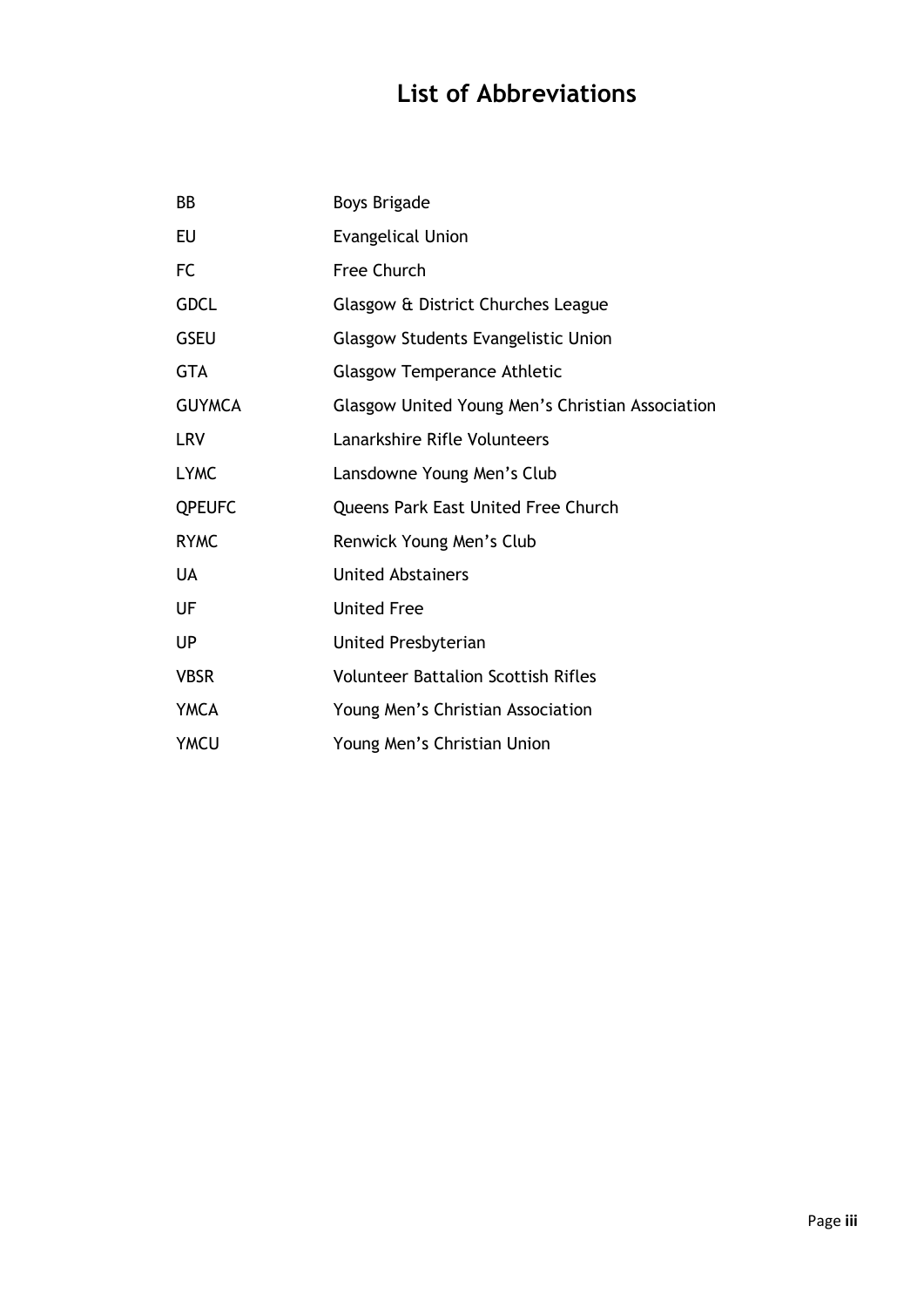## **List of Abbreviations**

| BB            | <b>Boys Brigade</b>                              |
|---------------|--------------------------------------------------|
| <b>EU</b>     | <b>Evangelical Union</b>                         |
| <b>FC</b>     | Free Church                                      |
| <b>GDCL</b>   | Glasgow & District Churches League               |
| <b>GSEU</b>   | <b>Glasgow Students Evangelistic Union</b>       |
| <b>GTA</b>    | <b>Glasgow Temperance Athletic</b>               |
| <b>GUYMCA</b> | Glasgow United Young Men's Christian Association |
| <b>LRV</b>    | Lanarkshire Rifle Volunteers                     |
| <b>LYMC</b>   | Lansdowne Young Men's Club                       |
| <b>QPEUFC</b> | Queens Park East United Free Church              |
| <b>RYMC</b>   | Renwick Young Men's Club                         |
| <b>UA</b>     | <b>United Abstainers</b>                         |
| UF            | <b>United Free</b>                               |
| <b>UP</b>     | United Presbyterian                              |
| <b>VBSR</b>   | <b>Volunteer Battalion Scottish Rifles</b>       |
| <b>YMCA</b>   | Young Men's Christian Association                |
| <b>YMCU</b>   | Young Men's Christian Union                      |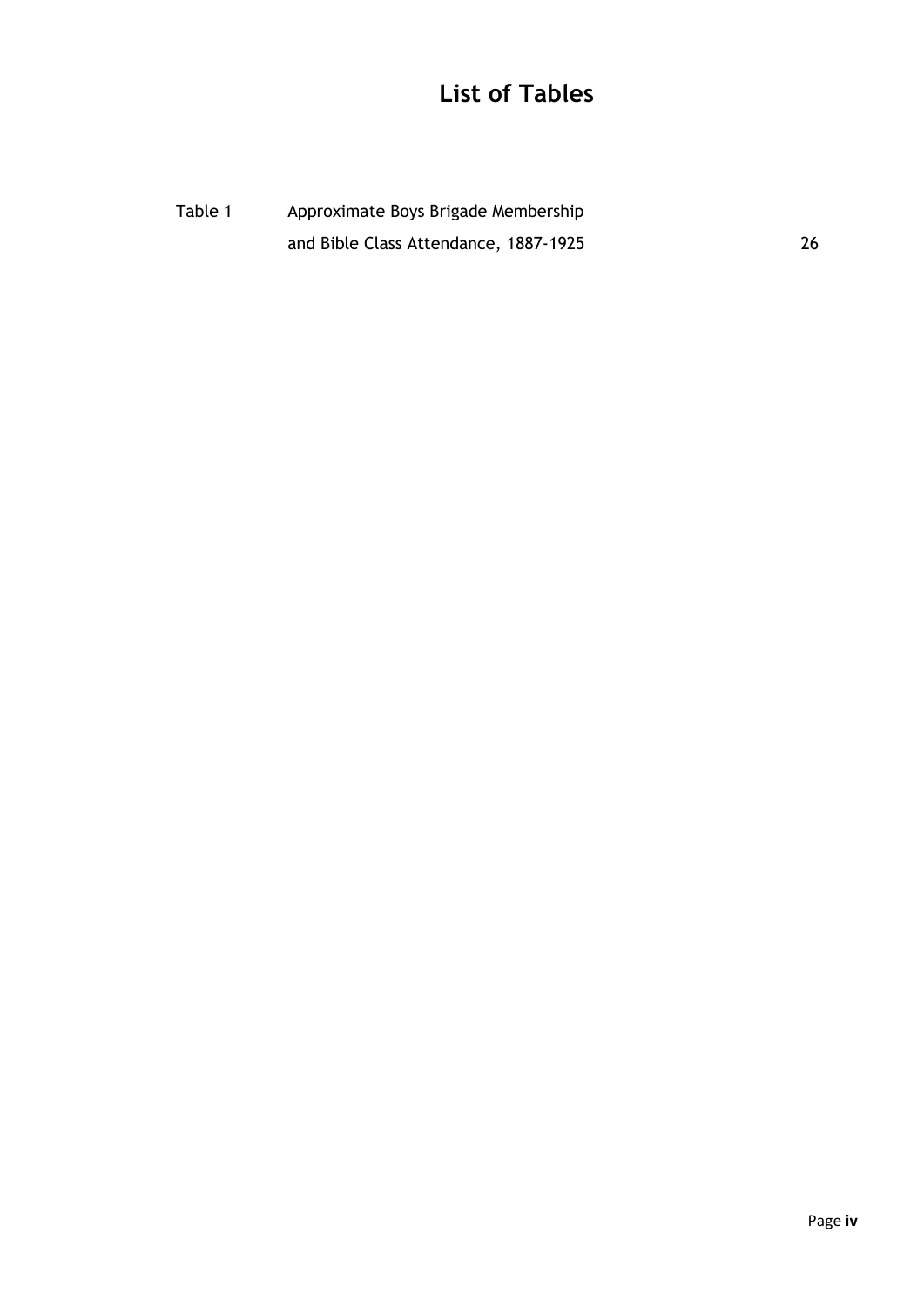## **List of Tables**

Table 1 Approximate Boys Brigade Membership and Bible Class Attendance, 1887-1925 26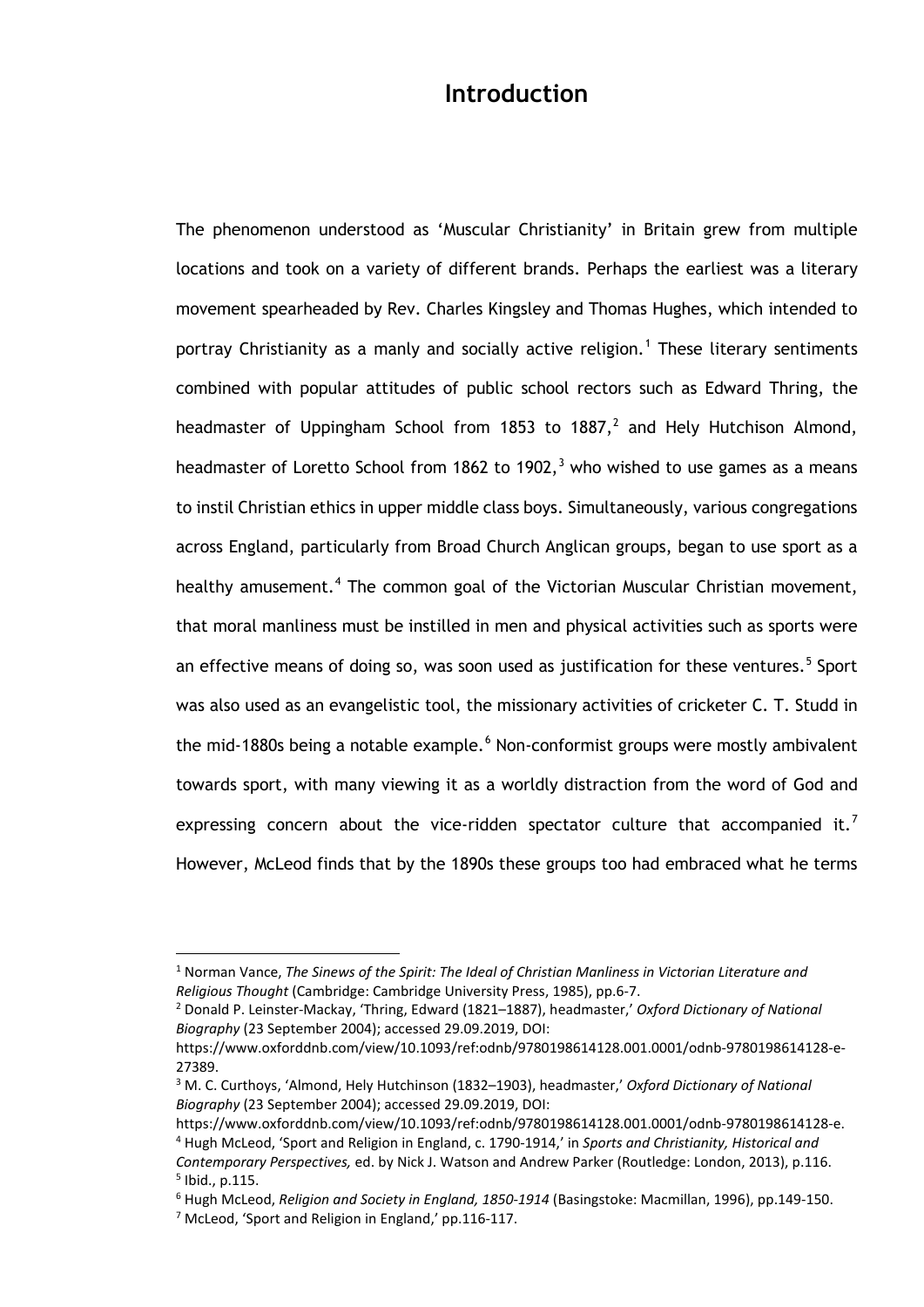### **Introduction**

The phenomenon understood as 'Muscular Christianity' in Britain grew from multiple locations and took on a variety of different brands. Perhaps the earliest was a literary movement spearheaded by Rev. Charles Kingsley and Thomas Hughes, which intended to portray Christianity as a manly and socially active religion.<sup>[1](#page-6-0)</sup> These literary sentiments combined with popular attitudes of public school rectors such as Edward Thring, the headmaster of Uppingham School from 1853 to 1887, $^2$  $^2$  and Hely Hutchison Almond, headmaster of Loretto School from 1862 to 1902, $3$  who wished to use games as a means to instil Christian ethics in upper middle class boys. Simultaneously, various congregations across England, particularly from Broad Church Anglican groups, began to use sport as a healthy amusement.<sup>[4](#page-6-3)</sup> The common goal of the Victorian Muscular Christian movement, that moral manliness must be instilled in men and physical activities such as sports were an effective means of doing so, was soon used as justification for these ventures.<sup>[5](#page-6-4)</sup> Sport was also used as an evangelistic tool, the missionary activities of cricketer C. T. Studd in the mid-1880s being a notable example.<sup>[6](#page-6-5)</sup> Non-conformist groups were mostly ambivalent towards sport, with many viewing it as a worldly distraction from the word of God and expressing concern about the vice-ridden spectator culture that accompanied it.<sup>[7](#page-6-6)</sup> However, McLeod finds that by the 1890s these groups too had embraced what he terms

<span id="page-6-0"></span><sup>1</sup> Norman Vance, *The Sinews of the Spirit: The Ideal of Christian Manliness in Victorian Literature and Religious Thought* (Cambridge: Cambridge University Press, 1985), pp.6-7.

<span id="page-6-1"></span><sup>2</sup> Donald P. Leinster-Mackay, 'Thring, Edward (1821–1887), headmaster,' *Oxford Dictionary of National Biography* (23 September 2004); accessed 29.09.2019, DOI:

https://www.oxforddnb.com/view/10.1093/ref:odnb/9780198614128.001.0001/odnb-9780198614128-e-27389.

<span id="page-6-2"></span><sup>3</sup> M. C. Curthoys, 'Almond, Hely Hutchinson (1832–1903), headmaster,' *Oxford Dictionary of National Biography* (23 September 2004); accessed 29.09.2019, DOI:

<span id="page-6-3"></span>https://www.oxforddnb.com/view/10.1093/ref:odnb/9780198614128.001.0001/odnb-9780198614128-e. <sup>4</sup> Hugh McLeod, 'Sport and Religion in England, c. 1790-1914,' in *Sports and Christianity, Historical and Contemporary Perspectives,* ed. by Nick J. Watson and Andrew Parker (Routledge: London, 2013), p.116.  $<sup>5</sup>$  Ibid., p.115.</sup>

<span id="page-6-6"></span><span id="page-6-5"></span><span id="page-6-4"></span><sup>6</sup> Hugh McLeod, *Religion and Society in England, 1850-1914* (Basingstoke: Macmillan, 1996), pp.149-150. <sup>7</sup> McLeod, 'Sport and Religion in England,' pp.116-117.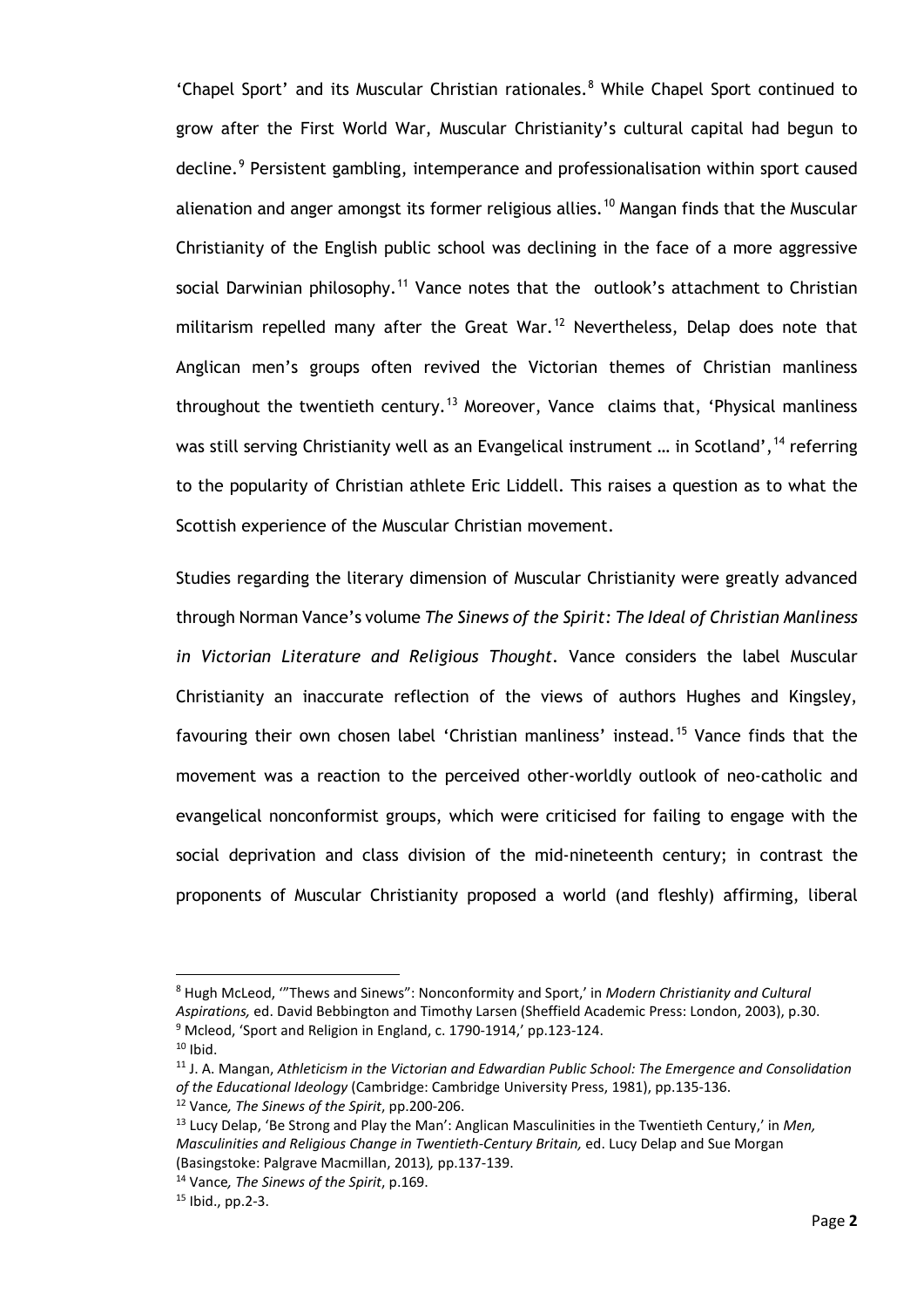'Chapel Sport' and its Muscular Christian rationales.<sup>[8](#page-7-0)</sup> While Chapel Sport continued to grow after the First World War, Muscular Christianity's cultural capital had begun to decline.<sup>[9](#page-7-1)</sup> Persistent gambling, intemperance and professionalisation within sport caused alienation and anger amongst its former religious allies.<sup>[10](#page-7-2)</sup> Mangan finds that the Muscular Christianity of the English public school was declining in the face of a more aggressive social Darwinian philosophy.<sup>[11](#page-7-3)</sup> Vance notes that the outlook's attachment to Christian militarism repelled many after the Great War.<sup>[12](#page-7-4)</sup> Nevertheless, Delap does note that Anglican men's groups often revived the Victorian themes of Christian manliness throughout the twentieth century.<sup>[13](#page-7-5)</sup> Moreover, Vance claims that, 'Physical manliness was still serving Christianity well as an Evangelical instrument ... in Scotland', <sup>[14](#page-7-6)</sup> referring to the popularity of Christian athlete Eric Liddell. This raises a question as to what the Scottish experience of the Muscular Christian movement.

Studies regarding the literary dimension of Muscular Christianity were greatly advanced through Norman Vance's volume *The Sinews of the Spirit: The Ideal of Christian Manliness in Victorian Literature and Religious Thought*. Vance considers the label Muscular Christianity an inaccurate reflection of the views of authors Hughes and Kingsley, favouring their own chosen label 'Christian manliness' instead.<sup>[15](#page-7-7)</sup> Vance finds that the movement was a reaction to the perceived other-worldly outlook of neo-catholic and evangelical nonconformist groups, which were criticised for failing to engage with the social deprivation and class division of the mid-nineteenth century; in contrast the proponents of Muscular Christianity proposed a world (and fleshly) affirming, liberal

<span id="page-7-0"></span><sup>8</sup> Hugh McLeod, '"Thews and Sinews": Nonconformity and Sport,' in *Modern Christianity and Cultural Aspirations,* ed. David Bebbington and Timothy Larsen (Sheffield Academic Press: London, 2003), p.30.  $9$  Mcleod, 'Sport and Religion in England, c. 1790-1914,' pp.123-124.

<span id="page-7-2"></span><span id="page-7-1"></span> $10$  Ibid.

<span id="page-7-3"></span><sup>11</sup> J. A. Mangan, *Athleticism in the Victorian and Edwardian Public School: The Emergence and Consolidation of the Educational Ideology* (Cambridge: Cambridge University Press, 1981), pp.135-136.

<span id="page-7-4"></span><sup>12</sup> Vance*, The Sinews of the Spirit*, pp.200-206.

<span id="page-7-5"></span><sup>13</sup> Lucy Delap, 'Be Strong and Play the Man': Anglican Masculinities in the Twentieth Century,' in *Men, Masculinities and Religious Change in Twentieth-Century Britain,* ed. Lucy Delap and Sue Morgan (Basingstoke: Palgrave Macmillan, 2013)*,* pp.137-139.

<span id="page-7-6"></span><sup>14</sup> Vance*, The Sinews of the Spirit*, p.169.

<span id="page-7-7"></span><sup>15</sup> Ibid., pp.2-3.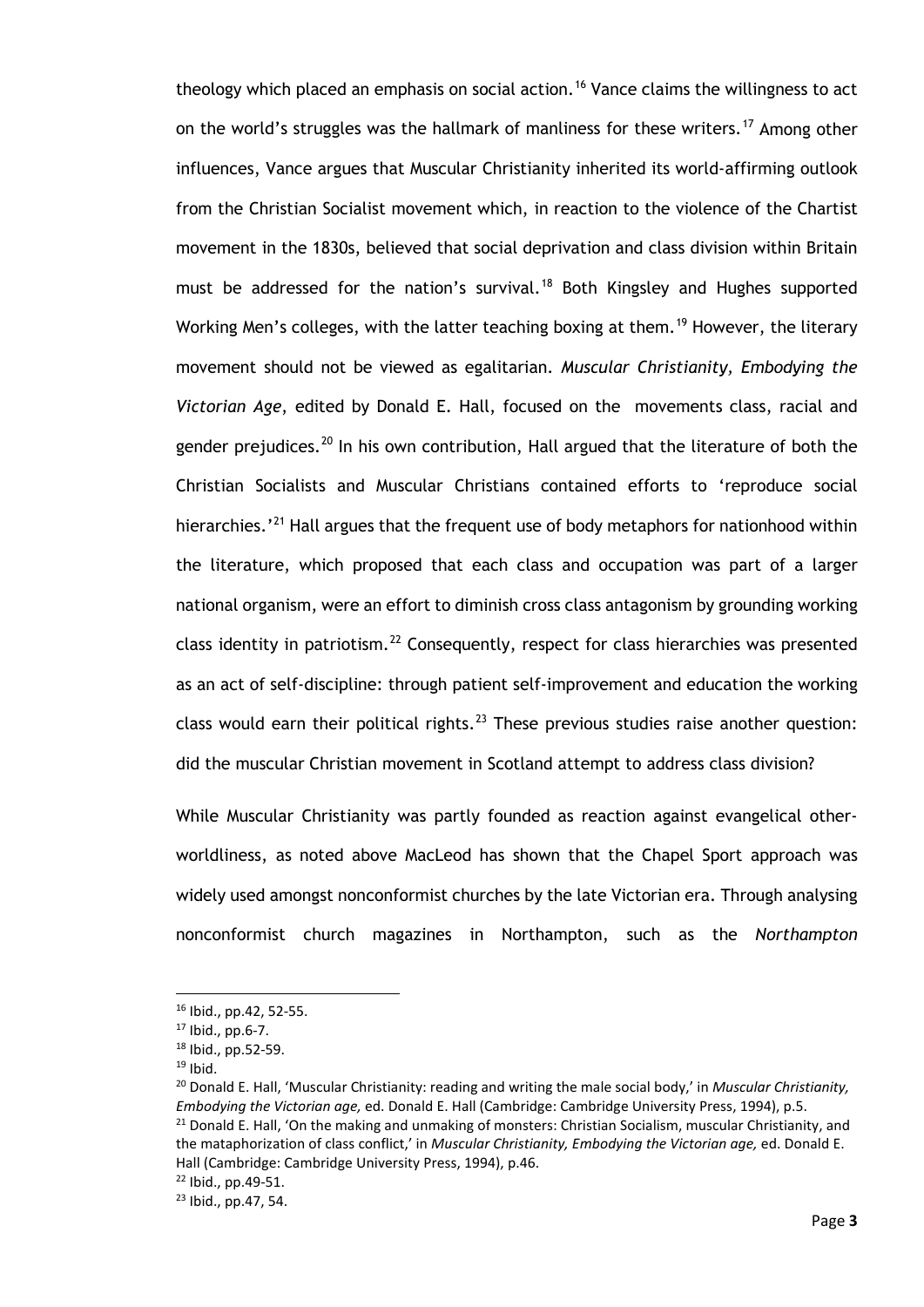theology which placed an emphasis on social action.<sup>[16](#page-8-0)</sup> Vance claims the willingness to act on the world's struggles was the hallmark of manliness for these writers.<sup>[17](#page-8-1)</sup> Among other influences, Vance argues that Muscular Christianity inherited its world-affirming outlook from the Christian Socialist movement which, in reaction to the violence of the Chartist movement in the 1830s, believed that social deprivation and class division within Britain must be addressed for the nation's survival.<sup>[18](#page-8-2)</sup> Both Kingsley and Hughes supported Working Men's colleges, with the latter teaching boxing at them.<sup>[19](#page-8-3)</sup> However, the literary movement should not be viewed as egalitarian. *Muscular Christianity, Embodying the Victorian Age*, edited by Donald E. Hall, focused on the movements class, racial and gender prejudices.<sup>[20](#page-8-4)</sup> In his own contribution, Hall argued that the literature of both the Christian Socialists and Muscular Christians contained efforts to 'reproduce social hierarchies.'<sup>[21](#page-8-5)</sup> Hall argues that the frequent use of body metaphors for nationhood within the literature, which proposed that each class and occupation was part of a larger national organism, were an effort to diminish cross class antagonism by grounding working class identity in patriotism.<sup>[22](#page-8-6)</sup> Consequently, respect for class hierarchies was presented as an act of self-discipline: through patient self-improvement and education the working class would earn their political rights.<sup>[23](#page-8-7)</sup> These previous studies raise another question: did the muscular Christian movement in Scotland attempt to address class division?

While Muscular Christianity was partly founded as reaction against evangelical otherworldliness, as noted above MacLeod has shown that the Chapel Sport approach was widely used amongst nonconformist churches by the late Victorian era. Through analysing nonconformist church magazines in Northampton, such as the *Northampton* 

<sup>16</sup> Ibid., pp.42, 52-55.

<span id="page-8-2"></span><span id="page-8-1"></span><span id="page-8-0"></span> $17$  Ibid., pp.6-7.

<sup>18</sup> Ibid., pp.52-59.

 $19$  Ibid.

<span id="page-8-5"></span><span id="page-8-4"></span><span id="page-8-3"></span><sup>20</sup> Donald E. Hall, 'Muscular Christianity: reading and writing the male social body,' in *Muscular Christianity, Embodying the Victorian age,* ed. Donald E. Hall (Cambridge: Cambridge University Press, 1994), p.5.  $21$  Donald E. Hall, 'On the making and unmaking of monsters: Christian Socialism, muscular Christianity, and the mataphorization of class conflict,' in *Muscular Christianity, Embodying the Victorian age,* ed. Donald E. Hall (Cambridge: Cambridge University Press, 1994), p.46.

<span id="page-8-7"></span><span id="page-8-6"></span> $^{22}$  Ibid., pp.49-51.<br> $^{23}$  Ibid., pp.47, 54.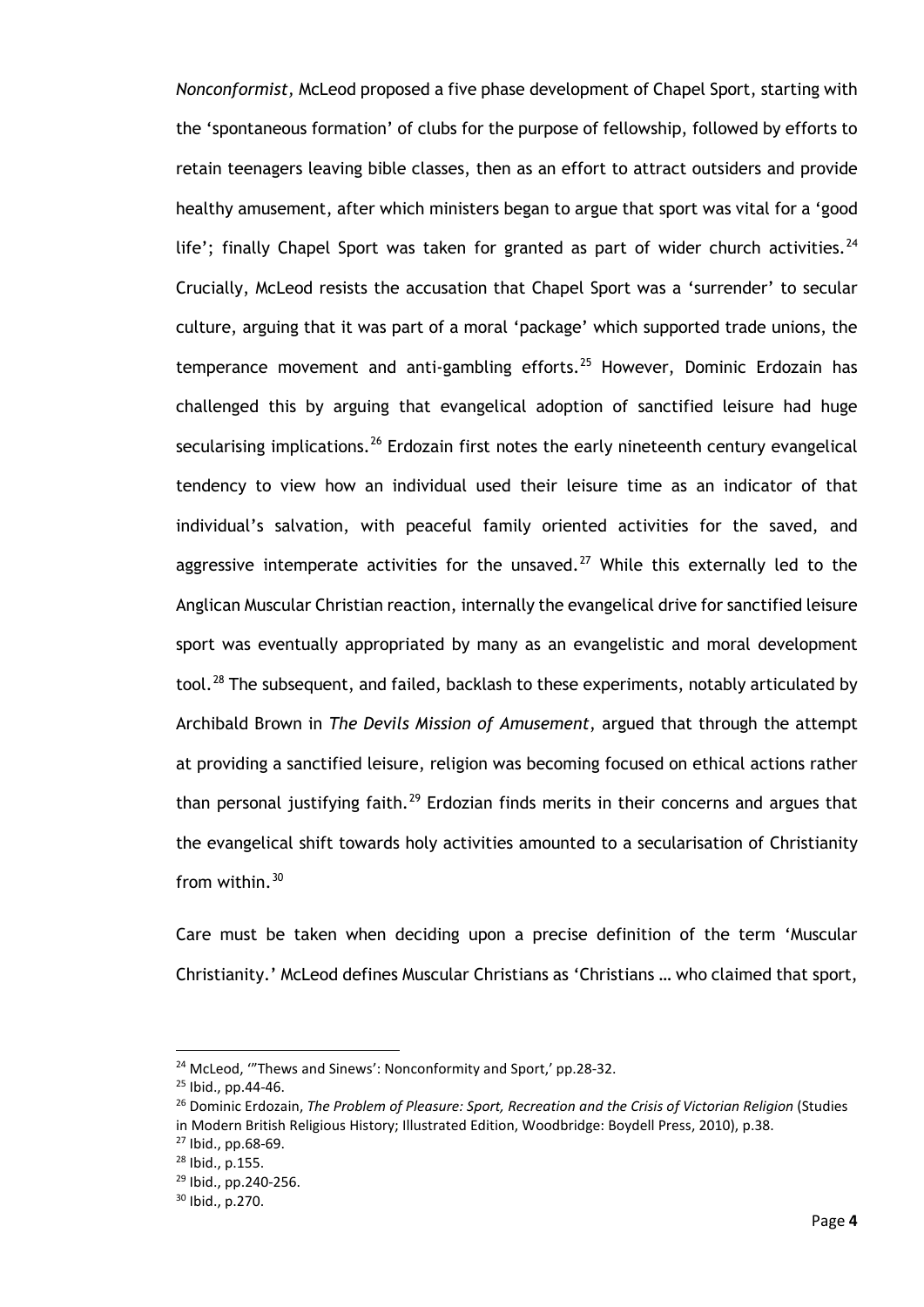*Nonconformist,* McLeod proposed a five phase development of Chapel Sport, starting with the 'spontaneous formation' of clubs for the purpose of fellowship, followed by efforts to retain teenagers leaving bible classes, then as an effort to attract outsiders and provide healthy amusement, after which ministers began to argue that sport was vital for a 'good life'; finally Chapel Sport was taken for granted as part of wider church activities.<sup>[24](#page-9-0)</sup> Crucially, McLeod resists the accusation that Chapel Sport was a 'surrender' to secular culture, arguing that it was part of a moral 'package' which supported trade unions, the temperance movement and anti-gambling efforts.<sup>[25](#page-9-1)</sup> However, Dominic Erdozain has challenged this by arguing that evangelical adoption of sanctified leisure had huge secularising implications.<sup>[26](#page-9-2)</sup> Erdozain first notes the early nineteenth century evangelical tendency to view how an individual used their leisure time as an indicator of that individual's salvation, with peaceful family oriented activities for the saved, and aggressive intemperate activities for the unsaved.<sup>[27](#page-9-3)</sup> While this externally led to the Anglican Muscular Christian reaction, internally the evangelical drive for sanctified leisure sport was eventually appropriated by many as an evangelistic and moral development tool.<sup>[28](#page-9-4)</sup> The subsequent, and failed, backlash to these experiments, notably articulated by Archibald Brown in *The Devils Mission of Amusement*, argued that through the attempt at providing a sanctified leisure, religion was becoming focused on ethical actions rather than personal justifying faith.<sup>[29](#page-9-5)</sup> Erdozian finds merits in their concerns and argues that the evangelical shift towards holy activities amounted to a secularisation of Christianity from within. $30$ 

Care must be taken when deciding upon a precise definition of the term 'Muscular Christianity.' McLeod defines Muscular Christians as 'Christians … who claimed that sport,

<span id="page-9-0"></span><sup>&</sup>lt;sup>24</sup> McLeod, "Thews and Sinews': Nonconformity and Sport,' pp.28-32.

<span id="page-9-1"></span><sup>25</sup> Ibid., pp.44-46.

<span id="page-9-2"></span><sup>&</sup>lt;sup>26</sup> Dominic Erdozain, *The Problem of Pleasure: Sport, Recreation and the Crisis of Victorian Religion (Studies* in Modern British Religious History; Illustrated Edition, Woodbridge: Boydell Press, 2010), p.38.

<span id="page-9-4"></span><span id="page-9-3"></span><sup>27</sup> Ibid., pp.68-69.

<sup>28</sup> Ibid., p.155.

<span id="page-9-5"></span><sup>29</sup> Ibid., pp.240-256.

<span id="page-9-6"></span><sup>30</sup> Ibid., p.270.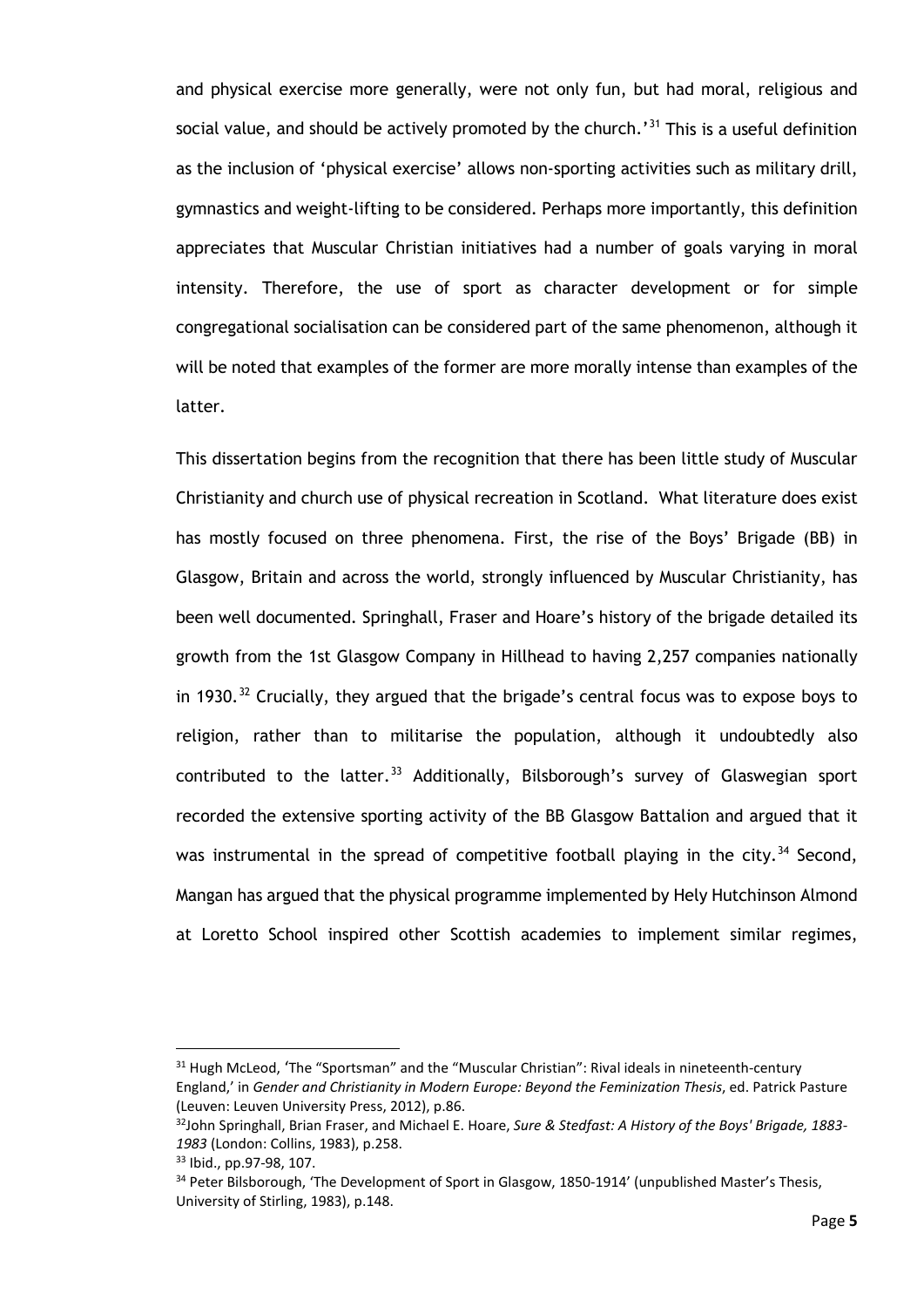and physical exercise more generally, were not only fun, but had moral, religious and social value, and should be actively promoted by the church.'<sup>[31](#page-10-0)</sup> This is a useful definition as the inclusion of 'physical exercise' allows non-sporting activities such as military drill, gymnastics and weight-lifting to be considered. Perhaps more importantly, this definition appreciates that Muscular Christian initiatives had a number of goals varying in moral intensity. Therefore, the use of sport as character development or for simple congregational socialisation can be considered part of the same phenomenon, although it will be noted that examples of the former are more morally intense than examples of the latter.

This dissertation begins from the recognition that there has been little study of Muscular Christianity and church use of physical recreation in Scotland. What literature does exist has mostly focused on three phenomena. First, the rise of the Boys' Brigade (BB) in Glasgow, Britain and across the world, strongly influenced by Muscular Christianity, has been well documented. Springhall, Fraser and Hoare's history of the brigade detailed its growth from the 1st Glasgow Company in Hillhead to having 2,257 companies nationally in 1930.<sup>[32](#page-10-1)</sup> Crucially, they argued that the brigade's central focus was to expose boys to religion, rather than to militarise the population, although it undoubtedly also contributed to the latter. [33](#page-10-2) Additionally, Bilsborough's survey of Glaswegian sport recorded the extensive sporting activity of the BB Glasgow Battalion and argued that it was instrumental in the spread of competitive football playing in the city.<sup>[34](#page-10-3)</sup> Second, Mangan has argued that the physical programme implemented by Hely Hutchinson Almond at Loretto School inspired other Scottish academies to implement similar regimes,

<span id="page-10-0"></span><sup>&</sup>lt;sup>31</sup> Hugh McLeod, 'The "Sportsman" and the "Muscular Christian": Rival ideals in nineteenth-century England,' in *Gender and Christianity in Modern Europe: Beyond the Feminization Thesis*, ed. Patrick Pasture (Leuven: Leuven University Press, 2012), p.86.

<span id="page-10-1"></span><sup>32</sup>John Springhall, Brian Fraser, and Michael E. Hoare, *Sure & Stedfast: A History of the Boys' Brigade, 1883- 1983* (London: Collins, 1983), p.258.

<span id="page-10-2"></span><sup>33</sup> Ibid., pp.97-98, 107.

<span id="page-10-3"></span><sup>&</sup>lt;sup>34</sup> Peter Bilsborough, 'The Development of Sport in Glasgow, 1850-1914' (unpublished Master's Thesis, University of Stirling, 1983), p.148.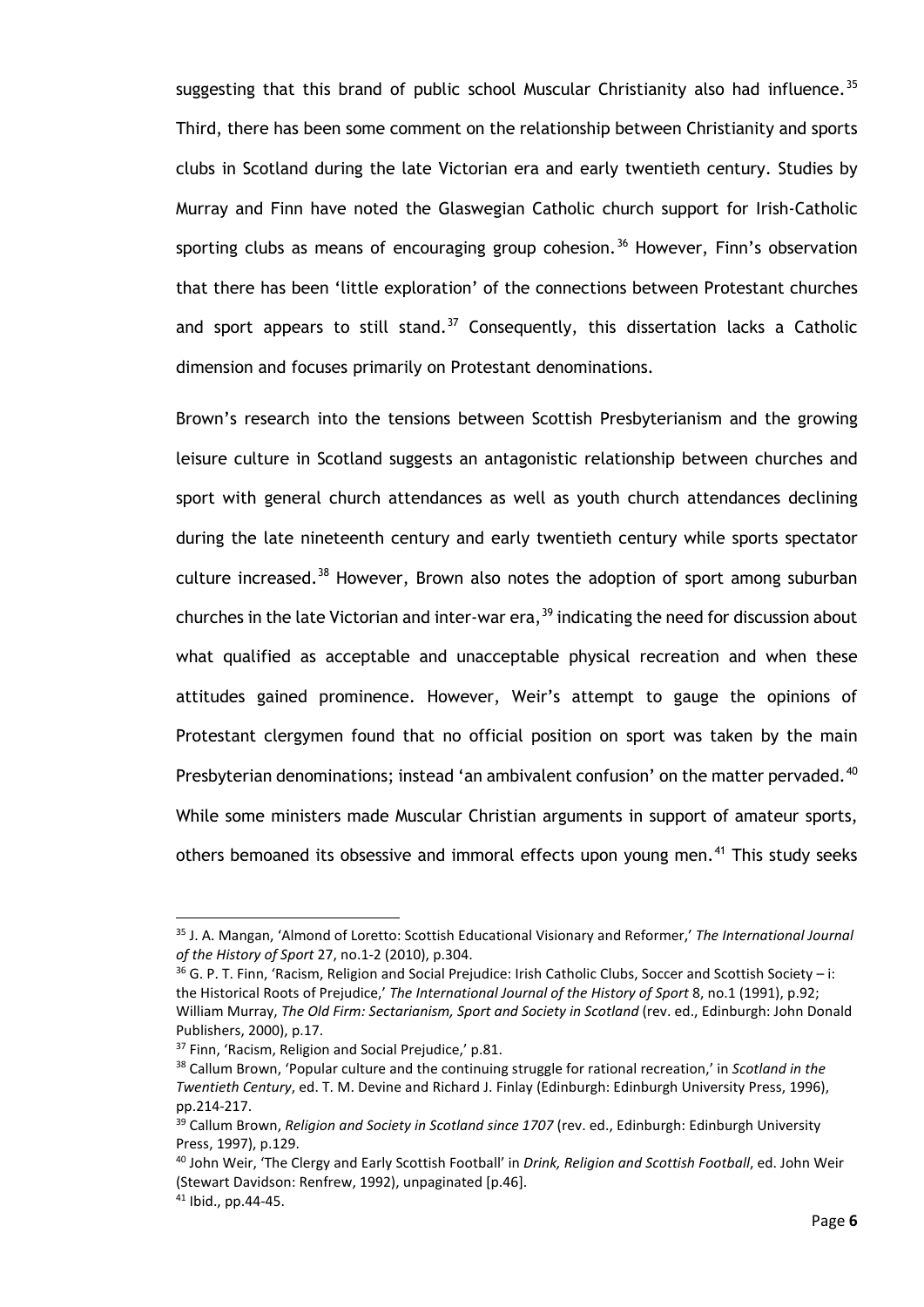suggesting that this brand of public school Muscular Christianity also had influence.<sup>[35](#page-11-0)</sup> Third, there has been some comment on the relationship between Christianity and sports clubs in Scotland during the late Victorian era and early twentieth century. Studies by Murray and Finn have noted the Glaswegian Catholic church support for Irish-Catholic sporting clubs as means of encouraging group cohesion.<sup>[36](#page-11-1)</sup> However, Finn's observation that there has been 'little exploration' of the connections between Protestant churches and sport appears to still stand.<sup>[37](#page-11-2)</sup> Consequently, this dissertation lacks a Catholic dimension and focuses primarily on Protestant denominations.

Brown's research into the tensions between Scottish Presbyterianism and the growing leisure culture in Scotland suggests an antagonistic relationship between churches and sport with general church attendances as well as youth church attendances declining during the late nineteenth century and early twentieth century while sports spectator culture increased.<sup>[38](#page-11-3)</sup> However, Brown also notes the adoption of sport among suburban churches in the late Victorian and inter-war era,  $39$  indicating the need for discussion about what qualified as acceptable and unacceptable physical recreation and when these attitudes gained prominence. However, Weir's attempt to gauge the opinions of Protestant clergymen found that no official position on sport was taken by the main Presbyterian denominations; instead 'an ambivalent confusion' on the matter pervaded.<sup>[40](#page-11-5)</sup> While some ministers made Muscular Christian arguments in support of amateur sports, others bemoaned its obsessive and immoral effects upon young men.<sup>[41](#page-11-6)</sup> This study seeks

<span id="page-11-0"></span><sup>35</sup> J. A. Mangan, 'Almond of Loretto: Scottish Educational Visionary and Reformer,' *The International Journal of the History of Sport* 27, no.1-2 (2010), p.304.<br><sup>36</sup> G. P. T. Finn, 'Racism, Religion and Social Prejudice: Irish Catholic Clubs, Soccer and Scottish Society – i:

<span id="page-11-1"></span>the Historical Roots of Prejudice,' *The International Journal of the History of Sport* 8, no.1 (1991), p.92; William Murray, *The Old Firm: Sectarianism, Sport and Society in Scotland* (rev. ed., Edinburgh: John Donald Publishers, 2000), p.17.

<span id="page-11-2"></span><sup>&</sup>lt;sup>37</sup> Finn, 'Racism, Religion and Social Prejudice,' p.81.

<span id="page-11-3"></span><sup>38</sup> Callum Brown, 'Popular culture and the continuing struggle for rational recreation,' in *Scotland in the Twentieth Century*, ed. T. M. Devine and Richard J. Finlay (Edinburgh: Edinburgh University Press, 1996), pp.214-217.

<span id="page-11-4"></span><sup>39</sup> Callum Brown, *Religion and Society in Scotland since 1707* (rev. ed., Edinburgh: Edinburgh University Press, 1997), p.129.

<span id="page-11-5"></span><sup>40</sup> John Weir, 'The Clergy and Early Scottish Football' in *Drink, Religion and Scottish Football*, ed. John Weir (Stewart Davidson: Renfrew, 1992), unpaginated [p.46].

<span id="page-11-6"></span><sup>41</sup> Ibid., pp.44-45.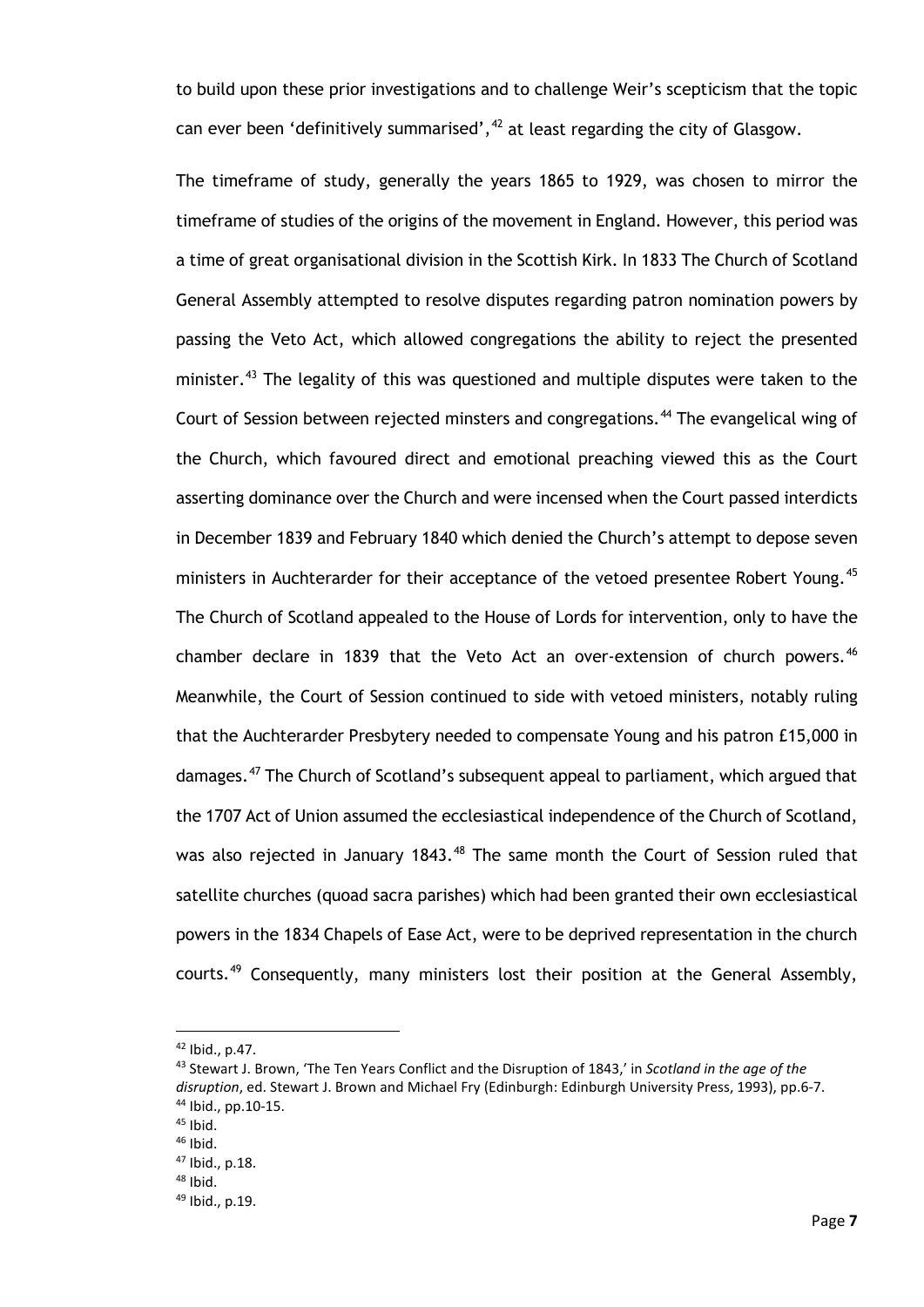to build upon these prior investigations and to challenge Weir's scepticism that the topic can ever been 'definitively summarised',  $42$  at least regarding the city of Glasgow.

The timeframe of study, generally the years 1865 to 1929, was chosen to mirror the timeframe of studies of the origins of the movement in England. However, this period was a time of great organisational division in the Scottish Kirk. In 1833 The Church of Scotland General Assembly attempted to resolve disputes regarding patron nomination powers by passing the Veto Act, which allowed congregations the ability to reject the presented minister.<sup>[43](#page-12-1)</sup> The legality of this was questioned and multiple disputes were taken to the Court of Session between rejected minsters and congregations.<sup>[44](#page-12-2)</sup> The evangelical wing of the Church, which favoured direct and emotional preaching viewed this as the Court asserting dominance over the Church and were incensed when the Court passed interdicts in December 1839 and February 1840 which denied the Church's attempt to depose seven ministers in Auchterarder for their acceptance of the vetoed presentee Robert Young.<sup>[45](#page-12-3)</sup> The Church of Scotland appealed to the House of Lords for intervention, only to have the chamber declare in 1839 that the Veto Act an over-extension of church powers.  $46$ Meanwhile, the Court of Session continued to side with vetoed ministers, notably ruling that the Auchterarder Presbytery needed to compensate Young and his patron £15,000 in damages.[47](#page-12-5) The Church of Scotland's subsequent appeal to parliament, which argued that the 1707 Act of Union assumed the ecclesiastical independence of the Church of Scotland, was also rejected in January 1843.<sup>[48](#page-12-6)</sup> The same month the Court of Session ruled that satellite churches (quoad sacra parishes) which had been granted their own ecclesiastical powers in the 1834 Chapels of Ease Act, were to be deprived representation in the church courts.<sup>[49](#page-12-7)</sup> Consequently, many ministers lost their position at the General Assembly,

<sup>42</sup> Ibid., p.47.

<span id="page-12-1"></span><span id="page-12-0"></span><sup>43</sup> Stewart J. Brown, 'The Ten Years Conflict and the Disruption of 1843,' in *Scotland in the age of the disruption*, ed. Stewart J. Brown and Michael Fry (Edinburgh: Edinburgh University Press, 1993), pp.6-7. <sup>44</sup> Ibid., pp.10-15.

 $45$  Ibid.

<span id="page-12-5"></span><span id="page-12-4"></span><span id="page-12-3"></span><span id="page-12-2"></span><sup>46</sup> Ibid.

<sup>47</sup> Ibid., p.18.

<span id="page-12-6"></span><sup>48</sup> Ibid.

<span id="page-12-7"></span><sup>49</sup> Ibid., p.19.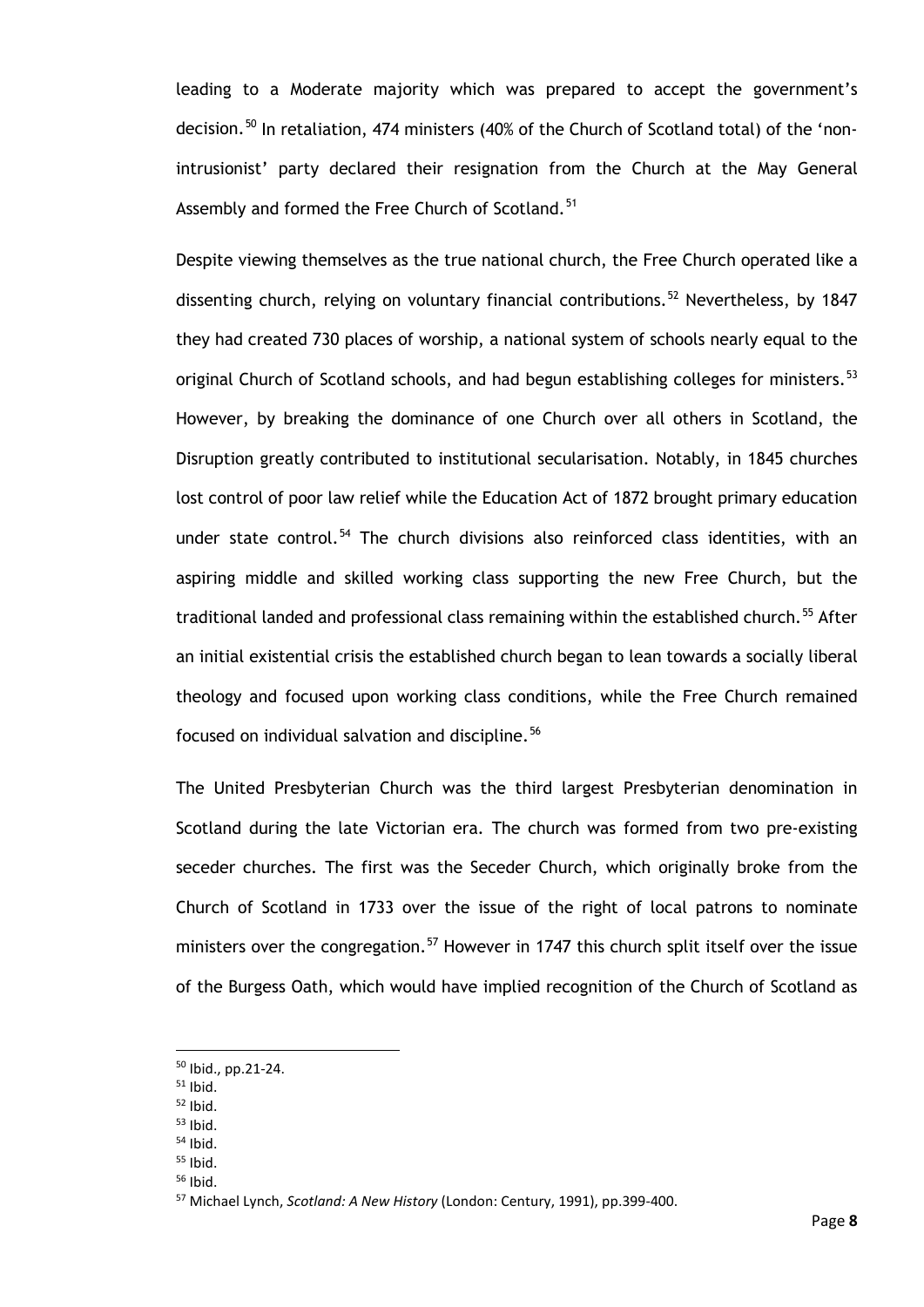leading to a Moderate majority which was prepared to accept the government's decision.<sup>[50](#page-13-0)</sup> In retaliation, 474 ministers (40% of the Church of Scotland total) of the 'nonintrusionist' party declared their resignation from the Church at the May General Assembly and formed the Free Church of Scotland.<sup>[51](#page-13-1)</sup>

Despite viewing themselves as the true national church, the Free Church operated like a dissenting church, relying on voluntary financial contributions.<sup>[52](#page-13-2)</sup> Nevertheless, by 1847 they had created 730 places of worship, a national system of schools nearly equal to the original Church of Scotland schools, and had begun establishing colleges for ministers.<sup>[53](#page-13-3)</sup> However, by breaking the dominance of one Church over all others in Scotland, the Disruption greatly contributed to institutional secularisation. Notably, in 1845 churches lost control of poor law relief while the Education Act of 1872 brought primary education under state control.<sup>[54](#page-13-4)</sup> The church divisions also reinforced class identities, with an aspiring middle and skilled working class supporting the new Free Church, but the traditional landed and professional class remaining within the established church.<sup>[55](#page-13-5)</sup> After an initial existential crisis the established church began to lean towards a socially liberal theology and focused upon working class conditions, while the Free Church remained focused on individual salvation and discipline.<sup>[56](#page-13-6)</sup>

The United Presbyterian Church was the third largest Presbyterian denomination in Scotland during the late Victorian era. The church was formed from two pre-existing seceder churches. The first was the Seceder Church, which originally broke from the Church of Scotland in 1733 over the issue of the right of local patrons to nominate ministers over the congregation.<sup>[57](#page-13-7)</sup> However in 1747 this church split itself over the issue of the Burgess Oath, which would have implied recognition of the Church of Scotland as

<sup>50</sup> Ibid., pp.21-24.

<span id="page-13-1"></span><span id="page-13-0"></span> $51$  Ibid.

<span id="page-13-2"></span> $52$  Ibid.

<span id="page-13-3"></span> $53$  Ibid.

<span id="page-13-4"></span> $54$  Ibid.

<span id="page-13-5"></span> $55$  Ibid.

<span id="page-13-7"></span><span id="page-13-6"></span><sup>56</sup> Ibid.

<sup>57</sup> Michael Lynch, *Scotland: A New History* (London: Century, 1991), pp.399-400.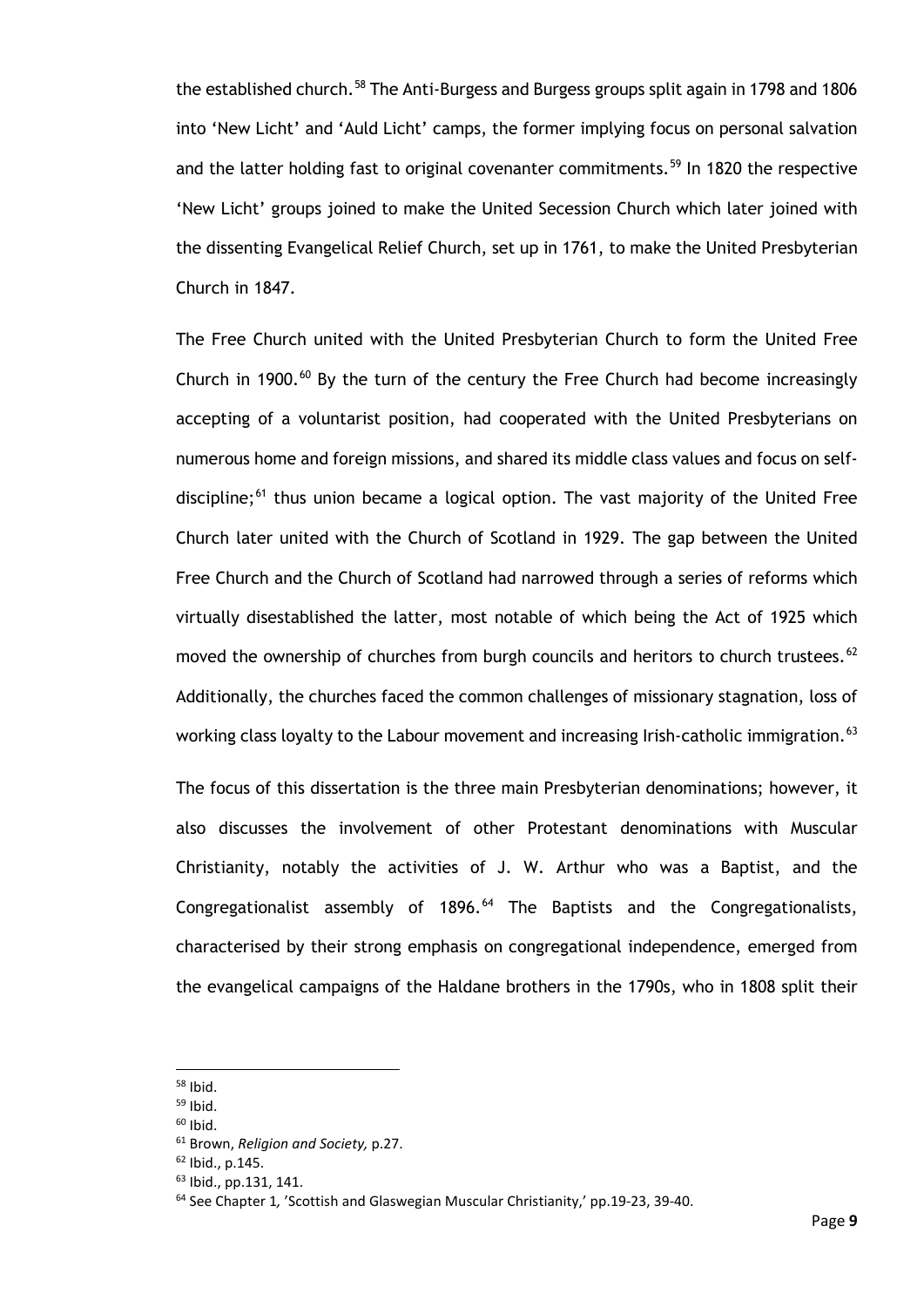the established church.<sup>[58](#page-14-0)</sup> The Anti-Burgess and Burgess groups split again in 1798 and 1806 into 'New Licht' and 'Auld Licht' camps, the former implying focus on personal salvation and the latter holding fast to original covenanter commitments.<sup>[59](#page-14-1)</sup> In 1820 the respective 'New Licht' groups joined to make the United Secession Church which later joined with the dissenting Evangelical Relief Church, set up in 1761, to make the United Presbyterian Church in 1847.

The Free Church united with the United Presbyterian Church to form the United Free Church in 1900. $^{60}$  $^{60}$  $^{60}$  By the turn of the century the Free Church had become increasingly accepting of a voluntarist position, had cooperated with the United Presbyterians on numerous home and foreign missions, and shared its middle class values and focus on selfdiscipline; $^{61}$  $^{61}$  $^{61}$  thus union became a logical option. The vast majority of the United Free Church later united with the Church of Scotland in 1929. The gap between the United Free Church and the Church of Scotland had narrowed through a series of reforms which virtually disestablished the latter, most notable of which being the Act of 1925 which moved the ownership of churches from burgh councils and heritors to church trustees.  $62$ Additionally, the churches faced the common challenges of missionary stagnation, loss of working class loyalty to the Labour movement and increasing Irish-catholic immigration.<sup>63</sup>

The focus of this dissertation is the three main Presbyterian denominations; however, it also discusses the involvement of other Protestant denominations with Muscular Christianity, notably the activities of J. W. Arthur who was a Baptist, and the Congregationalist assembly of  $1896.^{64}$  $1896.^{64}$  $1896.^{64}$  The Baptists and the Congregationalists, characterised by their strong emphasis on congregational independence, emerged from the evangelical campaigns of the Haldane brothers in the 1790s, who in 1808 split their

 $58$  Ibid.

<span id="page-14-2"></span><span id="page-14-1"></span><span id="page-14-0"></span> $59$  Ibid.

<span id="page-14-3"></span> $60$  Ibid.

<sup>61</sup> Brown, *Religion and Society,* p.27.

<span id="page-14-4"></span> $62$  Ibid., p.145.

<span id="page-14-5"></span><sup>63</sup> Ibid., pp.131, 141.

<span id="page-14-6"></span><sup>64</sup> See Chapter 1*,* 'Scottish and Glaswegian Muscular Christianity,' pp.19-23, 39-40.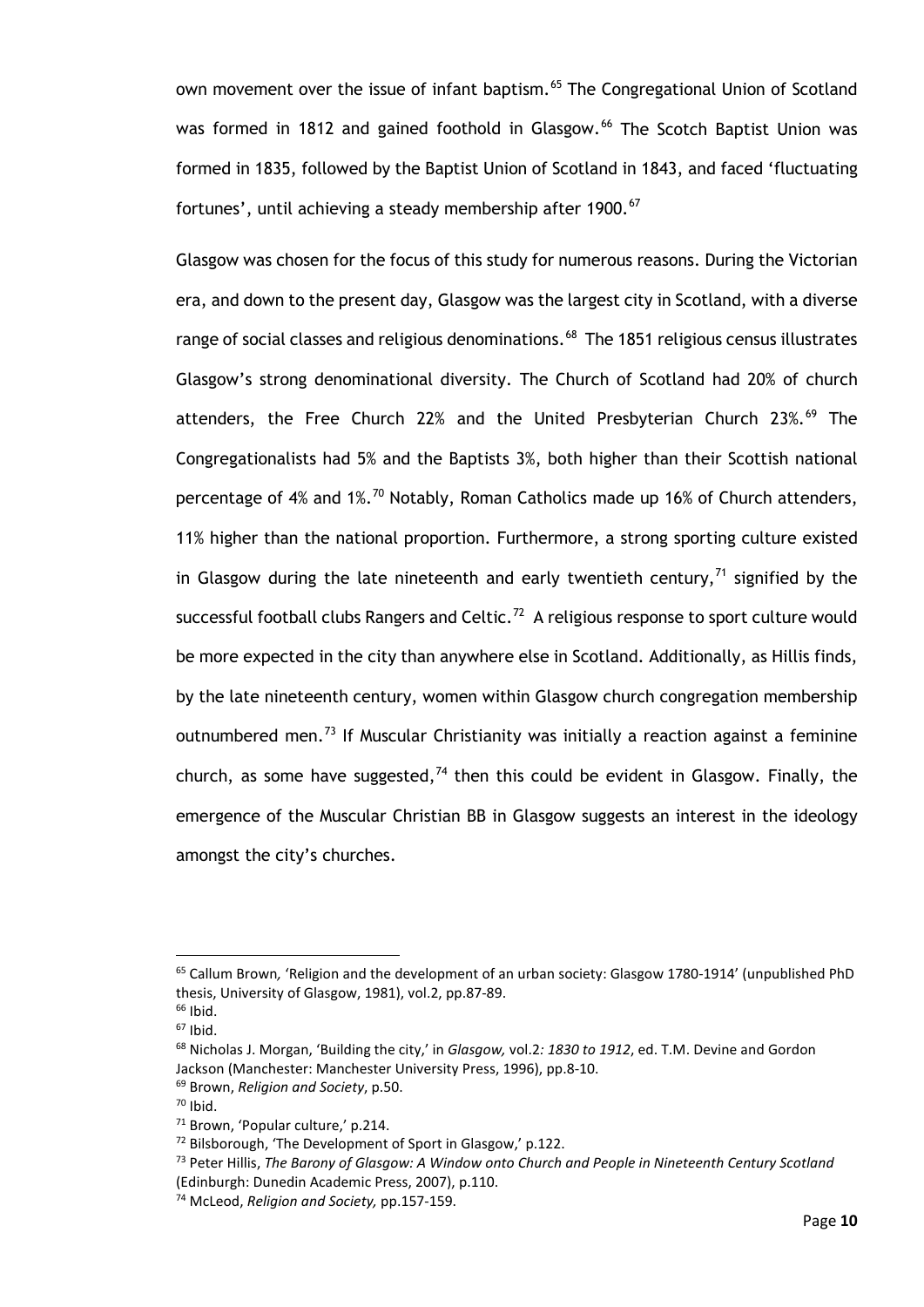own movement over the issue of infant baptism.<sup>[65](#page-15-0)</sup> The Congregational Union of Scotland was formed in 1812 and gained foothold in Glasgow.<sup>[66](#page-15-1)</sup> The Scotch Baptist Union was formed in 1835, followed by the Baptist Union of Scotland in 1843, and faced 'fluctuating fortunes', until achieving a steady membership after 1900.<sup>67</sup>

Glasgow was chosen for the focus of this study for numerous reasons. During the Victorian era, and down to the present day, Glasgow was the largest city in Scotland, with a diverse range of social classes and religious denominations.<sup>68</sup> The 1851 religious census illustrates Glasgow's strong denominational diversity. The Church of Scotland had 20% of church attenders, the Free Church 22% and the United Presbyterian Church 23%. $^{69}$  $^{69}$  $^{69}$  The Congregationalists had 5% and the Baptists 3%, both higher than their Scottish national percentage of 4% and  $1\%$ .<sup>[70](#page-15-5)</sup> Notably, Roman Catholics made up 16% of Church attenders, 11% higher than the national proportion. Furthermore, a strong sporting culture existed in Glasgow during the late nineteenth and early twentieth century, $<sup>71</sup>$  $<sup>71</sup>$  $<sup>71</sup>$  signified by the</sup> successful football clubs Rangers and Celtic.<sup>[72](#page-15-7)</sup> A religious response to sport culture would be more expected in the city than anywhere else in Scotland. Additionally, as Hillis finds, by the late nineteenth century, women within Glasgow church congregation membership outnumbered men.<sup>[73](#page-15-8)</sup> If Muscular Christianity was initially a reaction against a feminine church, as some have suggested, $74$  then this could be evident in Glasgow. Finally, the emergence of the Muscular Christian BB in Glasgow suggests an interest in the ideology amongst the city's churches.

<span id="page-15-0"></span><sup>65</sup> Callum Brown*,* 'Religion and the development of an urban society: Glasgow 1780-1914' (unpublished PhD thesis, University of Glasgow, 1981), vol.2, pp.87-89.

<span id="page-15-1"></span> $66$  Ibid.

<span id="page-15-2"></span> $67$  Ibid.

<span id="page-15-3"></span><sup>68</sup> Nicholas J. Morgan, 'Building the city,' in *Glasgow,* vol.2*: 1830 to 1912*, ed. T.M. Devine and Gordon Jackson (Manchester: Manchester University Press, 1996), pp.8-10.

<span id="page-15-4"></span><sup>69</sup> Brown, *Religion and Society*, p.50.

<span id="page-15-5"></span> $70$  Ibid.

<span id="page-15-6"></span><sup>71</sup> Brown, 'Popular culture,' p.214.

<span id="page-15-7"></span><sup>72</sup> Bilsborough, 'The Development of Sport in Glasgow,' p.122.

<span id="page-15-8"></span><sup>73</sup> Peter Hillis, *The Barony of Glasgow: A Window onto Church and People in Nineteenth Century Scotland* (Edinburgh: Dunedin Academic Press, 2007), p.110.

<span id="page-15-9"></span><sup>74</sup> McLeod, *Religion and Society,* pp.157-159.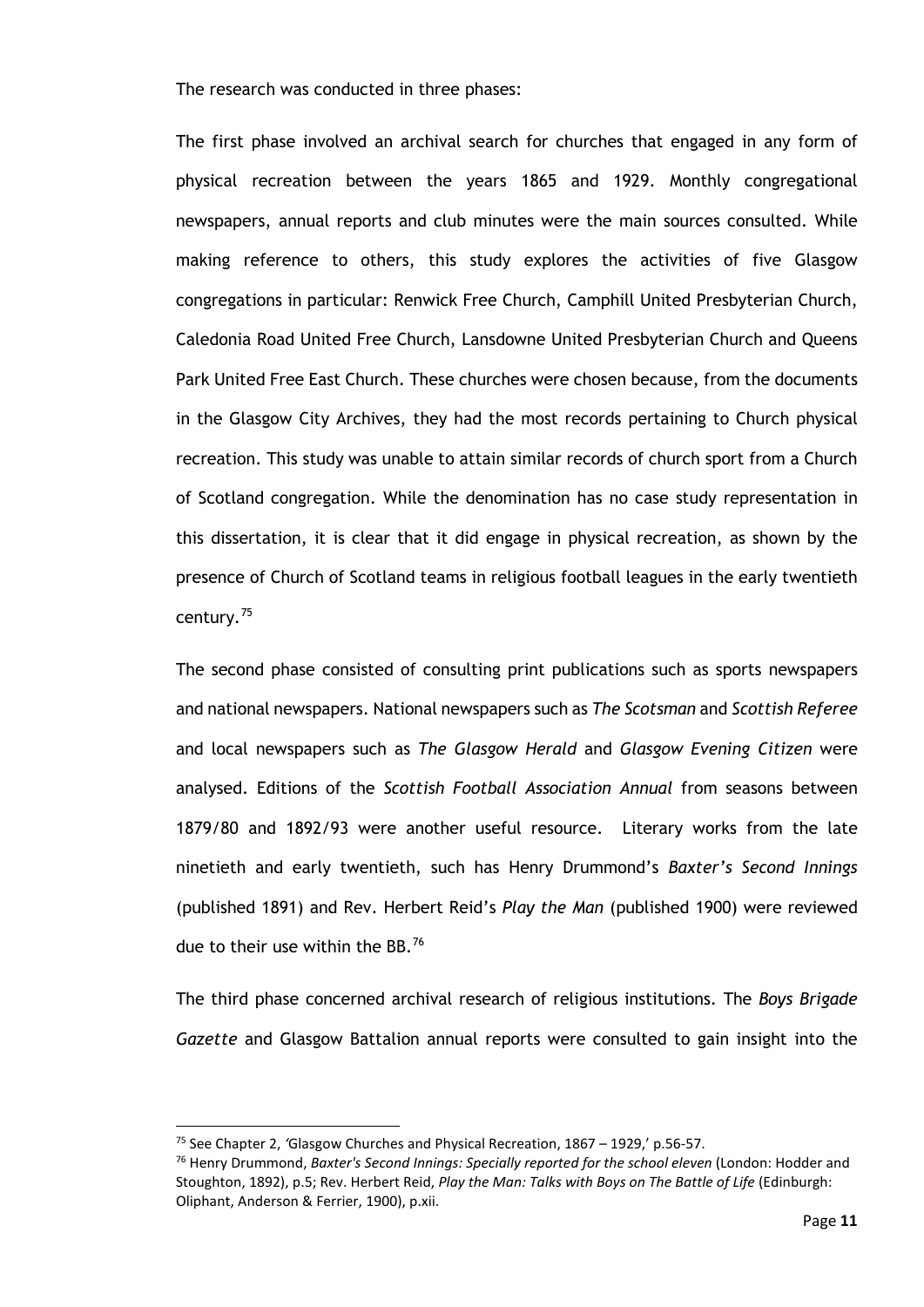The research was conducted in three phases:

The first phase involved an archival search for churches that engaged in any form of physical recreation between the years 1865 and 1929. Monthly congregational newspapers, annual reports and club minutes were the main sources consulted. While making reference to others, this study explores the activities of five Glasgow congregations in particular: Renwick Free Church, Camphill United Presbyterian Church, Caledonia Road United Free Church, Lansdowne United Presbyterian Church and Queens Park United Free East Church. These churches were chosen because, from the documents in the Glasgow City Archives, they had the most records pertaining to Church physical recreation. This study was unable to attain similar records of church sport from a Church of Scotland congregation. While the denomination has no case study representation in this dissertation, it is clear that it did engage in physical recreation, as shown by the presence of Church of Scotland teams in religious football leagues in the early twentieth century.[75](#page-16-0) 

The second phase consisted of consulting print publications such as sports newspapers and national newspapers. National newspapers such as *The Scotsman* and *Scottish Referee* and local newspapers such as *The Glasgow Herald* and *Glasgow Evening Citizen* were analysed. Editions of the *Scottish Football Association Annual* from seasons between 1879/80 and 1892/93 were another useful resource. Literary works from the late ninetieth and early twentieth, such has Henry Drummond's *Baxter's Second Innings*  (published 1891) and Rev. Herbert Reid's *Play the Man* (published 1900) were reviewed due to their use within the BB.<sup>[76](#page-16-1)</sup>

The third phase concerned archival research of religious institutions. The *Boys Brigade Gazette* and Glasgow Battalion annual reports were consulted to gain insight into the

<span id="page-16-0"></span><sup>75</sup> See Chapter 2, *'*Glasgow Churches and Physical Recreation, 1867 – 1929,' p.56-57.

<span id="page-16-1"></span><sup>76</sup> Henry Drummond, *Baxter's Second Innings: Specially reported for the school eleven* (London: Hodder and Stoughton, 1892), p.5; Rev. Herbert Reid, *Play the Man: Talks with Boys on The Battle of Life* (Edinburgh: Oliphant, Anderson & Ferrier, 1900), p.xii.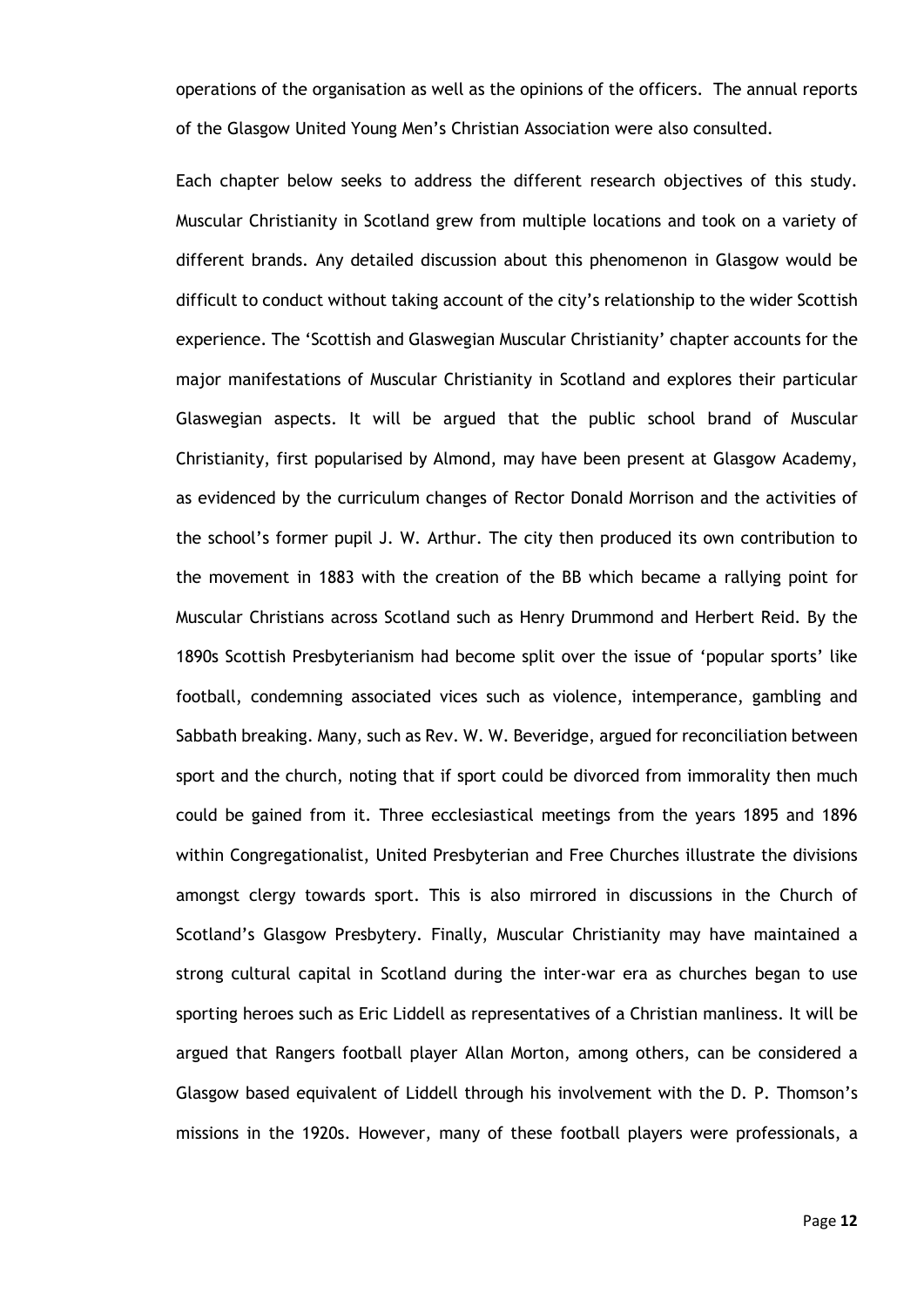operations of the organisation as well as the opinions of the officers. The annual reports of the Glasgow United Young Men's Christian Association were also consulted.

Each chapter below seeks to address the different research objectives of this study. Muscular Christianity in Scotland grew from multiple locations and took on a variety of different brands. Any detailed discussion about this phenomenon in Glasgow would be difficult to conduct without taking account of the city's relationship to the wider Scottish experience. The 'Scottish and Glaswegian Muscular Christianity' chapter accounts for the major manifestations of Muscular Christianity in Scotland and explores their particular Glaswegian aspects. It will be argued that the public school brand of Muscular Christianity, first popularised by Almond, may have been present at Glasgow Academy, as evidenced by the curriculum changes of Rector Donald Morrison and the activities of the school's former pupil J. W. Arthur. The city then produced its own contribution to the movement in 1883 with the creation of the BB which became a rallying point for Muscular Christians across Scotland such as Henry Drummond and Herbert Reid. By the 1890s Scottish Presbyterianism had become split over the issue of 'popular sports' like football, condemning associated vices such as violence, intemperance, gambling and Sabbath breaking. Many, such as Rev. W. W. Beveridge, argued for reconciliation between sport and the church, noting that if sport could be divorced from immorality then much could be gained from it. Three ecclesiastical meetings from the years 1895 and 1896 within Congregationalist, United Presbyterian and Free Churches illustrate the divisions amongst clergy towards sport. This is also mirrored in discussions in the Church of Scotland's Glasgow Presbytery. Finally, Muscular Christianity may have maintained a strong cultural capital in Scotland during the inter-war era as churches began to use sporting heroes such as Eric Liddell as representatives of a Christian manliness. It will be argued that Rangers football player Allan Morton, among others, can be considered a Glasgow based equivalent of Liddell through his involvement with the D. P. Thomson's missions in the 1920s. However, many of these football players were professionals, a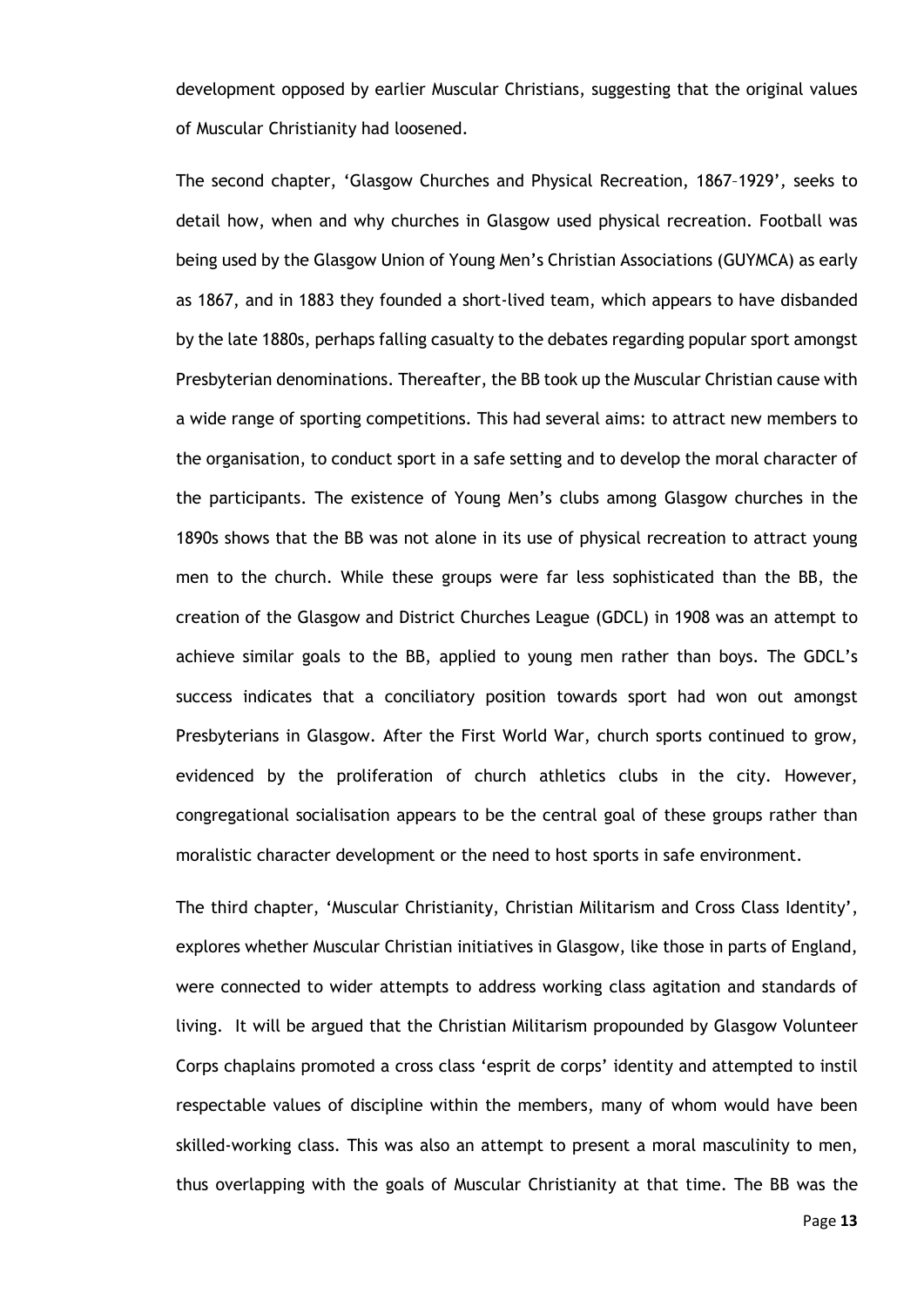development opposed by earlier Muscular Christians, suggesting that the original values of Muscular Christianity had loosened.

The second chapter, 'Glasgow Churches and Physical Recreation, 1867–1929'*,* seeks to detail how, when and why churches in Glasgow used physical recreation. Football was being used by the Glasgow Union of Young Men's Christian Associations (GUYMCA) as early as 1867, and in 1883 they founded a short-lived team, which appears to have disbanded by the late 1880s, perhaps falling casualty to the debates regarding popular sport amongst Presbyterian denominations. Thereafter, the BB took up the Muscular Christian cause with a wide range of sporting competitions. This had several aims: to attract new members to the organisation, to conduct sport in a safe setting and to develop the moral character of the participants. The existence of Young Men's clubs among Glasgow churches in the 1890s shows that the BB was not alone in its use of physical recreation to attract young men to the church. While these groups were far less sophisticated than the BB, the creation of the Glasgow and District Churches League (GDCL) in 1908 was an attempt to achieve similar goals to the BB, applied to young men rather than boys. The GDCL's success indicates that a conciliatory position towards sport had won out amongst Presbyterians in Glasgow. After the First World War, church sports continued to grow, evidenced by the proliferation of church athletics clubs in the city. However, congregational socialisation appears to be the central goal of these groups rather than moralistic character development or the need to host sports in safe environment.

The third chapter, 'Muscular Christianity, Christian Militarism and Cross Class Identity', explores whether Muscular Christian initiatives in Glasgow, like those in parts of England, were connected to wider attempts to address working class agitation and standards of living. It will be argued that the Christian Militarism propounded by Glasgow Volunteer Corps chaplains promoted a cross class 'esprit de corps' identity and attempted to instil respectable values of discipline within the members, many of whom would have been skilled-working class. This was also an attempt to present a moral masculinity to men, thus overlapping with the goals of Muscular Christianity at that time. The BB was the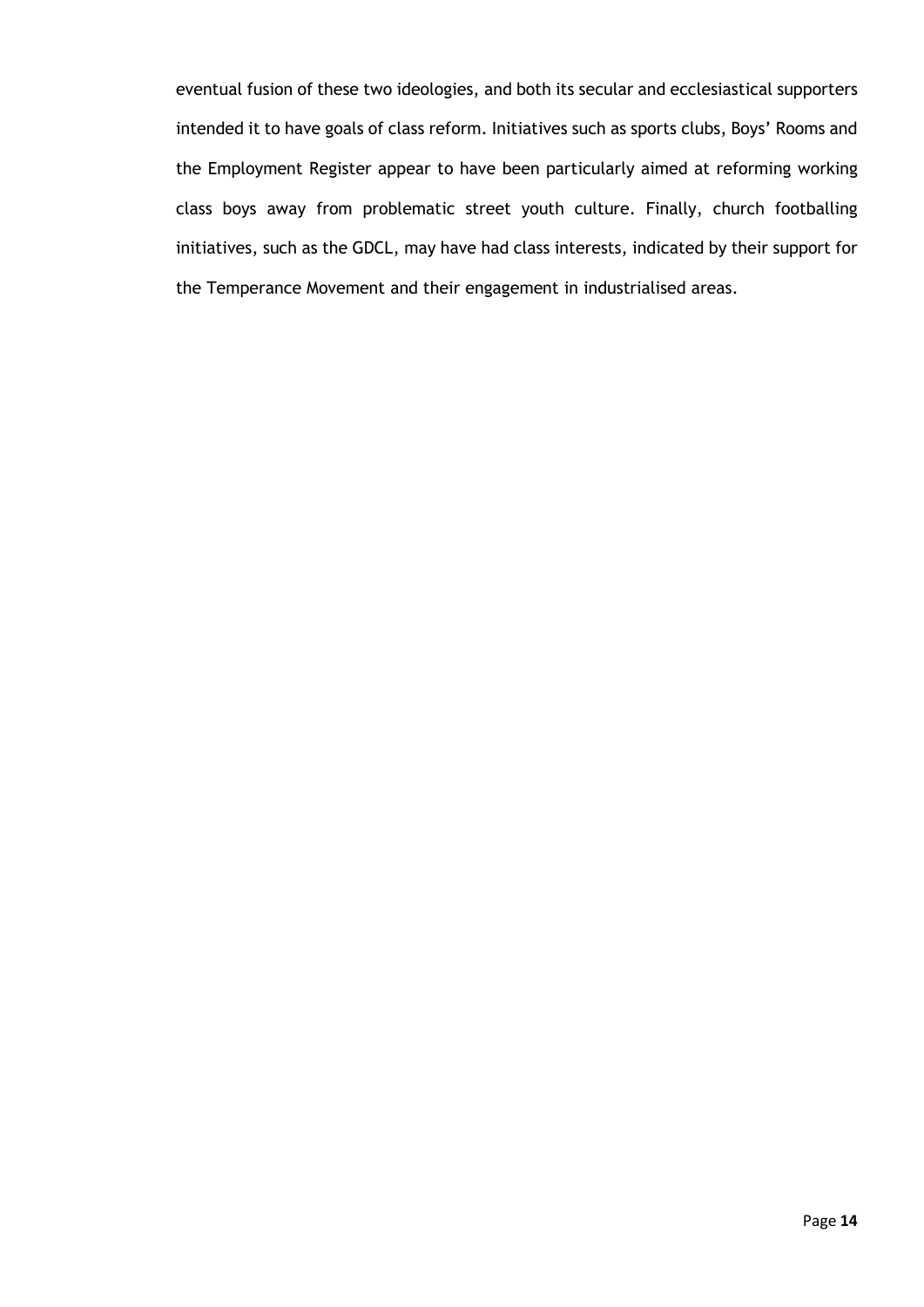eventual fusion of these two ideologies, and both its secular and ecclesiastical supporters intended it to have goals of class reform. Initiatives such as sports clubs, Boys' Rooms and the Employment Register appear to have been particularly aimed at reforming working class boys away from problematic street youth culture. Finally, church footballing initiatives, such as the GDCL, may have had class interests, indicated by their support for the Temperance Movement and their engagement in industrialised areas.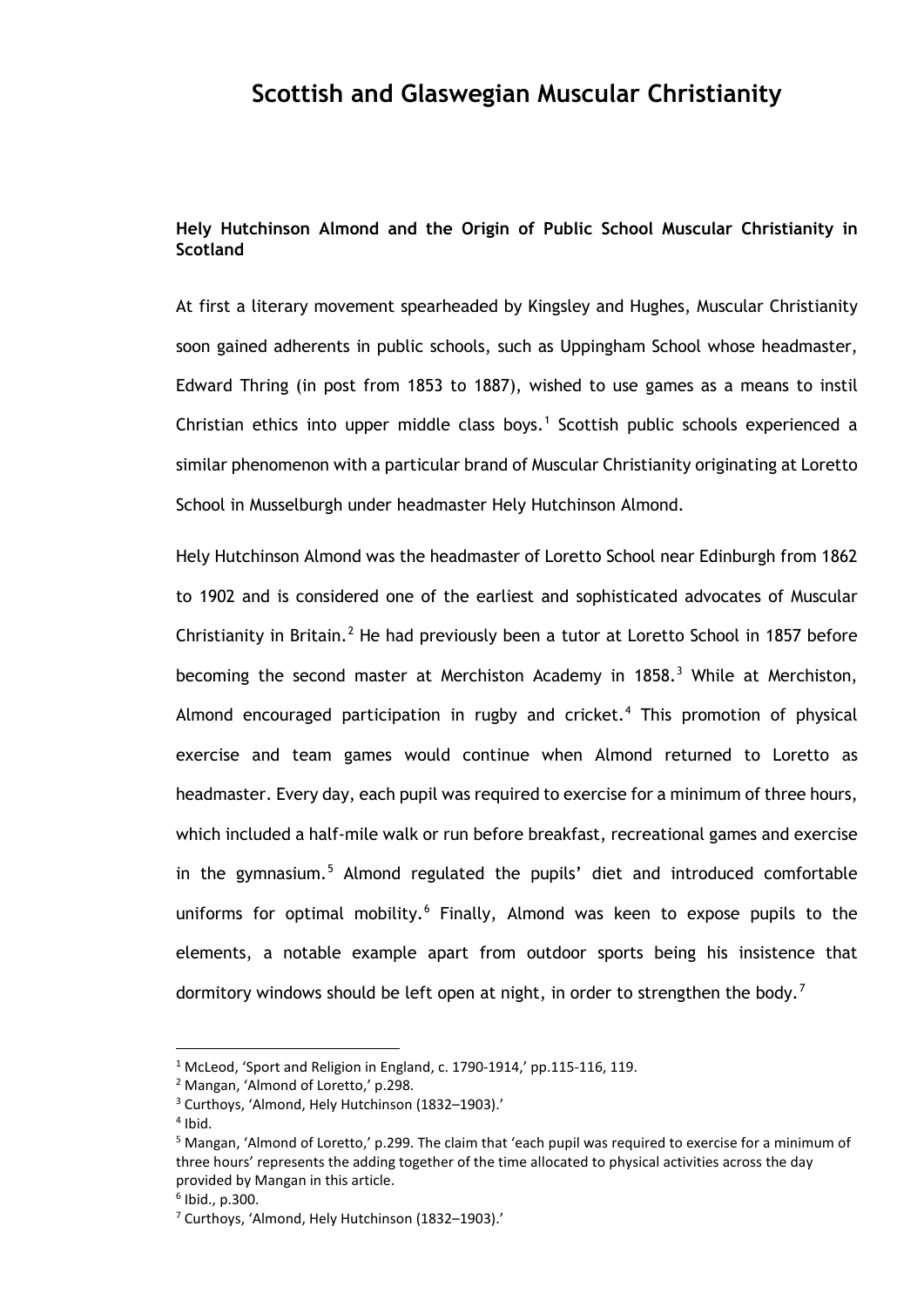## **Scottish and Glaswegian Muscular Christianity**

### **Hely Hutchinson Almond and the Origin of Public School Muscular Christianity in Scotland**

At first a literary movement spearheaded by Kingsley and Hughes, Muscular Christianity soon gained adherents in public schools, such as Uppingham School whose headmaster, Edward Thring (in post from 1853 to 1887), wished to use games as a means to instil Christian ethics into upper middle class boys.<sup>[1](#page-20-0)</sup> Scottish public schools experienced a similar phenomenon with a particular brand of Muscular Christianity originating at Loretto School in Musselburgh under headmaster Hely Hutchinson Almond.

Hely Hutchinson Almond was the headmaster of Loretto School near Edinburgh from 1862 to 1902 and is considered one of the earliest and sophisticated advocates of Muscular Christianity in Britain.<sup>[2](#page-20-1)</sup> He had previously been a tutor at Loretto School in 1857 before becoming the second master at Merchiston Academy in 1858.<sup>[3](#page-20-2)</sup> While at Merchiston, Almond encouraged participation in rugby and cricket.<sup>[4](#page-20-3)</sup> This promotion of physical exercise and team games would continue when Almond returned to Loretto as headmaster. Every day, each pupil was required to exercise for a minimum of three hours, which included a half-mile walk or run before breakfast, recreational games and exercise in the gymnasium.<sup>[5](#page-20-4)</sup> Almond regulated the pupils' diet and introduced comfortable uniforms for optimal mobility. $6$  Finally, Almond was keen to expose pupils to the elements, a notable example apart from outdoor sports being his insistence that dormitory windows should be left open at night, in order to strengthen the body.<sup>[7](#page-20-6)</sup>

<span id="page-20-1"></span><span id="page-20-0"></span><sup>1</sup> McLeod, 'Sport and Religion in England, c. 1790-1914,' pp.115-116, 119.

<sup>2</sup> Mangan, 'Almond of Loretto,' p.298.

<span id="page-20-2"></span><sup>3</sup> Curthoys, 'Almond, Hely Hutchinson (1832–1903).'

 $4$  Ibid.

<span id="page-20-4"></span><span id="page-20-3"></span><sup>5</sup> Mangan, 'Almond of Loretto,' p.299. The claim that 'each pupil was required to exercise for a minimum of three hours' represents the adding together of the time allocated to physical activities across the day provided by Mangan in this article.

<span id="page-20-5"></span> $6$  Ibid., p.300.

<span id="page-20-6"></span><sup>7</sup> Curthoys, 'Almond, Hely Hutchinson (1832–1903).'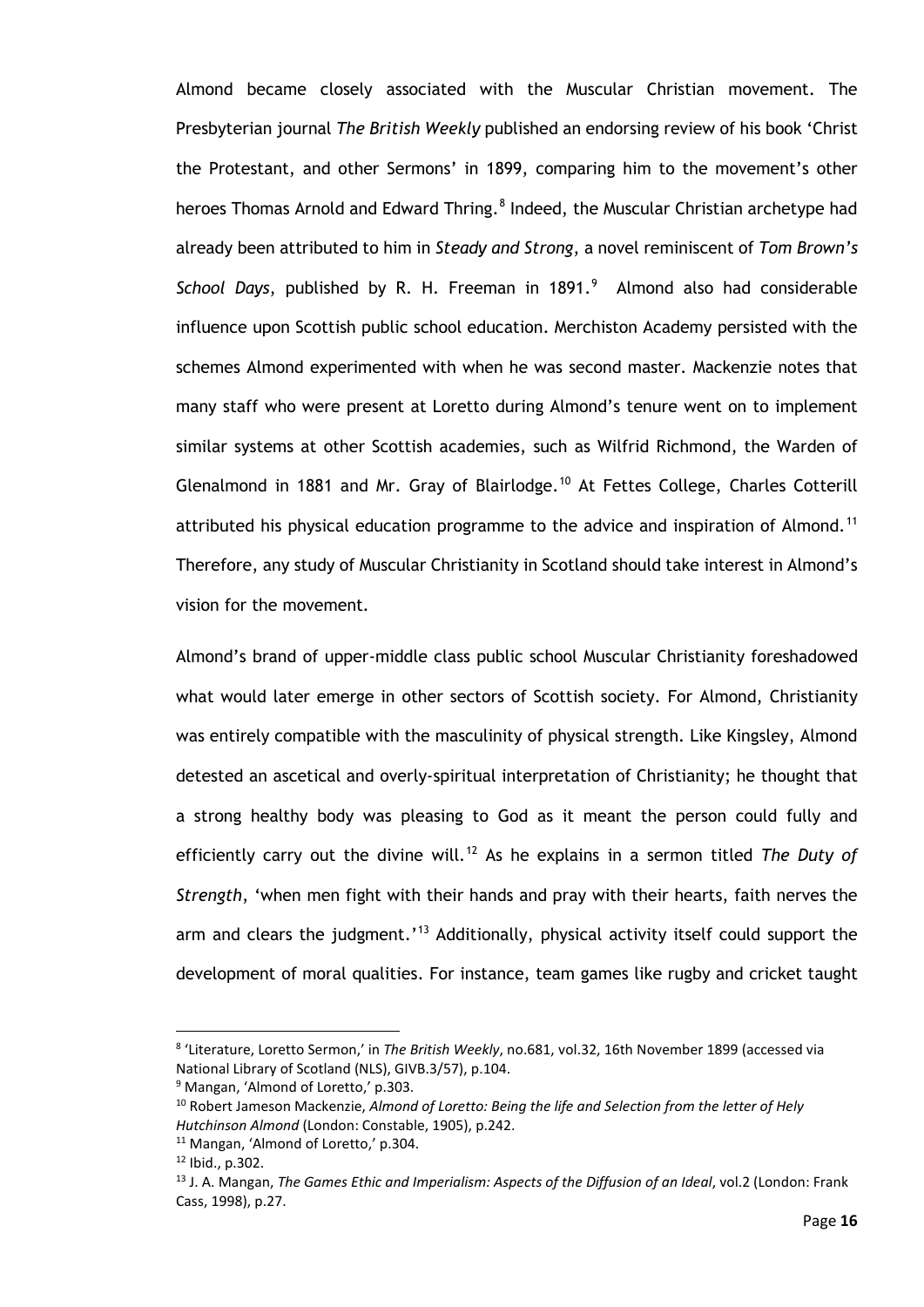Almond became closely associated with the Muscular Christian movement. The Presbyterian journal *The British Weekly* published an endorsing review of his book 'Christ the Protestant, and other Sermons' in 1899, comparing him to the movement's other heroes Thomas Arnold and Edward Thring.<sup>[8](#page-21-0)</sup> Indeed, the Muscular Christian archetype had already been attributed to him in *Steady and Strong*, a novel reminiscent of *Tom Brown's*  School Days, published by R. H. Freeman in 18[9](#page-21-1)1.<sup>9</sup> Almond also had considerable influence upon Scottish public school education. Merchiston Academy persisted with the schemes Almond experimented with when he was second master. Mackenzie notes that many staff who were present at Loretto during Almond's tenure went on to implement similar systems at other Scottish academies, such as Wilfrid Richmond, the Warden of Glenalmond in 1881 and Mr. Gray of Blairlodge.<sup>[10](#page-21-2)</sup> At Fettes College, Charles Cotterill attributed his physical education programme to the advice and inspiration of Almond.<sup>[11](#page-21-3)</sup> Therefore, any study of Muscular Christianity in Scotland should take interest in Almond's vision for the movement.

Almond's brand of upper-middle class public school Muscular Christianity foreshadowed what would later emerge in other sectors of Scottish society. For Almond, Christianity was entirely compatible with the masculinity of physical strength. Like Kingsley, Almond detested an ascetical and overly-spiritual interpretation of Christianity; he thought that a strong healthy body was pleasing to God as it meant the person could fully and efficiently carry out the divine will.<sup>[12](#page-21-4)</sup> As he explains in a sermon titled *The Duty of Strength*, 'when men fight with their hands and pray with their hearts, faith nerves the arm and clears the judgment.'<sup>[13](#page-21-5)</sup> Additionally, physical activity itself could support the development of moral qualities. For instance, team games like rugby and cricket taught

<span id="page-21-0"></span><sup>8</sup> 'Literature, Loretto Sermon,' in *The British Weekly*, no.681, vol.32, 16th November 1899 (accessed via National Library of Scotland (NLS), GIVB.3/57), p.104.

<span id="page-21-1"></span><sup>&</sup>lt;sup>9</sup> Mangan, 'Almond of Loretto,' p.303.

<span id="page-21-2"></span><sup>10</sup> Robert Jameson Mackenzie, *Almond of Loretto: Being the life and Selection from the letter of Hely Hutchinson Almond* (London: Constable, 1905), p.242.

<span id="page-21-4"></span><span id="page-21-3"></span><sup>11</sup> Mangan, 'Almond of Loretto,' p.304.

<sup>12</sup> Ibid., p.302.

<span id="page-21-5"></span><sup>13</sup> J. A. Mangan, *The Games Ethic and Imperialism: Aspects of the Diffusion of an Ideal*, vol.2 (London: Frank Cass, 1998), p.27.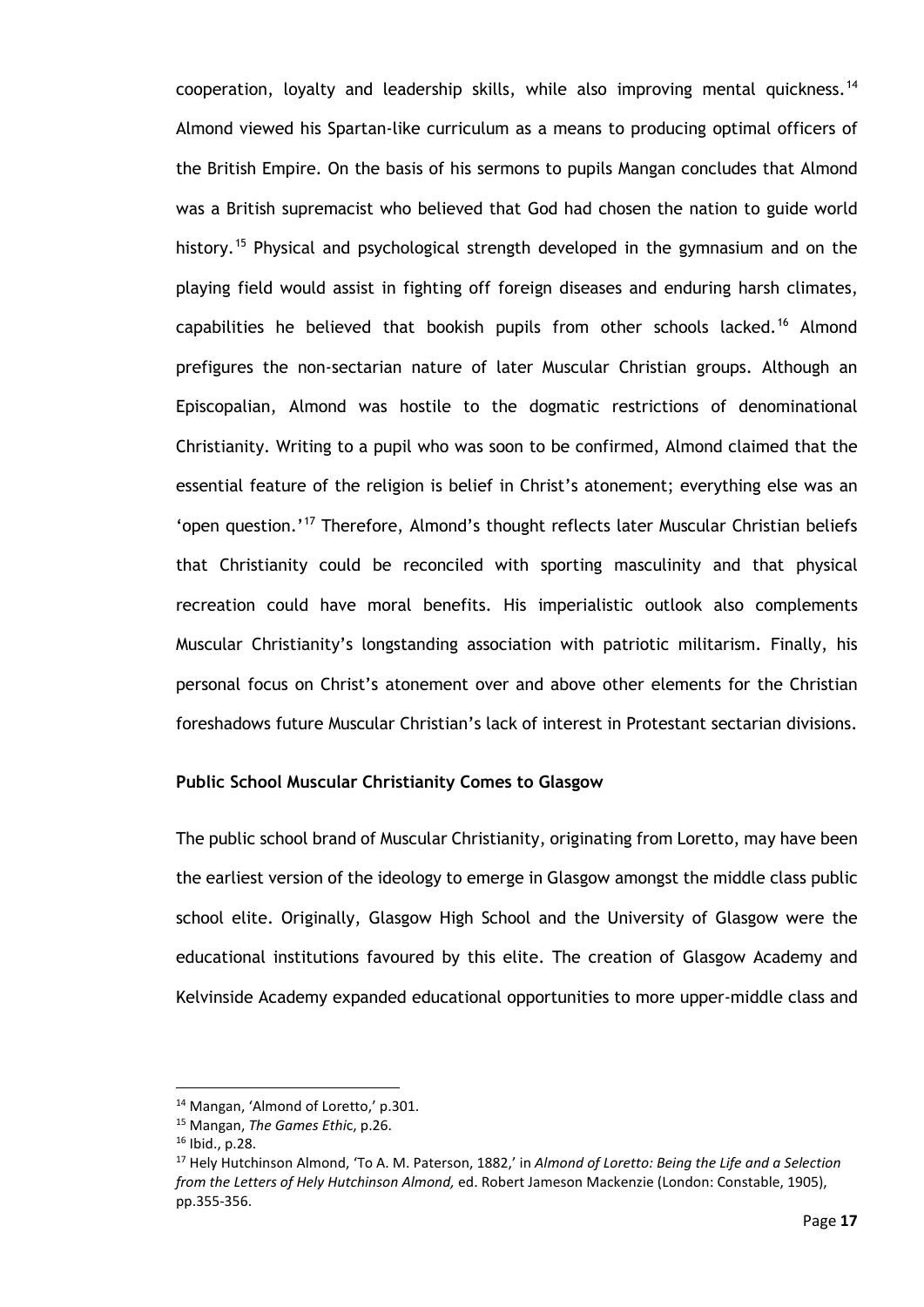cooperation, loyalty and leadership skills, while also improving mental quickness.<sup>[14](#page-22-0)</sup> Almond viewed his Spartan-like curriculum as a means to producing optimal officers of the British Empire. On the basis of his sermons to pupils Mangan concludes that Almond was a British supremacist who believed that God had chosen the nation to guide world history.<sup>[15](#page-22-1)</sup> Physical and psychological strength developed in the gymnasium and on the playing field would assist in fighting off foreign diseases and enduring harsh climates, capabilities he believed that bookish pupils from other schools lacked.<sup>[16](#page-22-2)</sup> Almond prefigures the non-sectarian nature of later Muscular Christian groups. Although an Episcopalian, Almond was hostile to the dogmatic restrictions of denominational Christianity. Writing to a pupil who was soon to be confirmed, Almond claimed that the essential feature of the religion is belief in Christ's atonement; everything else was an 'open question.'<sup>[17](#page-22-3)</sup> Therefore, Almond's thought reflects later Muscular Christian beliefs that Christianity could be reconciled with sporting masculinity and that physical recreation could have moral benefits. His imperialistic outlook also complements Muscular Christianity's longstanding association with patriotic militarism. Finally, his personal focus on Christ's atonement over and above other elements for the Christian foreshadows future Muscular Christian's lack of interest in Protestant sectarian divisions.

#### **Public School Muscular Christianity Comes to Glasgow**

The public school brand of Muscular Christianity, originating from Loretto, may have been the earliest version of the ideology to emerge in Glasgow amongst the middle class public school elite. Originally, Glasgow High School and the University of Glasgow were the educational institutions favoured by this elite. The creation of Glasgow Academy and Kelvinside Academy expanded educational opportunities to more upper-middle class and

<span id="page-22-0"></span><sup>14</sup> Mangan, 'Almond of Loretto,' p.301.

<span id="page-22-1"></span><sup>15</sup> Mangan, *The Games Ethi*c, p.26.

<sup>16</sup> Ibid., p.28.

<span id="page-22-3"></span><span id="page-22-2"></span><sup>17</sup> Hely Hutchinson Almond, 'To A. M. Paterson, 1882,' in *Almond of Loretto: Being the Life and a Selection from the Letters of Hely Hutchinson Almond,* ed. Robert Jameson Mackenzie (London: Constable, 1905), pp.355-356.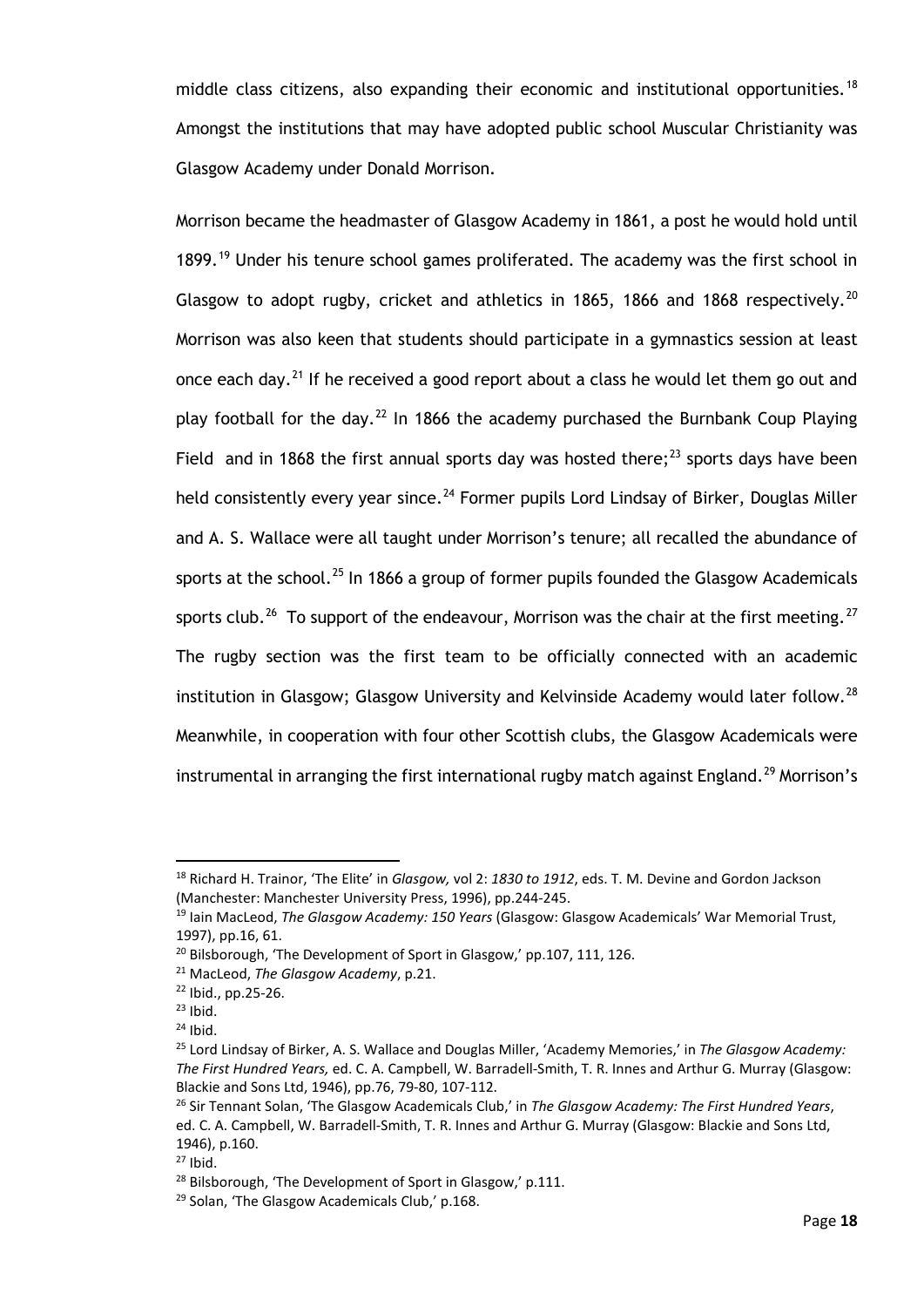middle class citizens, also expanding their economic and institutional opportunities.<sup>[18](#page-23-0)</sup> Amongst the institutions that may have adopted public school Muscular Christianity was Glasgow Academy under Donald Morrison.

Morrison became the headmaster of Glasgow Academy in 1861, a post he would hold until 1899.<sup>[19](#page-23-1)</sup> Under his tenure school games proliferated. The academy was the first school in Glasgow to adopt rugby, cricket and athletics in 1865, 1866 and 1868 respectively.<sup>[20](#page-23-2)</sup> Morrison was also keen that students should participate in a gymnastics session at least once each day.<sup>[21](#page-23-3)</sup> If he received a good report about a class he would let them go out and play football for the day.<sup>[22](#page-23-4)</sup> In 1866 the academy purchased the Burnbank Coup Playing Field and in 1868 the first annual sports day was hosted there:<sup>[23](#page-23-5)</sup> sports days have been held consistently every year since.<sup>[24](#page-23-6)</sup> Former pupils Lord Lindsay of Birker, Douglas Miller and A. S. Wallace were all taught under Morrison's tenure; all recalled the abundance of sports at the school.<sup>[25](#page-23-7)</sup> In 1866 a group of former pupils founded the Glasgow Academicals sports club.<sup>[26](#page-23-8)</sup> To support of the endeavour, Morrison was the chair at the first meeting.<sup>[27](#page-23-9)</sup> The rugby section was the first team to be officially connected with an academic institution in Glasgow; Glasgow University and Kelvinside Academy would later follow.<sup>[28](#page-23-10)</sup> Meanwhile, in cooperation with four other Scottish clubs, the Glasgow Academicals were instrumental in arranging the first international rugby match against England.<sup>[29](#page-23-11)</sup> Morrison's

<span id="page-23-0"></span><sup>18</sup> Richard H. Trainor, 'The Elite' in *Glasgow,* vol 2: *1830 to 1912*, eds. T. M. Devine and Gordon Jackson (Manchester: Manchester University Press, 1996), pp.244-245.

<span id="page-23-1"></span><sup>19</sup> Iain MacLeod, *The Glasgow Academy: 150 Years* (Glasgow: Glasgow Academicals' War Memorial Trust, 1997), pp.16, 61.

<span id="page-23-3"></span><span id="page-23-2"></span><sup>&</sup>lt;sup>20</sup> Bilsborough, 'The Development of Sport in Glasgow,' pp.107, 111, 126.

<sup>21</sup> MacLeod, *The Glasgow Academy*, p.21.

<span id="page-23-4"></span><sup>22</sup> Ibid., pp.25-26.

<span id="page-23-5"></span> $^{23}$  Ibid.<br> $^{24}$  Ibid.

<span id="page-23-6"></span>

<span id="page-23-7"></span><sup>25</sup> Lord Lindsay of Birker, A. S. Wallace and Douglas Miller, 'Academy Memories,' in *The Glasgow Academy: The First Hundred Years,* ed. C. A. Campbell, W. Barradell-Smith, T. R. Innes and Arthur G. Murray (Glasgow: Blackie and Sons Ltd, 1946), pp.76, 79-80, 107-112.

<span id="page-23-8"></span><sup>26</sup> Sir Tennant Solan, 'The Glasgow Academicals Club,' in *The Glasgow Academy: The First Hundred Years*, ed. C. A. Campbell, W. Barradell-Smith, T. R. Innes and Arthur G. Murray (Glasgow: Blackie and Sons Ltd, 1946), p.160.

<span id="page-23-9"></span> $27$  Ibid.

<span id="page-23-10"></span><sup>&</sup>lt;sup>28</sup> Bilsborough, 'The Development of Sport in Glasgow,' p.111.

<span id="page-23-11"></span><sup>29</sup> Solan, 'The Glasgow Academicals Club,' p.168.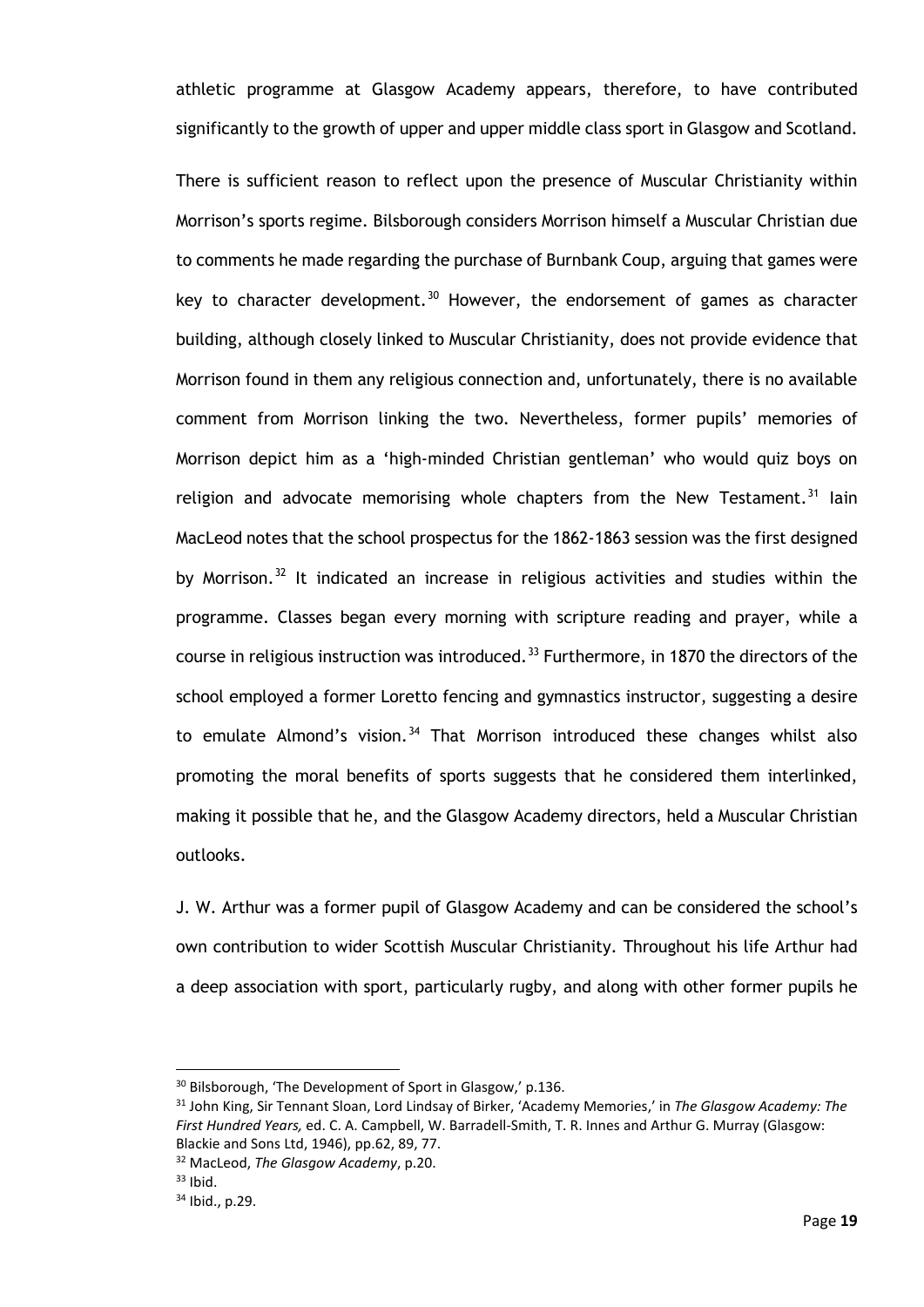athletic programme at Glasgow Academy appears, therefore, to have contributed significantly to the growth of upper and upper middle class sport in Glasgow and Scotland.

There is sufficient reason to reflect upon the presence of Muscular Christianity within Morrison's sports regime. Bilsborough considers Morrison himself a Muscular Christian due to comments he made regarding the purchase of Burnbank Coup, arguing that games were key to character development. $30$  However, the endorsement of games as character building, although closely linked to Muscular Christianity, does not provide evidence that Morrison found in them any religious connection and, unfortunately, there is no available comment from Morrison linking the two. Nevertheless, former pupils' memories of Morrison depict him as a 'high-minded Christian gentleman' who would quiz boys on religion and advocate memorising whole chapters from the New Testament.<sup>[31](#page-24-1)</sup> lain MacLeod notes that the school prospectus for the 1862-1863 session was the first designed by Morrison.<sup>[32](#page-24-2)</sup> It indicated an increase in religious activities and studies within the programme. Classes began every morning with scripture reading and prayer, while a course in religious instruction was introduced.<sup>[33](#page-24-3)</sup> Furthermore, in 1870 the directors of the school employed a former Loretto fencing and gymnastics instructor, suggesting a desire to emulate Almond's vision.<sup>[34](#page-24-4)</sup> That Morrison introduced these changes whilst also promoting the moral benefits of sports suggests that he considered them interlinked, making it possible that he, and the Glasgow Academy directors, held a Muscular Christian outlooks.

J. W. Arthur was a former pupil of Glasgow Academy and can be considered the school's own contribution to wider Scottish Muscular Christianity. Throughout his life Arthur had a deep association with sport, particularly rugby, and along with other former pupils he

<span id="page-24-0"></span><sup>&</sup>lt;sup>30</sup> Bilsborough, 'The Development of Sport in Glasgow,' p.136.

<span id="page-24-1"></span><sup>31</sup> John King, Sir Tennant Sloan, Lord Lindsay of Birker, 'Academy Memories,' in *The Glasgow Academy: The First Hundred Years,* ed. C. A. Campbell, W. Barradell-Smith, T. R. Innes and Arthur G. Murray (Glasgow: Blackie and Sons Ltd, 1946), pp.62, 89, 77.

<span id="page-24-2"></span><sup>32</sup> MacLeod, *The Glasgow Academy*, p.20.

<span id="page-24-3"></span> $33$  Ibid.

<span id="page-24-4"></span><sup>34</sup> Ibid., p.29.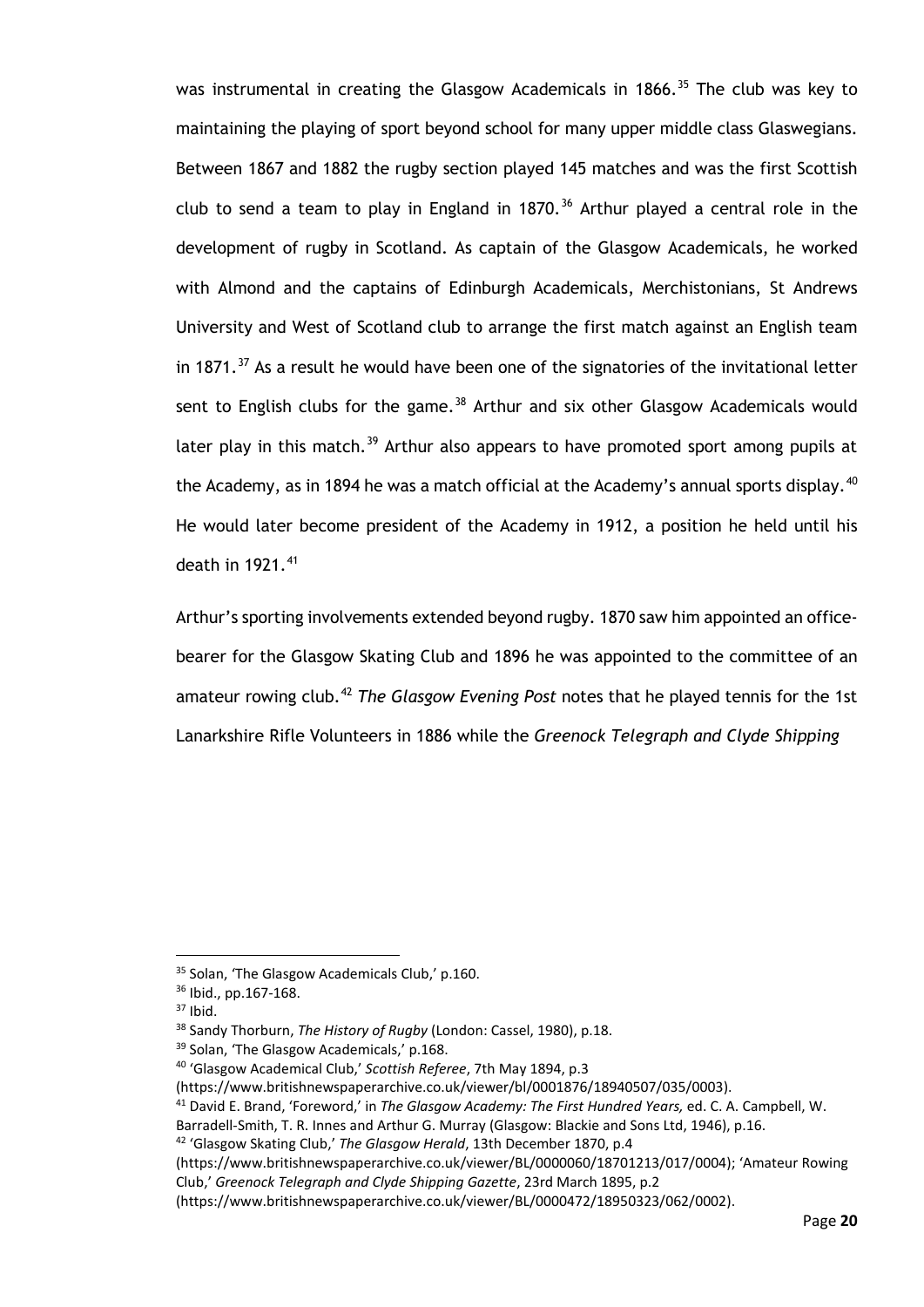was instrumental in creating the Glasgow Academicals in 1866.<sup>[35](#page-25-0)</sup> The club was key to maintaining the playing of sport beyond school for many upper middle class Glaswegians. Between 1867 and 1882 the rugby section played 145 matches and was the first Scottish club to send a team to play in England in 1870. $36$  Arthur played a central role in the development of rugby in Scotland. As captain of the Glasgow Academicals, he worked with Almond and the captains of Edinburgh Academicals, Merchistonians, St Andrews University and West of Scotland club to arrange the first match against an English team in 1871. $37$  As a result he would have been one of the signatories of the invitational letter sent to English clubs for the game.<sup>[38](#page-25-3)</sup> Arthur and six other Glasgow Academicals would later play in this match.<sup>[39](#page-25-4)</sup> Arthur also appears to have promoted sport among pupils at the Academy, as in 1894 he was a match official at the Academy's annual sports display.  $40$ He would later become president of the Academy in 1912, a position he held until his death in 1921.<sup>[41](#page-25-6)</sup>

Arthur's sporting involvements extended beyond rugby. 1870 saw him appointed an officebearer for the Glasgow Skating Club and 1896 he was appointed to the committee of an amateur rowing club.[42](#page-25-7) *The Glasgow Evening Post* notes that he played tennis for the 1st Lanarkshire Rifle Volunteers in 1886 while the *Greenock Telegraph and Clyde Shipping*

(https://www.britishnewspaperarchive.co.uk/viewer/BL/0000060/18701213/017/0004); 'Amateur Rowing Club,' *Greenock Telegraph and Clyde Shipping Gazette*, 23rd March 1895, p.2

<span id="page-25-0"></span><sup>35</sup> Solan, 'The Glasgow Academicals Club,' p.160.

<span id="page-25-1"></span><sup>36</sup> Ibid., pp.167-168.

<span id="page-25-2"></span> $37$  Ibid.

<span id="page-25-3"></span><sup>38</sup> Sandy Thorburn, *The History of Rugby* (London: Cassel, 1980), p.18.

<span id="page-25-4"></span><sup>&</sup>lt;sup>39</sup> Solan, 'The Glasgow Academicals,' p.168.

<span id="page-25-5"></span><sup>40</sup> 'Glasgow Academical Club,' *Scottish Referee*, 7th May 1894, p.3

<sup>(</sup>https://www.britishnewspaperarchive.co.uk/viewer/bl/0001876/18940507/035/0003).

<span id="page-25-6"></span><sup>41</sup> David E. Brand, 'Foreword,' in *The Glasgow Academy: The First Hundred Years,* ed. C. A. Campbell, W.

Barradell-Smith, T. R. Innes and Arthur G. Murray (Glasgow: Blackie and Sons Ltd, 1946), p.16.

<span id="page-25-7"></span><sup>42</sup> 'Glasgow Skating Club,' *The Glasgow Herald*, 13th December 1870, p.4

<sup>(</sup>https://www.britishnewspaperarchive.co.uk/viewer/BL/0000472/18950323/062/0002).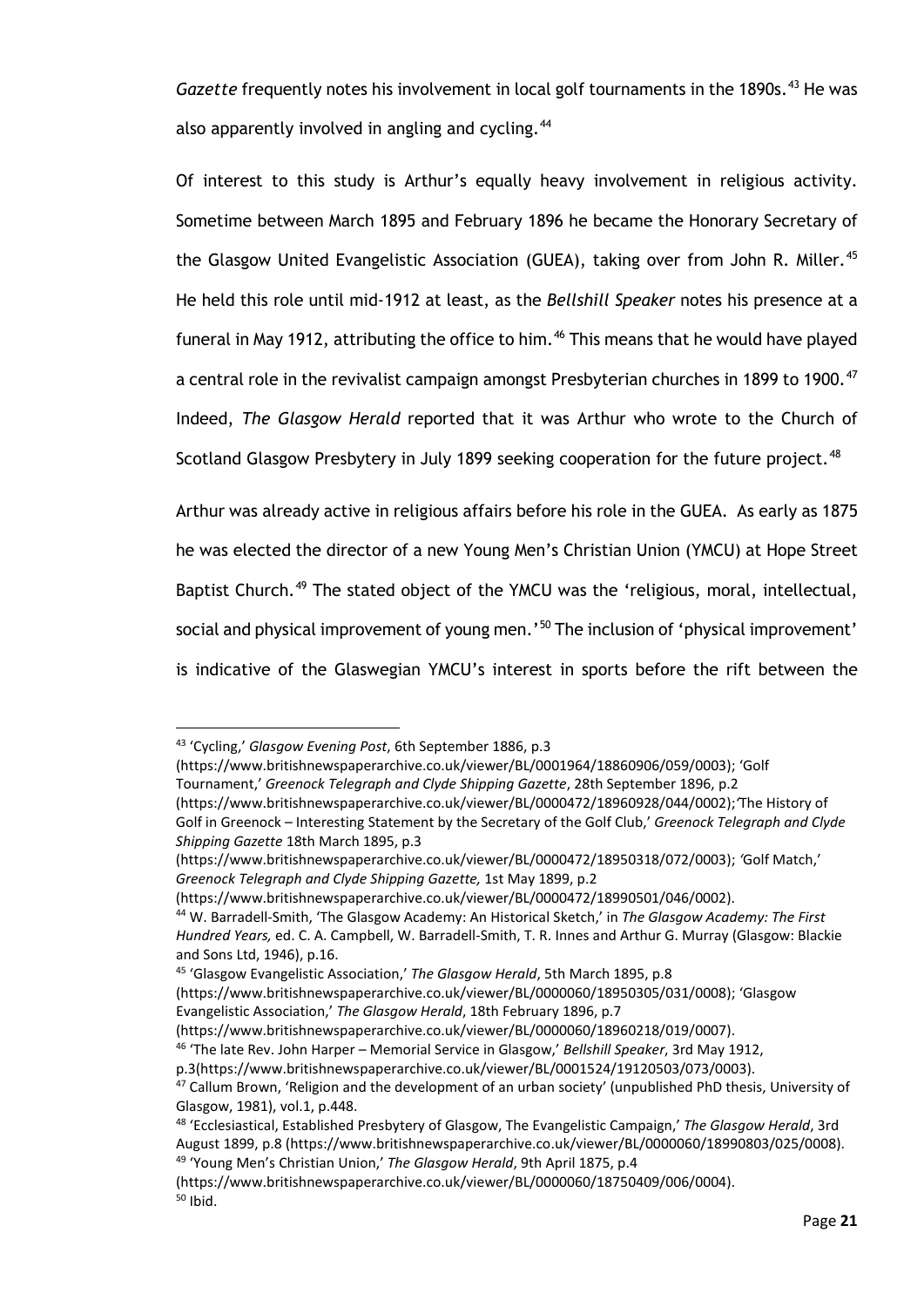Gazette frequently notes his involvement in local golf tournaments in the 1890s.<sup>[43](#page-26-0)</sup> He was also apparently involved in angling and cycling.<sup>[44](#page-26-1)</sup>

Of interest to this study is Arthur's equally heavy involvement in religious activity. Sometime between March 1895 and February 1896 he became the Honorary Secretary of the Glasgow United Evangelistic Association (GUEA), taking over from John R. Miller.<sup>45</sup> He held this role until mid-1912 at least, as the *Bellshill Speaker* notes his presence at a funeral in May 1912, attributing the office to him.<sup>[46](#page-26-3)</sup> This means that he would have played a central role in the revivalist campaign amongst Presbyterian churches in 1899 to 1900.<sup>[47](#page-26-4)</sup> Indeed, *The Glasgow Herald* reported that it was Arthur who wrote to the Church of Scotland Glasgow Presbytery in July 1899 seeking cooperation for the future project.<sup>48</sup>

Arthur was already active in religious affairs before his role in the GUEA. As early as 1875 he was elected the director of a new Young Men's Christian Union (YMCU) at Hope Street Baptist Church.<sup>[49](#page-26-6)</sup> The stated object of the YMCU was the 'religious, moral, intellectual, social and physical improvement of young men.' [50](#page-26-7) The inclusion of 'physical improvement' is indicative of the Glaswegian YMCU's interest in sports before the rift between the

(https://www.britishnewspaperarchive.co.uk/viewer/BL/0000472/18990501/046/0002).

<sup>43</sup> 'Cycling,' *Glasgow Evening Post*, 6th September 1886, p.3

<span id="page-26-0"></span><sup>(</sup>https://www.britishnewspaperarchive.co.uk/viewer/BL/0001964/18860906/059/0003); 'Golf Tournament,' *Greenock Telegraph and Clyde Shipping Gazette*, 28th September 1896, p.2 (https://www.britishnewspaperarchive.co.uk/viewer/BL/0000472/18960928/044/0002);*'*The History of

Golf in Greenock – Interesting Statement by the Secretary of the Golf Club,' *Greenock Telegraph and Clyde Shipping Gazette* 18th March 1895, p.3

<sup>(</sup>https://www.britishnewspaperarchive.co.uk/viewer/BL/0000472/18950318/072/0003); *'*Golf Match,' *Greenock Telegraph and Clyde Shipping Gazette,* 1st May 1899, p.2

<span id="page-26-1"></span><sup>44</sup> W. Barradell-Smith, 'The Glasgow Academy: An Historical Sketch,' in *The Glasgow Academy: The First Hundred Years,* ed. C. A. Campbell, W. Barradell-Smith, T. R. Innes and Arthur G. Murray (Glasgow: Blackie and Sons Ltd, 1946), p.16.

<span id="page-26-2"></span><sup>45</sup> 'Glasgow Evangelistic Association,' *The Glasgow Herald*, 5th March 1895, p.8

<sup>(</sup>https://www.britishnewspaperarchive.co.uk/viewer/BL/0000060/18950305/031/0008); 'Glasgow Evangelistic Association,' *The Glasgow Herald*, 18th February 1896, p.7

<sup>(</sup>https://www.britishnewspaperarchive.co.uk/viewer/BL/0000060/18960218/019/0007).

<span id="page-26-3"></span><sup>46</sup> 'The late Rev. John Harper – Memorial Service in Glasgow,' *Bellshill Speaker*, 3rd May 1912,

p.3(https://www.britishnewspaperarchive.co.uk/viewer/BL/0001524/19120503/073/0003).

<span id="page-26-4"></span><sup>47</sup> Callum Brown, 'Religion and the development of an urban society' (unpublished PhD thesis, University of Glasgow, 1981), vol.1, p.448.

<span id="page-26-5"></span><sup>48</sup> 'Ecclesiastical, Established Presbytery of Glasgow, The Evangelistic Campaign,' *The Glasgow Herald*, 3rd August 1899, p.8 (https://www.britishnewspaperarchive.co.uk/viewer/BL/0000060/18990803/025/0008). <sup>49</sup> 'Young Men's Christian Union,' *The Glasgow Herald*, 9th April 1875, p.4

<span id="page-26-7"></span><span id="page-26-6"></span><sup>(</sup>https://www.britishnewspaperarchive.co.uk/viewer/BL/0000060/18750409/006/0004).  $50$  Ibid.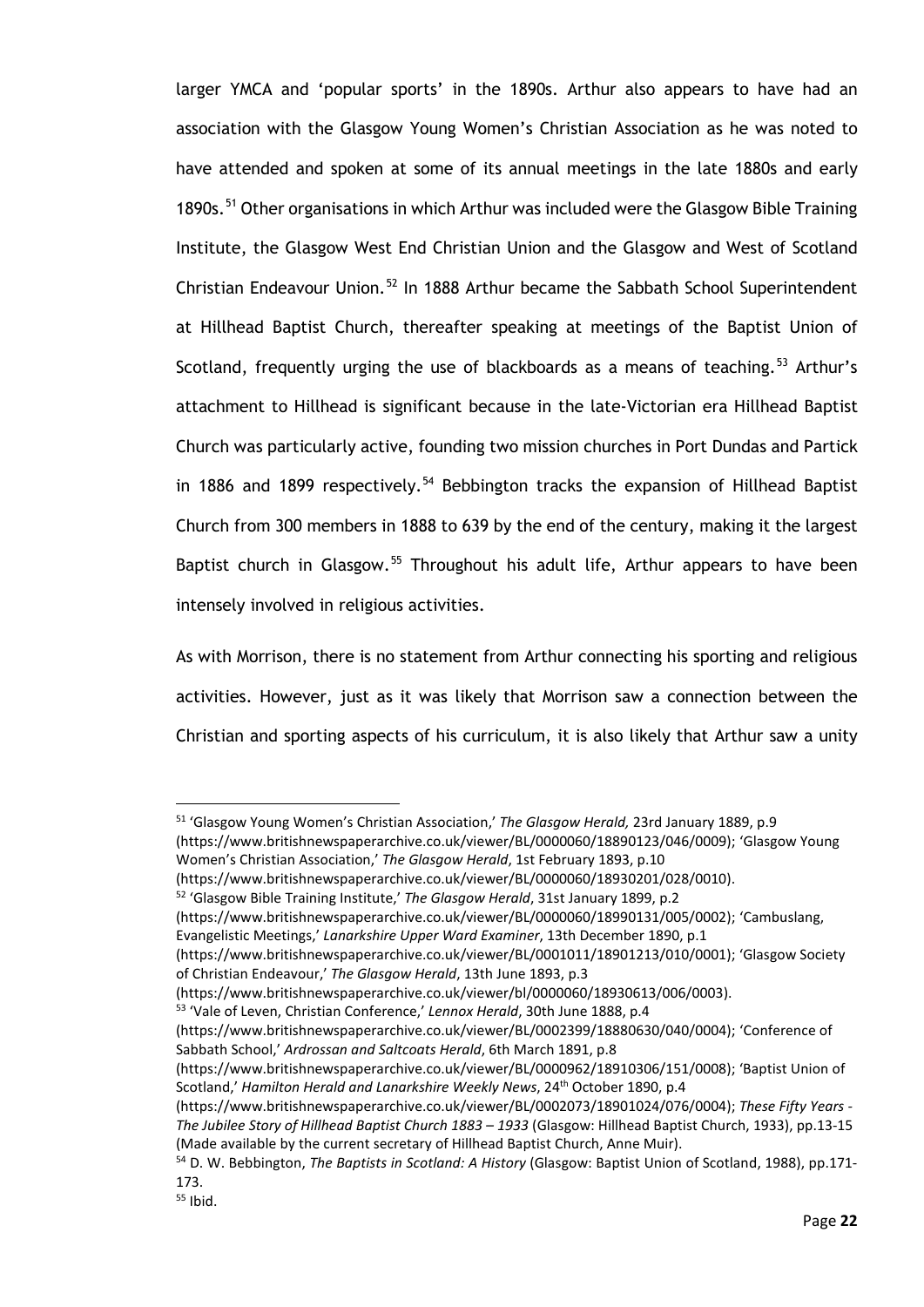larger YMCA and 'popular sports' in the 1890s. Arthur also appears to have had an association with the Glasgow Young Women's Christian Association as he was noted to have attended and spoken at some of its annual meetings in the late 1880s and early 1890s.<sup>[51](#page-27-0)</sup> Other organisations in which Arthur was included were the Glasgow Bible Training Institute, the Glasgow West End Christian Union and the Glasgow and West of Scotland Christian Endeavour Union.<sup>[52](#page-27-1)</sup> In 1888 Arthur became the Sabbath School Superintendent at Hillhead Baptist Church, thereafter speaking at meetings of the Baptist Union of Scotland, frequently urging the use of blackboards as a means of teaching.<sup>[53](#page-27-2)</sup> Arthur's attachment to Hillhead is significant because in the late-Victorian era Hillhead Baptist Church was particularly active, founding two mission churches in Port Dundas and Partick in 1886 and 1899 respectively.<sup>[54](#page-27-3)</sup> Bebbington tracks the expansion of Hillhead Baptist Church from 300 members in 1888 to 639 by the end of the century, making it the largest Baptist church in Glasgow.<sup>[55](#page-27-4)</sup> Throughout his adult life, Arthur appears to have been intensely involved in religious activities.

As with Morrison, there is no statement from Arthur connecting his sporting and religious activities. However, just as it was likely that Morrison saw a connection between the Christian and sporting aspects of his curriculum, it is also likely that Arthur saw a unity

(https://www.britishnewspaperarchive.co.uk/viewer/BL/0001011/18901213/010/0001); 'Glasgow Society of Christian Endeavour,' *The Glasgow Herald*, 13th June 1893, p.3

<sup>51</sup> 'Glasgow Young Women's Christian Association,' *The Glasgow Herald,* 23rd January 1889, p.9

<span id="page-27-0"></span><sup>(</sup>https://www.britishnewspaperarchive.co.uk/viewer/BL/0000060/18890123/046/0009); 'Glasgow Young Women's Christian Association,' *The Glasgow Herald*, 1st February 1893, p.10

<sup>(</sup>https://www.britishnewspaperarchive.co.uk/viewer/BL/0000060/18930201/028/0010).

<sup>52</sup> 'Glasgow Bible Training Institute,' *The Glasgow Herald*, 31st January 1899, p.2

<span id="page-27-1"></span><sup>(</sup>https://www.britishnewspaperarchive.co.uk/viewer/BL/0000060/18990131/005/0002); 'Cambuslang, Evangelistic Meetings,' *Lanarkshire Upper Ward Examiner*, 13th December 1890, p.1

<sup>(</sup>https://www.britishnewspaperarchive.co.uk/viewer/bl/0000060/18930613/006/0003).

<sup>53</sup> 'Vale of Leven, Christian Conference,' *Lennox Herald*, 30th June 1888, p.4

<span id="page-27-2"></span><sup>(</sup>https://www.britishnewspaperarchive.co.uk/viewer/BL/0002399/18880630/040/0004); 'Conference of Sabbath School,' *Ardrossan and Saltcoats Herald*, 6th March 1891, p.8

<sup>(</sup>https://www.britishnewspaperarchive.co.uk/viewer/BL/0000962/18910306/151/0008); 'Baptist Union of Scotland,' *Hamilton Herald and Lanarkshire Weekly News*, 24th October 1890, p.4

<sup>(</sup>https://www.britishnewspaperarchive.co.uk/viewer/BL/0002073/18901024/076/0004); *These Fifty Years - The Jubilee Story of Hillhead Baptist Church 1883 – 1933* (Glasgow: Hillhead Baptist Church, 1933), pp.13-15 (Made available by the current secretary of Hillhead Baptist Church, Anne Muir).

<span id="page-27-3"></span><sup>54</sup> D. W. Bebbington, *The Baptists in Scotland: A History* (Glasgow: Baptist Union of Scotland, 1988), pp.171- 173.

<span id="page-27-4"></span> $55$  Ibid.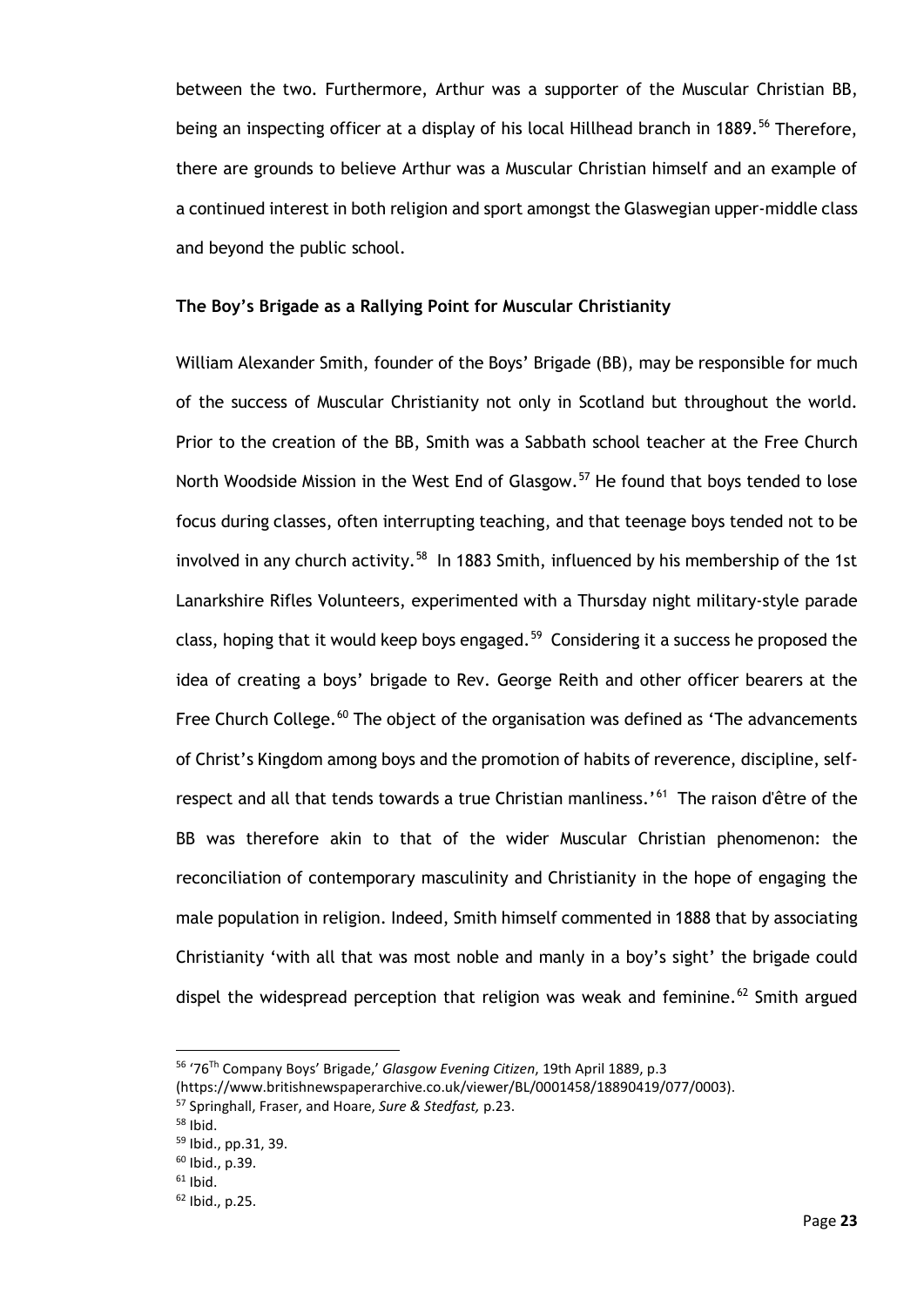between the two. Furthermore, Arthur was a supporter of the Muscular Christian BB, being an inspecting officer at a display of his local Hillhead branch in 1889.<sup>[56](#page-28-0)</sup> Therefore, there are grounds to believe Arthur was a Muscular Christian himself and an example of a continued interest in both religion and sport amongst the Glaswegian upper-middle class and beyond the public school.

#### **The Boy's Brigade as a Rallying Point for Muscular Christianity**

William Alexander Smith, founder of the Boys' Brigade (BB), may be responsible for much of the success of Muscular Christianity not only in Scotland but throughout the world. Prior to the creation of the BB, Smith was a Sabbath school teacher at the Free Church North Woodside Mission in the West End of Glasgow.<sup>[57](#page-28-1)</sup> He found that boys tended to lose focus during classes, often interrupting teaching, and that teenage boys tended not to be involved in any church activity.<sup>[58](#page-28-2)</sup> In 1883 Smith, influenced by his membership of the 1st Lanarkshire Rifles Volunteers, experimented with a Thursday night military-style parade class, hoping that it would keep boys engaged.<sup>[59](#page-28-3)</sup> Considering it a success he proposed the idea of creating a boys' brigade to Rev. George Reith and other officer bearers at the Free Church College.<sup>[60](#page-28-4)</sup> The object of the organisation was defined as 'The advancements of Christ's Kingdom among boys and the promotion of habits of reverence, discipline, self-respect and all that tends towards a true Christian manliness.'<sup>[61](#page-28-5)</sup> The raison d'être of the BB was therefore akin to that of the wider Muscular Christian phenomenon: the reconciliation of contemporary masculinity and Christianity in the hope of engaging the male population in religion. Indeed, Smith himself commented in 1888 that by associating Christianity 'with all that was most noble and manly in a boy's sight' the brigade could dispel the widespread perception that religion was weak and feminine.<sup>[62](#page-28-6)</sup> Smith argued

<span id="page-28-0"></span><sup>56</sup> '76Th Company Boys' Brigade,' *Glasgow Evening Citizen*, 19th April 1889, p.3

<sup>(</sup>https://www.britishnewspaperarchive.co.uk/viewer/BL/0001458/18890419/077/0003).

<sup>57</sup> Springhall, Fraser, and Hoare, *Sure & Stedfast,* p.23.

<span id="page-28-2"></span><span id="page-28-1"></span> $58$  Ibid.

<span id="page-28-3"></span><sup>59</sup> Ibid., pp.31, 39.

<span id="page-28-4"></span><sup>60</sup> Ibid., p.39.

<span id="page-28-5"></span> $61$  Ibid.

<span id="page-28-6"></span><sup>62</sup> Ibid., p.25.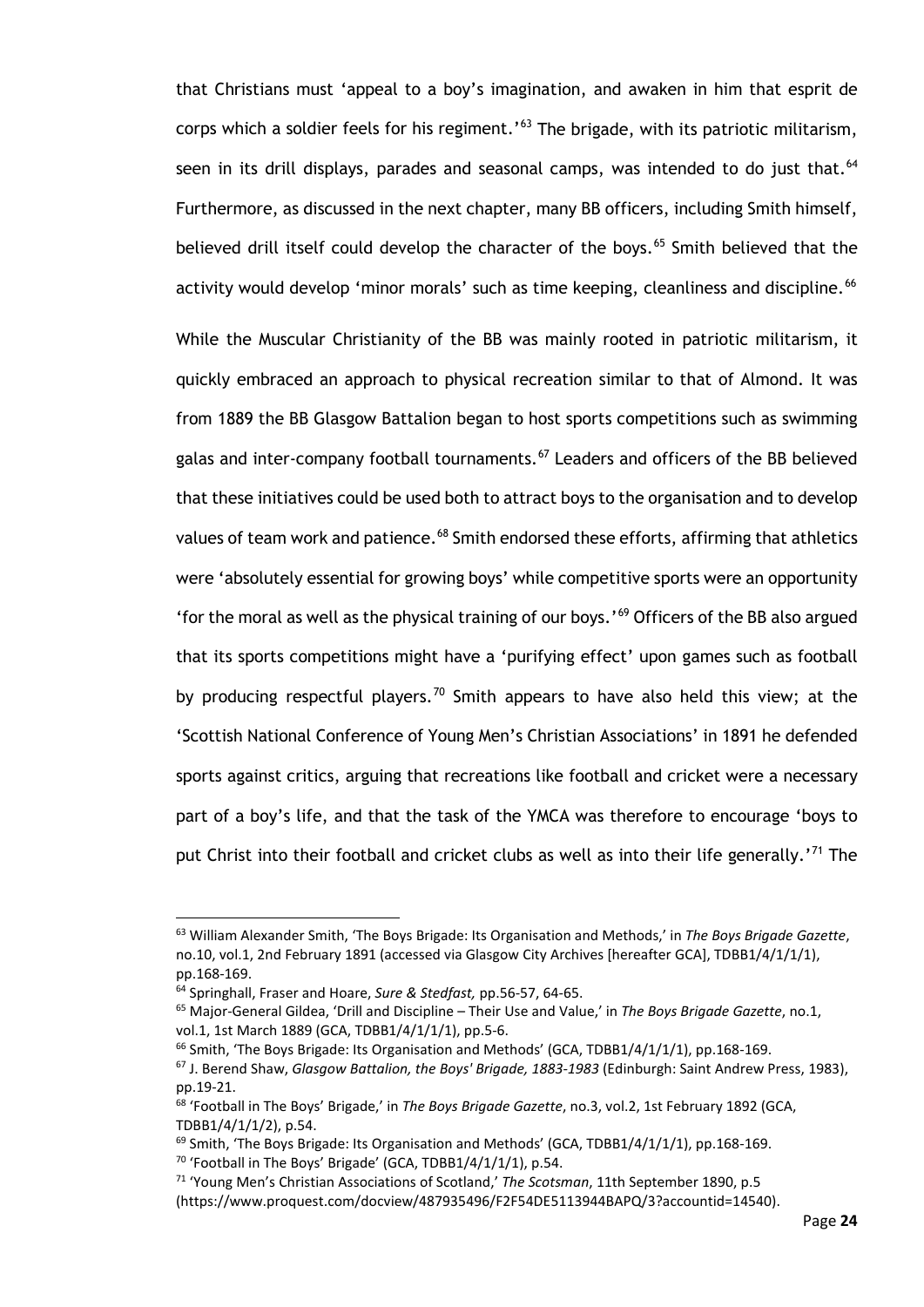that Christians must 'appeal to a boy's imagination, and awaken in him that esprit de corps which a soldier feels for his regiment.'<sup>[63](#page-29-0)</sup> The brigade, with its patriotic militarism, seen in its drill displays, parades and seasonal camps, was intended to do just that.<sup>[64](#page-29-1)</sup> Furthermore, as discussed in the next chapter, many BB officers, including Smith himself, believed drill itself could develop the character of the boys.<sup>[65](#page-29-2)</sup> Smith believed that the activity would develop 'minor morals' such as time keeping, cleanliness and discipline.<sup>[66](#page-29-3)</sup>

While the Muscular Christianity of the BB was mainly rooted in patriotic militarism, it quickly embraced an approach to physical recreation similar to that of Almond. It was from 1889 the BB Glasgow Battalion began to host sports competitions such as swimming galas and inter-company football tournaments.<sup>[67](#page-29-4)</sup> Leaders and officers of the BB believed that these initiatives could be used both to attract boys to the organisation and to develop values of team work and patience.<sup>[68](#page-29-5)</sup> Smith endorsed these efforts, affirming that athletics were 'absolutely essential for growing boys' while competitive sports were an opportunity 'for the moral as well as the physical training of our boys.'<sup>[69](#page-29-6)</sup> Officers of the BB also argued that its sports competitions might have a 'purifying effect' upon games such as football by producing respectful players.<sup>[70](#page-29-7)</sup> Smith appears to have also held this view; at the 'Scottish National Conference of Young Men's Christian Associations' in 1891 he defended sports against critics, arguing that recreations like football and cricket were a necessary part of a boy's life, and that the task of the YMCA was therefore to encourage 'boys to put Christ into their football and cricket clubs as well as into their life generally.'<sup>[71](#page-29-8)</sup> The

<span id="page-29-0"></span><sup>63</sup> William Alexander Smith, 'The Boys Brigade: Its Organisation and Methods,' in *The Boys Brigade Gazette*, no.10, vol.1, 2nd February 1891 (accessed via Glasgow City Archives [hereafter GCA], TDBB1/4/1/1/1), pp.168-169.

<span id="page-29-1"></span><sup>64</sup> Springhall, Fraser and Hoare, *Sure & Stedfast,* pp.56-57, 64-65.

<span id="page-29-2"></span><sup>65</sup> Major-General Gildea, 'Drill and Discipline – Their Use and Value,' in *The Boys Brigade Gazette*, no.1, vol.1, 1st March 1889 (GCA, TDBB1/4/1/1/1), pp.5-6.

<span id="page-29-3"></span> $66$  Smith, 'The Boys Brigade: Its Organisation and Methods' (GCA, TDBB1/4/1/1/1), pp.168-169.

<span id="page-29-4"></span><sup>67</sup> J. Berend Shaw, *Glasgow Battalion, the Boys' Brigade, 1883-1983* (Edinburgh: Saint Andrew Press, 1983), pp.19-21.

<span id="page-29-5"></span><sup>68</sup> 'Football in The Boys' Brigade,' in *The Boys Brigade Gazette*, no.3, vol.2, 1st February 1892 (GCA, TDBB1/4/1/1/2), p.54.

<span id="page-29-7"></span><span id="page-29-6"></span> $69$  Smith, 'The Boys Brigade: Its Organisation and Methods' (GCA, TDBB1/4/1/1/1), pp.168-169.  $70$  'Football in The Boys' Brigade' (GCA, TDBB1/4/1/1/1), p.54.

<span id="page-29-8"></span><sup>71</sup> 'Young Men's Christian Associations of Scotland,' *The Scotsman*, 11th September 1890, p.5 (https://www.proquest.com/docview/487935496/F2F54DE5113944BAPQ/3?accountid=14540).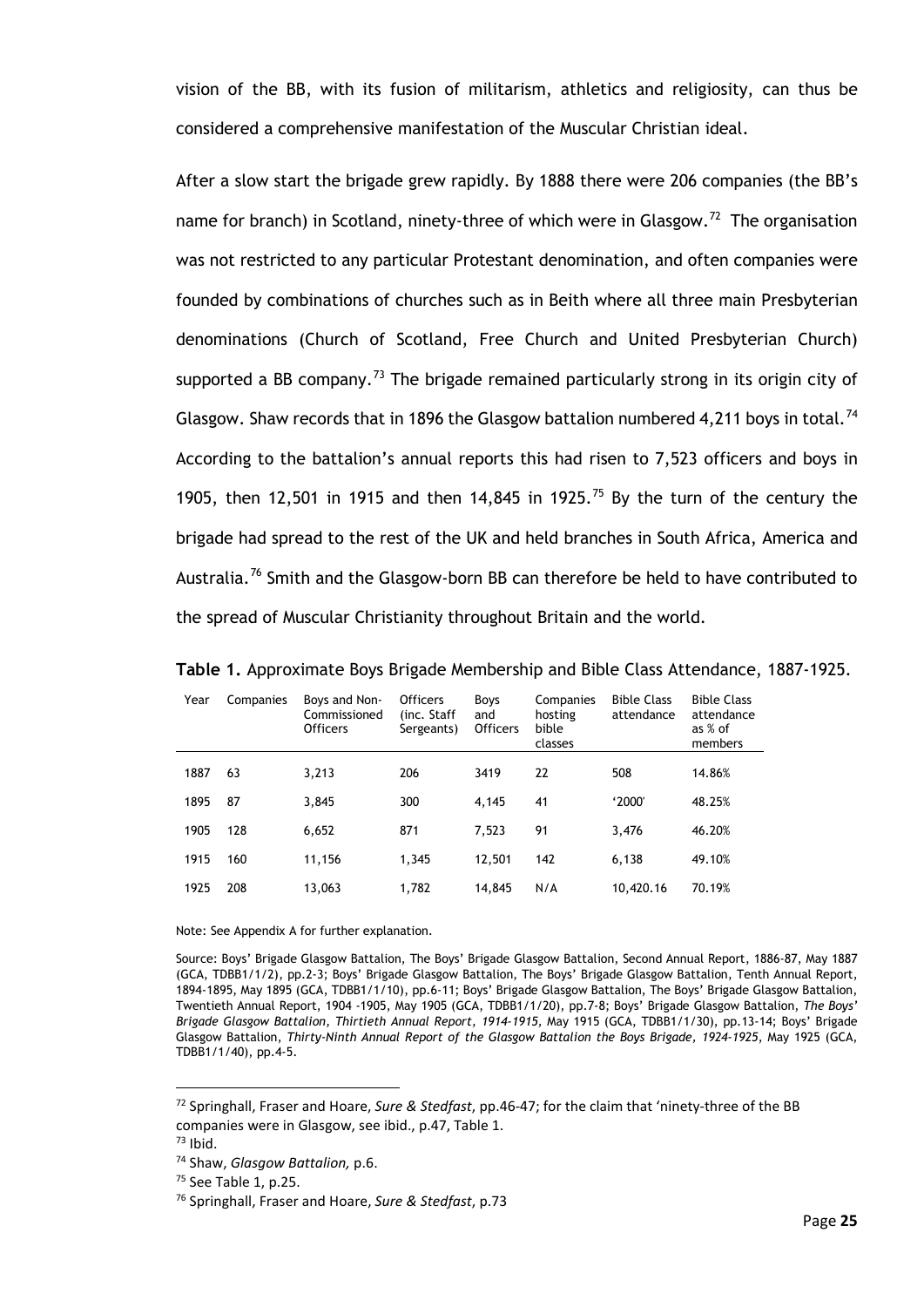vision of the BB, with its fusion of militarism, athletics and religiosity, can thus be considered a comprehensive manifestation of the Muscular Christian ideal.

After a slow start the brigade grew rapidly. By 1888 there were 206 companies (the BB's name for branch) in Scotland, ninety-three of which were in Glasgow.<sup>72</sup> The organisation was not restricted to any particular Protestant denomination, and often companies were founded by combinations of churches such as in Beith where all three main Presbyterian denominations (Church of Scotland, Free Church and United Presbyterian Church) supported a BB company.<sup>[73](#page-30-1)</sup> The brigade remained particularly strong in its origin city of Glasgow. Shaw records that in 1896 the Glasgow battalion numbered 4,211 boys in total.<sup>[74](#page-30-2)</sup> According to the battalion's annual reports this had risen to 7,523 officers and boys in 1905, then 12,501 in 1915 and then 14,845 in 1925.<sup>[75](#page-30-3)</sup> By the turn of the century the brigade had spread to the rest of the UK and held branches in South Africa, America and Australia.<sup>[76](#page-30-4)</sup> Smith and the Glasgow-born BB can therefore be held to have contributed to the spread of Muscular Christianity throughout Britain and the world.

| Year | Companies | Boys and Non-<br>Commissioned<br><b>Officers</b> | <b>Officers</b><br>(inc. Staff<br>Sergeants) | Boys<br>and<br><b>Officers</b> | Companies<br>hosting<br>bible<br>classes | <b>Bible Class</b><br>attendance | <b>Bible Class</b><br>attendance<br>as % of<br>members |
|------|-----------|--------------------------------------------------|----------------------------------------------|--------------------------------|------------------------------------------|----------------------------------|--------------------------------------------------------|
|      |           |                                                  |                                              |                                |                                          |                                  |                                                        |
| 1887 | 63        | 3,213                                            | 206                                          | 3419                           | 22                                       | 508                              | 14.86%                                                 |
| 1895 | 87        | 3,845                                            | 300                                          | 4,145                          | 41                                       | '2000'                           | 48.25%                                                 |
| 1905 | 128       | 6,652                                            | 871                                          | 7,523                          | 91                                       | 3,476                            | 46.20%                                                 |
| 1915 | 160       | 11,156                                           | 1,345                                        | 12,501                         | 142                                      | 6,138                            | 49.10%                                                 |
| 1925 | 208       | 13,063                                           | 1,782                                        | 14,845                         | N/A                                      | 10,420.16                        | 70.19%                                                 |

**Table 1.** Approximate Boys Brigade Membership and Bible Class Attendance, 1887-1925.

Note: See Appendix A for further explanation.

Source: Boys' Brigade Glasgow Battalion, The Boys' Brigade Glasgow Battalion, Second Annual Report, 1886-87, May 1887 (GCA, TDBB1/1/2), pp.2-3; Boys' Brigade Glasgow Battalion, The Boys' Brigade Glasgow Battalion, Tenth Annual Report, 1894-1895, May 1895 (GCA, TDBB1/1/10), pp.6-11; Boys' Brigade Glasgow Battalion, The Boys' Brigade Glasgow Battalion, Twentieth Annual Report, 1904 -1905, May 1905 (GCA, TDBB1/1/20), pp.7-8; Boys' Brigade Glasgow Battalion, *The Boys' Brigade Glasgow Battalion, Thirtieth Annual Report, 1914-1915,* May 1915 (GCA, TDBB1/1/30), pp.13-14; Boys' Brigade Glasgow Battalion, *Thirty-Ninth Annual Report of the Glasgow Battalion the Boys Brigade, 1924-1925*, May 1925 (GCA, TDBB1/1/40), pp.4-5.

<span id="page-30-0"></span><sup>72</sup> Springhall, Fraser and Hoare, *Sure & Stedfast*, pp.46-47; for the claim that 'ninety-three of the BB companies were in Glasgow, see ibid., p.47, Table 1.

<span id="page-30-1"></span> $73$  Ibid.

<span id="page-30-2"></span><sup>74</sup> Shaw, *Glasgow Battalion,* p.6.

<span id="page-30-3"></span><sup>75</sup> See Table 1, p.25.

<span id="page-30-4"></span><sup>76</sup> Springhall, Fraser and Hoare, *Sure & Stedfast*, p.73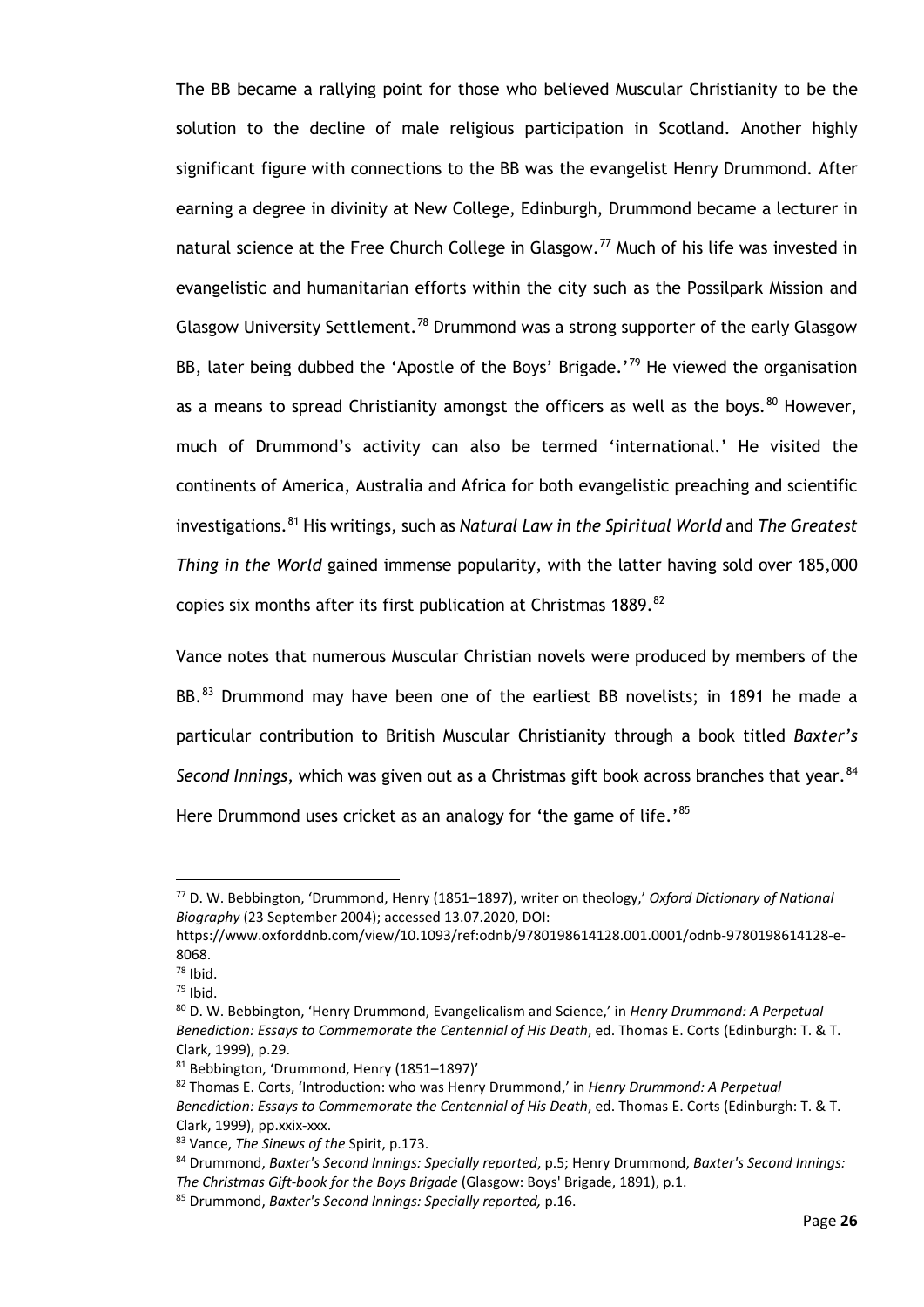The BB became a rallying point for those who believed Muscular Christianity to be the solution to the decline of male religious participation in Scotland. Another highly significant figure with connections to the BB was the evangelist Henry Drummond. After earning a degree in divinity at New College, Edinburgh, Drummond became a lecturer in natural science at the Free Church College in Glasgow.<sup>[77](#page-31-0)</sup> Much of his life was invested in evangelistic and humanitarian efforts within the city such as the Possilpark Mission and Glasgow University Settlement.<sup>[78](#page-31-1)</sup> Drummond was a strong supporter of the early Glasgow BB, later being dubbed the 'Apostle of the Boys' Brigade.'<sup>[79](#page-31-2)</sup> He viewed the organisation as a means to spread Christianity amongst the officers as well as the boys.  $80$  However, much of Drummond's activity can also be termed 'international.' He visited the continents of America, Australia and Africa for both evangelistic preaching and scientific investigations.[81](#page-31-4) His writings, such as *Natural Law in the Spiritual World* and *The Greatest Thing in the World* gained immense popularity, with the latter having sold over 185,000 copies six months after its first publication at Christmas 1889.  $^{82}$  $^{82}$  $^{82}$ 

Vance notes that numerous Muscular Christian novels were produced by members of the BB.<sup>[83](#page-31-6)</sup> Drummond may have been one of the earliest BB novelists; in 1891 he made a particular contribution to British Muscular Christianity through a book titled *Baxter's Second Innings*, which was given out as a Christmas gift book across branches that year.<sup>[84](#page-31-7)</sup> Here Drummond uses cricket as an analogy for 'the game of life.'<sup>[85](#page-31-8)</sup>

<span id="page-31-0"></span><sup>77</sup> D. W. Bebbington, 'Drummond, Henry (1851–1897), writer on theology,' *Oxford Dictionary of National Biography* (23 September 2004); accessed 13.07.2020, DOI:

https://www.oxforddnb.com/view/10.1093/ref:odnb/9780198614128.001.0001/odnb-9780198614128-e-8068.

 $78$  Ibid.

<span id="page-31-2"></span><span id="page-31-1"></span><sup>79</sup> Ibid.

<span id="page-31-3"></span><sup>80</sup> D. W. Bebbington, 'Henry Drummond, Evangelicalism and Science,' in *Henry Drummond: A Perpetual Benediction: Essays to Commemorate the Centennial of His Death*, ed. Thomas E. Corts (Edinburgh: T. & T. Clark, 1999), p.29.

<span id="page-31-4"></span><sup>81</sup> Bebbington, 'Drummond, Henry (1851–1897)'

<span id="page-31-5"></span><sup>82</sup> Thomas E. Corts, 'Introduction: who was Henry Drummond,' in *Henry Drummond: A Perpetual Benediction: Essays to Commemorate the Centennial of His Death*, ed. Thomas E. Corts (Edinburgh: T. & T. Clark, 1999), pp.xxix-xxx.

<span id="page-31-6"></span><sup>83</sup> Vance, *The Sinews of the* Spirit, p.173.

<span id="page-31-7"></span><sup>84</sup> Drummond, *Baxter's Second Innings: Specially reported*, p.5; Henry Drummond, *Baxter's Second Innings: The Christmas Gift-book for the Boys Brigade* (Glasgow: Boys' Brigade, 1891), p.1. <sup>85</sup> Drummond, *Baxter's Second Innings: Specially reported,* p.16.

<span id="page-31-8"></span>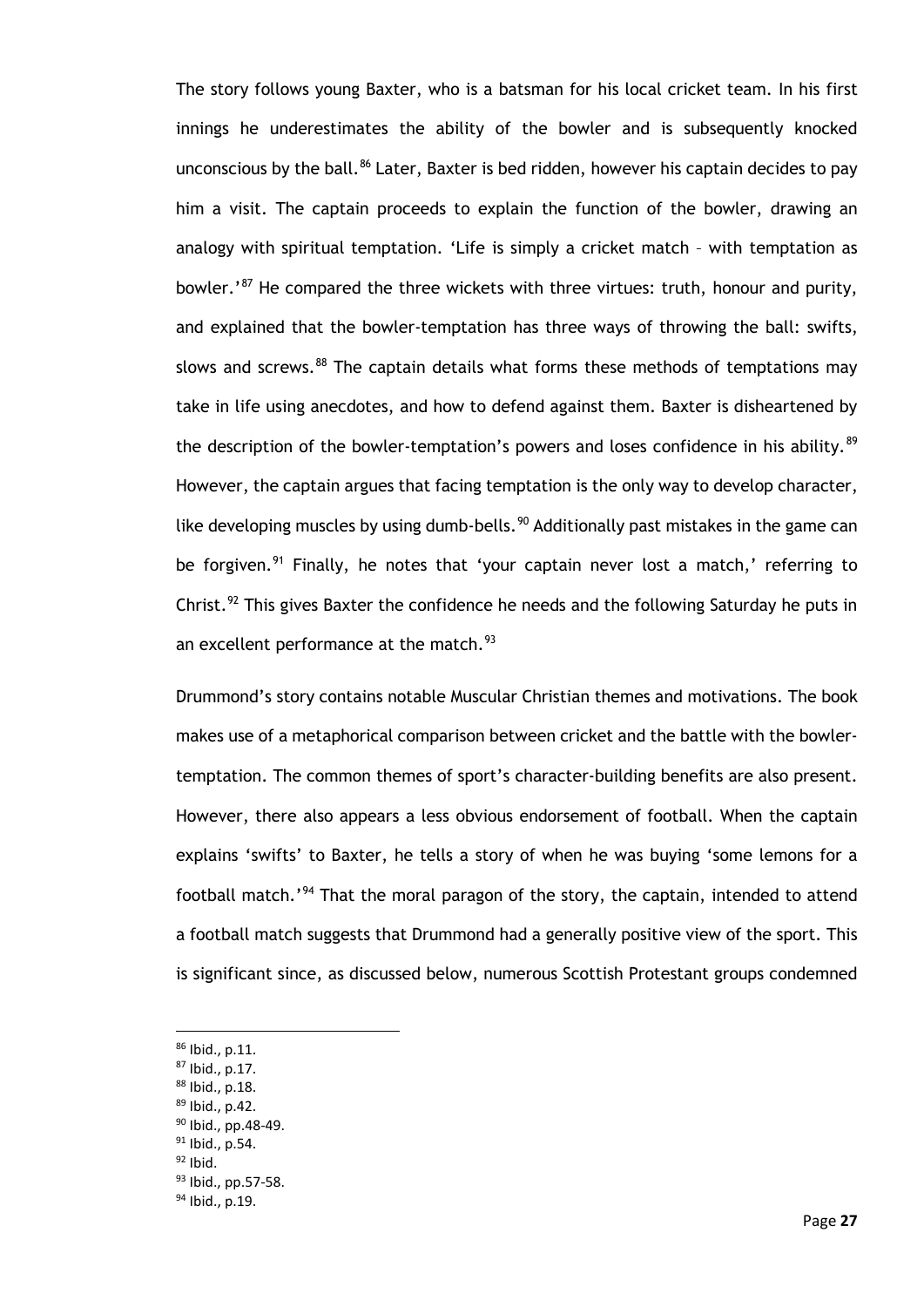The story follows young Baxter, who is a batsman for his local cricket team. In his first innings he underestimates the ability of the bowler and is subsequently knocked unconscious by the ball.<sup>[86](#page-32-0)</sup> Later, Baxter is bed ridden, however his captain decides to pay him a visit. The captain proceeds to explain the function of the bowler, drawing an analogy with spiritual temptation. 'Life is simply a cricket match – with temptation as bowler.<sup>[87](#page-32-1)</sup> He compared the three wickets with three virtues: truth, honour and purity, and explained that the bowler-temptation has three ways of throwing the ball: swifts, slows and screws.<sup>[88](#page-32-2)</sup> The captain details what forms these methods of temptations may take in life using anecdotes, and how to defend against them. Baxter is disheartened by the description of the bowler-temptation's powers and loses confidence in his ability.<sup>89</sup> However, the captain argues that facing temptation is the only way to develop character, like developing muscles by using dumb-bells.<sup>[90](#page-32-4)</sup> Additionally past mistakes in the game can be forgiven.<sup>[91](#page-32-5)</sup> Finally, he notes that 'your captain never lost a match,' referring to Christ.<sup>[92](#page-32-6)</sup> This gives Baxter the confidence he needs and the following Saturday he puts in an excellent performance at the match. $93$ 

Drummond's story contains notable Muscular Christian themes and motivations. The book makes use of a metaphorical comparison between cricket and the battle with the bowlertemptation. The common themes of sport's character-building benefits are also present. However, there also appears a less obvious endorsement of football. When the captain explains 'swifts' to Baxter, he tells a story of when he was buying 'some lemons for a football match.'<sup>[94](#page-32-8)</sup> That the moral paragon of the story, the captain, intended to attend a football match suggests that Drummond had a generally positive view of the sport. This is significant since, as discussed below, numerous Scottish Protestant groups condemned

<span id="page-32-0"></span><sup>86</sup> Ibid., p.11.

<span id="page-32-1"></span> $87$  Ibid., p.17.

<sup>88</sup> Ibid., p.18.

<span id="page-32-3"></span><span id="page-32-2"></span><sup>89</sup> Ibid., p.42.

<sup>90</sup> Ibid., pp.48-49.

<span id="page-32-5"></span><span id="page-32-4"></span><sup>&</sup>lt;sup>91</sup> Ibid., p.54.

<span id="page-32-6"></span> $92$  Ibid.

<span id="page-32-7"></span><sup>93</sup> Ibid., pp.57-58.

<span id="page-32-8"></span><sup>94</sup> Ibid., p.19.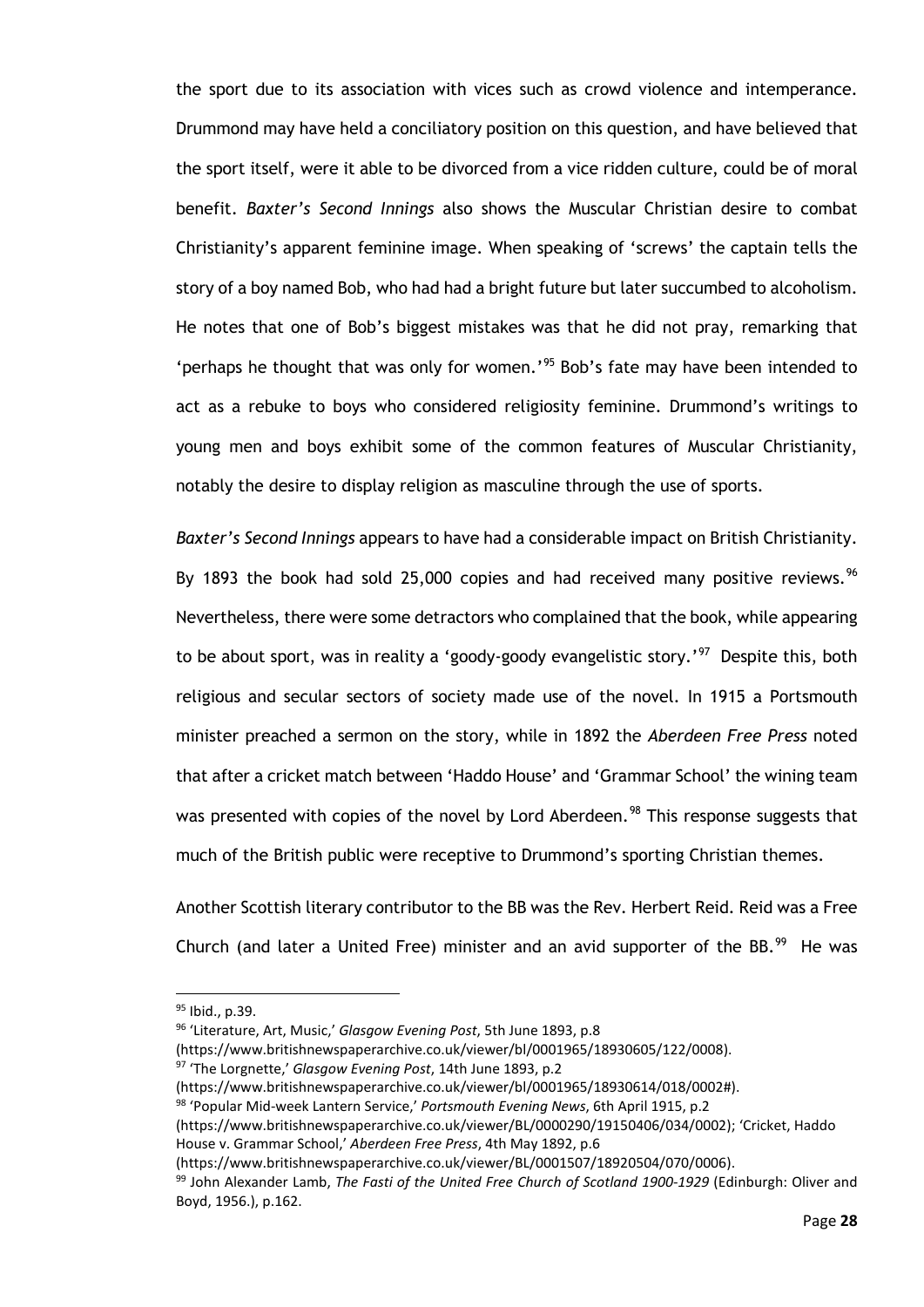the sport due to its association with vices such as crowd violence and intemperance. Drummond may have held a conciliatory position on this question, and have believed that the sport itself, were it able to be divorced from a vice ridden culture, could be of moral benefit. *Baxter's Second Innings* also shows the Muscular Christian desire to combat Christianity's apparent feminine image. When speaking of 'screws' the captain tells the story of a boy named Bob, who had had a bright future but later succumbed to alcoholism. He notes that one of Bob's biggest mistakes was that he did not pray, remarking that 'perhaps he thought that was only for women.' [95](#page-33-0) Bob's fate may have been intended to act as a rebuke to boys who considered religiosity feminine. Drummond's writings to young men and boys exhibit some of the common features of Muscular Christianity, notably the desire to display religion as masculine through the use of sports.

*Baxter's Second Innings* appears to have had a considerable impact on British Christianity. By 1893 the book had sold 25,000 copies and had received many positive reviews.<sup>96</sup> Nevertheless, there were some detractors who complained that the book, while appearing to be about sport, was in reality a 'goody-goody evangelistic story.'<sup>97</sup> Despite this, both religious and secular sectors of society made use of the novel. In 1915 a Portsmouth minister preached a sermon on the story, while in 1892 the *Aberdeen Free Press* noted that after a cricket match between 'Haddo House' and 'Grammar School' the wining team was presented with copies of the novel by Lord Aberdeen.<sup>[98](#page-33-3)</sup> This response suggests that much of the British public were receptive to Drummond's sporting Christian themes.

Another Scottish literary contributor to the BB was the Rev. Herbert Reid. Reid was a Free Church (and later a United Free) minister and an avid supporter of the BB. $^{99}$  $^{99}$  $^{99}$  He was

(https://www.britishnewspaperarchive.co.uk/viewer/bl/0001965/18930605/122/0008).

<span id="page-33-0"></span><sup>95</sup> Ibid., p.39.

<span id="page-33-1"></span><sup>96</sup> 'Literature, Art, Music,' *Glasgow Evening Post*, 5th June 1893, p.8

<span id="page-33-2"></span><sup>97</sup> 'The Lorgnette,' *Glasgow Evening Post*, 14th June 1893, p.2

<sup>(</sup>https://www.britishnewspaperarchive.co.uk/viewer/bl/0001965/18930614/018/0002#).

<span id="page-33-3"></span><sup>98</sup> 'Popular Mid-week Lantern Service,' *Portsmouth Evening News*, 6th April 1915, p.2

<sup>(</sup>https://www.britishnewspaperarchive.co.uk/viewer/BL/0000290/19150406/034/0002); 'Cricket, Haddo House v. Grammar School,' *Aberdeen Free Press*, 4th May 1892, p.6

<sup>(</sup>https://www.britishnewspaperarchive.co.uk/viewer/BL/0001507/18920504/070/0006).

<span id="page-33-4"></span><sup>99</sup> John Alexander Lamb, *The Fasti of the United Free Church of Scotland 1900-1929* (Edinburgh: Oliver and Boyd, 1956.), p.162.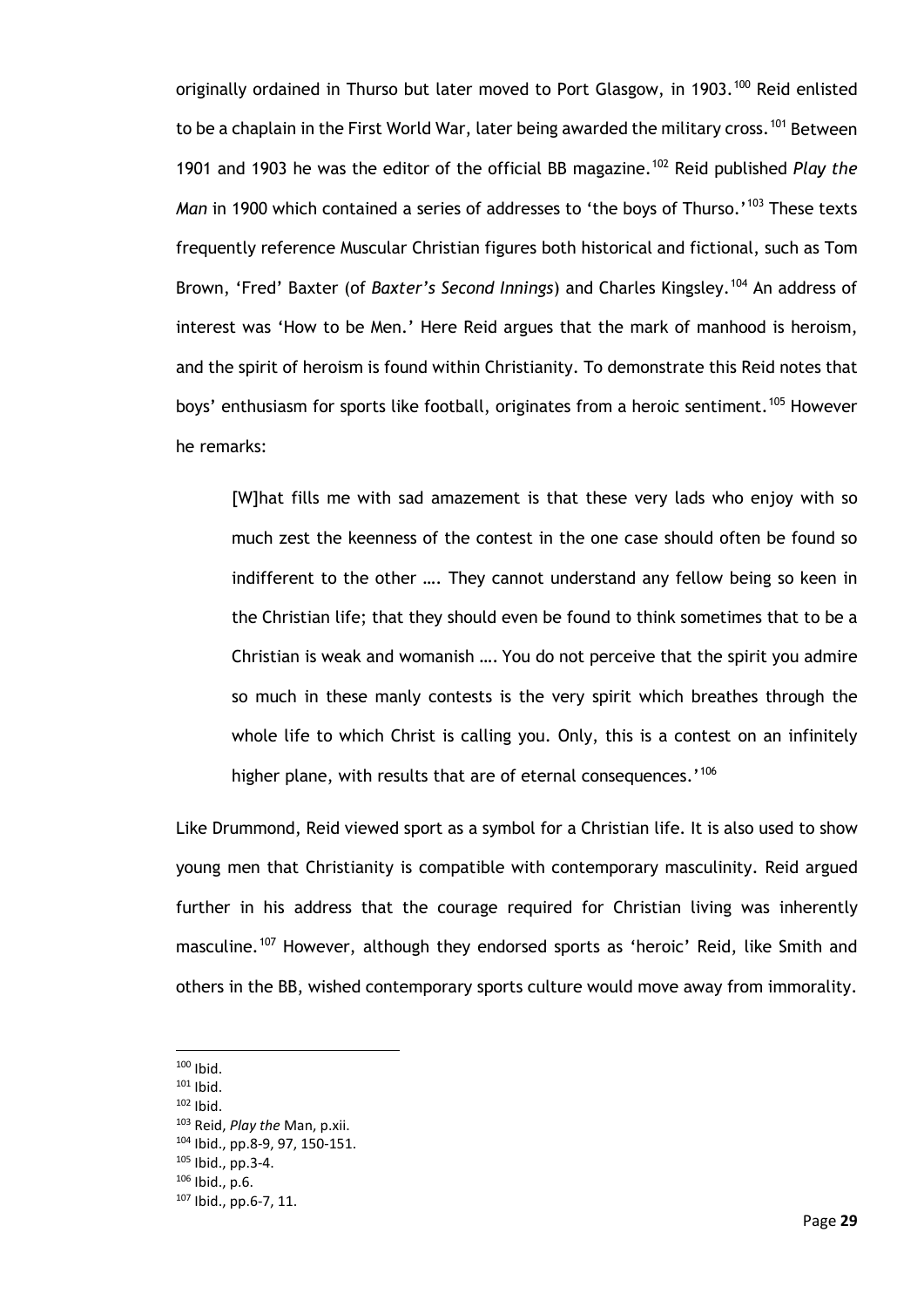originally ordained in Thurso but later moved to Port Glasgow, in 1903.<sup>[100](#page-34-0)</sup> Reid enlisted to be a chaplain in the First World War, later being awarded the military cross.<sup>[101](#page-34-1)</sup> Between 1901 and 1903 he was the editor of the official BB magazine.[102](#page-34-2) Reid published *Play the Man* in 1900 which contained a series of addresses to 'the boys of Thurso.'<sup>[103](#page-34-3)</sup> These texts frequently reference Muscular Christian figures both historical and fictional, such as Tom Brown, 'Fred' Baxter (of *Baxter's Second Innings*) and Charles Kingsley.[104](#page-34-4) An address of interest was 'How to be Men.' Here Reid argues that the mark of manhood is heroism, and the spirit of heroism is found within Christianity. To demonstrate this Reid notes that boys' enthusiasm for sports like football, originates from a heroic sentiment.<sup>[105](#page-34-5)</sup> However he remarks:

[W]hat fills me with sad amazement is that these very lads who enjoy with so much zest the keenness of the contest in the one case should often be found so indifferent to the other …. They cannot understand any fellow being so keen in the Christian life; that they should even be found to think sometimes that to be a Christian is weak and womanish …. You do not perceive that the spirit you admire so much in these manly contests is the very spirit which breathes through the whole life to which Christ is calling you. Only, this is a contest on an infinitely higher plane, with results that are of eternal consequences.<sup>'[106](#page-34-6)</sup>

Like Drummond, Reid viewed sport as a symbol for a Christian life. It is also used to show young men that Christianity is compatible with contemporary masculinity. Reid argued further in his address that the courage required for Christian living was inherently masculine.<sup>[107](#page-34-7)</sup> However, although they endorsed sports as 'heroic' Reid, like Smith and others in the BB, wished contemporary sports culture would move away from immorality.

<span id="page-34-3"></span>

 $100$  Ibid.

<span id="page-34-2"></span><span id="page-34-1"></span><span id="page-34-0"></span> $101$  Ibid.

<sup>102</sup> Ibid. 103 Reid, *Play the* Man, p.xii.

<span id="page-34-4"></span><sup>104</sup> Ibid., pp.8-9, 97, 150-151.

<span id="page-34-5"></span><sup>105</sup> Ibid., pp.3-4.

<span id="page-34-6"></span><sup>106</sup> Ibid., p.6.

<span id="page-34-7"></span><sup>107</sup> Ibid., pp.6-7, 11.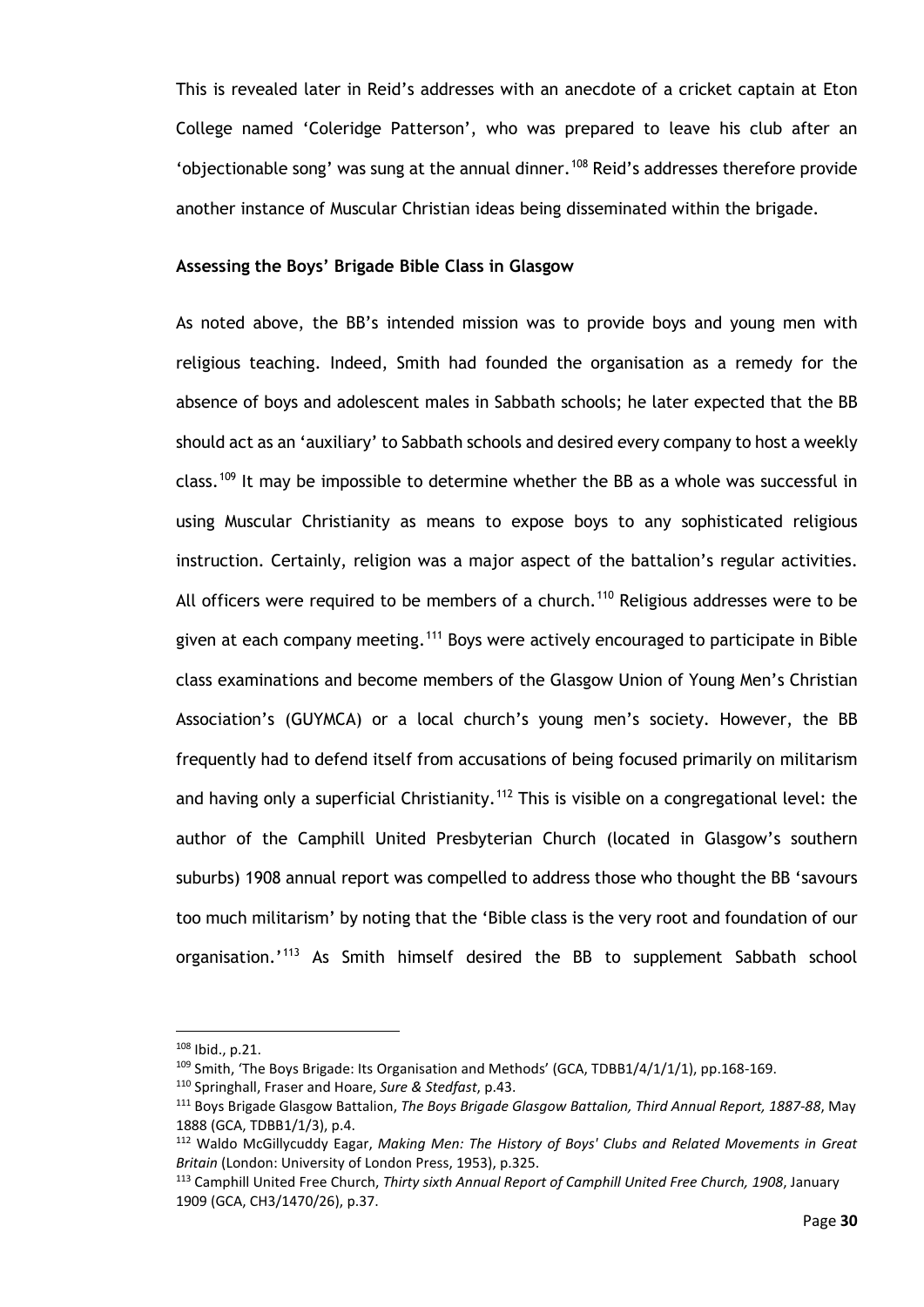This is revealed later in Reid's addresses with an anecdote of a cricket captain at Eton College named 'Coleridge Patterson', who was prepared to leave his club after an 'objectionable song' was sung at the annual dinner.<sup>[108](#page-35-0)</sup> Reid's addresses therefore provide another instance of Muscular Christian ideas being disseminated within the brigade.

### **Assessing the Boys' Brigade Bible Class in Glasgow**

As noted above, the BB's intended mission was to provide boys and young men with religious teaching. Indeed, Smith had founded the organisation as a remedy for the absence of boys and adolescent males in Sabbath schools; he later expected that the BB should act as an 'auxiliary' to Sabbath schools and desired every company to host a weekly class.<sup>[109](#page-35-1)</sup> It may be impossible to determine whether the BB as a whole was successful in using Muscular Christianity as means to expose boys to any sophisticated religious instruction. Certainly, religion was a major aspect of the battalion's regular activities. All officers were required to be members of a church.<sup>[110](#page-35-2)</sup> Religious addresses were to be given at each company meeting.<sup>[111](#page-35-3)</sup> Boys were actively encouraged to participate in Bible class examinations and become members of the Glasgow Union of Young Men's Christian Association's (GUYMCA) or a local church's young men's society. However, the BB frequently had to defend itself from accusations of being focused primarily on militarism and having only a superficial Christianity.<sup>[112](#page-35-4)</sup> This is visible on a congregational level: the author of the Camphill United Presbyterian Church (located in Glasgow's southern suburbs) 1908 annual report was compelled to address those who thought the BB 'savours too much militarism' by noting that the 'Bible class is the very root and foundation of our organisation.'<sup>[113](#page-35-5)</sup> As Smith himself desired the BB to supplement Sabbath school

<span id="page-35-0"></span><sup>108</sup> Ibid., p.21.

<span id="page-35-1"></span> $109$  Smith, 'The Boys Brigade: Its Organisation and Methods' (GCA, TDBB1/4/1/1/1), pp.168-169.

<span id="page-35-2"></span><sup>110</sup> Springhall, Fraser and Hoare, *Sure & Stedfast*, p.43.

<span id="page-35-3"></span><sup>111</sup> Boys Brigade Glasgow Battalion, *The Boys Brigade Glasgow Battalion, Third Annual Report, 1887-88*, May 1888 (GCA, TDBB1/1/3), p.4.

<span id="page-35-4"></span><sup>112</sup> Waldo McGillycuddy Eagar, *Making Men: The History of Boys' Clubs and Related Movements in Great Britain* (London: University of London Press, 1953), p.325.

<span id="page-35-5"></span><sup>113</sup> Camphill United Free Church, *Thirty sixth Annual Report of Camphill United Free Church, 1908*, January 1909 (GCA, CH3/1470/26), p.37.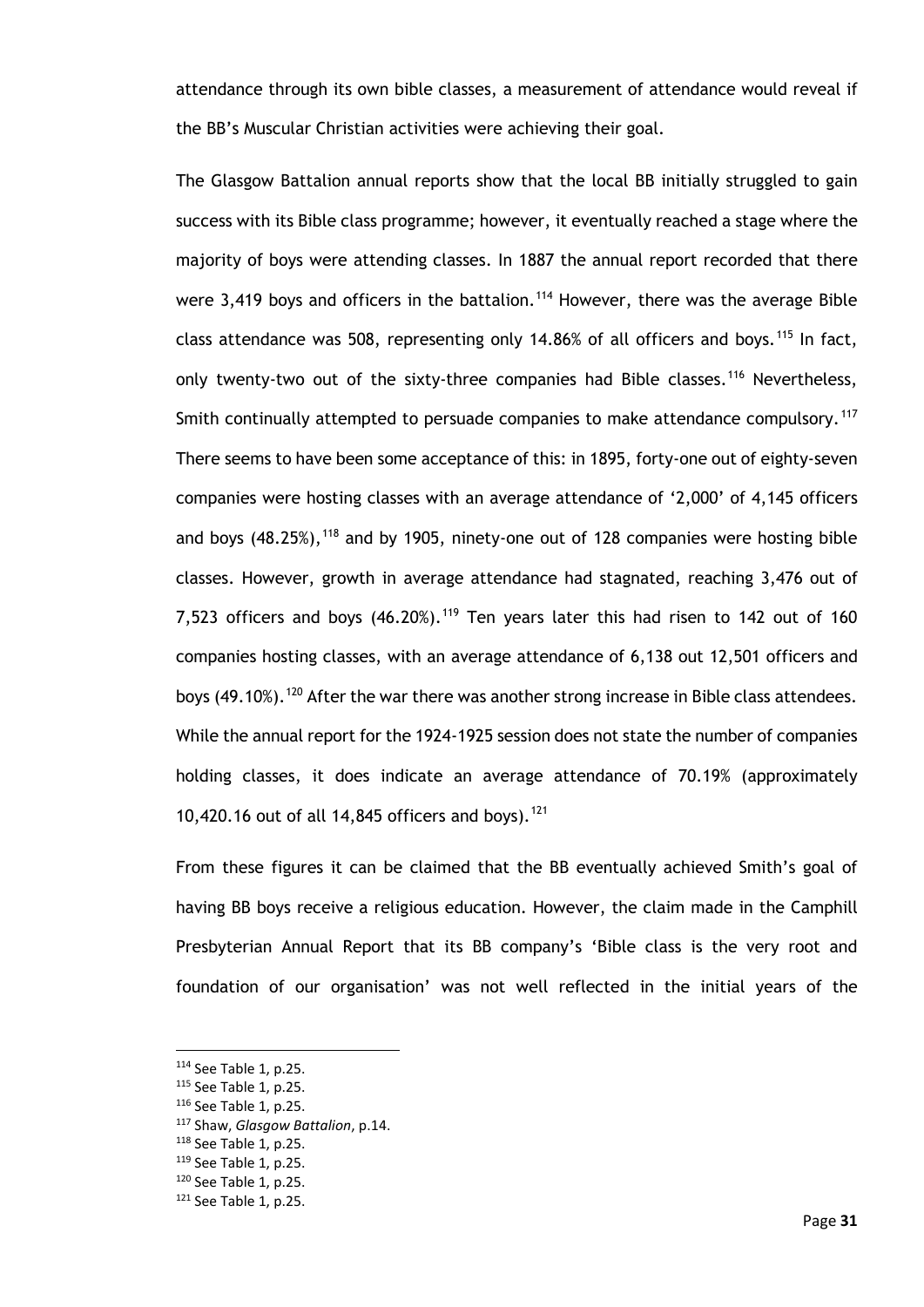attendance through its own bible classes, a measurement of attendance would reveal if the BB's Muscular Christian activities were achieving their goal.

The Glasgow Battalion annual reports show that the local BB initially struggled to gain success with its Bible class programme; however, it eventually reached a stage where the majority of boys were attending classes. In 1887 the annual report recorded that there were 3,419 boys and officers in the battalion.<sup>[114](#page-36-0)</sup> However, there was the average Bible class attendance was 508, representing only 14.86% of all officers and boys.<sup>[115](#page-36-1)</sup> In fact, only twenty-two out of the sixty-three companies had Bible classes.<sup>[116](#page-36-2)</sup> Nevertheless, Smith continually attempted to persuade companies to make attendance compulsory.<sup>[117](#page-36-3)</sup> There seems to have been some acceptance of this: in 1895, forty-one out of eighty-seven companies were hosting classes with an average attendance of '2,000' of 4,145 officers and boys  $(48.25\%)$ ,  $^{118}$  $^{118}$  $^{118}$  and by 1905, ninety-one out of 128 companies were hosting bible classes. However, growth in average attendance had stagnated, reaching 3,476 out of 7,523 officers and boys  $(46.20\%)$ .<sup>[119](#page-36-5)</sup> Ten years later this had risen to 142 out of 160 companies hosting classes, with an average attendance of 6,138 out 12,501 officers and boys (49.10%).<sup>[120](#page-36-6)</sup> After the war there was another strong increase in Bible class attendees. While the annual report for the 1924-1925 session does not state the number of companies holding classes, it does indicate an average attendance of 70.19% (approximately 10,420.16 out of all 14,845 officers and boys).<sup>[121](#page-36-7)</sup>

From these figures it can be claimed that the BB eventually achieved Smith's goal of having BB boys receive a religious education. However, the claim made in the Camphill Presbyterian Annual Report that its BB company's 'Bible class is the very root and foundation of our organisation' was not well reflected in the initial years of the

<span id="page-36-1"></span><span id="page-36-0"></span><sup>114</sup> See Table 1, p.25.

<sup>115</sup> See Table 1, p.25.

<span id="page-36-2"></span><sup>116</sup> See Table 1, p.25.

<span id="page-36-3"></span><sup>117</sup> Shaw, *Glasgow Battalion*, p.14.

<span id="page-36-4"></span><sup>118</sup> See Table 1, p.25.

<span id="page-36-5"></span><sup>119</sup> See Table 1, p.25.

<span id="page-36-6"></span><sup>120</sup> See Table 1, p.25.

<span id="page-36-7"></span><sup>121</sup> See Table 1, p.25.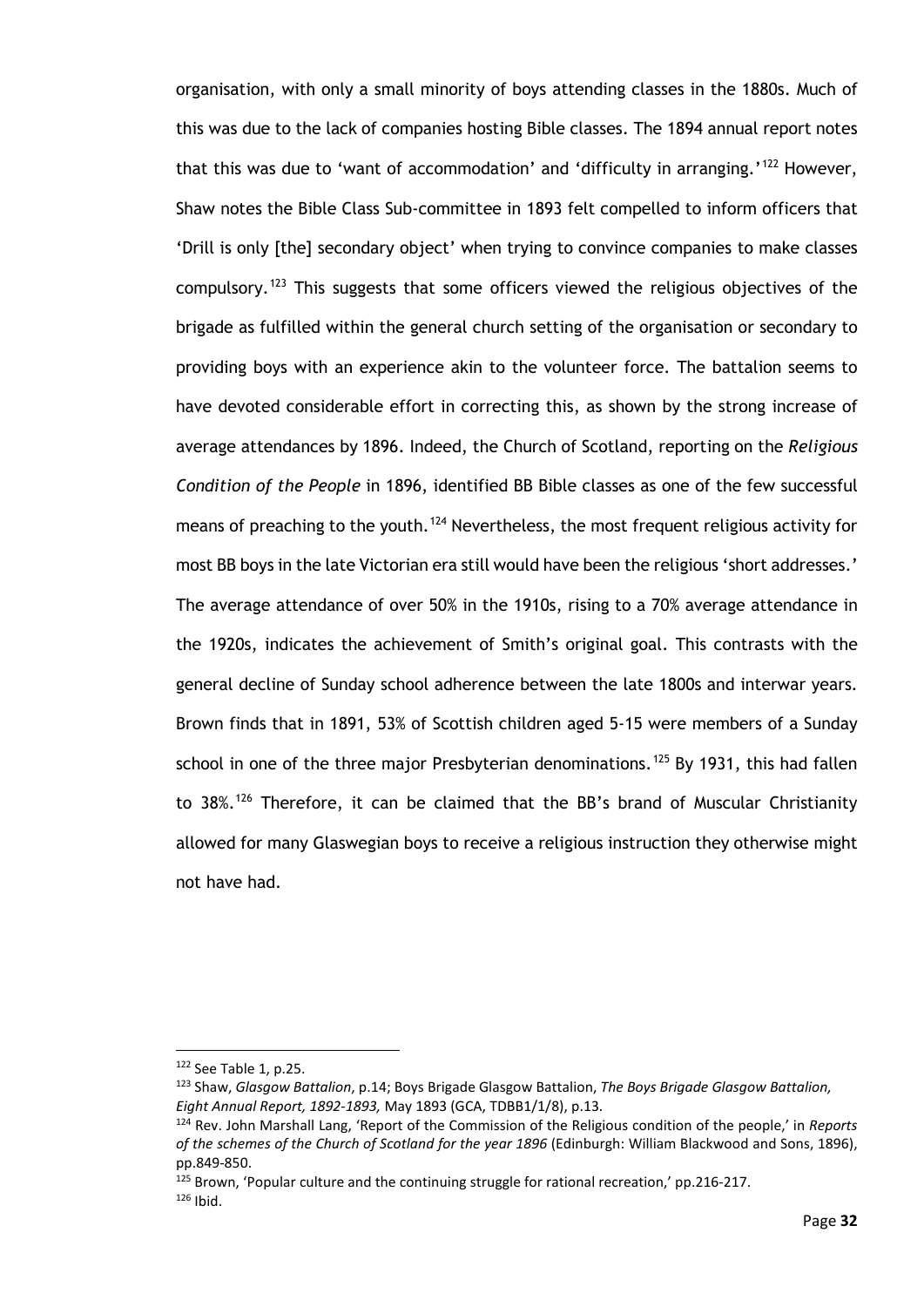organisation, with only a small minority of boys attending classes in the 1880s. Much of this was due to the lack of companies hosting Bible classes. The 1894 annual report notes that this was due to 'want of accommodation' and 'difficulty in arranging.'<sup>[122](#page-37-0)</sup> However, Shaw notes the Bible Class Sub-committee in 1893 felt compelled to inform officers that 'Drill is only [the] secondary object' when trying to convince companies to make classes compulsory.<sup>[123](#page-37-1)</sup> This suggests that some officers viewed the religious objectives of the brigade as fulfilled within the general church setting of the organisation or secondary to providing boys with an experience akin to the volunteer force. The battalion seems to have devoted considerable effort in correcting this, as shown by the strong increase of average attendances by 1896. Indeed, the Church of Scotland, reporting on the *Religious Condition of the People* in 1896, identified BB Bible classes as one of the few successful means of preaching to the youth.<sup>[124](#page-37-2)</sup> Nevertheless, the most frequent religious activity for most BB boys in the late Victorian era still would have been the religious 'short addresses.' The average attendance of over 50% in the 1910s, rising to a 70% average attendance in the 1920s, indicates the achievement of Smith's original goal. This contrasts with the general decline of Sunday school adherence between the late 1800s and interwar years. Brown finds that in 1891, 53% of Scottish children aged 5-15 were members of a Sunday school in one of the three major Presbyterian denominations.<sup>[125](#page-37-3)</sup> By 1931, this had fallen to 38%.<sup>[126](#page-37-4)</sup> Therefore, it can be claimed that the BB's brand of Muscular Christianity allowed for many Glaswegian boys to receive a religious instruction they otherwise might not have had.

<span id="page-37-0"></span><sup>122</sup> See Table 1, p.25.

<span id="page-37-1"></span><sup>123</sup> Shaw, *Glasgow Battalion*, p.14; Boys Brigade Glasgow Battalion, *The Boys Brigade Glasgow Battalion, Eight Annual Report, 1892-1893,* May 1893 (GCA, TDBB1/1/8), p.13.

<span id="page-37-2"></span><sup>124</sup> Rev. John Marshall Lang, 'Report of the Commission of the Religious condition of the people,' in *Reports of the schemes of the Church of Scotland for the year 1896* (Edinburgh: William Blackwood and Sons, 1896), pp.849-850.

<span id="page-37-4"></span><span id="page-37-3"></span><sup>125</sup> Brown, 'Popular culture and the continuing struggle for rational recreation,' pp.216-217.  $126$  Ibid.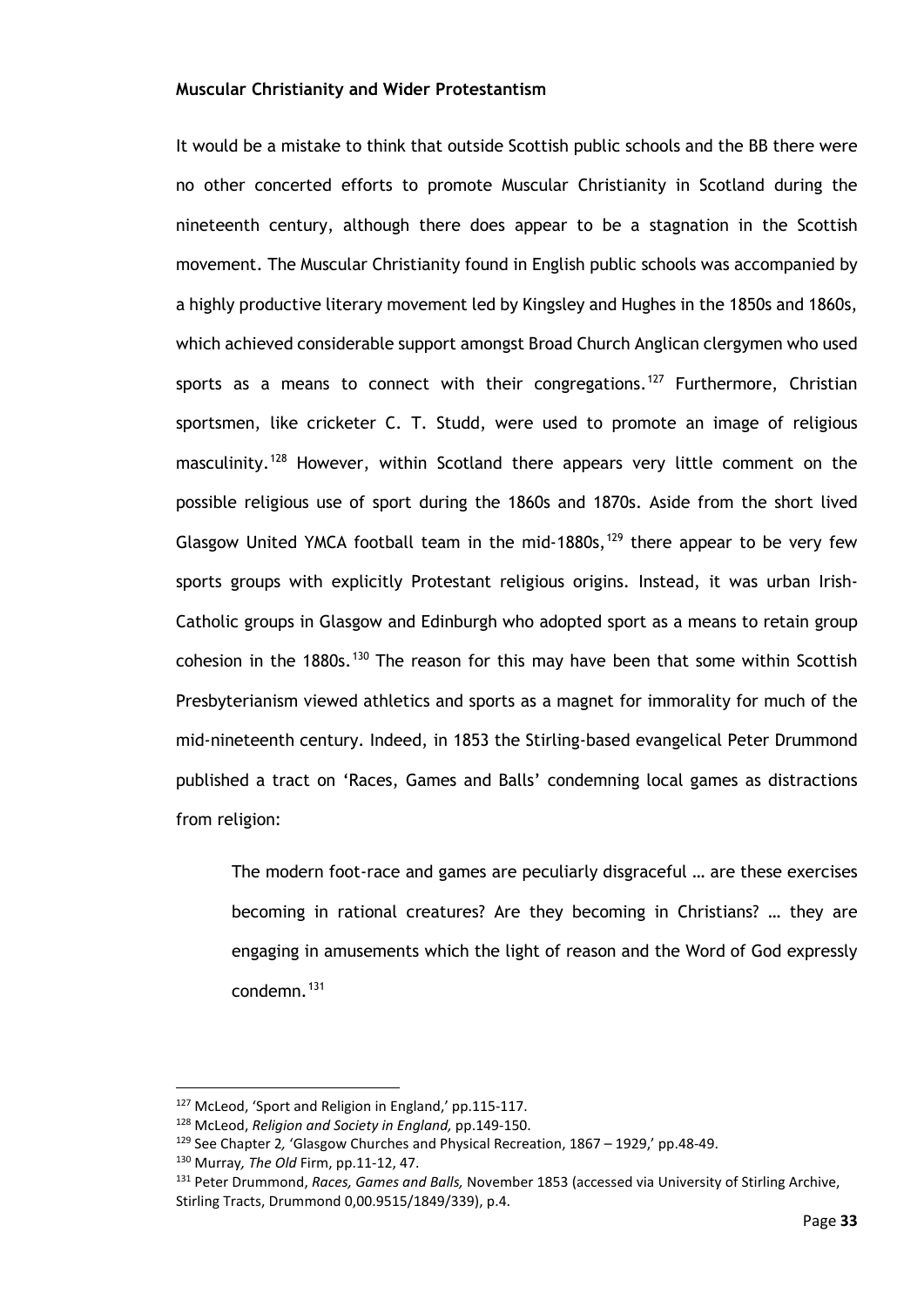#### **Muscular Christianity and Wider Protestantism**

It would be a mistake to think that outside Scottish public schools and the BB there were no other concerted efforts to promote Muscular Christianity in Scotland during the nineteenth century, although there does appear to be a stagnation in the Scottish movement. The Muscular Christianity found in English public schools was accompanied by a highly productive literary movement led by Kingsley and Hughes in the 1850s and 1860s, which achieved considerable support amongst Broad Church Anglican clergymen who used sports as a means to connect with their congregations.<sup>[127](#page-38-0)</sup> Furthermore, Christian sportsmen, like cricketer C. T. Studd, were used to promote an image of religious masculinity.<sup>[128](#page-38-1)</sup> However, within Scotland there appears very little comment on the possible religious use of sport during the 1860s and 1870s. Aside from the short lived Glasgow United YMCA football team in the mid-1880s,  $129$  there appear to be very few sports groups with explicitly Protestant religious origins. Instead, it was urban Irish-Catholic groups in Glasgow and Edinburgh who adopted sport as a means to retain group cohesion in the 1880s.<sup>[130](#page-38-3)</sup> The reason for this may have been that some within Scottish Presbyterianism viewed athletics and sports as a magnet for immorality for much of the mid-nineteenth century. Indeed, in 1853 the Stirling-based evangelical Peter Drummond published a tract on 'Races, Games and Balls' condemning local games as distractions from religion:

The modern foot-race and games are peculiarly disgraceful … are these exercises becoming in rational creatures? Are they becoming in Christians? … they are engaging in amusements which the light of reason and the Word of God expressly condemn.<sup>[131](#page-38-4)</sup>

<span id="page-38-0"></span><sup>127</sup> McLeod, 'Sport and Religion in England,' pp.115-117.

<span id="page-38-1"></span><sup>128</sup> McLeod, *Religion and Society in England,* pp.149-150.

<span id="page-38-2"></span><sup>129</sup> See Chapter 2*,* 'Glasgow Churches and Physical Recreation, 1867 – 1929,' pp.48-49.

<span id="page-38-3"></span><sup>130</sup> Murray*, The Old* Firm, pp.11-12, 47.

<span id="page-38-4"></span><sup>131</sup> Peter Drummond, *Races, Games and Balls,* November 1853 (accessed via University of Stirling Archive, Stirling Tracts, Drummond 0,00.9515/1849/339), p.4.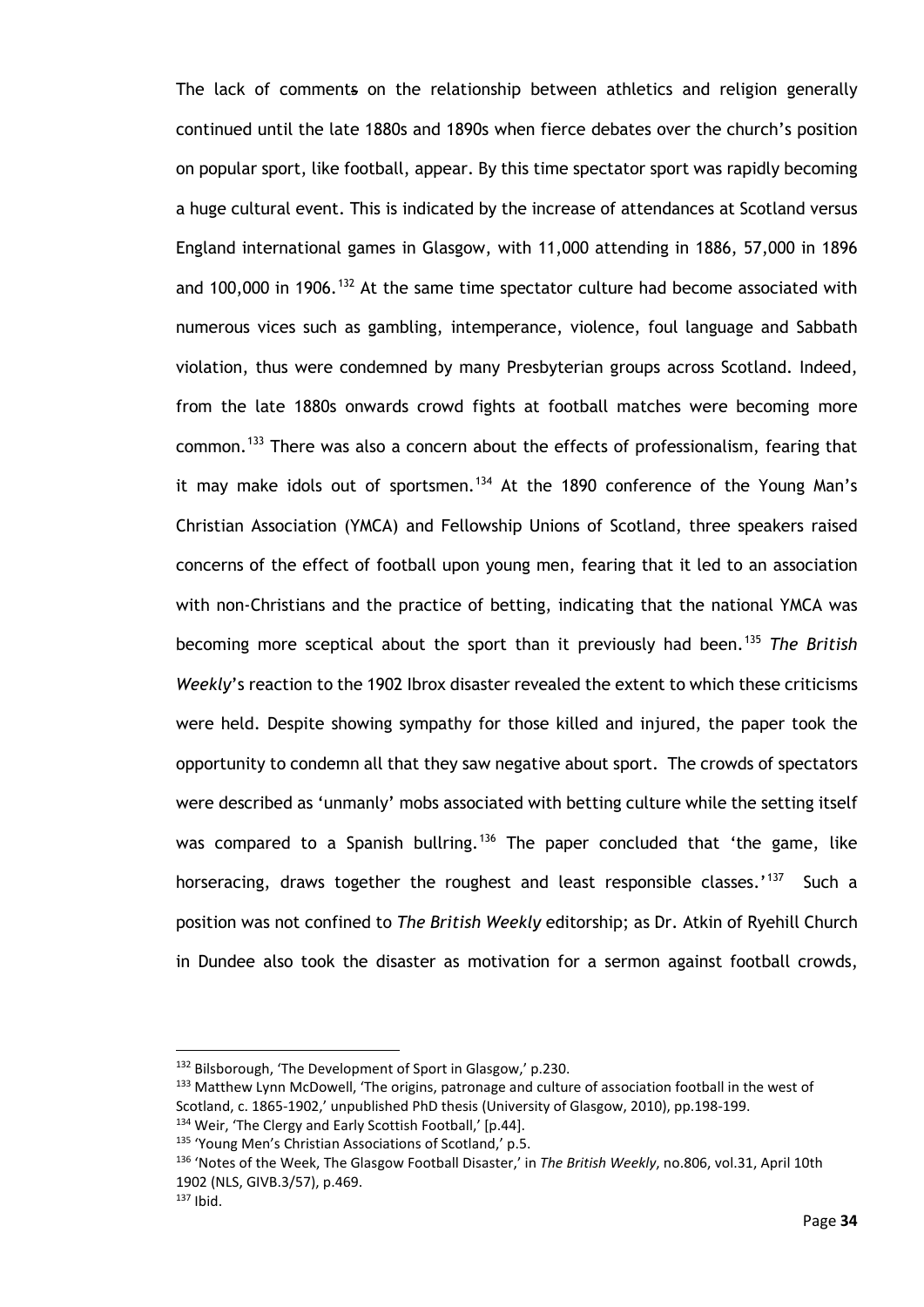The lack of comments on the relationship between athletics and religion generally continued until the late 1880s and 1890s when fierce debates over the church's position on popular sport, like football, appear. By this time spectator sport was rapidly becoming a huge cultural event. This is indicated by the increase of attendances at Scotland versus England international games in Glasgow, with 11,000 attending in 1886, 57,000 in 1896 and 100,000 in 1906.<sup>[132](#page-39-0)</sup> At the same time spectator culture had become associated with numerous vices such as gambling, intemperance, violence, foul language and Sabbath violation, thus were condemned by many Presbyterian groups across Scotland. Indeed, from the late 1880s onwards crowd fights at football matches were becoming more common.<sup>[133](#page-39-1)</sup> There was also a concern about the effects of professionalism, fearing that it may make idols out of sportsmen.<sup>[134](#page-39-2)</sup> At the 1890 conference of the Young Man's Christian Association (YMCA) and Fellowship Unions of Scotland, three speakers raised concerns of the effect of football upon young men, fearing that it led to an association with non-Christians and the practice of betting, indicating that the national YMCA was becoming more sceptical about the sport than it previously had been.[135](#page-39-3) *The British Weekly*'s reaction to the 1902 Ibrox disaster revealed the extent to which these criticisms were held. Despite showing sympathy for those killed and injured, the paper took the opportunity to condemn all that they saw negative about sport. The crowds of spectators were described as 'unmanly' mobs associated with betting culture while the setting itself was compared to a Spanish bullring.<sup>[136](#page-39-4)</sup> The paper concluded that 'the game, like horseracing, draws together the roughest and least responsible classes.'<sup>[137](#page-39-5)</sup> Such a position was not confined to *The British Weekly* editorship; as Dr. Atkin of Ryehill Church in Dundee also took the disaster as motivation for a sermon against football crowds,

<span id="page-39-0"></span><sup>132</sup> Bilsborough, 'The Development of Sport in Glasgow,' p.230.

<span id="page-39-1"></span><sup>133</sup> Matthew Lynn McDowell, 'The origins, patronage and culture of association football in the west of Scotland, c. 1865-1902,' unpublished PhD thesis (University of Glasgow, 2010), pp.198-199.

<span id="page-39-3"></span><span id="page-39-2"></span><sup>134</sup> Weir, 'The Clergy and Early Scottish Football,' [p.44].

<sup>135</sup> 'Young Men's Christian Associations of Scotland,' p.5.

<span id="page-39-4"></span><sup>136</sup> 'Notes of the Week, The Glasgow Football Disaster,' in *The British Weekly*, no.806, vol.31, April 10th 1902 (NLS, GIVB.3/57), p.469.

<span id="page-39-5"></span> $137$  Ibid.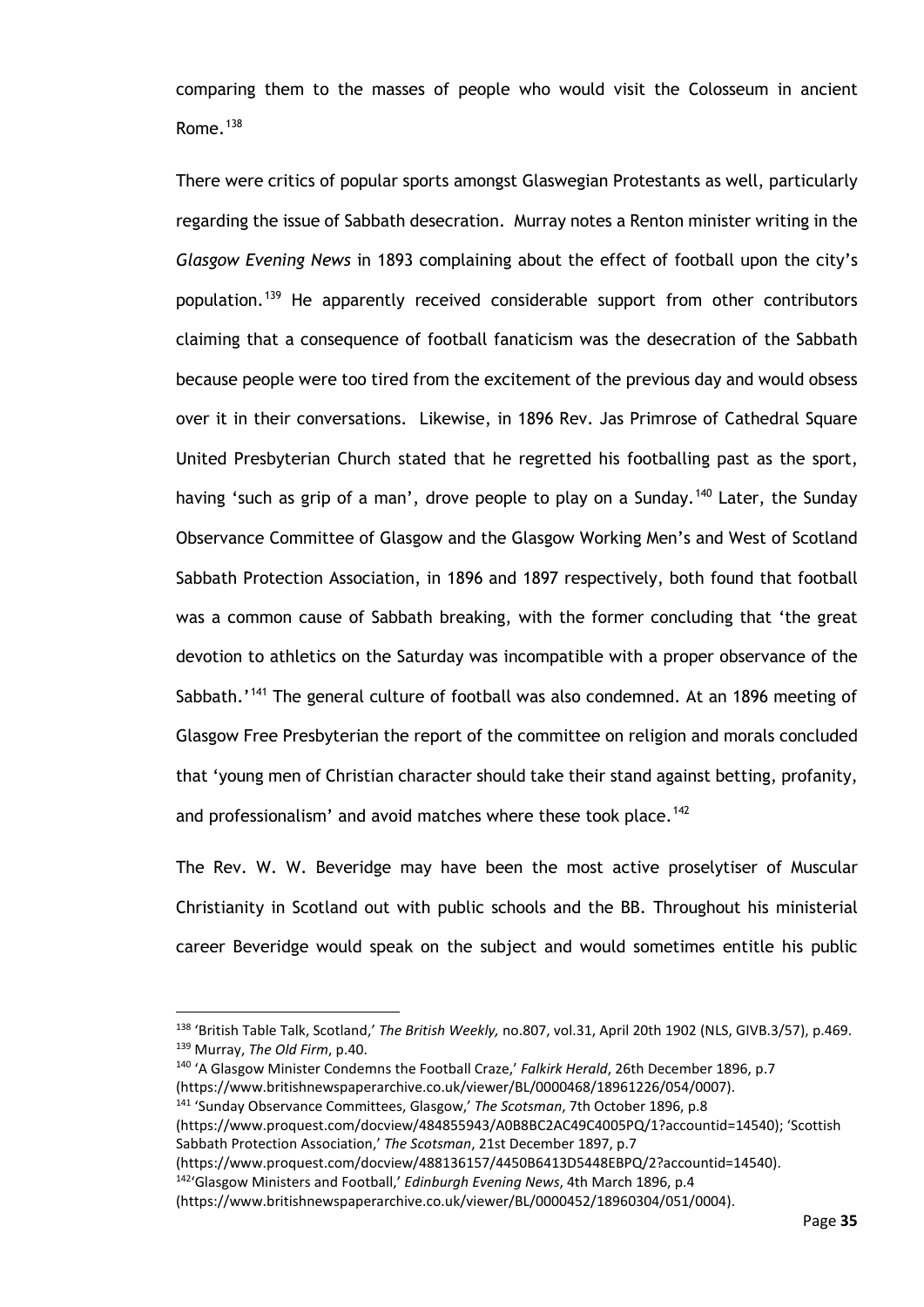comparing them to the masses of people who would visit the Colosseum in ancient Rome. $138$ 

There were critics of popular sports amongst Glaswegian Protestants as well, particularly regarding the issue of Sabbath desecration. Murray notes a Renton minister writing in the *Glasgow Evening News* in 1893 complaining about the effect of football upon the city's population.<sup>[139](#page-40-1)</sup> He apparently received considerable support from other contributors claiming that a consequence of football fanaticism was the desecration of the Sabbath because people were too tired from the excitement of the previous day and would obsess over it in their conversations. Likewise, in 1896 Rev. Jas Primrose of Cathedral Square United Presbyterian Church stated that he regretted his footballing past as the sport, having 'such as grip of a man', drove people to play on a Sunday.<sup>[140](#page-40-2)</sup> Later, the Sunday Observance Committee of Glasgow and the Glasgow Working Men's and West of Scotland Sabbath Protection Association, in 1896 and 1897 respectively, both found that football was a common cause of Sabbath breaking, with the former concluding that 'the great devotion to athletics on the Saturday was incompatible with a proper observance of the Sabbath.<sup>'[141](#page-40-3)</sup> The general culture of football was also condemned. At an 1896 meeting of Glasgow Free Presbyterian the report of the committee on religion and morals concluded that 'young men of Christian character should take their stand against betting, profanity, and professionalism' and avoid matches where these took place.<sup>[142](#page-40-4)</sup>

The Rev. W. W. Beveridge may have been the most active proselytiser of Muscular Christianity in Scotland out with public schools and the BB. Throughout his ministerial career Beveridge would speak on the subject and would sometimes entitle his public

<span id="page-40-0"></span><sup>138</sup> 'British Table Talk, Scotland,' *The British Weekly,* no.807, vol.31, April 20th 1902 (NLS, GIVB.3/57), p.469. <sup>139</sup> Murray, *The Old Firm*, p.40.

<span id="page-40-2"></span><span id="page-40-1"></span><sup>140</sup> 'A Glasgow Minister Condemns the Football Craze,' *Falkirk Herald*, 26th December 1896, p.7 (https://www.britishnewspaperarchive.co.uk/viewer/BL/0000468/18961226/054/0007).

<span id="page-40-3"></span><sup>141</sup> 'Sunday Observance Committees, Glasgow,' *The Scotsman*, 7th October 1896, p.8

<sup>(</sup>https://www.proquest.com/docview/484855943/A0B8BC2AC49C4005PQ/1?accountid=14540); 'Scottish Sabbath Protection Association,' *The Scotsman*, 21st December 1897, p.7

<sup>(</sup>https://www.proquest.com/docview/488136157/4450B6413D5448EBPQ/2?accountid=14540).

<sup>142&#</sup>x27;Glasgow Ministers and Football,' *Edinburgh Evening News*, 4th March 1896, p.4

<span id="page-40-4"></span><sup>(</sup>https://www.britishnewspaperarchive.co.uk/viewer/BL/0000452/18960304/051/0004).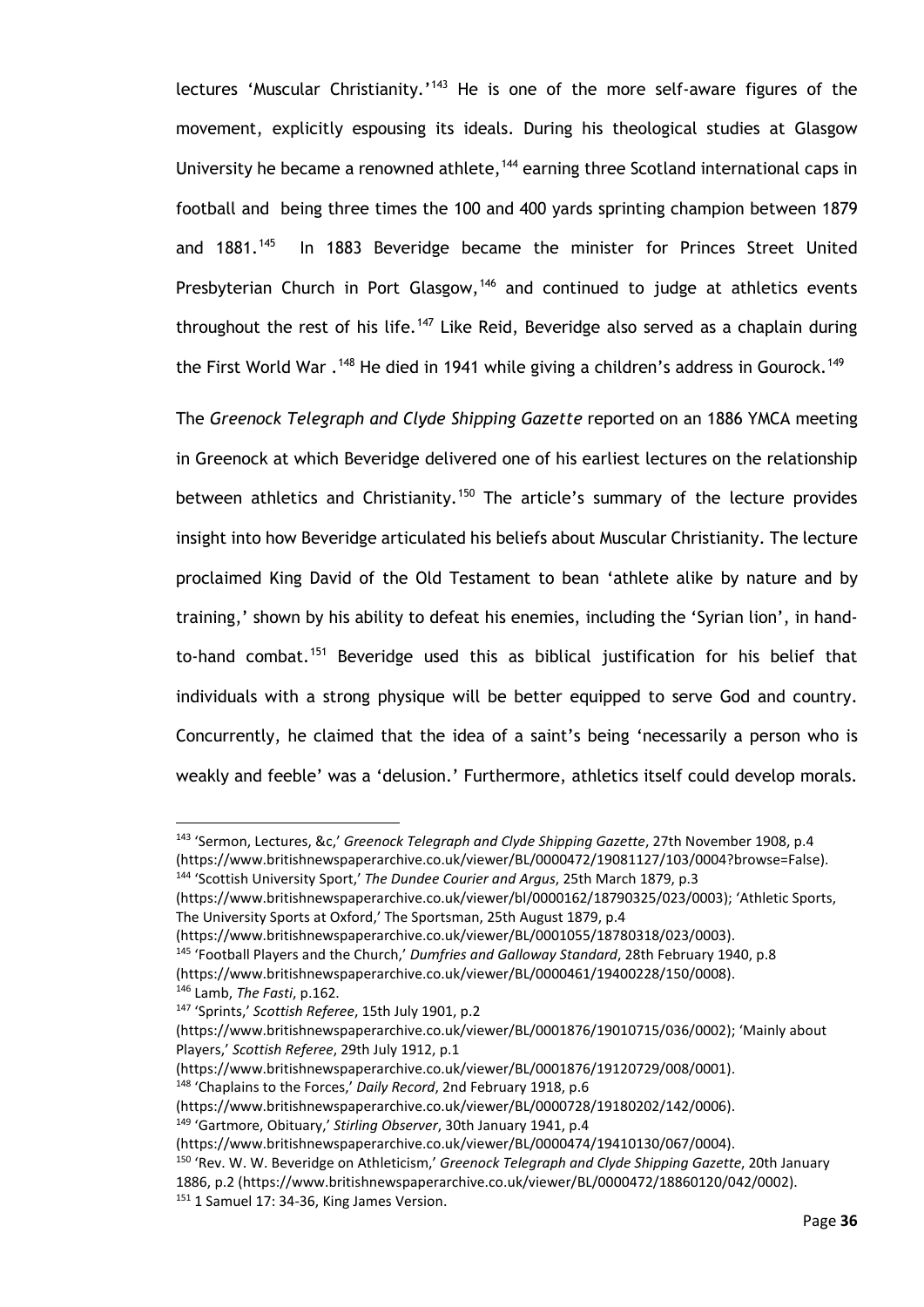lectures 'Muscular Christianity.'<sup>[143](#page-41-0)</sup> He is one of the more self-aware figures of the movement, explicitly espousing its ideals. During his theological studies at Glasgow University he became a renowned athlete,<sup>[144](#page-41-1)</sup> earning three Scotland international caps in football and being three times the 100 and 400 yards sprinting champion between 1879 and 1881.<sup>145</sup> In 1883 Beveridge became the minister for Princes Street United Presbyterian Church in Port Glasgow,<sup>[146](#page-41-3)</sup> and continued to judge at athletics events throughout the rest of his life.<sup>[147](#page-41-4)</sup> Like Reid, Beveridge also served as a chaplain during the First World War .<sup>[148](#page-41-5)</sup> He died in 1941 while giving a children's address in Gourock.<sup>[149](#page-41-6)</sup>

The *Greenock Telegraph and Clyde Shipping Gazette* reported on an 1886 YMCA meeting in Greenock at which Beveridge delivered one of his earliest lectures on the relationship between athletics and Christianity.<sup>[150](#page-41-7)</sup> The article's summary of the lecture provides insight into how Beveridge articulated his beliefs about Muscular Christianity. The lecture proclaimed King David of the Old Testament to bean 'athlete alike by nature and by training,' shown by his ability to defeat his enemies, including the 'Syrian lion', in hand-to-hand combat.<sup>[151](#page-41-8)</sup> Beveridge used this as biblical justification for his belief that individuals with a strong physique will be better equipped to serve God and country. Concurrently, he claimed that the idea of a saint's being 'necessarily a person who is weakly and feeble' was a 'delusion.' Furthermore, athletics itself could develop morals.

<span id="page-41-0"></span><sup>143</sup> 'Sermon, Lectures, &c,' *Greenock Telegraph and Clyde Shipping Gazette*, 27th November 1908, p.4 (https://www.britishnewspaperarchive.co.uk/viewer/BL/0000472/19081127/103/0004?browse=False). <sup>144</sup> 'Scottish University Sport,' *The Dundee Courier and Argus*, 25th March 1879, p.3

<span id="page-41-1"></span><sup>(</sup>https://www.britishnewspaperarchive.co.uk/viewer/bl/0000162/18790325/023/0003); 'Athletic Sports, The University Sports at Oxford,' The Sportsman, 25th August 1879, p.4

<span id="page-41-2"></span><sup>(</sup>https://www.britishnewspaperarchive.co.uk/viewer/BL/0001055/18780318/023/0003).

<sup>145</sup> 'Football Players and the Church,' *Dumfries and Galloway Standard*, 28th February 1940, p.8 (https://www.britishnewspaperarchive.co.uk/viewer/BL/0000461/19400228/150/0008).

<span id="page-41-3"></span><sup>146</sup> Lamb, *The Fasti*, p.162. <sup>147</sup> 'Sprints,' *Scottish Referee*, 15th July 1901, p.2

<span id="page-41-4"></span><sup>(</sup>https://www.britishnewspaperarchive.co.uk/viewer/BL/0001876/19010715/036/0002); 'Mainly about Players,' *Scottish Referee*, 29th July 1912, p.1

<sup>(</sup>https://www.britishnewspaperarchive.co.uk/viewer/BL/0001876/19120729/008/0001).

<span id="page-41-5"></span><sup>148</sup> 'Chaplains to the Forces,' *Daily Record*, 2nd February 1918, p.6

<sup>(</sup>https://www.britishnewspaperarchive.co.uk/viewer/BL/0000728/19180202/142/0006).

<span id="page-41-6"></span><sup>149</sup> 'Gartmore, Obituary,' *Stirling Observer*, 30th January 1941, p.4

<sup>(</sup>https://www.britishnewspaperarchive.co.uk/viewer/BL/0000474/19410130/067/0004).

<span id="page-41-8"></span><span id="page-41-7"></span><sup>150</sup> 'Rev. W. W. Beveridge on Athleticism,' *Greenock Telegraph and Clyde Shipping Gazette*, 20th January 1886, p.2 (https://www.britishnewspaperarchive.co.uk/viewer/BL/0000472/18860120/042/0002). <sup>151</sup> 1 Samuel 17: 34-36, King James Version.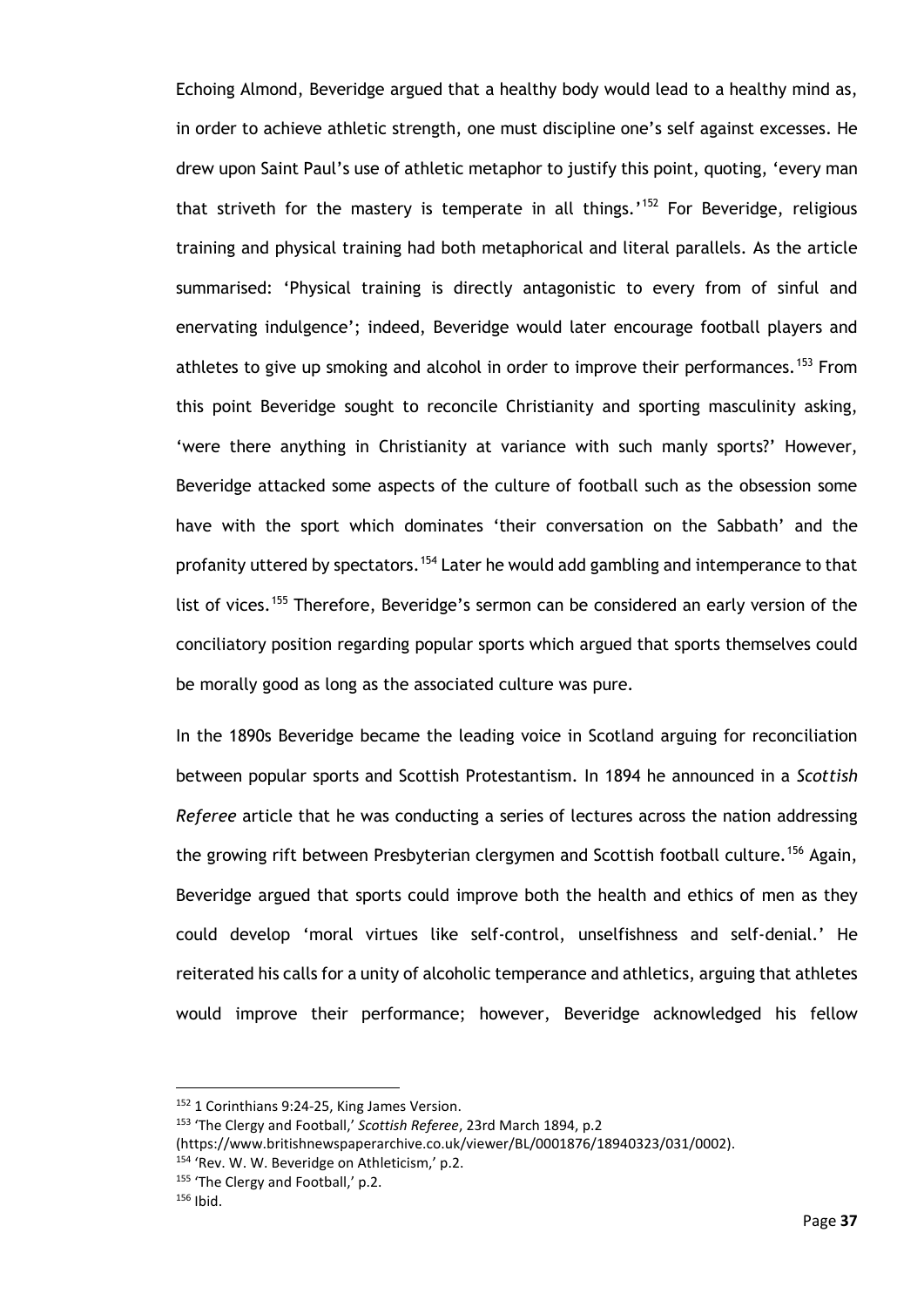Echoing Almond, Beveridge argued that a healthy body would lead to a healthy mind as, in order to achieve athletic strength, one must discipline one's self against excesses. He drew upon Saint Paul's use of athletic metaphor to justify this point, quoting, 'every man that striveth for the mastery is temperate in all things.'<sup>[152](#page-42-0)</sup> For Beveridge, religious training and physical training had both metaphorical and literal parallels. As the article summarised: 'Physical training is directly antagonistic to every from of sinful and enervating indulgence'; indeed, Beveridge would later encourage football players and athletes to give up smoking and alcohol in order to improve their performances.<sup>[153](#page-42-1)</sup> From this point Beveridge sought to reconcile Christianity and sporting masculinity asking, 'were there anything in Christianity at variance with such manly sports?' However, Beveridge attacked some aspects of the culture of football such as the obsession some have with the sport which dominates 'their conversation on the Sabbath' and the profanity uttered by spectators.<sup>[154](#page-42-2)</sup> Later he would add gambling and intemperance to that list of vices.<sup>[155](#page-42-3)</sup> Therefore, Beveridge's sermon can be considered an early version of the conciliatory position regarding popular sports which argued that sports themselves could be morally good as long as the associated culture was pure.

In the 1890s Beveridge became the leading voice in Scotland arguing for reconciliation between popular sports and Scottish Protestantism. In 1894 he announced in a *Scottish Referee* article that he was conducting a series of lectures across the nation addressing the growing rift between Presbyterian clergymen and Scottish football culture.<sup>[156](#page-42-4)</sup> Again, Beveridge argued that sports could improve both the health and ethics of men as they could develop 'moral virtues like self-control, unselfishness and self-denial.' He reiterated his calls for a unity of alcoholic temperance and athletics, arguing that athletes would improve their performance; however, Beveridge acknowledged his fellow

<span id="page-42-3"></span>155 'The Clergy and Football,' p.2.

<span id="page-42-0"></span><sup>152</sup> 1 Corinthians 9:24-25, King James Version.

<span id="page-42-1"></span><sup>153</sup> 'The Clergy and Football,' *Scottish Referee*, 23rd March 1894, p.2

<sup>(</sup>https://www.britishnewspaperarchive.co.uk/viewer/BL/0001876/18940323/031/0002).

<span id="page-42-2"></span><sup>154</sup> 'Rev. W. W. Beveridge on Athleticism,' p.2.

<span id="page-42-4"></span> $156$  Ibid.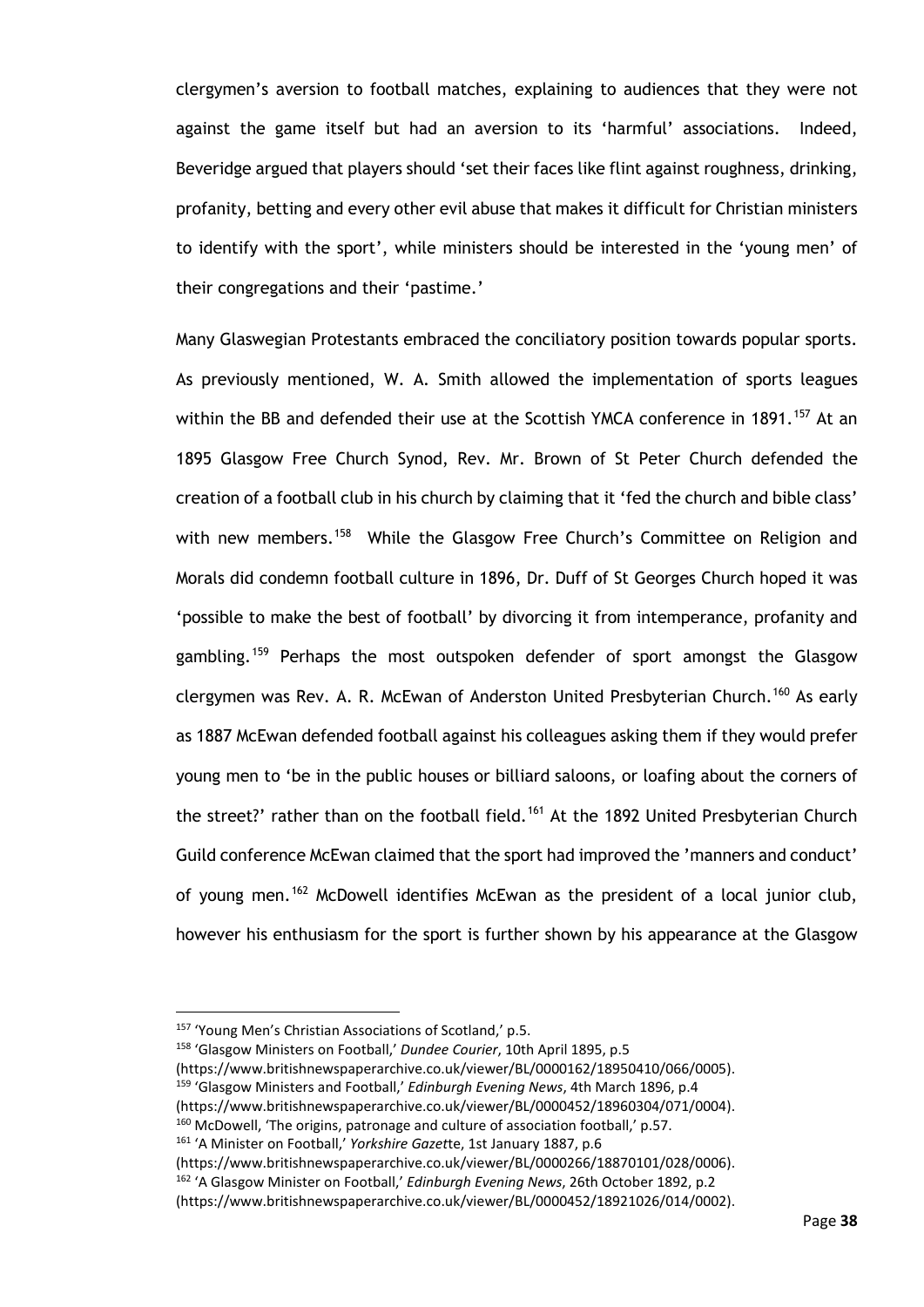clergymen's aversion to football matches, explaining to audiences that they were not against the game itself but had an aversion to its 'harmful' associations. Indeed, Beveridge argued that players should 'set their faces like flint against roughness, drinking, profanity, betting and every other evil abuse that makes it difficult for Christian ministers to identify with the sport', while ministers should be interested in the 'young men' of their congregations and their 'pastime.'

Many Glaswegian Protestants embraced the conciliatory position towards popular sports. As previously mentioned, W. A. Smith allowed the implementation of sports leagues within the BB and defended their use at the Scottish YMCA conference in 1891.<sup>[157](#page-43-0)</sup> At an 1895 Glasgow Free Church Synod, Rev. Mr. Brown of St Peter Church defended the creation of a football club in his church by claiming that it 'fed the church and bible class' with new members.<sup>[158](#page-43-1)</sup> While the Glasgow Free Church's Committee on Religion and Morals did condemn football culture in 1896, Dr. Duff of St Georges Church hoped it was 'possible to make the best of football' by divorcing it from intemperance, profanity and gambling.<sup>[159](#page-43-2)</sup> Perhaps the most outspoken defender of sport amongst the Glasgow clergymen was Rev. A. R. McEwan of Anderston United Presbyterian Church.<sup>[160](#page-43-3)</sup> As early as 1887 McEwan defended football against his colleagues asking them if they would prefer young men to 'be in the public houses or billiard saloons, or loafing about the corners of the street?' rather than on the football field.<sup>[161](#page-43-4)</sup> At the 1892 United Presbyterian Church Guild conference McEwan claimed that the sport had improved the 'manners and conduct' of young men.<sup>[162](#page-43-5)</sup> McDowell identifies McEwan as the president of a local junior club, however his enthusiasm for the sport is further shown by his appearance at the Glasgow

<span id="page-43-1"></span><sup>158</sup> 'Glasgow Ministers on Football,' *Dundee Courier*, 10th April 1895, p.5

(https://www.britishnewspaperarchive.co.uk/viewer/BL/0000162/18950410/066/0005).

<span id="page-43-2"></span><sup>159</sup> 'Glasgow Ministers and Football,' *Edinburgh Evening News*, 4th March 1896, p.4

(https://www.britishnewspaperarchive.co.uk/viewer/BL/0000452/18960304/071/0004).

(https://www.britishnewspaperarchive.co.uk/viewer/BL/0000266/18870101/028/0006).

<span id="page-43-0"></span><sup>157</sup> 'Young Men's Christian Associations of Scotland,' p.5.

<span id="page-43-3"></span><sup>&</sup>lt;sup>160</sup> McDowell, 'The origins, patronage and culture of association football,' p.57.

<span id="page-43-4"></span><sup>161</sup> 'A Minister on Football,' *Yorkshire Gazet*te, 1st January 1887, p.6

<span id="page-43-5"></span><sup>162</sup> 'A Glasgow Minister on Football,' *Edinburgh Evening News*, 26th October 1892, p.2

<sup>(</sup>https://www.britishnewspaperarchive.co.uk/viewer/BL/0000452/18921026/014/0002).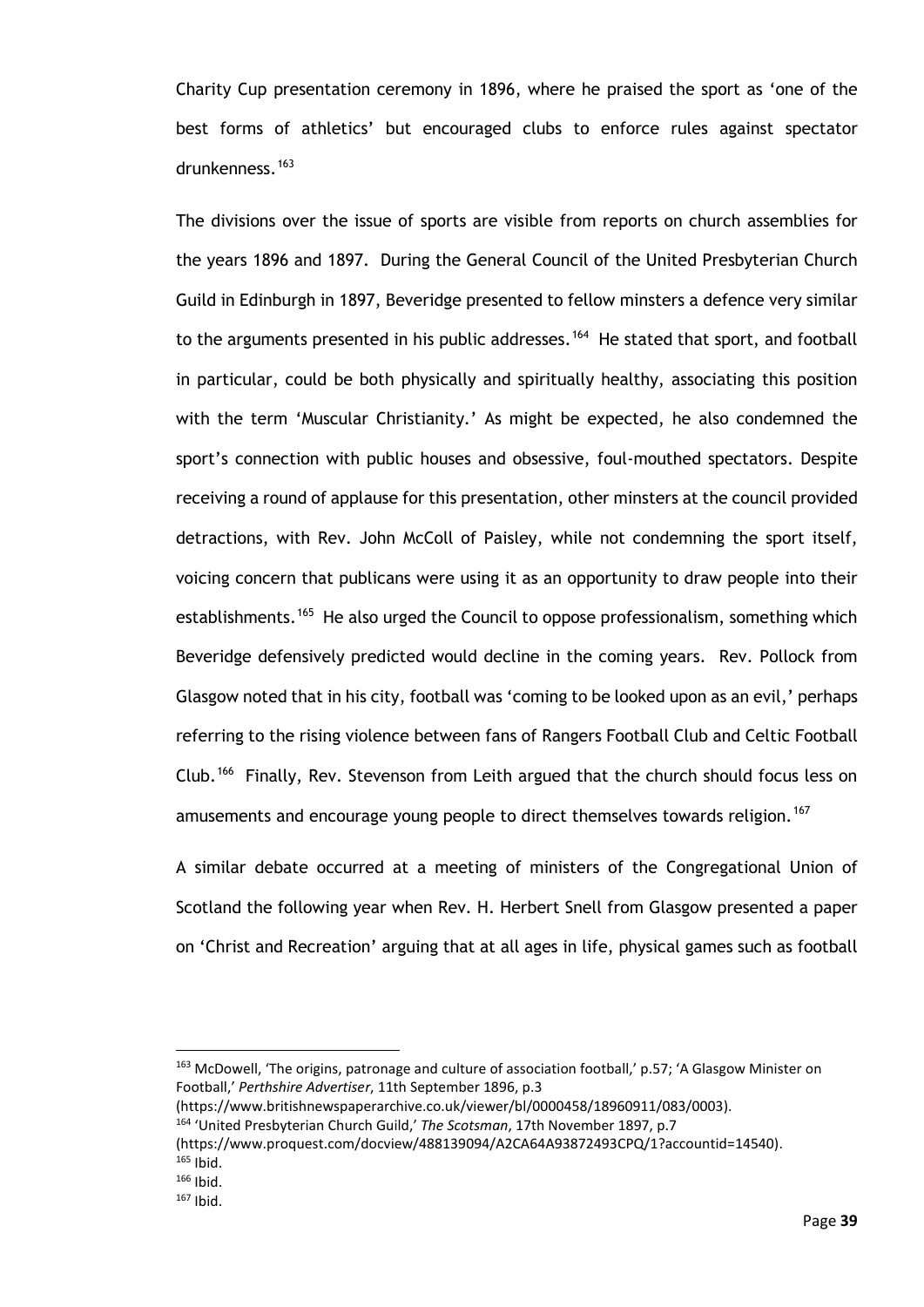Charity Cup presentation ceremony in 1896, where he praised the sport as 'one of the best forms of athletics' but encouraged clubs to enforce rules against spectator drunkenness.[163](#page-44-0)

The divisions over the issue of sports are visible from reports on church assemblies for the years 1896 and 1897. During the General Council of the United Presbyterian Church Guild in Edinburgh in 1897, Beveridge presented to fellow minsters a defence very similar to the arguments presented in his public addresses.<sup>[164](#page-44-1)</sup> He stated that sport, and football in particular, could be both physically and spiritually healthy, associating this position with the term 'Muscular Christianity.' As might be expected, he also condemned the sport's connection with public houses and obsessive, foul-mouthed spectators. Despite receiving a round of applause for this presentation, other minsters at the council provided detractions, with Rev. John McColl of Paisley, while not condemning the sport itself, voicing concern that publicans were using it as an opportunity to draw people into their establishments.<sup>[165](#page-44-2)</sup> He also urged the Council to oppose professionalism, something which Beveridge defensively predicted would decline in the coming years. Rev. Pollock from Glasgow noted that in his city, football was 'coming to be looked upon as an evil,' perhaps referring to the rising violence between fans of Rangers Football Club and Celtic Football Club.[166](#page-44-3) Finally, Rev. Stevenson from Leith argued that the church should focus less on amusements and encourage young people to direct themselves towards religion.<sup>[167](#page-44-4)</sup>

A similar debate occurred at a meeting of ministers of the Congregational Union of Scotland the following year when Rev. H. Herbert Snell from Glasgow presented a paper on 'Christ and Recreation' arguing that at all ages in life, physical games such as football

<span id="page-44-0"></span><sup>&</sup>lt;sup>163</sup> McDowell, 'The origins, patronage and culture of association football,' p.57; 'A Glasgow Minister on Football,' *Perthshire Advertiser*, 11th September 1896, p.3

<sup>(</sup>https://www.britishnewspaperarchive.co.uk/viewer/bl/0000458/18960911/083/0003).

<span id="page-44-1"></span><sup>164</sup> 'United Presbyterian Church Guild,' *The Scotsman*, 17th November 1897, p.7

<sup>(</sup>https://www.proquest.com/docview/488139094/A2CA64A93872493CPQ/1?accountid=14540).  $165$  Ibid.

<span id="page-44-4"></span><span id="page-44-3"></span><span id="page-44-2"></span> $166$  Ibid.

 $167$  Ibid.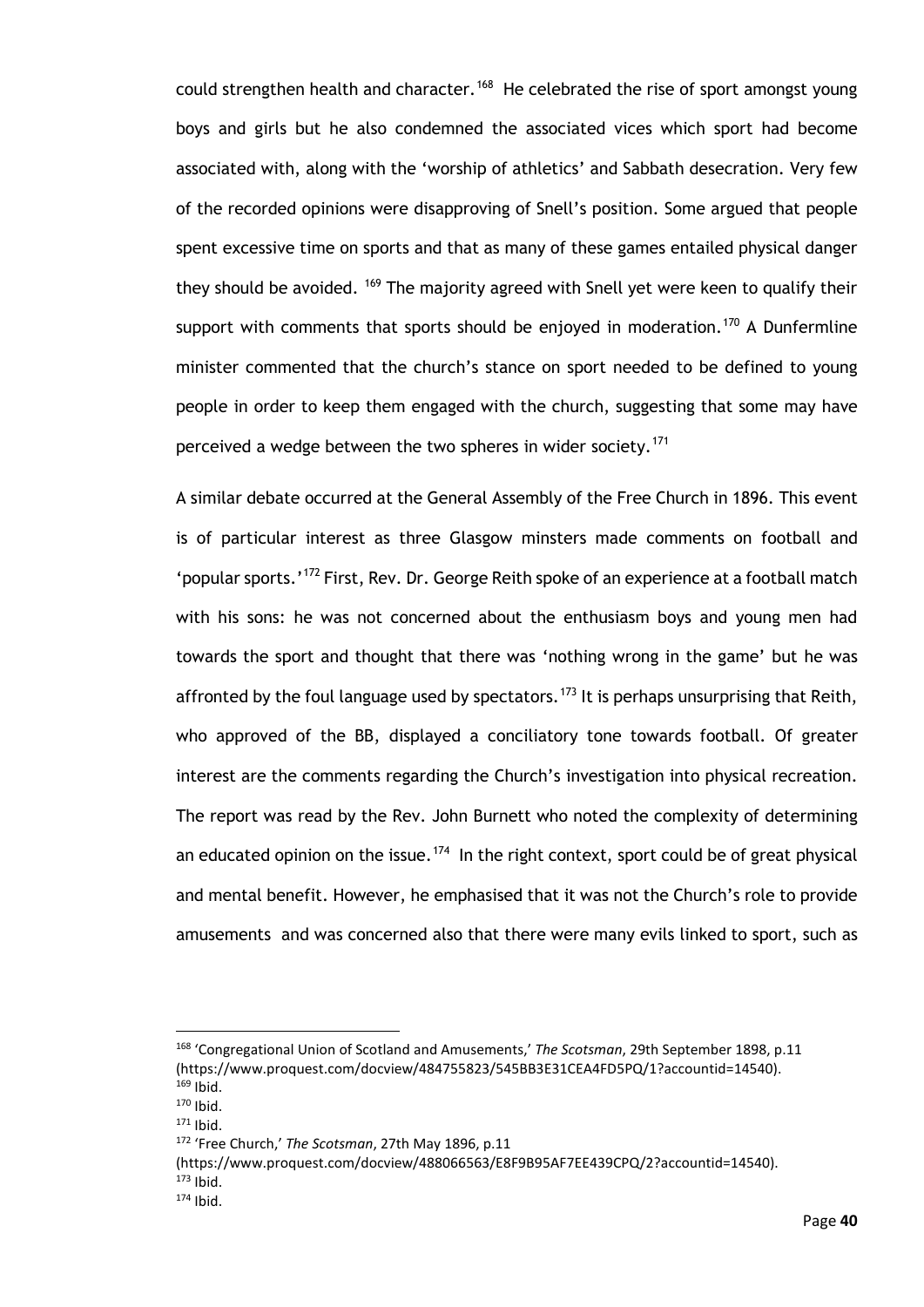could strengthen health and character.<sup>[168](#page-45-0)</sup> He celebrated the rise of sport amongst young boys and girls but he also condemned the associated vices which sport had become associated with, along with the 'worship of athletics' and Sabbath desecration. Very few of the recorded opinions were disapproving of Snell's position. Some argued that people spent excessive time on sports and that as many of these games entailed physical danger they should be avoided. <sup>[169](#page-45-1)</sup> The majority agreed with Snell yet were keen to qualify their support with comments that sports should be enjoyed in moderation.<sup>[170](#page-45-2)</sup> A Dunfermline minister commented that the church's stance on sport needed to be defined to young people in order to keep them engaged with the church, suggesting that some may have perceived a wedge between the two spheres in wider society.<sup>[171](#page-45-3)</sup>

A similar debate occurred at the General Assembly of the Free Church in 1896. This event is of particular interest as three Glasgow minsters made comments on football and 'popular sports.'<sup>[172](#page-45-4)</sup> First, Rev. Dr. George Reith spoke of an experience at a football match with his sons: he was not concerned about the enthusiasm boys and young men had towards the sport and thought that there was 'nothing wrong in the game' but he was affronted by the foul language used by spectators.<sup>[173](#page-45-5)</sup> It is perhaps unsurprising that Reith, who approved of the BB, displayed a conciliatory tone towards football. Of greater interest are the comments regarding the Church's investigation into physical recreation. The report was read by the Rev. John Burnett who noted the complexity of determining an educated opinion on the issue.<sup>174</sup> In the right context, sport could be of great physical and mental benefit. However, he emphasised that it was not the Church's role to provide amusements and was concerned also that there were many evils linked to sport, such as

(https://www.proquest.com/docview/488066563/E8F9B95AF7EE439CPQ/2?accountid=14540).

<span id="page-45-0"></span><sup>168</sup> 'Congregational Union of Scotland and Amusements,' *The Scotsman*, 29th September 1898, p.11 (https://www.proquest.com/docview/484755823/545BB3E31CEA4FD5PQ/1?accountid=14540).  $169$  Ibid.

<span id="page-45-2"></span><span id="page-45-1"></span> $170$  Ibid.

 $171$  Ibid.

<span id="page-45-4"></span><span id="page-45-3"></span><sup>172</sup> 'Free Church,' *The Scotsman*, 27th May 1896, p.11

 $173$  Ibid.

<span id="page-45-6"></span><span id="page-45-5"></span> $174$  Ibid.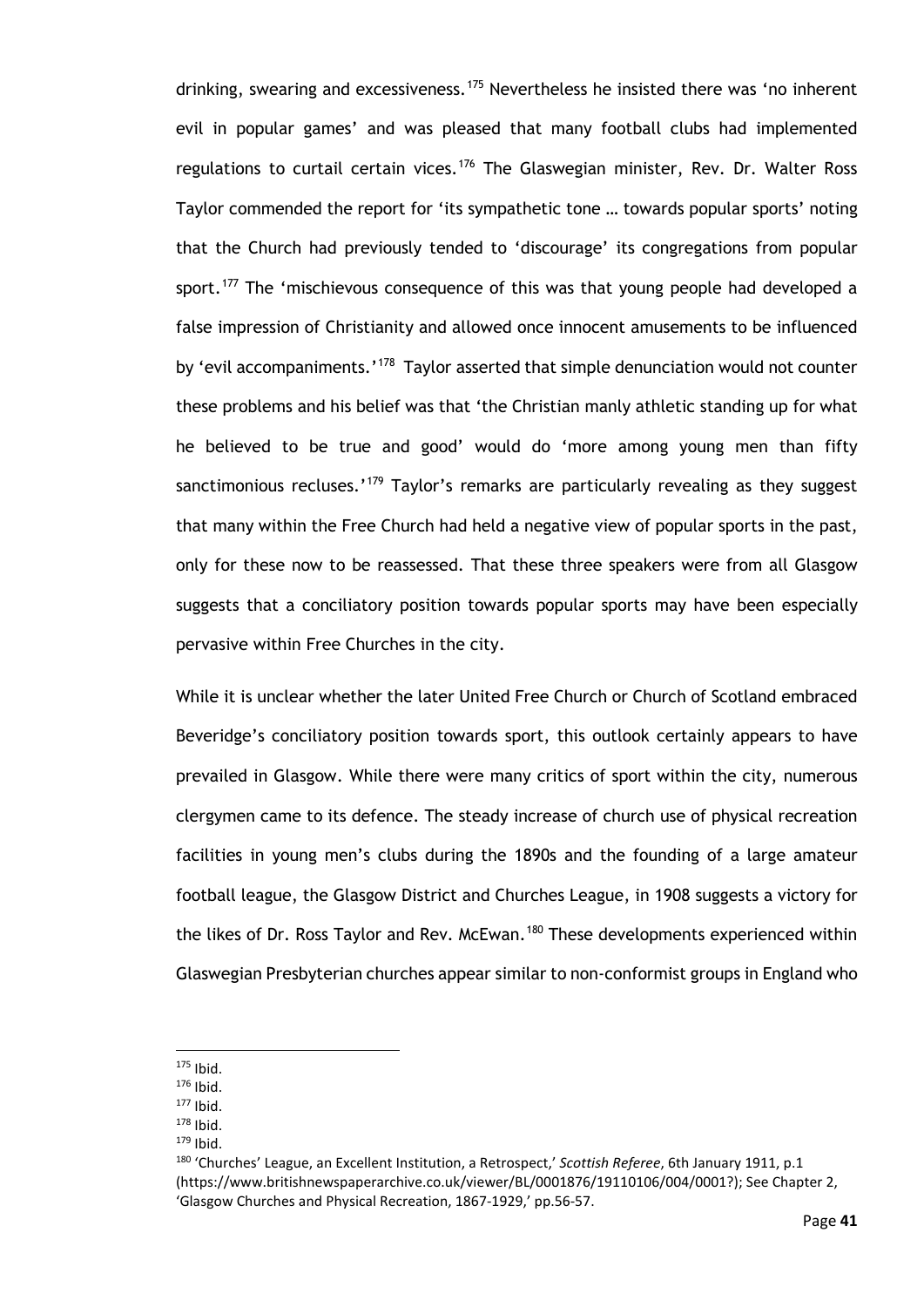drinking, swearing and excessiveness.<sup>[175](#page-46-0)</sup> Nevertheless he insisted there was 'no inherent evil in popular games' and was pleased that many football clubs had implemented regulations to curtail certain vices.<sup>[176](#page-46-1)</sup> The Glaswegian minister, Rev. Dr. Walter Ross Taylor commended the report for 'its sympathetic tone … towards popular sports' noting that the Church had previously tended to 'discourage' its congregations from popular sport.<sup>[177](#page-46-2)</sup> The 'mischievous consequence of this was that young people had developed a false impression of Christianity and allowed once innocent amusements to be influenced by 'evil accompaniments.'<sup>178</sup> Taylor asserted that simple denunciation would not counter these problems and his belief was that 'the Christian manly athletic standing up for what he believed to be true and good' would do 'more among young men than fifty sanctimonious recluses.'<sup>[179](#page-46-4)</sup> Taylor's remarks are particularly revealing as they suggest that many within the Free Church had held a negative view of popular sports in the past, only for these now to be reassessed. That these three speakers were from all Glasgow suggests that a conciliatory position towards popular sports may have been especially pervasive within Free Churches in the city.

While it is unclear whether the later United Free Church or Church of Scotland embraced Beveridge's conciliatory position towards sport, this outlook certainly appears to have prevailed in Glasgow. While there were many critics of sport within the city, numerous clergymen came to its defence. The steady increase of church use of physical recreation facilities in young men's clubs during the 1890s and the founding of a large amateur football league, the Glasgow District and Churches League, in 1908 suggests a victory for the likes of Dr. Ross Taylor and Rev. McEwan.<sup>[180](#page-46-5)</sup> These developments experienced within Glaswegian Presbyterian churches appear similar to non-conformist groups in England who

<span id="page-46-0"></span> $175$  Ibid.

<span id="page-46-1"></span> $176$  Ibid.

<span id="page-46-2"></span><sup>177</sup> Ibid.

<span id="page-46-3"></span> $178$  Ibid.

 $179$  Ibid.

<span id="page-46-5"></span><span id="page-46-4"></span><sup>180</sup> 'Churches' League, an Excellent Institution, a Retrospect,' *Scottish Referee*, 6th January 1911, p.1 (https://www.britishnewspaperarchive.co.uk/viewer/BL/0001876/19110106/004/0001?); See Chapter 2, 'Glasgow Churches and Physical Recreation, 1867-1929,' pp.56-57.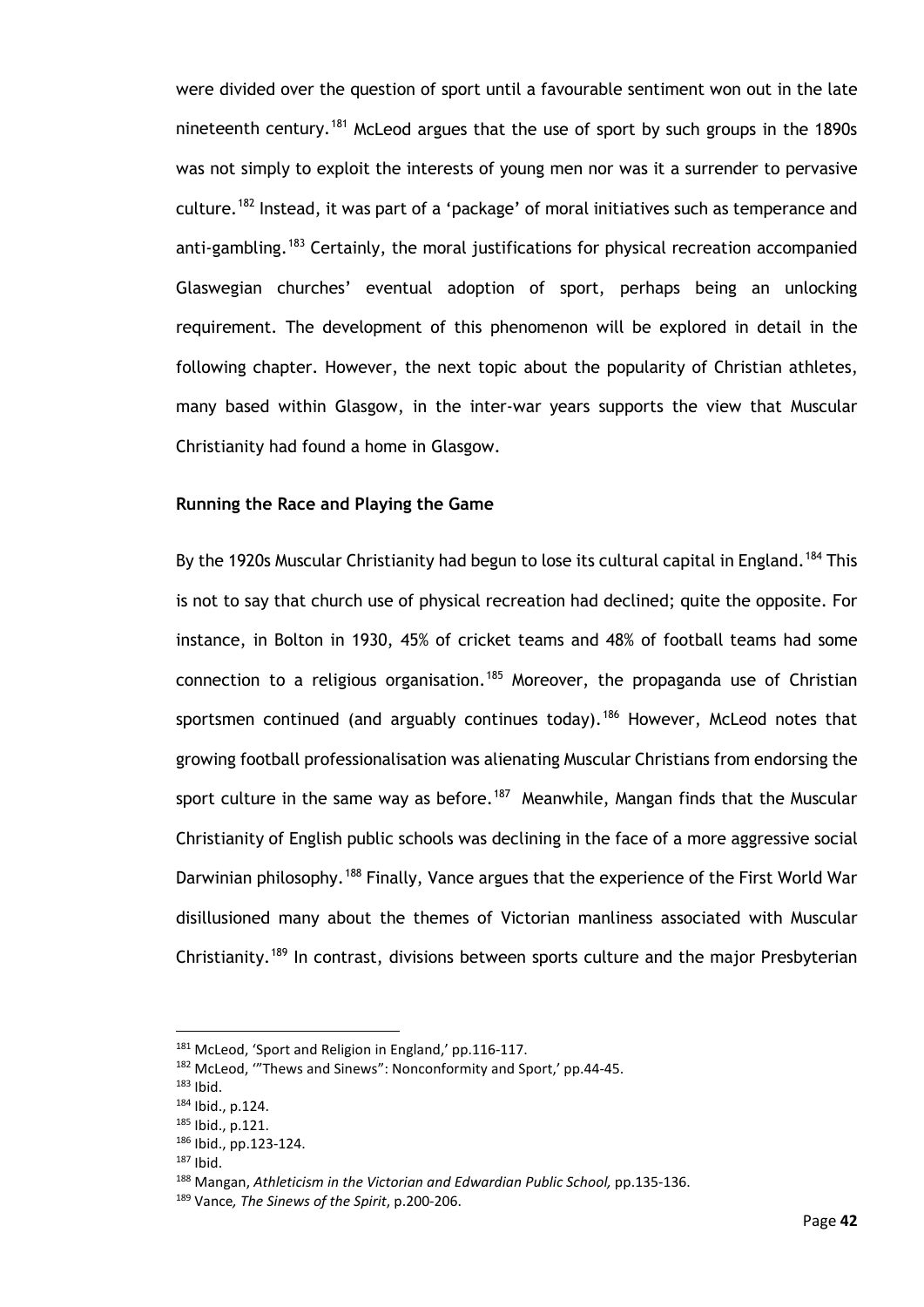were divided over the question of sport until a favourable sentiment won out in the late nineteenth century.<sup>[181](#page-47-0)</sup> McLeod argues that the use of sport by such groups in the 1890s was not simply to exploit the interests of young men nor was it a surrender to pervasive culture.<sup>[182](#page-47-1)</sup> Instead, it was part of a 'package' of moral initiatives such as temperance and anti-gambling.<sup>[183](#page-47-2)</sup> Certainly, the moral justifications for physical recreation accompanied Glaswegian churches' eventual adoption of sport, perhaps being an unlocking requirement. The development of this phenomenon will be explored in detail in the following chapter. However, the next topic about the popularity of Christian athletes, many based within Glasgow, in the inter-war years supports the view that Muscular Christianity had found a home in Glasgow.

#### **Running the Race and Playing the Game**

By the 1920s Muscular Christianity had begun to lose its cultural capital in England.<sup>[184](#page-47-3)</sup> This is not to say that church use of physical recreation had declined; quite the opposite. For instance, in Bolton in 1930, 45% of cricket teams and 48% of football teams had some connection to a religious organisation.<sup>[185](#page-47-4)</sup> Moreover, the propaganda use of Christian sportsmen continued (and arguably continues today).<sup>[186](#page-47-5)</sup> However, McLeod notes that growing football professionalisation was alienating Muscular Christians from endorsing the sport culture in the same way as before.<sup>187</sup> Meanwhile, Mangan finds that the Muscular Christianity of English public schools was declining in the face of a more aggressive social Darwinian philosophy.<sup>[188](#page-47-7)</sup> Finally, Vance argues that the experience of the First World War disillusioned many about the themes of Victorian manliness associated with Muscular Christianity.<sup>[189](#page-47-8)</sup> In contrast, divisions between sports culture and the major Presbyterian

<span id="page-47-0"></span><sup>181</sup> McLeod, 'Sport and Religion in England,' pp.116-117.

<span id="page-47-1"></span><sup>182</sup> McLeod, '"Thews and Sinews": Nonconformity and Sport,' pp.44-45.

<span id="page-47-2"></span> $183$  Ibid.

<span id="page-47-3"></span><sup>184</sup> Ibid., p.124.

<span id="page-47-4"></span><sup>185</sup> Ibid., p.121.

<span id="page-47-5"></span><sup>186</sup> Ibid., pp.123-124.

<span id="page-47-6"></span> $187$  Ibid.

<span id="page-47-7"></span><sup>188</sup> Mangan, *Athleticism in the Victorian and Edwardian Public School,* pp.135-136.

<span id="page-47-8"></span><sup>189</sup> Vance*, The Sinews of the Spirit*, p.200-206.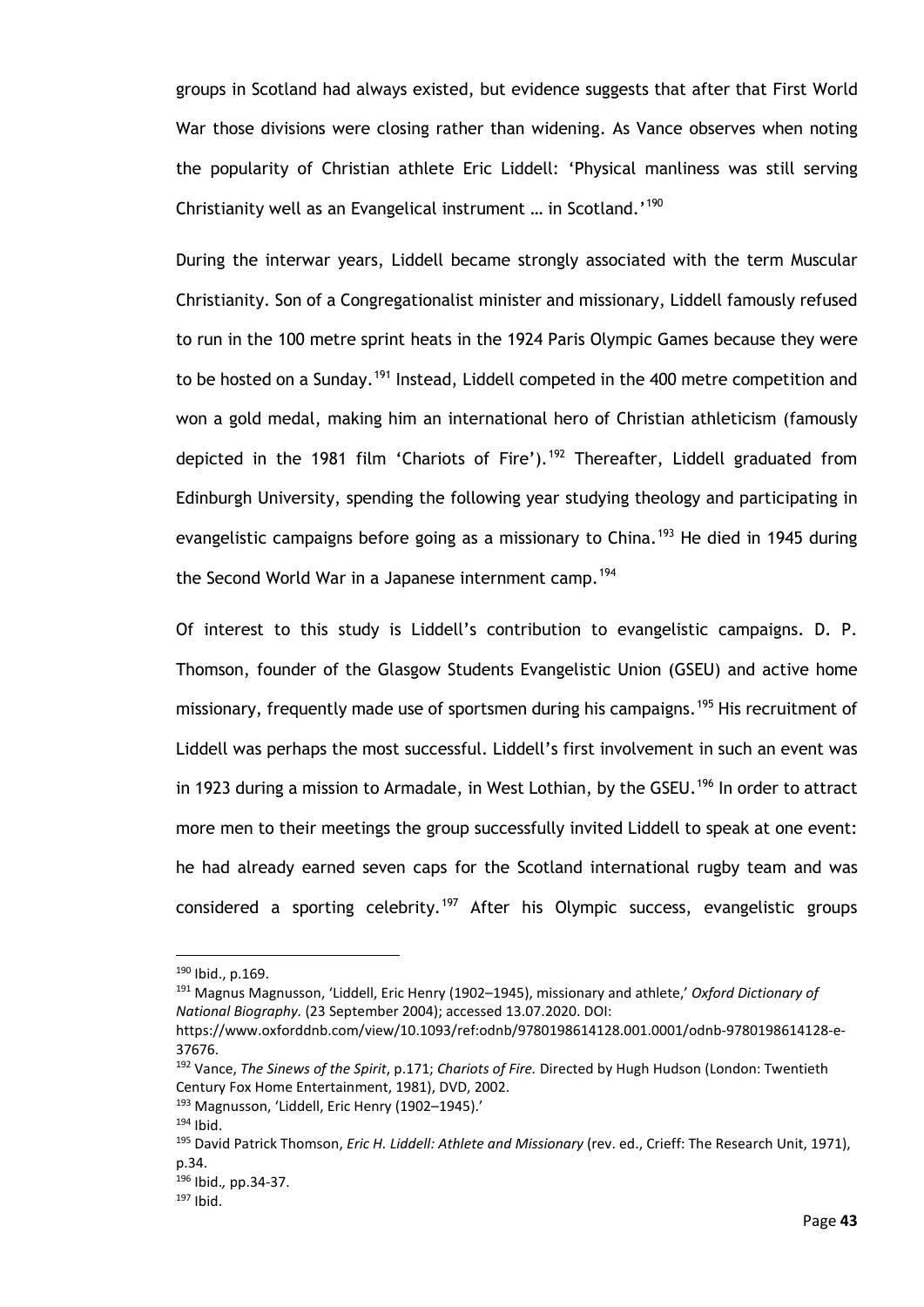groups in Scotland had always existed, but evidence suggests that after that First World War those divisions were closing rather than widening. As Vance observes when noting the popularity of Christian athlete Eric Liddell: 'Physical manliness was still serving Christianity well as an Evangelical instrument … in Scotland.' [190](#page-48-0)

During the interwar years, Liddell became strongly associated with the term Muscular Christianity. Son of a Congregationalist minister and missionary, Liddell famously refused to run in the 100 metre sprint heats in the 1924 Paris Olympic Games because they were to be hosted on a Sunday.<sup>[191](#page-48-1)</sup> Instead, Liddell competed in the 400 metre competition and won a gold medal, making him an international hero of Christian athleticism (famously depicted in the 1981 film 'Chariots of Fire').<sup>[192](#page-48-2)</sup> Thereafter, Liddell graduated from Edinburgh University, spending the following year studying theology and participating in evangelistic campaigns before going as a missionary to China.<sup>[193](#page-48-3)</sup> He died in 1945 during the Second World War in a Japanese internment camp.<sup>[194](#page-48-4)</sup>

Of interest to this study is Liddell's contribution to evangelistic campaigns. D. P. Thomson, founder of the Glasgow Students Evangelistic Union (GSEU) and active home missionary, frequently made use of sportsmen during his campaigns.<sup>[195](#page-48-5)</sup> His recruitment of Liddell was perhaps the most successful. Liddell's first involvement in such an event was in 1923 during a mission to Armadale, in West Lothian, by the GSEU.<sup>[196](#page-48-6)</sup> In order to attract more men to their meetings the group successfully invited Liddell to speak at one event: he had already earned seven caps for the Scotland international rugby team and was considered a sporting celebrity.<sup>[197](#page-48-7)</sup> After his Olympic success, evangelistic groups

<span id="page-48-1"></span><sup>191</sup> Magnus Magnusson, 'Liddell, Eric Henry (1902–1945), missionary and athlete,' *Oxford Dictionary of National Biography.* (23 September 2004); accessed 13.07.2020. DOI:

<span id="page-48-0"></span><sup>190</sup> Ibid., p.169.

https://www.oxforddnb.com/view/10.1093/ref:odnb/9780198614128.001.0001/odnb-9780198614128-e-37676.

<span id="page-48-2"></span><sup>192</sup> Vance, *The Sinews of the Spirit*, p.171; *Chariots of Fire.* Directed by Hugh Hudson (London: Twentieth Century Fox Home Entertainment, 1981), DVD, 2002.

<span id="page-48-3"></span><sup>193</sup> Magnusson, 'Liddell, Eric Henry (1902–1945).'

 $194$  Ibid.

<span id="page-48-5"></span><span id="page-48-4"></span><sup>195</sup> David Patrick Thomson, *Eric H. Liddell: Athlete and Missionary* (rev. ed., Crieff: The Research Unit, 1971), p.34.

<span id="page-48-6"></span><sup>196</sup> Ibid.*,* pp.34-37.

<span id="page-48-7"></span><sup>197</sup> Ibid.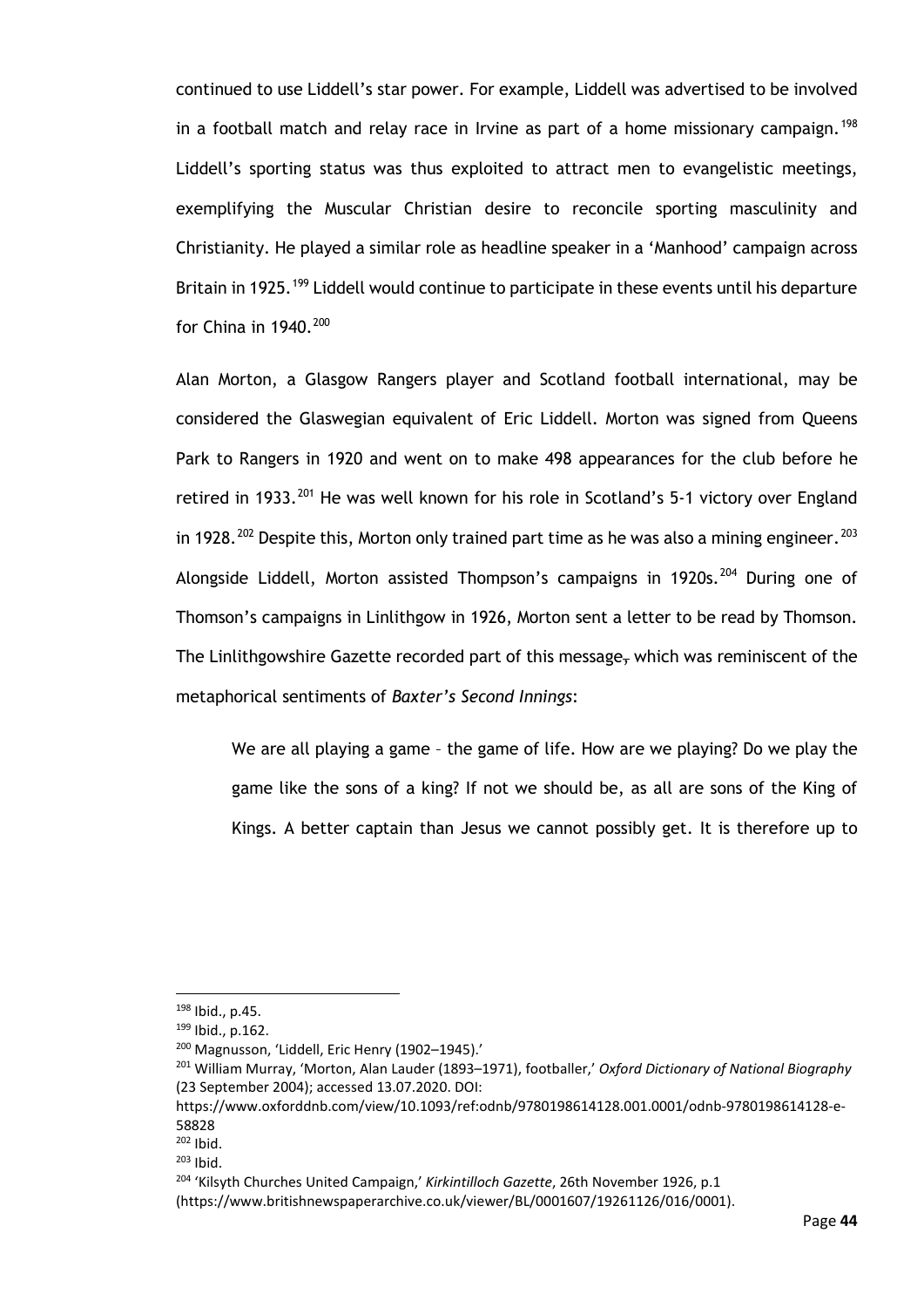continued to use Liddell's star power. For example, Liddell was advertised to be involved in a football match and relay race in Irvine as part of a home missionary campaign.<sup>[198](#page-49-0)</sup> Liddell's sporting status was thus exploited to attract men to evangelistic meetings, exemplifying the Muscular Christian desire to reconcile sporting masculinity and Christianity. He played a similar role as headline speaker in a 'Manhood' campaign across Britain in 1925.<sup>[199](#page-49-1)</sup> Liddell would continue to participate in these events until his departure for China in  $1940.<sup>200</sup>$  $1940.<sup>200</sup>$  $1940.<sup>200</sup>$ 

Alan Morton, a Glasgow Rangers player and Scotland football international, may be considered the Glaswegian equivalent of Eric Liddell. Morton was signed from Queens Park to Rangers in 1920 and went on to make 498 appearances for the club before he retired in 1933.<sup>[201](#page-49-3)</sup> He was well known for his role in Scotland's 5-1 victory over England in 1928.<sup>[202](#page-49-4)</sup> Despite this, Morton only trained part time as he was also a mining engineer.<sup>[203](#page-49-5)</sup> Alongside Liddell, Morton assisted Thompson's campaigns in 1920s.<sup>[204](#page-49-6)</sup> During one of Thomson's campaigns in Linlithgow in 1926, Morton sent a letter to be read by Thomson. The Linlithgowshire Gazette recorded part of this message, which was reminiscent of the metaphorical sentiments of *Baxter's Second Innings*:

We are all playing a game – the game of life. How are we playing? Do we play the game like the sons of a king? If not we should be, as all are sons of the King of Kings. A better captain than Jesus we cannot possibly get. It is therefore up to

<span id="page-49-0"></span><sup>198</sup> Ibid., p.45.

<span id="page-49-1"></span><sup>199</sup> Ibid., p.162.

<span id="page-49-2"></span><sup>200</sup> Magnusson, 'Liddell, Eric Henry (1902–1945).'

<span id="page-49-3"></span><sup>201</sup> William Murray, 'Morton, Alan Lauder (1893–1971), footballer,' *Oxford Dictionary of National Biography*  (23 September 2004); accessed 13.07.2020. DOI:

https://www.oxforddnb.com/view/10.1093/ref:odnb/9780198614128.001.0001/odnb-9780198614128-e-58828

<span id="page-49-4"></span> $202$  Ibid.

<span id="page-49-5"></span> $203$  Ibid.

<span id="page-49-6"></span><sup>204</sup> 'Kilsyth Churches United Campaign,' *Kirkintilloch Gazette*, 26th November 1926, p.1 (https://www.britishnewspaperarchive.co.uk/viewer/BL/0001607/19261126/016/0001).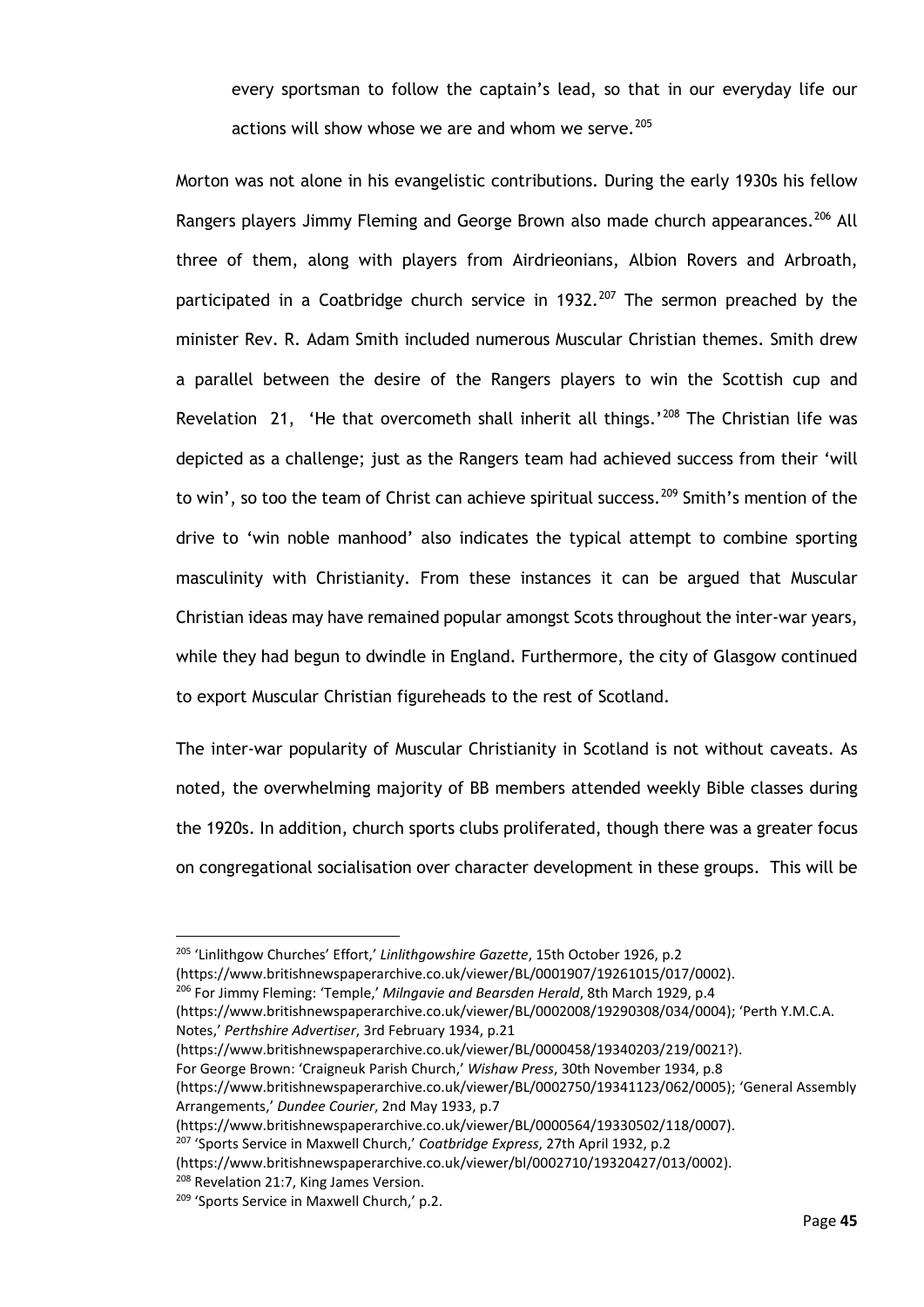every sportsman to follow the captain's lead, so that in our everyday life our actions will show whose we are and whom we serve.  $205$ 

Morton was not alone in his evangelistic contributions. During the early 1930s his fellow Rangers players Jimmy Fleming and George Brown also made church appearances.<sup>[206](#page-50-1)</sup> All three of them, along with players from Airdrieonians, Albion Rovers and Arbroath, participated in a Coatbridge church service in  $1932.^{207}$  $1932.^{207}$  $1932.^{207}$  The sermon preached by the minister Rev. R. Adam Smith included numerous Muscular Christian themes. Smith drew a parallel between the desire of the Rangers players to win the Scottish cup and Revelation 21, 'He that overcometh shall inherit all things.'<sup>[208](#page-50-3)</sup> The Christian life was depicted as a challenge; just as the Rangers team had achieved success from their 'will to win', so too the team of Christ can achieve spiritual success.<sup>[209](#page-50-4)</sup> Smith's mention of the drive to 'win noble manhood' also indicates the typical attempt to combine sporting masculinity with Christianity. From these instances it can be argued that Muscular Christian ideas may have remained popular amongst Scots throughout the inter-war years, while they had begun to dwindle in England. Furthermore, the city of Glasgow continued to export Muscular Christian figureheads to the rest of Scotland.

The inter-war popularity of Muscular Christianity in Scotland is not without caveats. As noted, the overwhelming majority of BB members attended weekly Bible classes during the 1920s. In addition, church sports clubs proliferated, though there was a greater focus on congregational socialisation over character development in these groups. This will be

<sup>205</sup> 'Linlithgow Churches' Effort,' *Linlithgowshire Gazette*, 15th October 1926, p.2

<span id="page-50-1"></span><span id="page-50-0"></span>(https://www.britishnewspaperarchive.co.uk/viewer/BL/0001907/19261015/017/0002).

<sup>206</sup> For Jimmy Fleming: 'Temple,' *Milngavie and Bearsden Herald*, 8th March 1929, p.4

(https://www.britishnewspaperarchive.co.uk/viewer/BL/0002008/19290308/034/0004); 'Perth Y.M.C.A. Notes,' *Perthshire Advertiser*, 3rd February 1934, p.21

(https://www.britishnewspaperarchive.co.uk/viewer/BL/0000458/19340203/219/0021?).

For George Brown: 'Craigneuk Parish Church,' *Wishaw Press*, 30th November 1934, p.8

(https://www.britishnewspaperarchive.co.uk/viewer/BL/0002750/19341123/062/0005); 'General Assembly Arrangements,' *Dundee Courier*, 2nd May 1933, p.7

(https://www.britishnewspaperarchive.co.uk/viewer/BL/0000564/19330502/118/0007).

<span id="page-50-2"></span><sup>207</sup> 'Sports Service in Maxwell Church,' *Coatbridge Express*, 27th April 1932, p.2

(https://www.britishnewspaperarchive.co.uk/viewer/bl/0002710/19320427/013/0002).

<span id="page-50-3"></span><sup>208</sup> Revelation 21:7, King James Version.

<span id="page-50-4"></span><sup>&</sup>lt;sup>209</sup> 'Sports Service in Maxwell Church,' p.2.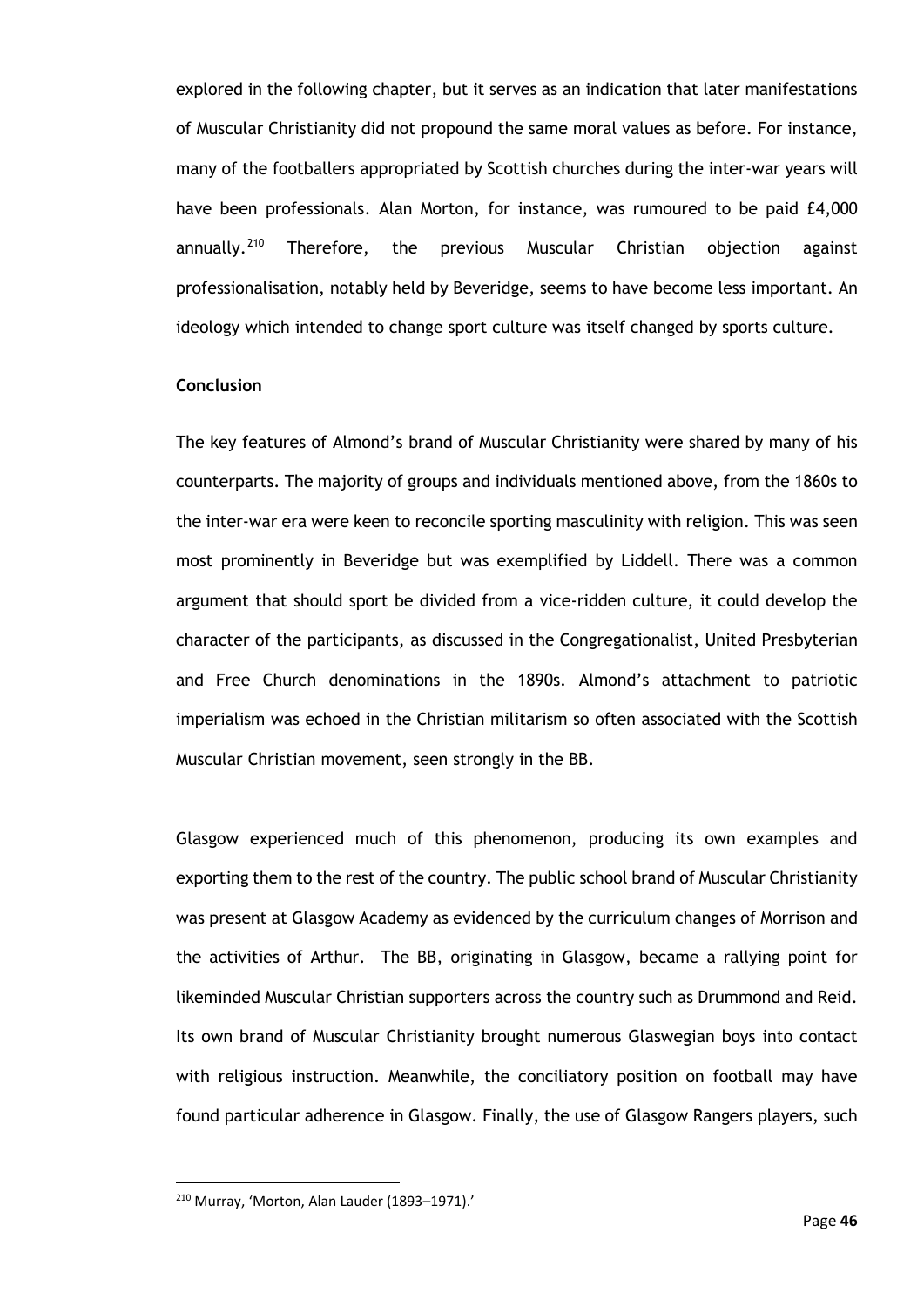explored in the following chapter, but it serves as an indication that later manifestations of Muscular Christianity did not propound the same moral values as before. For instance, many of the footballers appropriated by Scottish churches during the inter-war years will have been professionals. Alan Morton, for instance, was rumoured to be paid £4,000  $annually.<sup>210</sup>$  $annually.<sup>210</sup>$  $annually.<sup>210</sup>$  Therefore, the previous Muscular Christian objection against professionalisation, notably held by Beveridge, seems to have become less important. An ideology which intended to change sport culture was itself changed by sports culture.

## **Conclusion**

The key features of Almond's brand of Muscular Christianity were shared by many of his counterparts. The majority of groups and individuals mentioned above, from the 1860s to the inter-war era were keen to reconcile sporting masculinity with religion. This was seen most prominently in Beveridge but was exemplified by Liddell. There was a common argument that should sport be divided from a vice-ridden culture, it could develop the character of the participants, as discussed in the Congregationalist, United Presbyterian and Free Church denominations in the 1890s. Almond's attachment to patriotic imperialism was echoed in the Christian militarism so often associated with the Scottish Muscular Christian movement, seen strongly in the BB.

Glasgow experienced much of this phenomenon, producing its own examples and exporting them to the rest of the country. The public school brand of Muscular Christianity was present at Glasgow Academy as evidenced by the curriculum changes of Morrison and the activities of Arthur. The BB, originating in Glasgow, became a rallying point for likeminded Muscular Christian supporters across the country such as Drummond and Reid. Its own brand of Muscular Christianity brought numerous Glaswegian boys into contact with religious instruction. Meanwhile, the conciliatory position on football may have found particular adherence in Glasgow. Finally, the use of Glasgow Rangers players, such

<span id="page-51-0"></span><sup>210</sup> Murray, 'Morton, Alan Lauder (1893–1971).'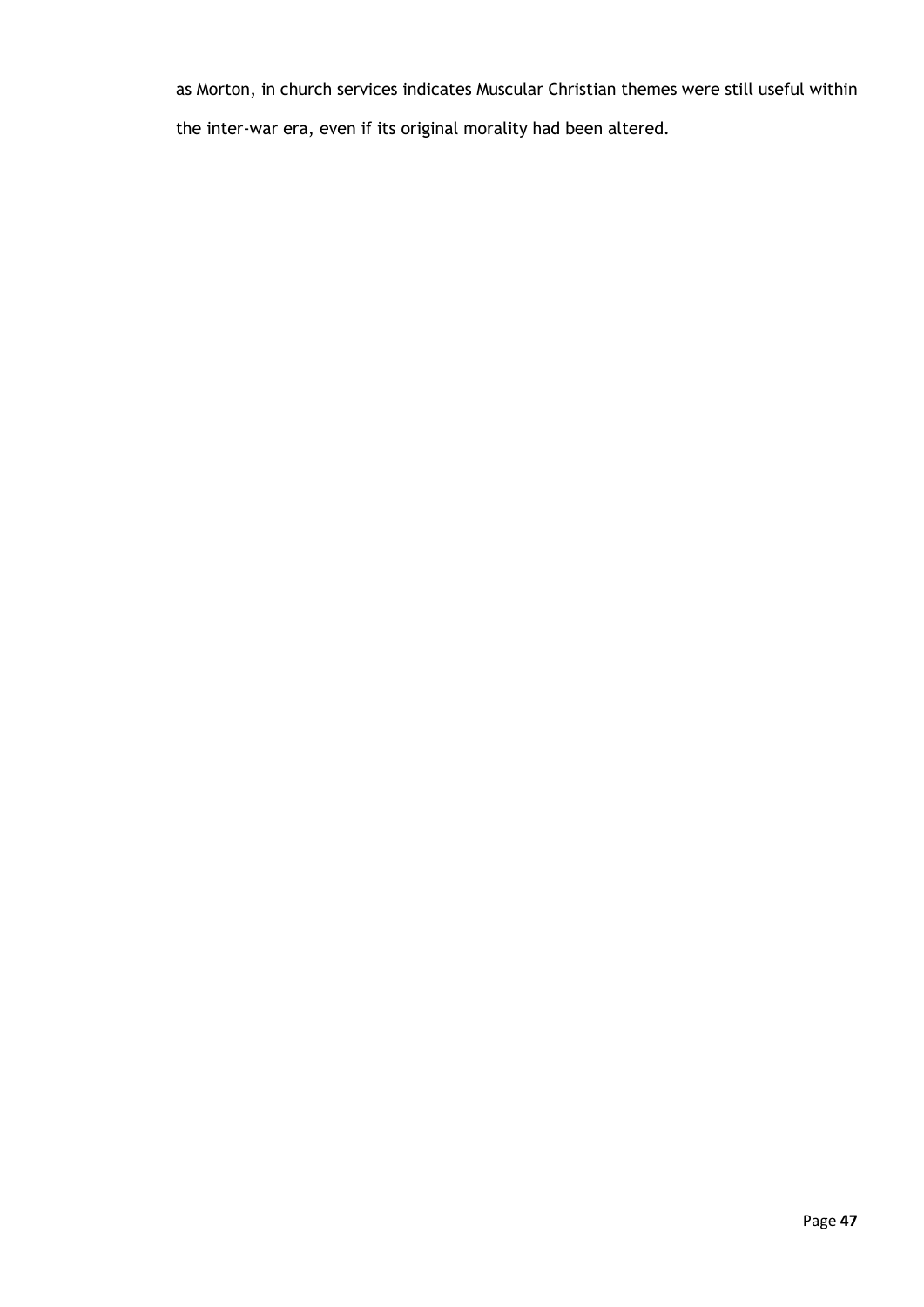as Morton, in church services indicates Muscular Christian themes were still useful within the inter-war era, even if its original morality had been altered.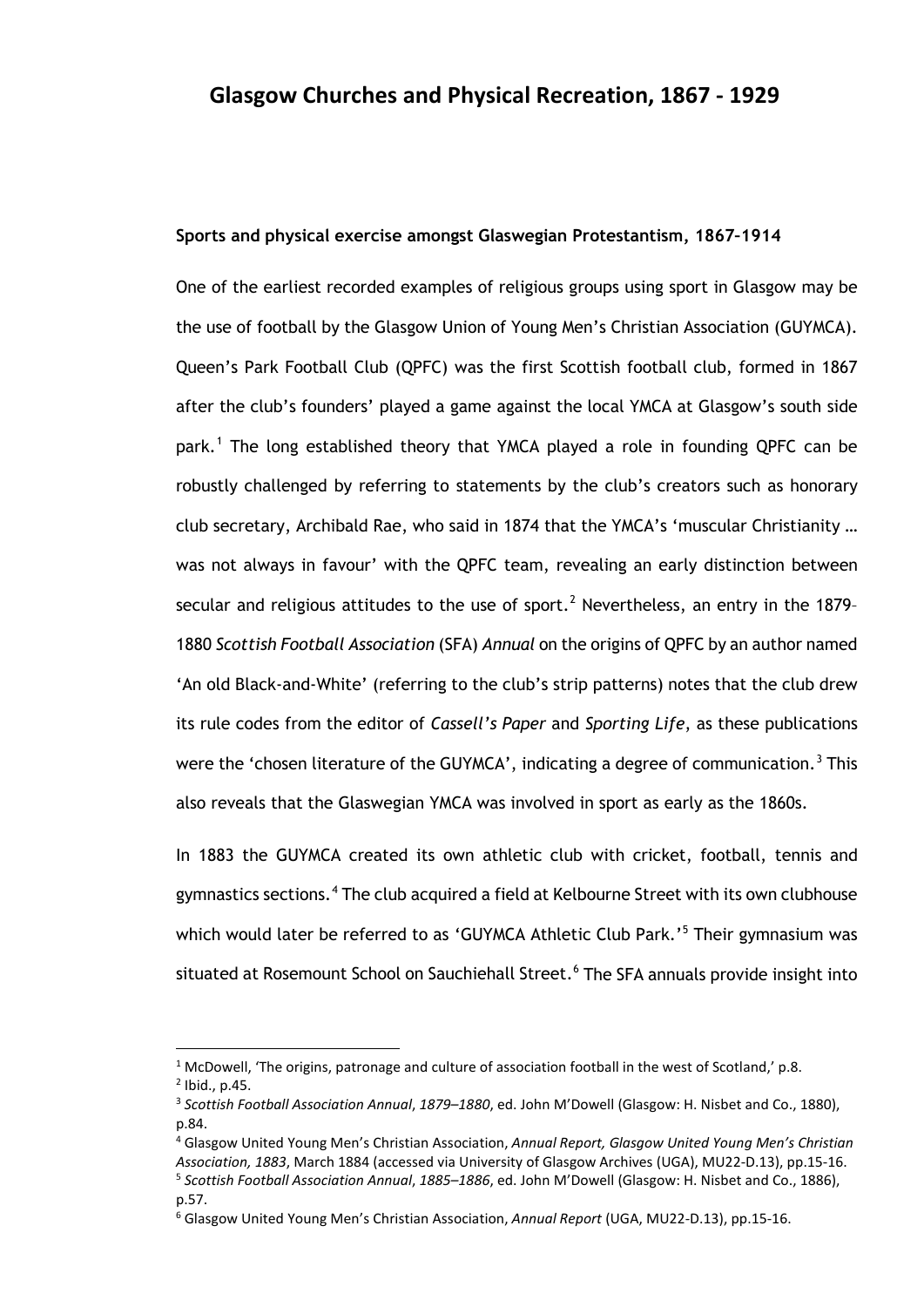#### **Sports and physical exercise amongst Glaswegian Protestantism, 1867–1914**

One of the earliest recorded examples of religious groups using sport in Glasgow may be the use of football by the Glasgow Union of Young Men's Christian Association (GUYMCA). Queen's Park Football Club (QPFC) was the first Scottish football club, formed in 1867 after the club's founders' played a game against the local YMCA at Glasgow's south side park.<sup>[1](#page-53-0)</sup> The long established theory that YMCA played a role in founding QPFC can be robustly challenged by referring to statements by the club's creators such as honorary club secretary, Archibald Rae, who said in 1874 that the YMCA's 'muscular Christianity … was not always in favour' with the QPFC team, revealing an early distinction between secular and religious attitudes to the use of sport.<sup>[2](#page-53-1)</sup> Nevertheless, an entry in the 1879-1880 *Scottish Football Association* (SFA) *Annual* on the origins of QPFC by an author named 'An old Black-and-White' (referring to the club's strip patterns) notes that the club drew its rule codes from the editor of *Cassell's Paper* and *Sporting Life*, as these publications were the 'chosen literature of the GUYMCA', indicating a degree of communication.<sup>[3](#page-53-2)</sup> This also reveals that the Glaswegian YMCA was involved in sport as early as the 1860s.

In 1883 the GUYMCA created its own athletic club with cricket, football, tennis and gymnastics sections.<sup>[4](#page-53-3)</sup> The club acquired a field at Kelbourne Street with its own clubhouse which would later be referred to as 'GUYMCA Athletic Club Park.' [5](#page-53-4) Their gymnasium was situated at Rosemount School on Sauchiehall Street.<sup>[6](#page-53-5)</sup> The SFA annuals provide insight into

<span id="page-53-0"></span><sup>&</sup>lt;sup>1</sup> McDowell, 'The origins, patronage and culture of association football in the west of Scotland,' p.8.

<span id="page-53-1"></span> $^{2}$  Ibid., p.45.

<span id="page-53-2"></span><sup>3</sup> *Scottish Football Association Annual*, *1879–1880*, ed. John M'Dowell (Glasgow: H. Nisbet and Co., 1880), p.84.

<span id="page-53-3"></span><sup>4</sup> Glasgow United Young Men's Christian Association, *Annual Report, Glasgow United Young Men's Christian Association, 1883*, March 1884 (accessed via University of Glasgow Archives (UGA), MU22-D.13), pp.15-16.

<span id="page-53-4"></span><sup>5</sup> *Scottish Football Association Annual*, *1885–1886*, ed. John M'Dowell (Glasgow: H. Nisbet and Co., 1886), p.57.

<span id="page-53-5"></span><sup>6</sup> Glasgow United Young Men's Christian Association, *Annual Report* (UGA, MU22-D.13), pp.15-16.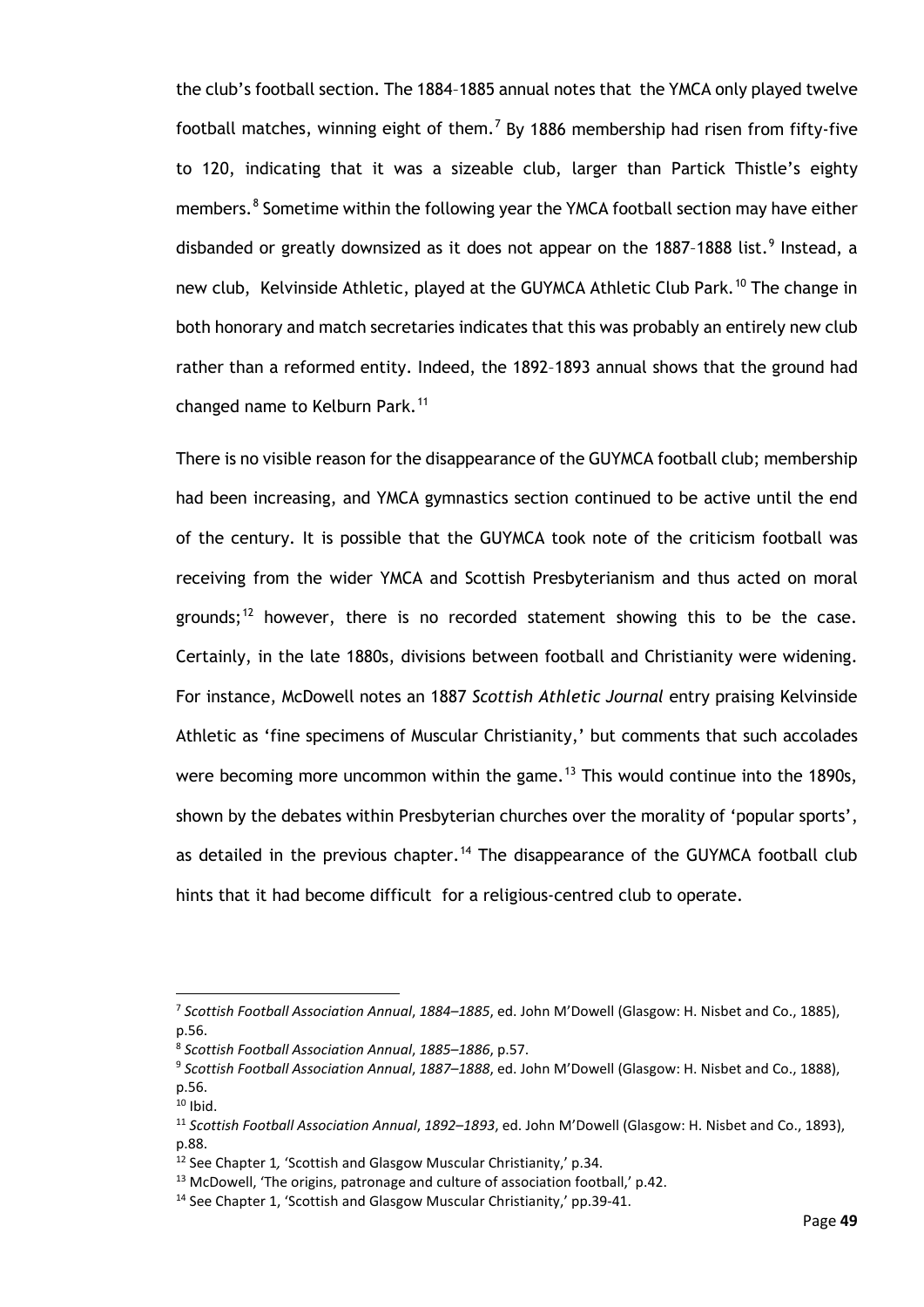the club's football section. The 1884–1885 annual notes that the YMCA only played twelve football matches, winning eight of them.<sup>[7](#page-54-0)</sup> By 1886 membership had risen from fifty-five to 120, indicating that it was a sizeable club, larger than Partick Thistle's eighty members.<sup>[8](#page-54-1)</sup> Sometime within the following year the YMCA football section may have either disbanded or greatly downsized as it does not appear on the 1887-1888 list.<sup>[9](#page-54-2)</sup> Instead, a new club, Kelvinside Athletic, played at the GUYMCA Athletic Club Park.<sup>[10](#page-54-3)</sup> The change in both honorary and match secretaries indicates that this was probably an entirely new club rather than a reformed entity. Indeed, the 1892–1893 annual shows that the ground had changed name to Kelburn Park.<sup>[11](#page-54-4)</sup>

There is no visible reason for the disappearance of the GUYMCA football club; membership had been increasing, and YMCA gymnastics section continued to be active until the end of the century. It is possible that the GUYMCA took note of the criticism football was receiving from the wider YMCA and Scottish Presbyterianism and thus acted on moral grounds;<sup>[12](#page-54-5)</sup> however, there is no recorded statement showing this to be the case. Certainly, in the late 1880s, divisions between football and Christianity were widening. For instance, McDowell notes an 1887 *Scottish Athletic Journal* entry praising Kelvinside Athletic as 'fine specimens of Muscular Christianity,' but comments that such accolades were becoming more uncommon within the game.<sup>[13](#page-54-6)</sup> This would continue into the 1890s, shown by the debates within Presbyterian churches over the morality of 'popular sports', as detailed in the previous chapter.<sup>[14](#page-54-7)</sup> The disappearance of the GUYMCA football club hints that it had become difficult for a religious-centred club to operate.

<span id="page-54-0"></span><sup>7</sup> *Scottish Football Association Annual*, *1884–1885*, ed. John M'Dowell (Glasgow: H. Nisbet and Co., 1885), p.56.

<span id="page-54-1"></span><sup>8</sup> *Scottish Football Association Annual*, *1885–1886*, p.57.

<span id="page-54-2"></span><sup>9</sup> *Scottish Football Association Annual*, *1887–1888*, ed. John M'Dowell (Glasgow: H. Nisbet and Co., 1888), p.56.

<span id="page-54-3"></span> $10$  Ibid.

<span id="page-54-4"></span><sup>11</sup> *Scottish Football Association Annual*, *1892–1893*, ed. John M'Dowell (Glasgow: H. Nisbet and Co., 1893), p.88.

<span id="page-54-5"></span><sup>12</sup> See Chapter 1*,* 'Scottish and Glasgow Muscular Christianity,' p.34.

<span id="page-54-6"></span><sup>&</sup>lt;sup>13</sup> McDowell, 'The origins, patronage and culture of association football,' p.42.

<span id="page-54-7"></span><sup>14</sup> See Chapter 1, 'Scottish and Glasgow Muscular Christianity,' pp.39-41.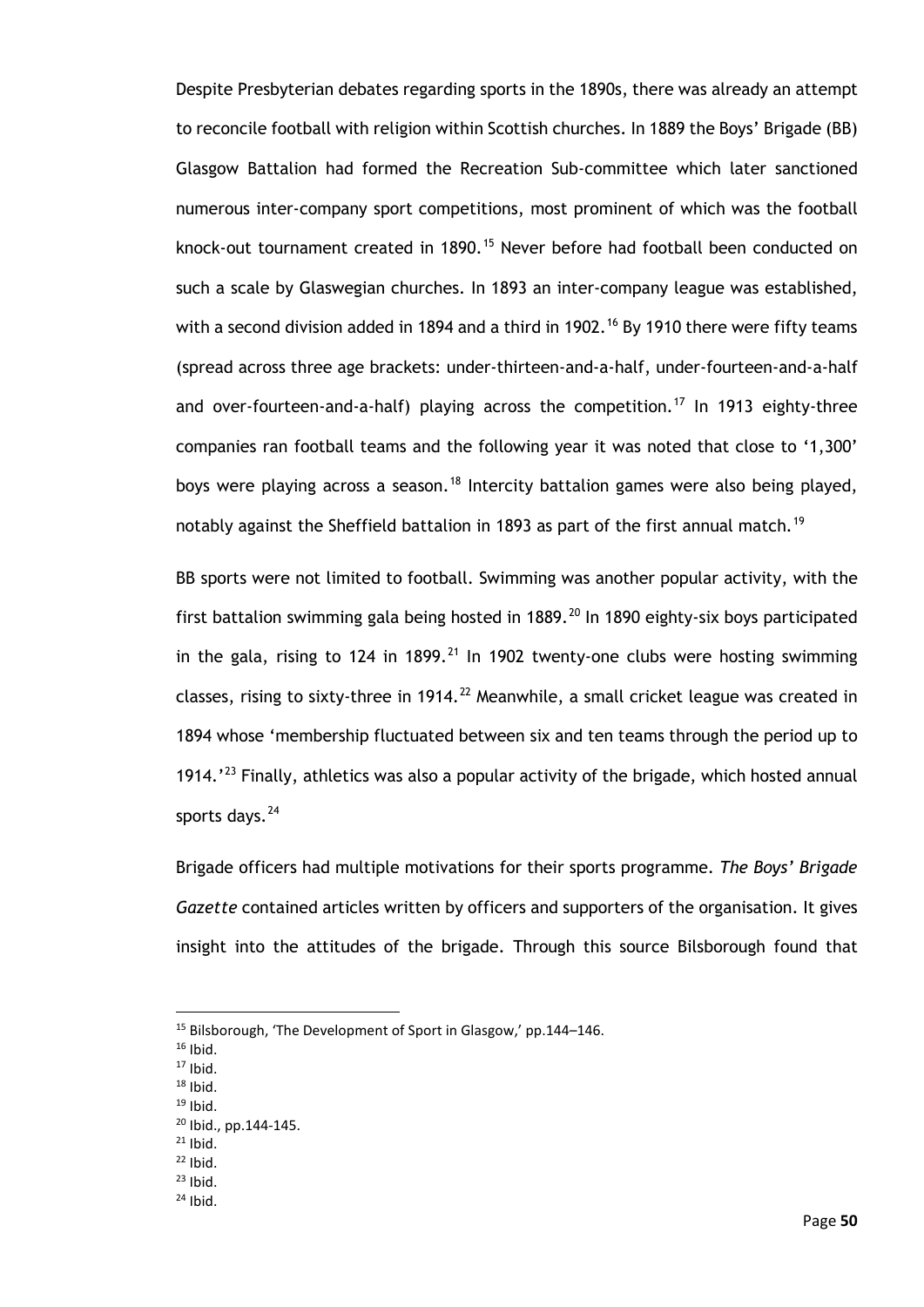Despite Presbyterian debates regarding sports in the 1890s, there was already an attempt to reconcile football with religion within Scottish churches. In 1889 the Boys' Brigade (BB) Glasgow Battalion had formed the Recreation Sub-committee which later sanctioned numerous inter-company sport competitions, most prominent of which was the football knock-out tournament created in 1890.<sup>[15](#page-55-0)</sup> Never before had football been conducted on such a scale by Glaswegian churches. In 1893 an inter-company league was established, with a second division added in 1894 and a third in 1902.<sup>[16](#page-55-1)</sup> By 1910 there were fifty teams (spread across three age brackets: under-thirteen-and-a-half, under-fourteen-and-a-half and over-fourteen-and-a-half) playing across the competition.<sup>[17](#page-55-2)</sup> In 1913 eighty-three companies ran football teams and the following year it was noted that close to '1,300' boys were playing across a season.<sup>[18](#page-55-3)</sup> Intercity battalion games were also being played, notably against the Sheffield battalion in 1893 as part of the first annual match.<sup>[19](#page-55-4)</sup>

BB sports were not limited to football. Swimming was another popular activity, with the first battalion swimming gala being hosted in  $1889$ .<sup>[20](#page-55-5)</sup> In 1890 eighty-six boys participated in the gala, rising to 124 in 1899.<sup>[21](#page-55-6)</sup> In 1902 twenty-one clubs were hosting swimming classes, rising to sixty-three in 1914.<sup>[22](#page-55-7)</sup> Meanwhile, a small cricket league was created in 1894 whose 'membership fluctuated between six and ten teams through the period up to 1914.'<sup>[23](#page-55-8)</sup> Finally, athletics was also a popular activity of the brigade, which hosted annual sports days.<sup>[24](#page-55-9)</sup>

Brigade officers had multiple motivations for their sports programme. *The Boys' Brigade Gazette* contained articles written by officers and supporters of the organisation. It gives insight into the attitudes of the brigade. Through this source Bilsborough found that

- <span id="page-55-4"></span><span id="page-55-3"></span> $19$  Ibid.
- <sup>20</sup> Ibid., pp.144-145.
- <span id="page-55-5"></span> $21$  Ibid.
- <span id="page-55-7"></span><span id="page-55-6"></span> $22$  Ibid.
- <span id="page-55-9"></span><span id="page-55-8"></span> $23$  Ibid.
- $24$  Ibid.

<span id="page-55-0"></span><sup>15</sup> Bilsborough, 'The Development of Sport in Glasgow,' pp.144–146.

<span id="page-55-1"></span> $16$  Ibid.

<span id="page-55-2"></span> $17$  Ibid.<br> $18$  Ibid.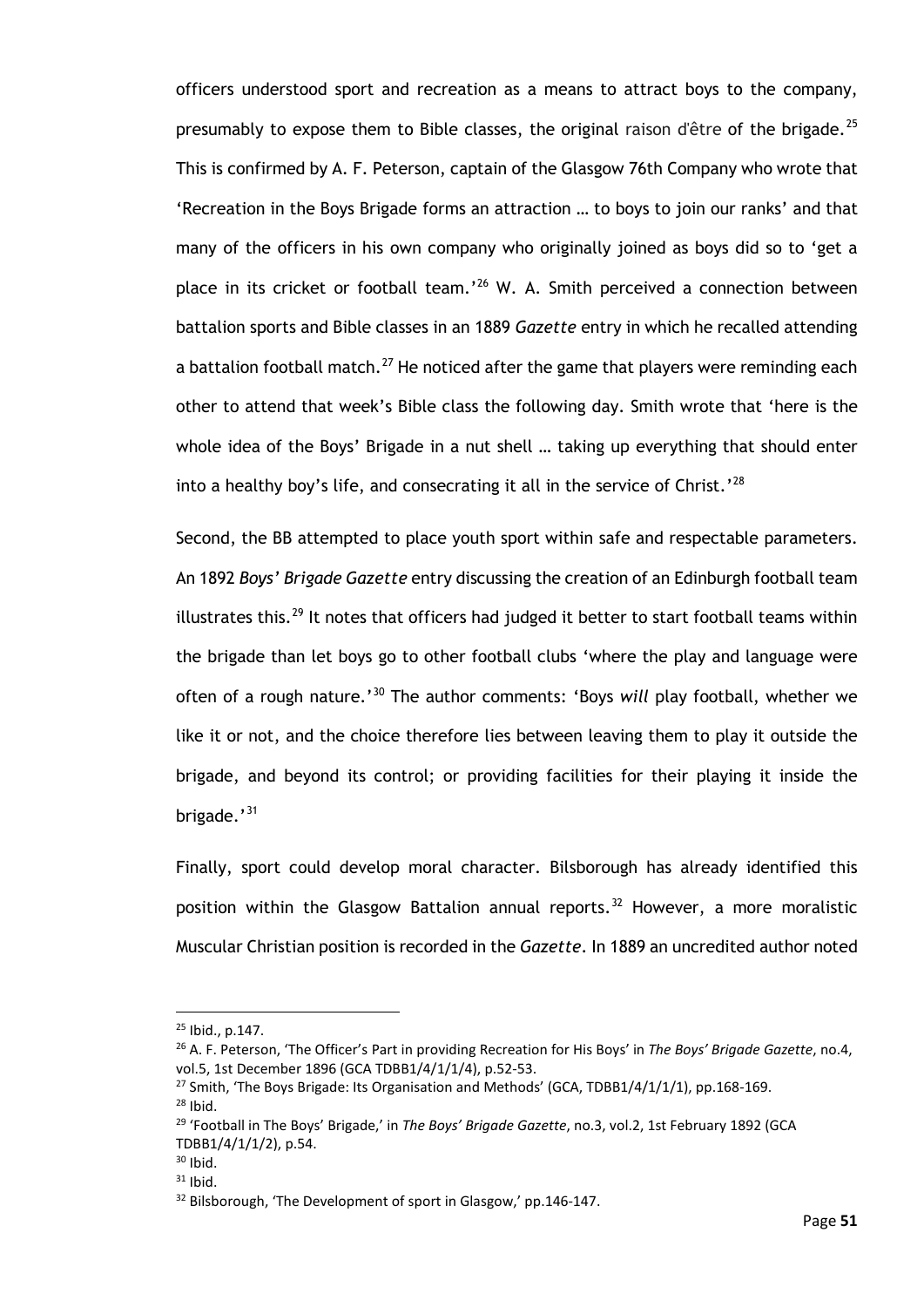officers understood sport and recreation as a means to attract boys to the company, presumably to expose them to Bible classes, the original raison d'être of the brigade.<sup>[25](#page-56-0)</sup> This is confirmed by A. F. Peterson, captain of the Glasgow 76th Company who wrote that 'Recreation in the Boys Brigade forms an attraction … to boys to join our ranks' and that many of the officers in his own company who originally joined as boys did so to 'get a place in its cricket or football team.'<sup>[26](#page-56-1)</sup> W. A. Smith perceived a connection between battalion sports and Bible classes in an 1889 *Gazette* entry in which he recalled attending a battalion football match.<sup>[27](#page-56-2)</sup> He noticed after the game that players were reminding each other to attend that week's Bible class the following day. Smith wrote that 'here is the whole idea of the Boys' Brigade in a nut shell … taking up everything that should enter into a healthy boy's life, and consecrating it all in the service of Christ.'<sup>[28](#page-56-3)</sup>

Second, the BB attempted to place youth sport within safe and respectable parameters. An 1892 *Boys' Brigade Gazette* entry discussing the creation of an Edinburgh football team illustrates this.<sup>[29](#page-56-4)</sup> It notes that officers had judged it better to start football teams within the brigade than let boys go to other football clubs 'where the play and language were often of a rough nature.'[30](#page-56-5) The author comments: 'Boys *will* play football, whether we like it or not, and the choice therefore lies between leaving them to play it outside the brigade, and beyond its control; or providing facilities for their playing it inside the brigade.'<sup>[31](#page-56-6)</sup>

Finally, sport could develop moral character. Bilsborough has already identified this position within the Glasgow Battalion annual reports.<sup>[32](#page-56-7)</sup> However, a more moralistic Muscular Christian position is recorded in the *Gazette*. In 1889 an uncredited author noted

 $25$  Ibid., p. 147.

<span id="page-56-1"></span><span id="page-56-0"></span><sup>26</sup> A. F. Peterson, 'The Officer's Part in providing Recreation for His Boys' in *The Boys' Brigade Gazette*, no.4, vol.5, 1st December 1896 (GCA TDBB1/4/1/1/4), p.52-53.

<span id="page-56-2"></span><sup>&</sup>lt;sup>27</sup> Smith, 'The Boys Brigade: Its Organisation and Methods' (GCA, TDBB1/4/1/1/1), pp.168-169.

<span id="page-56-3"></span> $28$  Ibid.

<span id="page-56-4"></span><sup>29</sup> 'Football in The Boys' Brigade,' in *The Boys' Brigade Gazette*, no.3, vol.2, 1st February 1892 (GCA TDBB1/4/1/1/2), p.54.

<span id="page-56-5"></span> $30$  Ibid.

<span id="page-56-6"></span> $31$  Ibid.

<span id="page-56-7"></span><sup>32</sup> Bilsborough, 'The Development of sport in Glasgow,' pp.146-147.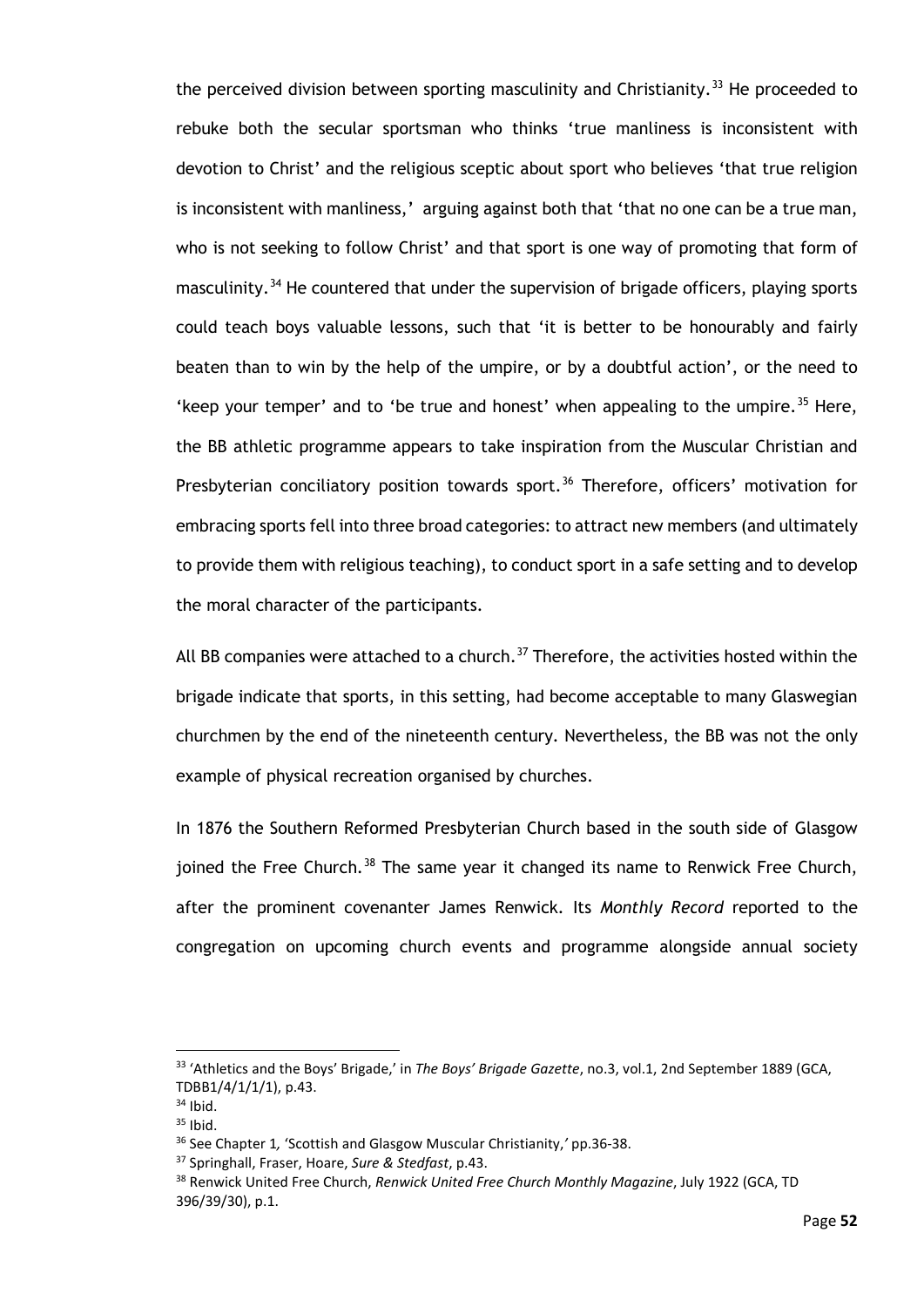the perceived division between sporting masculinity and Christianity.<sup>[33](#page-57-0)</sup> He proceeded to rebuke both the secular sportsman who thinks 'true manliness is inconsistent with devotion to Christ' and the religious sceptic about sport who believes 'that true religion is inconsistent with manliness,' arguing against both that 'that no one can be a true man, who is not seeking to follow Christ' and that sport is one way of promoting that form of masculinity.<sup>[34](#page-57-1)</sup> He countered that under the supervision of brigade officers, playing sports could teach boys valuable lessons, such that 'it is better to be honourably and fairly beaten than to win by the help of the umpire, or by a doubtful action', or the need to 'keep your temper' and to 'be true and honest' when appealing to the umpire.<sup>[35](#page-57-2)</sup> Here, the BB athletic programme appears to take inspiration from the Muscular Christian and Presbyterian conciliatory position towards sport.<sup>[36](#page-57-3)</sup> Therefore, officers' motivation for embracing sports fell into three broad categories: to attract new members (and ultimately to provide them with religious teaching), to conduct sport in a safe setting and to develop the moral character of the participants.

All BB companies were attached to a church.<sup>[37](#page-57-4)</sup> Therefore, the activities hosted within the brigade indicate that sports, in this setting, had become acceptable to many Glaswegian churchmen by the end of the nineteenth century. Nevertheless, the BB was not the only example of physical recreation organised by churches.

In 1876 the Southern Reformed Presbyterian Church based in the south side of Glasgow joined the Free Church.<sup>[38](#page-57-5)</sup> The same year it changed its name to Renwick Free Church, after the prominent covenanter James Renwick. Its *Monthly Record* reported to the congregation on upcoming church events and programme alongside annual society

<span id="page-57-0"></span><sup>33</sup> 'Athletics and the Boys' Brigade,' in *The Boys' Brigade Gazette*, no.3, vol.1, 2nd September 1889 (GCA, TDBB1/4/1/1/1), p.43.<br><sup>34</sup> Ibid.

<span id="page-57-2"></span><span id="page-57-1"></span>

 $35$  Ibid.

<span id="page-57-4"></span><span id="page-57-3"></span><sup>36</sup> See Chapter 1*,* 'Scottish and Glasgow Muscular Christianity,*'* pp.36-38.

<sup>37</sup> Springhall, Fraser, Hoare, *Sure & Stedfast*, p.43.

<span id="page-57-5"></span><sup>38</sup> Renwick United Free Church, *Renwick United Free Church Monthly Magazine*, July 1922 (GCA, TD 396/39/30), p.1.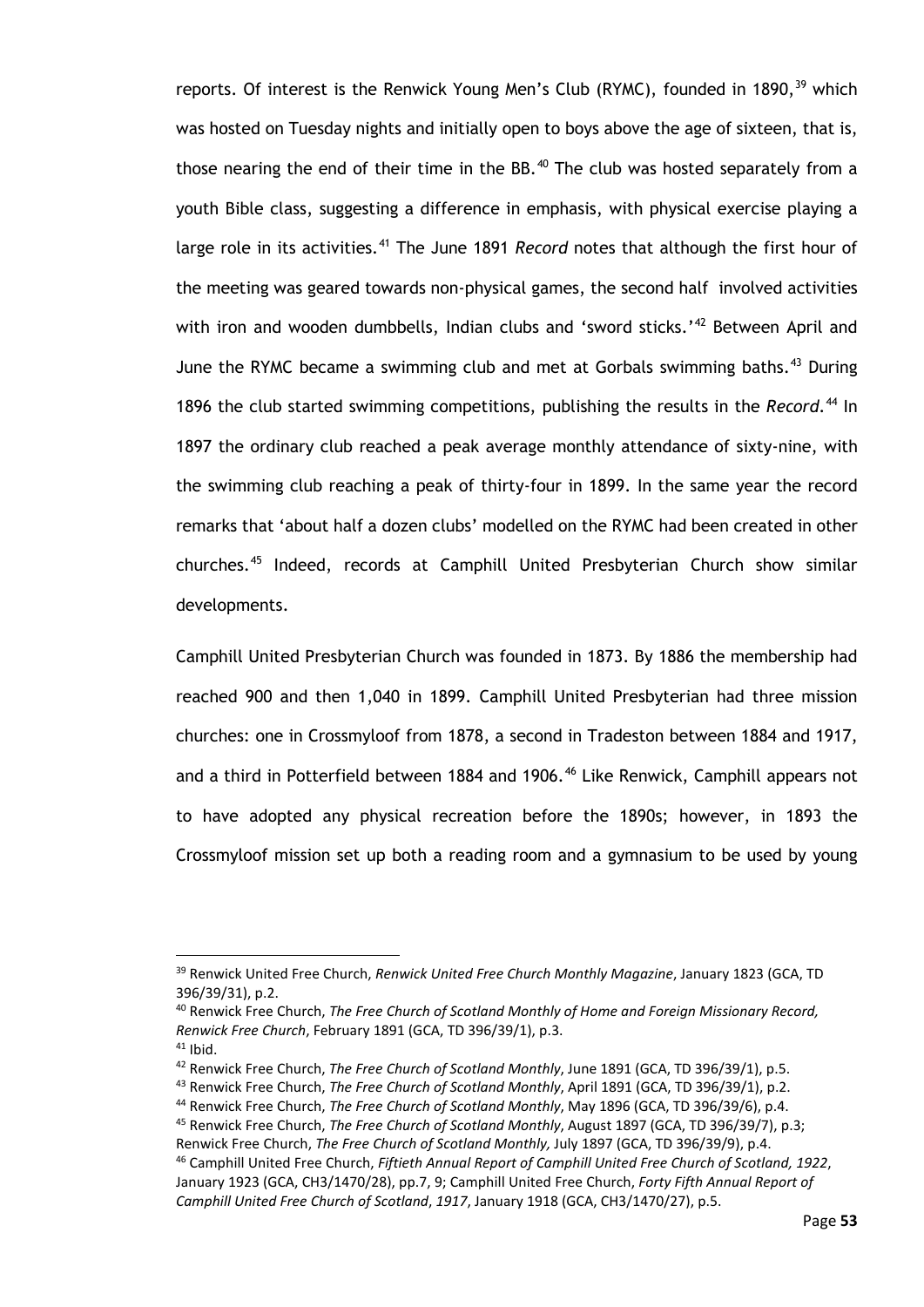reports. Of interest is the Renwick Young Men's Club (RYMC), founded in 1890,<sup>[39](#page-58-0)</sup> which was hosted on Tuesday nights and initially open to boys above the age of sixteen, that is, those nearing the end of their time in the BB. $40$  The club was hosted separately from a youth Bible class, suggesting a difference in emphasis, with physical exercise playing a large role in its activities.<sup>[41](#page-58-2)</sup> The June 1891 *Record* notes that although the first hour of the meeting was geared towards non-physical games, the second half involved activities with iron and wooden dumbbells, Indian clubs and 'sword sticks.'<sup>[42](#page-58-3)</sup> Between April and June the RYMC became a swimming club and met at Gorbals swimming baths.<sup>[43](#page-58-4)</sup> During 1896 the club started swimming competitions, publishing the results in the *Record*.<sup>[44](#page-58-5)</sup> In 1897 the ordinary club reached a peak average monthly attendance of sixty-nine, with the swimming club reaching a peak of thirty-four in 1899. In the same year the record remarks that 'about half a dozen clubs' modelled on the RYMC had been created in other churches.[45](#page-58-6) Indeed, records at Camphill United Presbyterian Church show similar developments.

Camphill United Presbyterian Church was founded in 1873. By 1886 the membership had reached 900 and then 1,040 in 1899. Camphill United Presbyterian had three mission churches: one in Crossmyloof from 1878, a second in Tradeston between 1884 and 1917, and a third in Potterfield between 1884 and 1906.<sup>[46](#page-58-7)</sup> Like Renwick, Camphill appears not to have adopted any physical recreation before the 1890s; however, in 1893 the Crossmyloof mission set up both a reading room and a gymnasium to be used by young

<span id="page-58-7"></span><sup>46</sup> Camphill United Free Church, *Fiftieth Annual Report of Camphill United Free Church of Scotland, 1922*, January 1923 (GCA, CH3/1470/28), pp.7, 9; Camphill United Free Church, *Forty Fifth Annual Report of Camphill United Free Church of Scotland*, *1917*, January 1918 (GCA, CH3/1470/27), p.5.

<span id="page-58-0"></span><sup>39</sup> Renwick United Free Church, *Renwick United Free Church Monthly Magazine*, January 1823 (GCA, TD 396/39/31), p.2.

<span id="page-58-1"></span><sup>40</sup> Renwick Free Church, *The Free Church of Scotland Monthly of Home and Foreign Missionary Record, Renwick Free Church*, February 1891 (GCA, TD 396/39/1), p.3.

<span id="page-58-2"></span> $41$  Ibid.

<span id="page-58-3"></span><sup>42</sup> Renwick Free Church, *The Free Church of Scotland Monthly*, June 1891 (GCA, TD 396/39/1), p.5.

<span id="page-58-4"></span><sup>43</sup> Renwick Free Church, *The Free Church of Scotland Monthly*, April 1891 (GCA, TD 396/39/1), p.2.

<sup>44</sup> Renwick Free Church, *The Free Church of Scotland Monthly*, May 1896 (GCA, TD 396/39/6), p.4.

<span id="page-58-6"></span><span id="page-58-5"></span><sup>45</sup> Renwick Free Church, *The Free Church of Scotland Monthly*, August 1897 (GCA, TD 396/39/7), p.3; Renwick Free Church, *The Free Church of Scotland Monthly,* July 1897 (GCA, TD 396/39/9), p.4.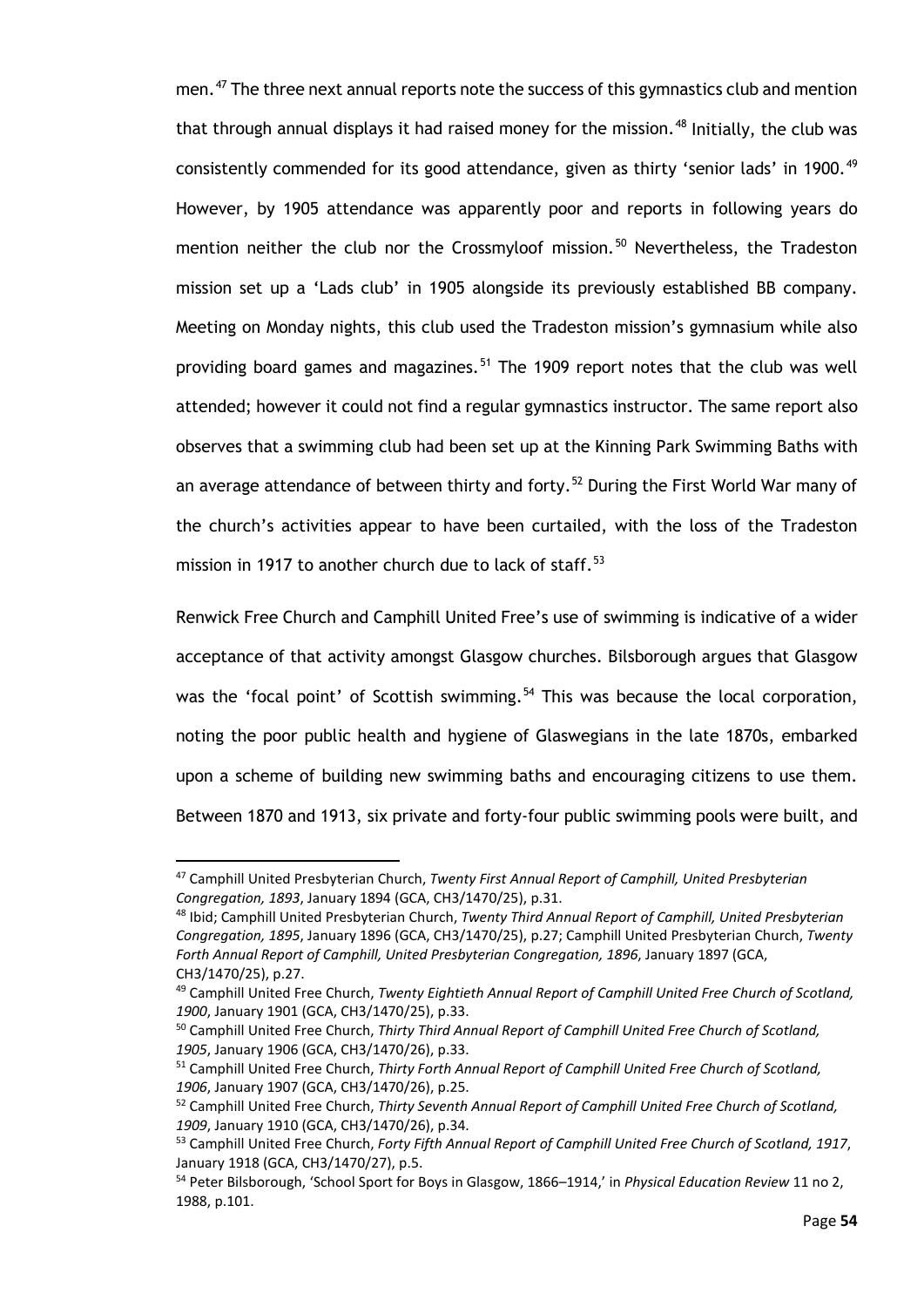men.<sup>[47](#page-59-0)</sup> The three next annual reports note the success of this gymnastics club and mention that through annual displays it had raised money for the mission.<sup>[48](#page-59-1)</sup> Initially, the club was consistently commended for its good attendance, given as thirty 'senior lads' in 1900.<sup>[49](#page-59-2)</sup> However, by 1905 attendance was apparently poor and reports in following years do mention neither the club nor the Crossmyloof mission.<sup>[50](#page-59-3)</sup> Nevertheless, the Tradeston mission set up a 'Lads club' in 1905 alongside its previously established BB company. Meeting on Monday nights, this club used the Tradeston mission's gymnasium while also providing board games and magazines.<sup>[51](#page-59-4)</sup> The 1909 report notes that the club was well attended; however it could not find a regular gymnastics instructor. The same report also observes that a swimming club had been set up at the Kinning Park Swimming Baths with an average attendance of between thirty and forty.<sup>[52](#page-59-5)</sup> During the First World War many of the church's activities appear to have been curtailed, with the loss of the Tradeston mission in 1917 to another church due to lack of staff.<sup>[53](#page-59-6)</sup>

Renwick Free Church and Camphill United Free's use of swimming is indicative of a wider acceptance of that activity amongst Glasgow churches. Bilsborough argues that Glasgow was the 'focal point' of Scottish swimming.<sup>[54](#page-59-7)</sup> This was because the local corporation, noting the poor public health and hygiene of Glaswegians in the late 1870s, embarked upon a scheme of building new swimming baths and encouraging citizens to use them. Between 1870 and 1913, six private and forty-four public swimming pools were built, and

<span id="page-59-0"></span><sup>47</sup> Camphill United Presbyterian Church, *Twenty First Annual Report of Camphill, United Presbyterian Congregation, 1893*, January 1894 (GCA, CH3/1470/25), p.31.

<span id="page-59-1"></span><sup>48</sup> Ibid; Camphill United Presbyterian Church, *Twenty Third Annual Report of Camphill, United Presbyterian Congregation, 1895*, January 1896 (GCA, CH3/1470/25), p.27; Camphill United Presbyterian Church, *Twenty Forth Annual Report of Camphill, United Presbyterian Congregation, 1896*, January 1897 (GCA, CH3/1470/25), p.27.

<span id="page-59-2"></span><sup>49</sup> Camphill United Free Church, *Twenty Eightieth Annual Report of Camphill United Free Church of Scotland, 1900*, January 1901 (GCA, CH3/1470/25), p.33.

<span id="page-59-3"></span><sup>50</sup> Camphill United Free Church, *Thirty Third Annual Report of Camphill United Free Church of Scotland, 1905*, January 1906 (GCA, CH3/1470/26), p.33.

<span id="page-59-4"></span><sup>51</sup> Camphill United Free Church, *Thirty Forth Annual Report of Camphill United Free Church of Scotland, 1906*, January 1907 (GCA, CH3/1470/26), p.25.

<span id="page-59-5"></span><sup>52</sup> Camphill United Free Church, *Thirty Seventh Annual Report of Camphill United Free Church of Scotland, 1909*, January 1910 (GCA, CH3/1470/26), p.34.

<span id="page-59-6"></span><sup>53</sup> Camphill United Free Church, *Forty Fifth Annual Report of Camphill United Free Church of Scotland, 1917*, January 1918 (GCA, CH3/1470/27), p.5.

<span id="page-59-7"></span><sup>54</sup> Peter Bilsborough, 'School Sport for Boys in Glasgow, 1866–1914,' in *Physical Education Review* 11 no 2, 1988, p.101.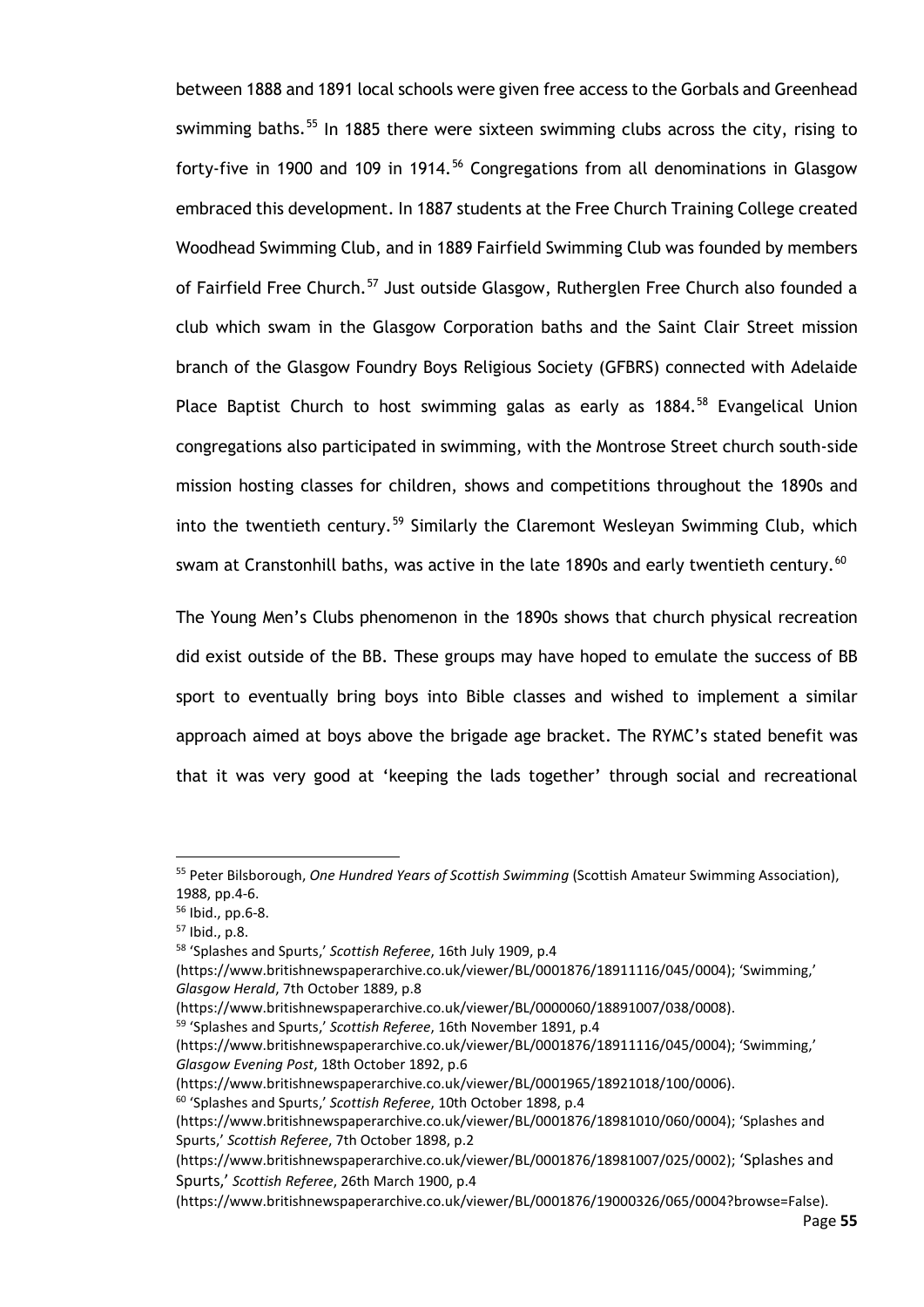between 1888 and 1891 local schools were given free access to the Gorbals and Greenhead swimming baths.<sup>[55](#page-60-0)</sup> In 1885 there were sixteen swimming clubs across the city, rising to forty-five in 1900 and 109 in 1914.<sup>[56](#page-60-1)</sup> Congregations from all denominations in Glasgow embraced this development. In 1887 students at the Free Church Training College created Woodhead Swimming Club, and in 1889 Fairfield Swimming Club was founded by members of Fairfield Free Church.<sup>[57](#page-60-2)</sup> Just outside Glasgow, Rutherglen Free Church also founded a club which swam in the Glasgow Corporation baths and the Saint Clair Street mission branch of the Glasgow Foundry Boys Religious Society (GFBRS) connected with Adelaide Place Baptist Church to host swimming galas as early as 1884.<sup>[58](#page-60-3)</sup> Evangelical Union congregations also participated in swimming, with the Montrose Street church south-side mission hosting classes for children, shows and competitions throughout the 1890s and into the twentieth century.<sup>[59](#page-60-4)</sup> Similarly the Claremont Wesleyan Swimming Club, which swam at Cranstonhill baths, was active in the late 1890s and early twentieth century.<sup>[60](#page-60-5)</sup>

The Young Men's Clubs phenomenon in the 1890s shows that church physical recreation did exist outside of the BB. These groups may have hoped to emulate the success of BB sport to eventually bring boys into Bible classes and wished to implement a similar approach aimed at boys above the brigade age bracket. The RYMC's stated benefit was that it was very good at 'keeping the lads together' through social and recreational

<span id="page-60-4"></span><sup>59</sup> 'Splashes and Spurts,' *Scottish Referee*, 16th November 1891, p.4

<span id="page-60-5"></span>(https://www.britishnewspaperarchive.co.uk/viewer/BL/0001965/18921018/100/0006).<br><sup>60</sup> 'Splashes and Spurts,' *Scottish Referee*, 10th October 1898, p.4

<span id="page-60-0"></span><sup>55</sup> Peter Bilsborough, *One Hundred Years of Scottish Swimming* (Scottish Amateur Swimming Association), 1988, pp.4-6.

<span id="page-60-1"></span><sup>56</sup> Ibid., pp.6-8.

<span id="page-60-2"></span> $57$  Ibid., p.8.

<span id="page-60-3"></span><sup>58</sup> 'Splashes and Spurts,' *Scottish Referee*, 16th July 1909, p.4

<sup>(</sup>https://www.britishnewspaperarchive.co.uk/viewer/BL/0001876/18911116/045/0004); 'Swimming,' *Glasgow Herald*, 7th October 1889, p.8

<sup>(</sup>https://www.britishnewspaperarchive.co.uk/viewer/BL/0000060/18891007/038/0008).

<sup>(</sup>https://www.britishnewspaperarchive.co.uk/viewer/BL/0001876/18911116/045/0004); 'Swimming,' *Glasgow Evening Post*, 18th October 1892, p.6

<sup>(</sup>https://www.britishnewspaperarchive.co.uk/viewer/BL/0001876/18981010/060/0004); 'Splashes and Spurts,' *Scottish Referee*, 7th October 1898, p.2

<sup>(</sup>https://www.britishnewspaperarchive.co.uk/viewer/BL/0001876/18981007/025/0002); 'Splashes and Spurts,' *Scottish Referee*, 26th March 1900, p.4

<sup>(</sup>https://www.britishnewspaperarchive.co.uk/viewer/BL/0001876/19000326/065/0004?browse=False).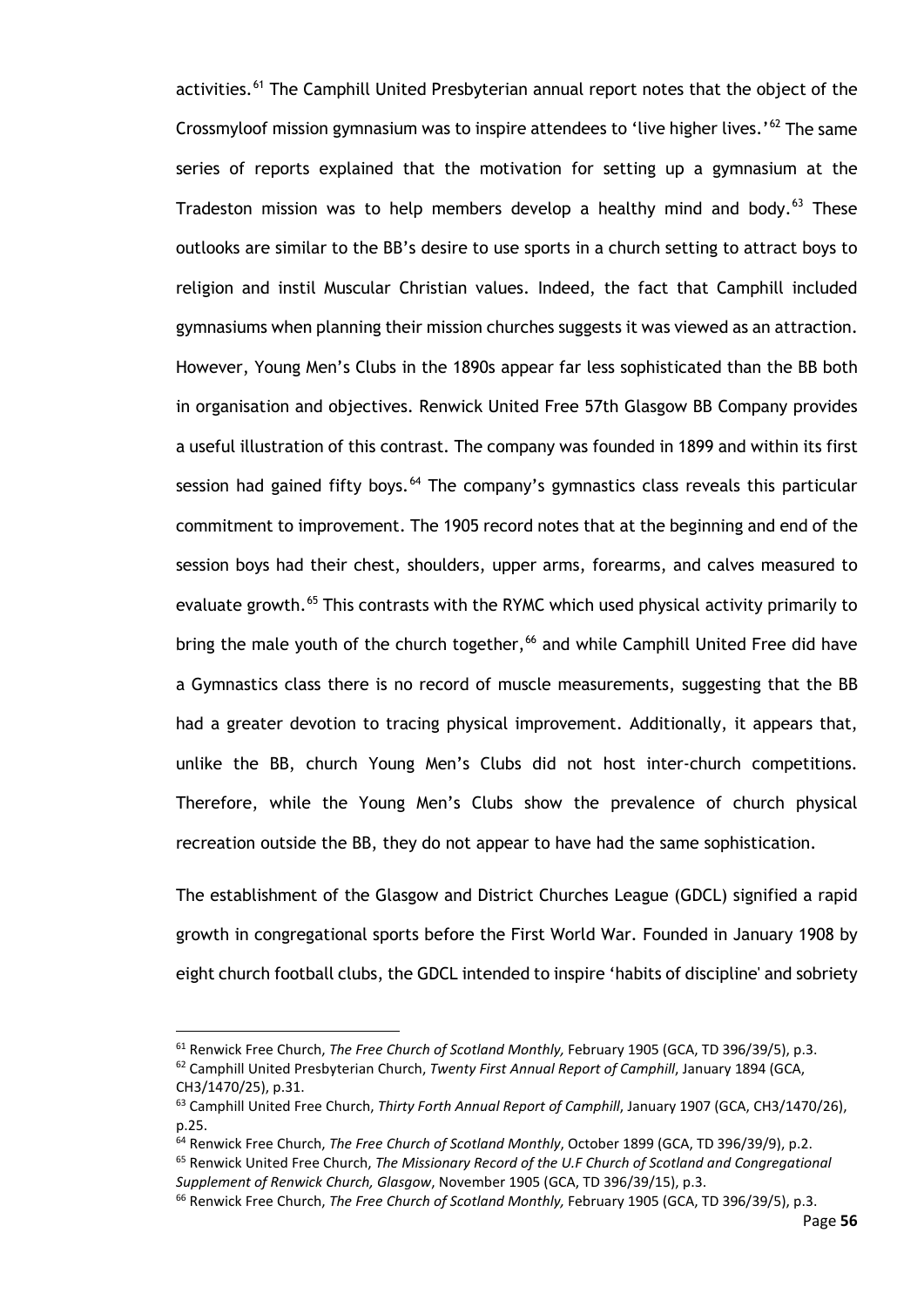activities.<sup>[61](#page-61-0)</sup> The Camphill United Presbyterian annual report notes that the object of the Crossmyloof mission gymnasium was to inspire attendees to 'live higher lives.'<sup>[62](#page-61-1)</sup> The same series of reports explained that the motivation for setting up a gymnasium at the Tradeston mission was to help members develop a healthy mind and body.<sup>[63](#page-61-2)</sup> These outlooks are similar to the BB's desire to use sports in a church setting to attract boys to religion and instil Muscular Christian values. Indeed, the fact that Camphill included gymnasiums when planning their mission churches suggests it was viewed as an attraction. However, Young Men's Clubs in the 1890s appear far less sophisticated than the BB both in organisation and objectives. Renwick United Free 57th Glasgow BB Company provides a useful illustration of this contrast. The company was founded in 1899 and within its first session had gained fifty boys.<sup>[64](#page-61-3)</sup> The company's gymnastics class reveals this particular commitment to improvement. The 1905 record notes that at the beginning and end of the session boys had their chest, shoulders, upper arms, forearms, and calves measured to evaluate growth. [65](#page-61-4) This contrasts with the RYMC which used physical activity primarily to bring the male youth of the church together, [66](#page-61-5) and while Camphill United Free did have a Gymnastics class there is no record of muscle measurements, suggesting that the BB had a greater devotion to tracing physical improvement. Additionally, it appears that, unlike the BB, church Young Men's Clubs did not host inter-church competitions. Therefore, while the Young Men's Clubs show the prevalence of church physical recreation outside the BB, they do not appear to have had the same sophistication.

The establishment of the Glasgow and District Churches League (GDCL) signified a rapid growth in congregational sports before the First World War. Founded in January 1908 by eight church football clubs, the GDCL intended to inspire 'habits of discipline' and sobriety

<span id="page-61-0"></span><sup>61</sup> Renwick Free Church, *The Free Church of Scotland Monthly,* February 1905 (GCA, TD 396/39/5), p.3.

<span id="page-61-1"></span><sup>62</sup> Camphill United Presbyterian Church, *Twenty First Annual Report of Camphill*, January 1894 (GCA, CH3/1470/25), p.31.

<span id="page-61-2"></span><sup>63</sup> Camphill United Free Church, *Thirty Forth Annual Report of Camphill*, January 1907 (GCA, CH3/1470/26), p.25.

<span id="page-61-3"></span><sup>64</sup> Renwick Free Church, *The Free Church of Scotland Monthly*, October 1899 (GCA, TD 396/39/9), p.2.

<span id="page-61-4"></span><sup>65</sup> Renwick United Free Church, *The Missionary Record of the U.F Church of Scotland and Congregational Supplement of Renwick Church, Glasgow*, November 1905 (GCA, TD 396/39/15), p.3.

<span id="page-61-5"></span><sup>66</sup> Renwick Free Church, *The Free Church of Scotland Monthly,* February 1905 (GCA, TD 396/39/5), p.3.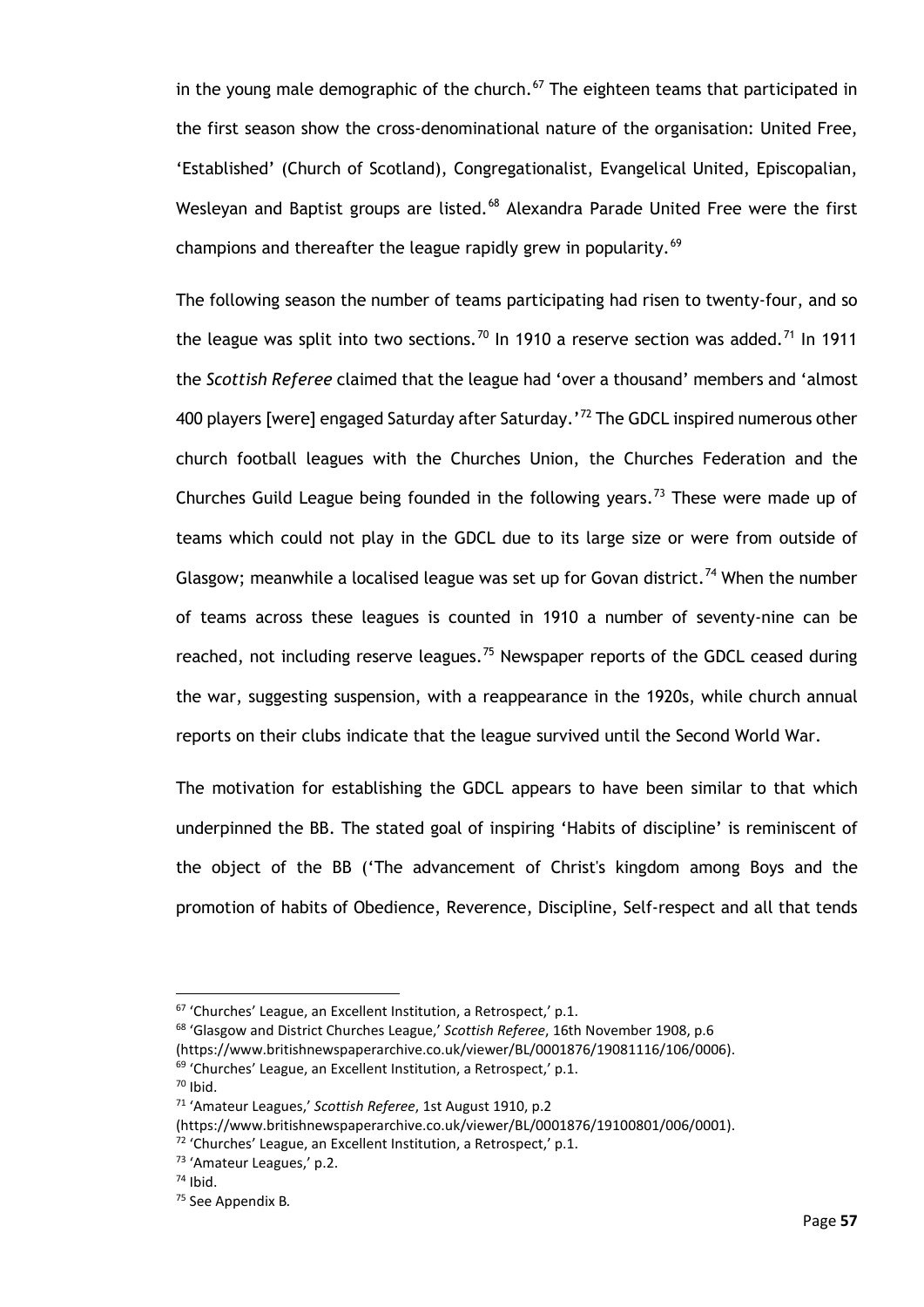in the young male demographic of the church. $67$  The eighteen teams that participated in the first season show the cross-denominational nature of the organisation: United Free, 'Established' (Church of Scotland), Congregationalist, Evangelical United, Episcopalian, Wesleyan and Baptist groups are listed.<sup>[68](#page-62-1)</sup> Alexandra Parade United Free were the first champions and thereafter the league rapidly grew in popularity.<sup>[69](#page-62-2)</sup>

The following season the number of teams participating had risen to twenty-four, and so the league was split into two sections.<sup>[70](#page-62-3)</sup> In 1910 a reserve section was added.<sup>[71](#page-62-4)</sup> In 1911 the *Scottish Referee* claimed that the league had 'over a thousand' members and 'almost 400 players [were] engaged Saturday after Saturday.'<sup>[72](#page-62-5)</sup> The GDCL inspired numerous other church football leagues with the Churches Union, the Churches Federation and the Churches Guild League being founded in the following years.<sup>[73](#page-62-6)</sup> These were made up of teams which could not play in the GDCL due to its large size or were from outside of Glasgow; meanwhile a localised league was set up for Govan district.<sup>[74](#page-62-7)</sup> When the number of teams across these leagues is counted in 1910 a number of seventy-nine can be reached, not including reserve leagues.<sup>[75](#page-62-8)</sup> Newspaper reports of the GDCL ceased during the war, suggesting suspension, with a reappearance in the 1920s, while church annual reports on their clubs indicate that the league survived until the Second World War.

The motivation for establishing the GDCL appears to have been similar to that which underpinned the BB. The stated goal of inspiring 'Habits of discipline' is reminiscent of the object of the BB ('The advancement of Christ's kingdom among Boys and the promotion of habits of Obedience, Reverence, Discipline, Self-respect and all that tends

<span id="page-62-1"></span><span id="page-62-0"></span><sup>&</sup>lt;sup>67</sup> 'Churches' League, an Excellent Institution, a Retrospect,' p.1.<br><sup>68</sup> 'Glasgow and District Churches League,' *Scottish Referee*, 16th November 1908, p.6

<sup>(</sup>https://www.britishnewspaperarchive.co.uk/viewer/BL/0001876/19081116/106/0006).

<span id="page-62-3"></span><span id="page-62-2"></span><sup>69</sup> 'Churches' League, an Excellent Institution, a Retrospect,' p.1.

 $70$  Ibid.

<span id="page-62-4"></span><sup>71</sup> 'Amateur Leagues,' *Scottish Referee*, 1st August 1910, p.2

<sup>(</sup>https://www.britishnewspaperarchive.co.uk/viewer/BL/0001876/19100801/006/0001).

<span id="page-62-5"></span><sup>72</sup> 'Churches' League, an Excellent Institution, a Retrospect,' p.1.

<span id="page-62-6"></span><sup>73</sup> 'Amateur Leagues,' p.2.

<span id="page-62-7"></span> $74$  Ibid.

<span id="page-62-8"></span><sup>75</sup> See Appendix B*.*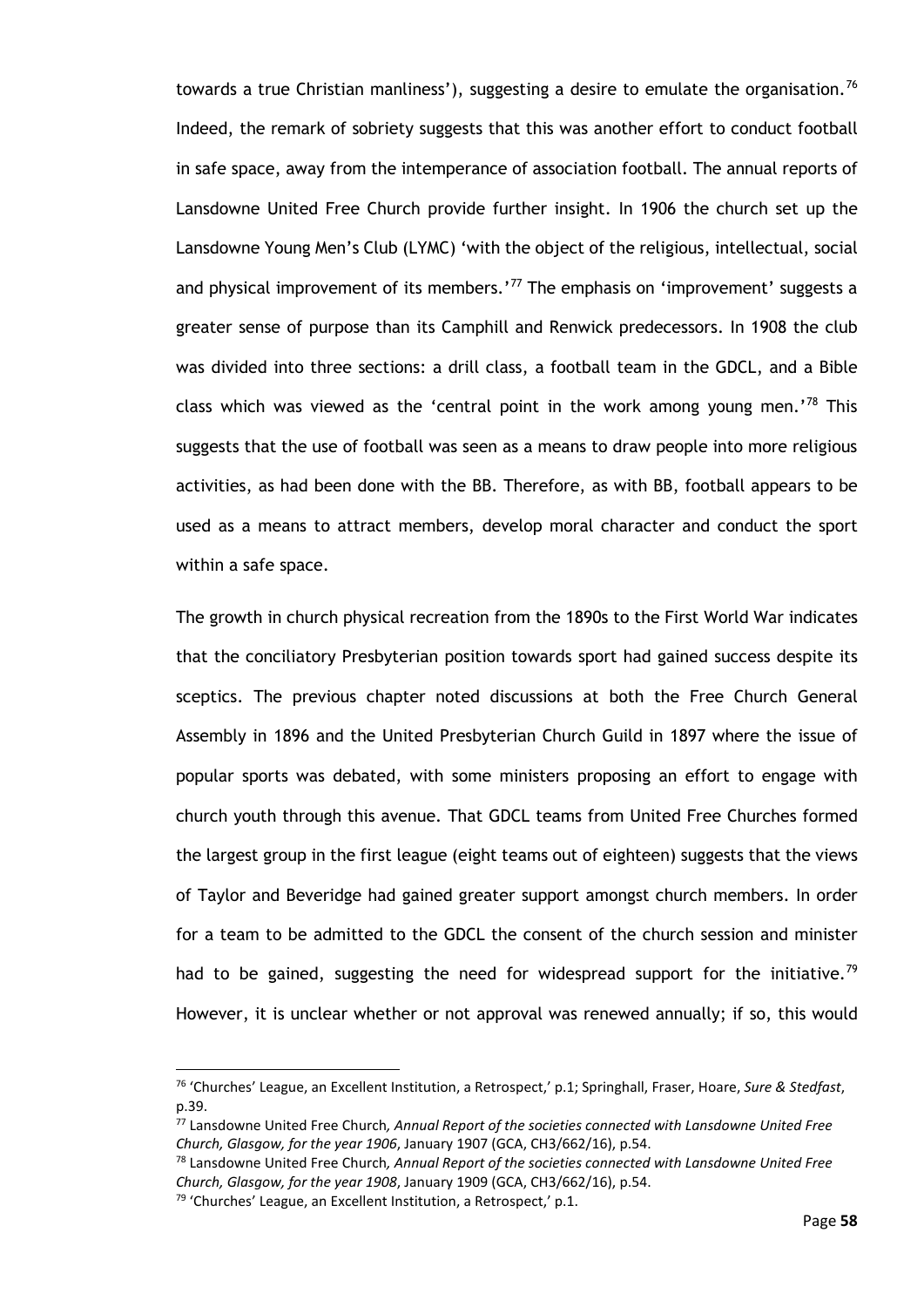towards a true Christian manliness'), suggesting a desire to emulate the organisation.<sup>[76](#page-63-0)</sup> Indeed, the remark of sobriety suggests that this was another effort to conduct football in safe space, away from the intemperance of association football. The annual reports of Lansdowne United Free Church provide further insight. In 1906 the church set up the Lansdowne Young Men's Club (LYMC) 'with the object of the religious, intellectual, social and physical improvement of its members.' $^{77}$  $^{77}$  $^{77}$  The emphasis on 'improvement' suggests a greater sense of purpose than its Camphill and Renwick predecessors. In 1908 the club was divided into three sections: a drill class, a football team in the GDCL, and a Bible class which was viewed as the 'central point in the work among young men.'<sup>[78](#page-63-2)</sup> This suggests that the use of football was seen as a means to draw people into more religious activities, as had been done with the BB. Therefore, as with BB, football appears to be used as a means to attract members, develop moral character and conduct the sport within a safe space.

The growth in church physical recreation from the 1890s to the First World War indicates that the conciliatory Presbyterian position towards sport had gained success despite its sceptics. The previous chapter noted discussions at both the Free Church General Assembly in 1896 and the United Presbyterian Church Guild in 1897 where the issue of popular sports was debated, with some ministers proposing an effort to engage with church youth through this avenue. That GDCL teams from United Free Churches formed the largest group in the first league (eight teams out of eighteen) suggests that the views of Taylor and Beveridge had gained greater support amongst church members. In order for a team to be admitted to the GDCL the consent of the church session and minister had to be gained, suggesting the need for widespread support for the initiative.<sup>[79](#page-63-3)</sup> However, it is unclear whether or not approval was renewed annually; if so, this would

<span id="page-63-0"></span><sup>76</sup> 'Churches' League, an Excellent Institution, a Retrospect,' p.1; Springhall, Fraser, Hoare, *Sure & Stedfast*, p.39.

<span id="page-63-1"></span><sup>77</sup> Lansdowne United Free Church*, Annual Report of the societies connected with Lansdowne United Free Church, Glasgow, for the year 1906*, January 1907 (GCA, CH3/662/16), p.54.

<span id="page-63-2"></span><sup>78</sup> Lansdowne United Free Church*, Annual Report of the societies connected with Lansdowne United Free Church, Glasgow, for the year 1908*, January 1909 (GCA, CH3/662/16), p.54.

<span id="page-63-3"></span><sup>79</sup> 'Churches' League, an Excellent Institution, a Retrospect,' p.1.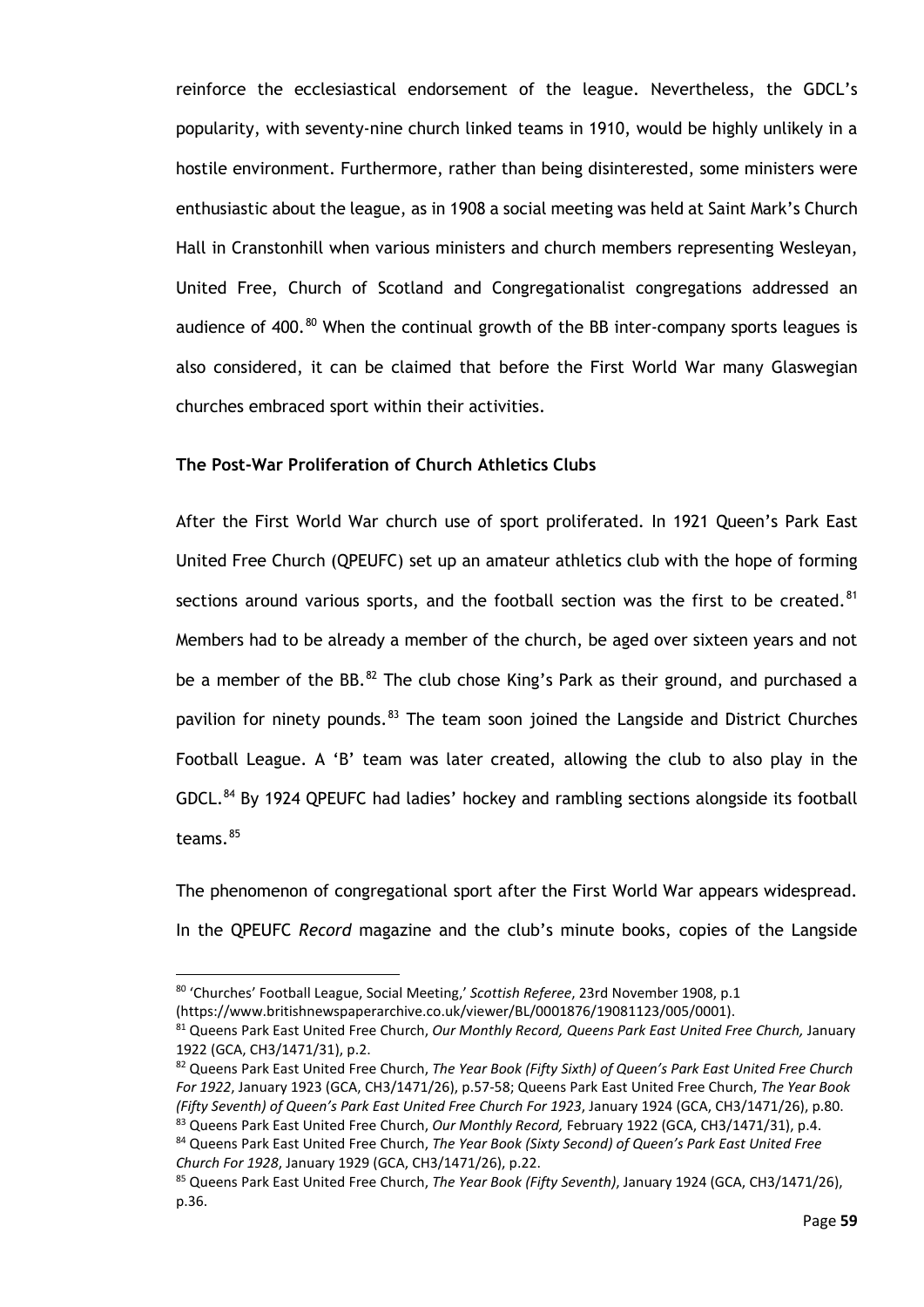reinforce the ecclesiastical endorsement of the league. Nevertheless, the GDCL's popularity, with seventy-nine church linked teams in 1910, would be highly unlikely in a hostile environment. Furthermore, rather than being disinterested, some ministers were enthusiastic about the league, as in 1908 a social meeting was held at Saint Mark's Church Hall in Cranstonhill when various ministers and church members representing Wesleyan, United Free, Church of Scotland and Congregationalist congregations addressed an audience of 400.<sup>[80](#page-64-0)</sup> When the continual growth of the BB inter-company sports leagues is also considered, it can be claimed that before the First World War many Glaswegian churches embraced sport within their activities.

#### **The Post-War Proliferation of Church Athletics Clubs**

After the First World War church use of sport proliferated. In 1921 Queen's Park East United Free Church (QPEUFC) set up an amateur athletics club with the hope of forming sections around various sports, and the football section was the first to be created. $81$ Members had to be already a member of the church, be aged over sixteen years and not be a member of the BB. $^{82}$  $^{82}$  $^{82}$  The club chose King's Park as their ground, and purchased a pavilion for ninety pounds.<sup>[83](#page-64-3)</sup> The team soon joined the Langside and District Churches Football League. A 'B' team was later created, allowing the club to also play in the GDCL.<sup>[84](#page-64-4)</sup> By 1924 QPEUFC had ladies' hockey and rambling sections alongside its football teams.<sup>[85](#page-64-5)</sup>

The phenomenon of congregational sport after the First World War appears widespread. In the QPEUFC *Record* magazine and the club's minute books, copies of the Langside

<span id="page-64-0"></span><sup>80</sup> 'Churches' Football League, Social Meeting,' *Scottish Referee*, 23rd November 1908, p.1

<sup>(</sup>https://www.britishnewspaperarchive.co.uk/viewer/BL/0001876/19081123/005/0001).

<span id="page-64-1"></span><sup>81</sup> Queens Park East United Free Church, *Our Monthly Record, Queens Park East United Free Church,* January 1922 (GCA, CH3/1471/31), p.2.

<span id="page-64-2"></span><sup>82</sup> Queens Park East United Free Church, *The Year Book (Fifty Sixth) of Queen's Park East United Free Church For 1922*, January 1923 (GCA, CH3/1471/26), p.57-58; Queens Park East United Free Church, *The Year Book (Fifty Seventh) of Queen's Park East United Free Church For 1923*, January 1924 (GCA, CH3/1471/26), p.80. <sup>83</sup> Queens Park East United Free Church, *Our Monthly Record,* February 1922 (GCA, CH3/1471/31), p.4.

<span id="page-64-4"></span><span id="page-64-3"></span><sup>84</sup> Queens Park East United Free Church, *The Year Book (Sixty Second) of Queen's Park East United Free Church For 1928*, January 1929 (GCA, CH3/1471/26), p.22.

<span id="page-64-5"></span><sup>85</sup> Queens Park East United Free Church, *The Year Book (Fifty Seventh)*, January 1924 (GCA, CH3/1471/26), p.36.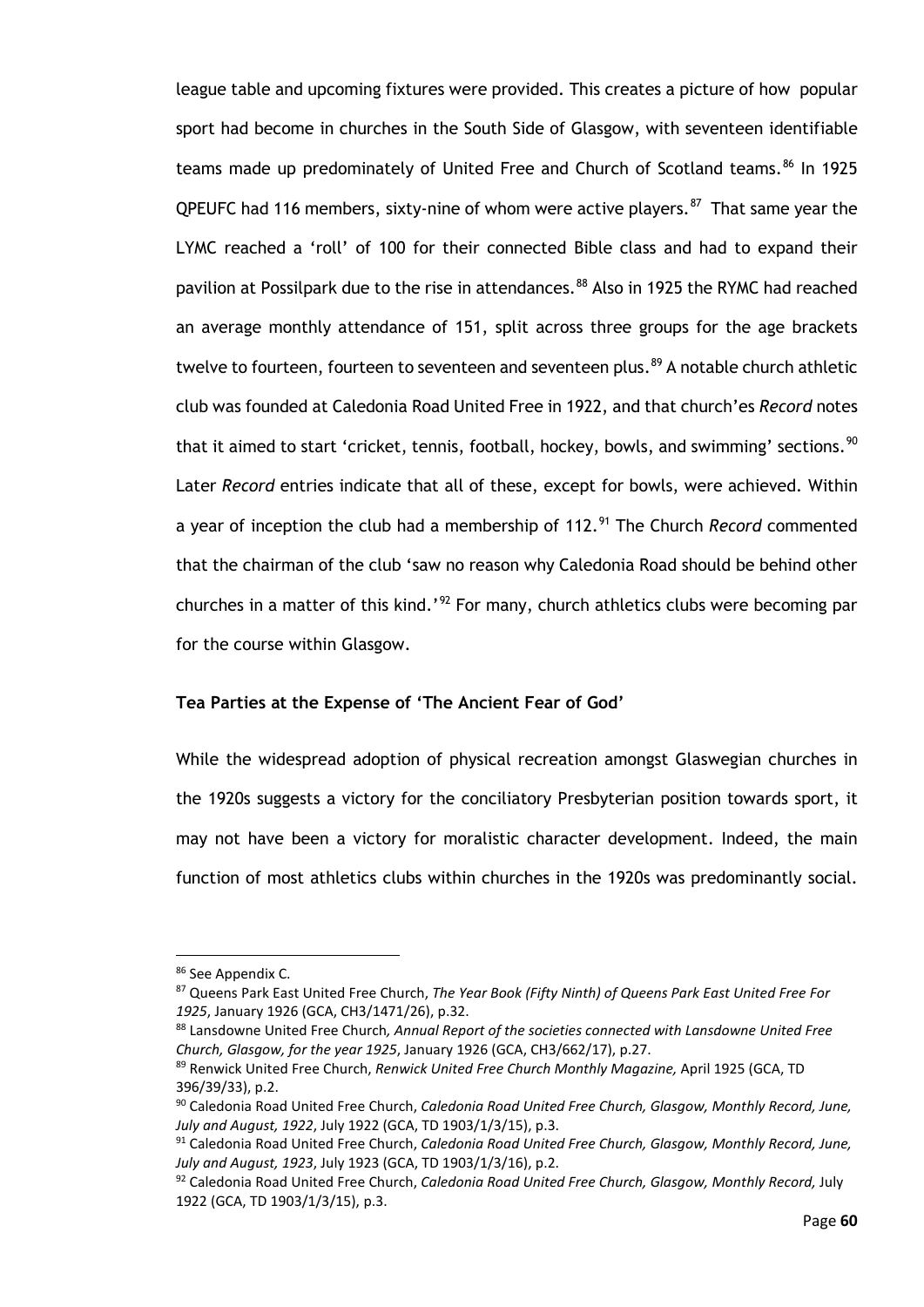league table and upcoming fixtures were provided. This creates a picture of how popular sport had become in churches in the South Side of Glasgow, with seventeen identifiable teams made up predominately of United Free and Church of Scotland teams.<sup>[86](#page-65-0)</sup> In 1925 QPEUFC had 116 members, sixty-nine of whom were active players. $87$  That same year the LYMC reached a 'roll' of 100 for their connected Bible class and had to expand their pavilion at Possilpark due to the rise in attendances.<sup>[88](#page-65-2)</sup> Also in 1925 the RYMC had reached an average monthly attendance of 151, split across three groups for the age brackets twelve to fourteen, fourteen to seventeen and seventeen plus. [89](#page-65-3) A notable church athletic club was founded at Caledonia Road United Free in 1922, and that church'es *Record* notes that it aimed to start 'cricket, tennis, football, hockey, bowls, and swimming' sections.<sup>[90](#page-65-4)</sup> Later *Record* entries indicate that all of these, except for bowls, were achieved. Within a year of inception the club had a membership of 112.<sup>[91](#page-65-5)</sup> The Church *Record* commented that the chairman of the club 'saw no reason why Caledonia Road should be behind other churches in a matter of this kind.'<sup>[92](#page-65-6)</sup> For many, church athletics clubs were becoming par for the course within Glasgow.

#### **Tea Parties at the Expense of 'The Ancient Fear of God'**

While the widespread adoption of physical recreation amongst Glaswegian churches in the 1920s suggests a victory for the conciliatory Presbyterian position towards sport, it may not have been a victory for moralistic character development. Indeed, the main function of most athletics clubs within churches in the 1920s was predominantly social.

<span id="page-65-0"></span><sup>86</sup> See Appendix C.

<span id="page-65-1"></span><sup>87</sup> Queens Park East United Free Church, *The Year Book (Fifty Ninth) of Queens Park East United Free For 1925*, January 1926 (GCA, CH3/1471/26), p.32.

<span id="page-65-2"></span><sup>88</sup> Lansdowne United Free Church*, Annual Report of the societies connected with Lansdowne United Free Church, Glasgow, for the year 1925*, January 1926 (GCA, CH3/662/17), p.27.

<span id="page-65-3"></span><sup>89</sup> Renwick United Free Church, *Renwick United Free Church Monthly Magazine,* April 1925 (GCA, TD 396/39/33), p.2.

<span id="page-65-4"></span><sup>90</sup> Caledonia Road United Free Church, *Caledonia Road United Free Church, Glasgow, Monthly Record, June, July and August, 1922*, July 1922 (GCA, TD 1903/1/3/15), p.3.

<span id="page-65-5"></span><sup>91</sup> Caledonia Road United Free Church, *Caledonia Road United Free Church, Glasgow, Monthly Record, June, July and August, 1923*, July 1923 (GCA, TD 1903/1/3/16), p.2.

<span id="page-65-6"></span><sup>92</sup> Caledonia Road United Free Church, *Caledonia Road United Free Church, Glasgow, Monthly Record,* July 1922 (GCA, TD 1903/1/3/15), p.3.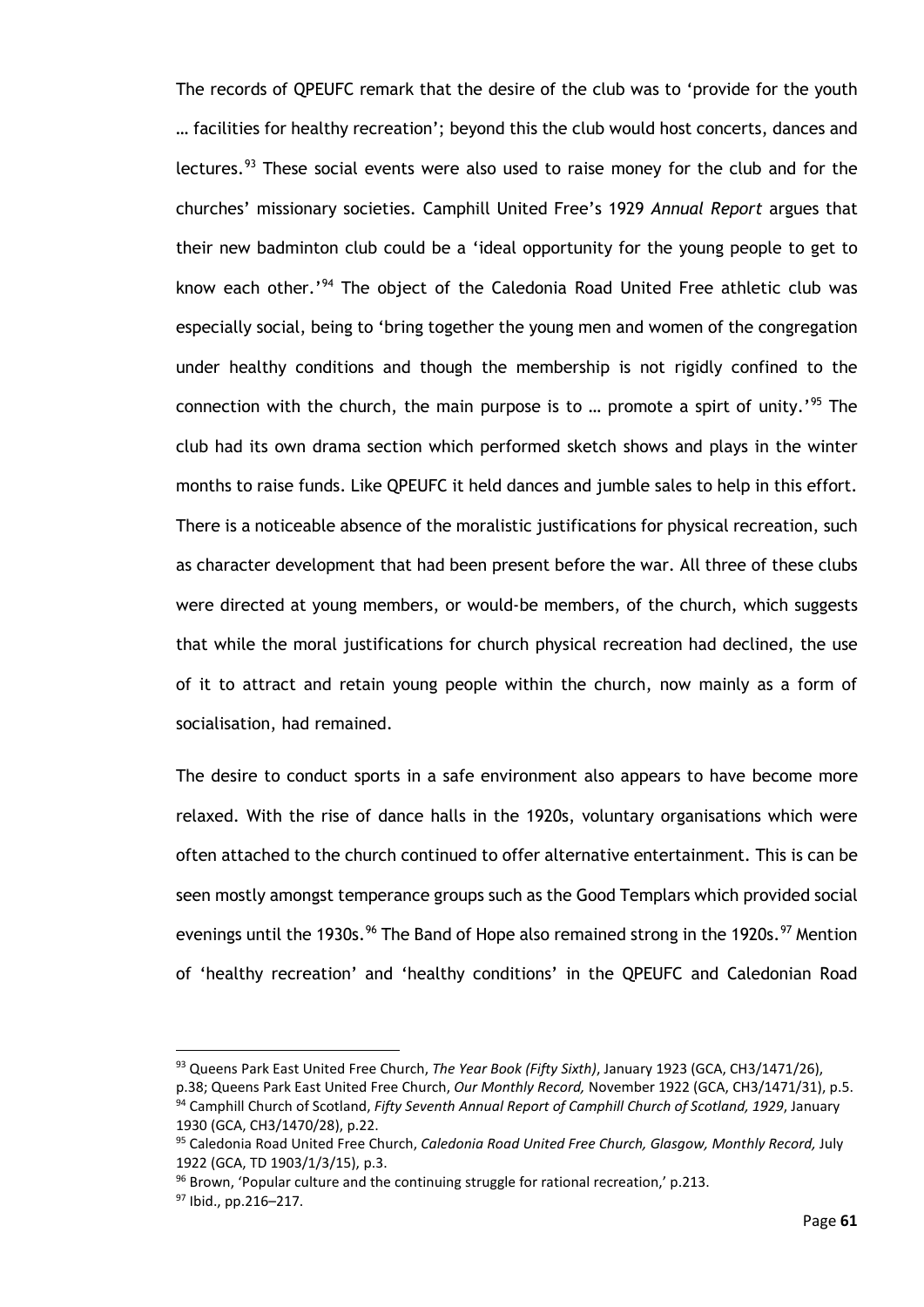The records of QPEUFC remark that the desire of the club was to 'provide for the youth … facilities for healthy recreation'; beyond this the club would host concerts, dances and lectures.<sup>[93](#page-66-0)</sup> These social events were also used to raise money for the club and for the churches' missionary societies. Camphill United Free's 1929 *Annual Report* argues that their new badminton club could be a 'ideal opportunity for the young people to get to know each other.' [94](#page-66-1) The object of the Caledonia Road United Free athletic club was especially social, being to 'bring together the young men and women of the congregation under healthy conditions and though the membership is not rigidly confined to the connection with the church, the main purpose is to ... promote a spirt of unity.<sup>, [95](#page-66-2)</sup> The club had its own drama section which performed sketch shows and plays in the winter months to raise funds. Like QPEUFC it held dances and jumble sales to help in this effort. There is a noticeable absence of the moralistic justifications for physical recreation, such as character development that had been present before the war. All three of these clubs were directed at young members, or would-be members, of the church, which suggests that while the moral justifications for church physical recreation had declined, the use of it to attract and retain young people within the church, now mainly as a form of socialisation, had remained.

The desire to conduct sports in a safe environment also appears to have become more relaxed. With the rise of dance halls in the 1920s, voluntary organisations which were often attached to the church continued to offer alternative entertainment. This is can be seen mostly amongst temperance groups such as the Good Templars which provided social evenings until the 1930s.<sup>[96](#page-66-3)</sup> The Band of Hope also remained strong in the 1920s.<sup>[97](#page-66-4)</sup> Mention of 'healthy recreation' and 'healthy conditions' in the QPEUFC and Caledonian Road

1930 (GCA, CH3/1470/28), p.22.

<span id="page-66-0"></span><sup>93</sup> Queens Park East United Free Church, *The Year Book (Fifty Sixth)*, January 1923 (GCA, CH3/1471/26),

<span id="page-66-1"></span>p.38; Queens Park East United Free Church, *Our Monthly Record,* November 1922 (GCA, CH3/1471/31), p.5. <sup>94</sup> Camphill Church of Scotland, *Fifty Seventh Annual Report of Camphill Church of Scotland, 1929*, January

<span id="page-66-2"></span><sup>95</sup> Caledonia Road United Free Church, *Caledonia Road United Free Church, Glasgow, Monthly Record,* July 1922 (GCA, TD 1903/1/3/15), p.3.

<span id="page-66-3"></span><sup>96</sup> Brown, 'Popular culture and the continuing struggle for rational recreation,' p.213.

<span id="page-66-4"></span><sup>97</sup> Ibid., pp.216–217.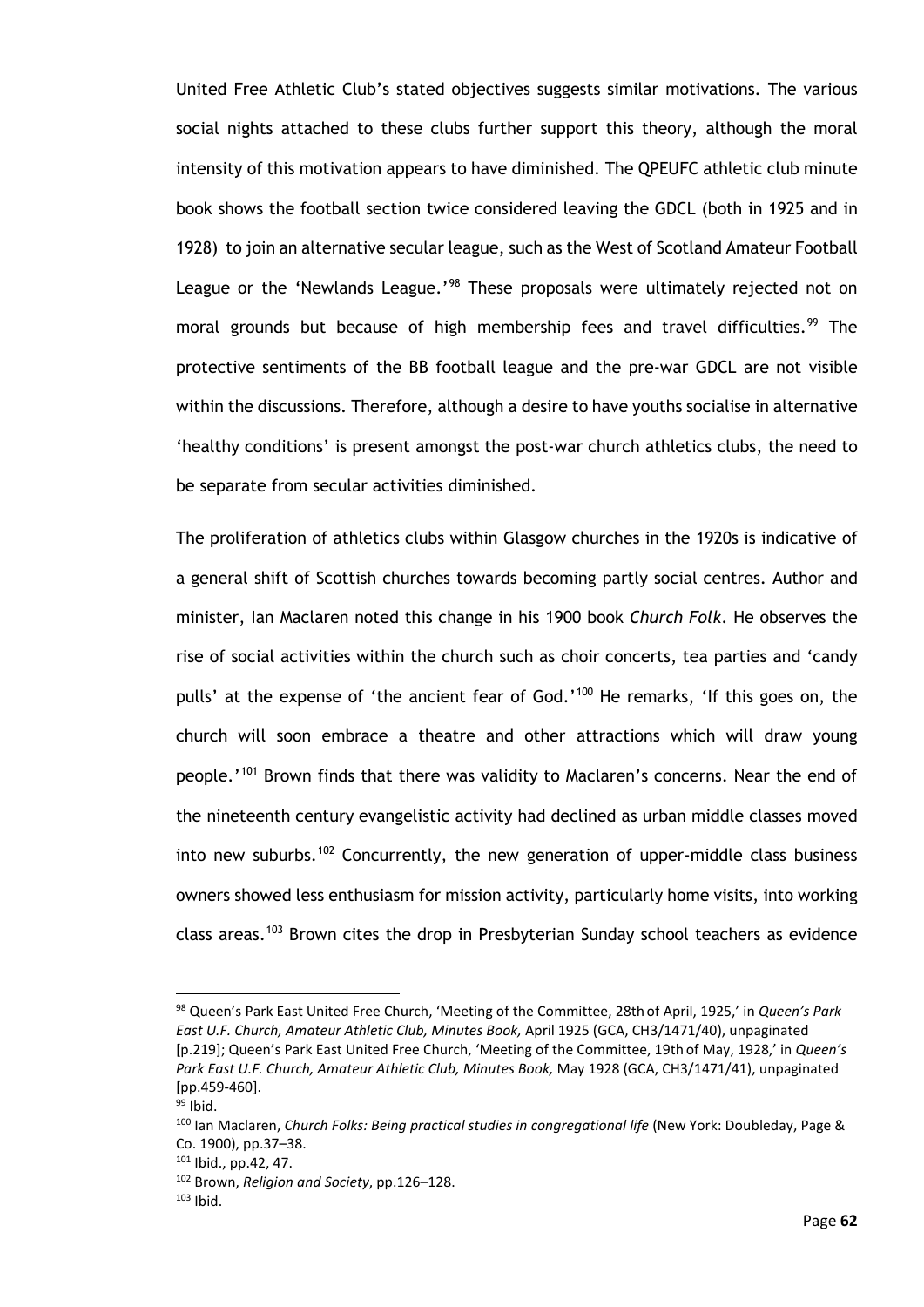United Free Athletic Club's stated objectives suggests similar motivations. The various social nights attached to these clubs further support this theory, although the moral intensity of this motivation appears to have diminished. The QPEUFC athletic club minute book shows the football section twice considered leaving the GDCL (both in 1925 and in 1928) to join an alternative secular league, such as the West of Scotland Amateur Football League or the 'Newlands League.'<sup>[98](#page-67-0)</sup> These proposals were ultimately rejected not on moral grounds but because of high membership fees and travel difficulties.<sup>[99](#page-67-1)</sup> The protective sentiments of the BB football league and the pre-war GDCL are not visible within the discussions. Therefore, although a desire to have youths socialise in alternative 'healthy conditions' is present amongst the post-war church athletics clubs, the need to be separate from secular activities diminished.

The proliferation of athletics clubs within Glasgow churches in the 1920s is indicative of a general shift of Scottish churches towards becoming partly social centres. Author and minister, Ian Maclaren noted this change in his 1900 book *Church Folk*. He observes the rise of social activities within the church such as choir concerts, tea parties and 'candy pulls' at the expense of 'the ancient fear of God.'<sup>[100](#page-67-2)</sup> He remarks, 'If this goes on, the church will soon embrace a theatre and other attractions which will draw young people.<sup>'[101](#page-67-3)</sup> Brown finds that there was validity to Maclaren's concerns. Near the end of the nineteenth century evangelistic activity had declined as urban middle classes moved into new suburbs.<sup>[102](#page-67-4)</sup> Concurrently, the new generation of upper-middle class business owners showed less enthusiasm for mission activity, particularly home visits, into working class areas.<sup>[103](#page-67-5)</sup> Brown cites the drop in Presbyterian Sunday school teachers as evidence

<span id="page-67-0"></span><sup>98</sup> Queen's Park East United Free Church, 'Meeting of the Committee, 28th of April, 1925,' in *Queen's Park East U.F. Church, Amateur Athletic Club, Minutes Book,* April 1925 (GCA, CH3/1471/40), unpaginated [p.219]; Queen's Park East United Free Church, 'Meeting of the Committee, 19th of May, 1928,' in *Queen's Park East U.F. Church, Amateur Athletic Club, Minutes Book,* May 1928 (GCA, CH3/1471/41), unpaginated [pp.459-460].

<span id="page-67-1"></span><sup>99</sup> Ibid.

<span id="page-67-2"></span><sup>100</sup> Ian Maclaren, *Church Folks: Being practical studies in congregational life* (New York: Doubleday, Page & Co. 1900), pp.37–38.

<span id="page-67-3"></span> $101$  Ibid., pp. 42, 47.

<span id="page-67-4"></span><sup>102</sup> Brown, *Religion and Society*, pp.126–128.

<span id="page-67-5"></span><sup>103</sup> Ibid.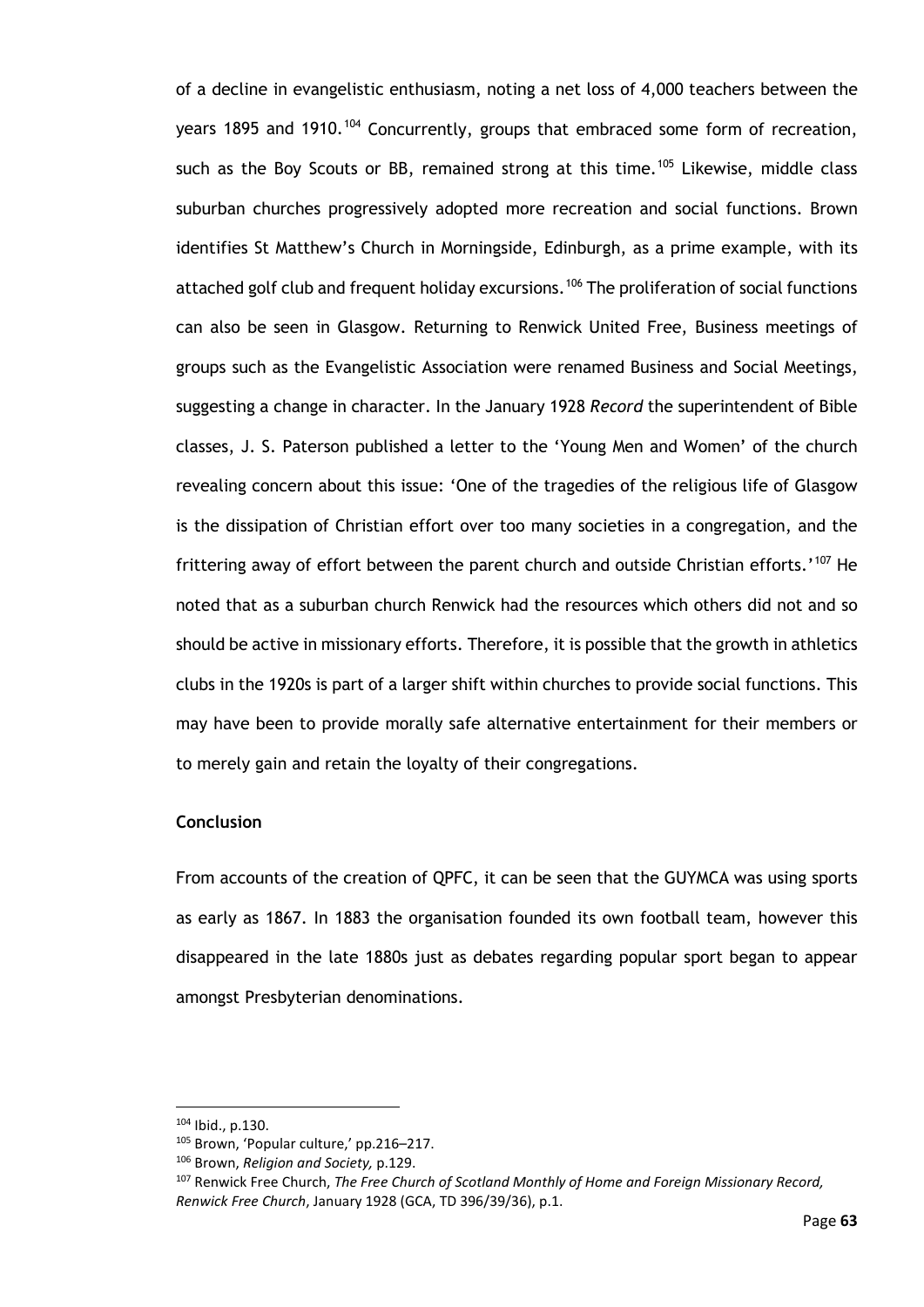of a decline in evangelistic enthusiasm, noting a net loss of 4,000 teachers between the years 1895 and 1910.<sup>[104](#page-68-0)</sup> Concurrently, groups that embraced some form of recreation, such as the Boy Scouts or BB, remained strong at this time.<sup>[105](#page-68-1)</sup> Likewise, middle class suburban churches progressively adopted more recreation and social functions. Brown identifies St Matthew's Church in Morningside, Edinburgh, as a prime example, with its attached golf club and frequent holiday excursions.<sup>[106](#page-68-2)</sup> The proliferation of social functions can also be seen in Glasgow. Returning to Renwick United Free, Business meetings of groups such as the Evangelistic Association were renamed Business and Social Meetings, suggesting a change in character. In the January 1928 *Record* the superintendent of Bible classes, J. S. Paterson published a letter to the 'Young Men and Women' of the church revealing concern about this issue: 'One of the tragedies of the religious life of Glasgow is the dissipation of Christian effort over too many societies in a congregation, and the frittering away of effort between the parent church and outside Christian efforts.'<sup>[107](#page-68-3)</sup> He noted that as a suburban church Renwick had the resources which others did not and so should be active in missionary efforts. Therefore, it is possible that the growth in athletics clubs in the 1920s is part of a larger shift within churches to provide social functions. This may have been to provide morally safe alternative entertainment for their members or to merely gain and retain the loyalty of their congregations.

#### **Conclusion**

From accounts of the creation of QPFC, it can be seen that the GUYMCA was using sports as early as 1867. In 1883 the organisation founded its own football team, however this disappeared in the late 1880s just as debates regarding popular sport began to appear amongst Presbyterian denominations.

<span id="page-68-0"></span><sup>104</sup> Ibid., p.130.

<span id="page-68-1"></span><sup>105</sup> Brown, 'Popular culture,' pp.216–217.

<span id="page-68-2"></span><sup>106</sup> Brown, *Religion and Society,* p.129.

<span id="page-68-3"></span><sup>107</sup> Renwick Free Church, *The Free Church of Scotland Monthly of Home and Foreign Missionary Record, Renwick Free Church*, January 1928 (GCA, TD 396/39/36), p.1.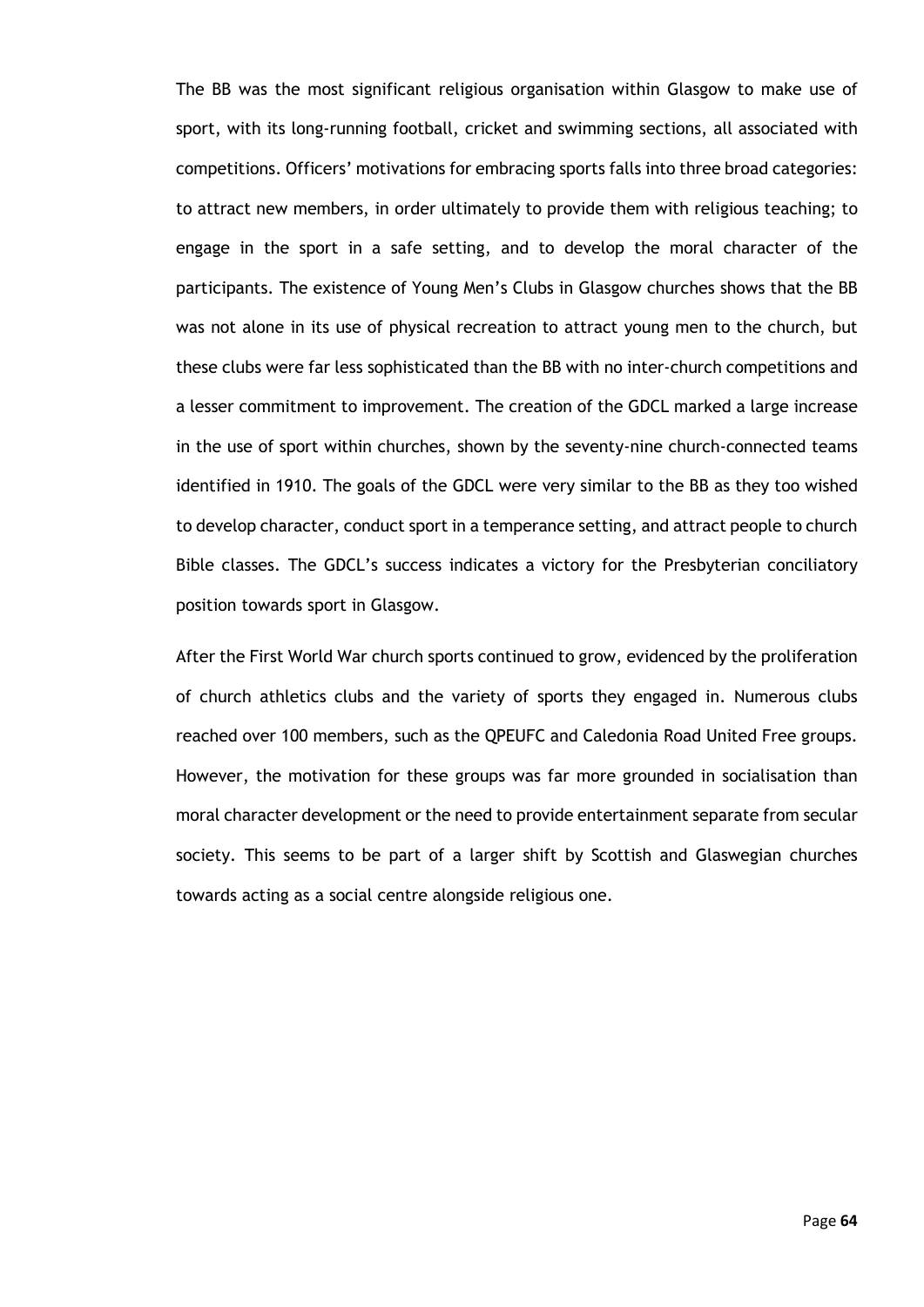The BB was the most significant religious organisation within Glasgow to make use of sport, with its long-running football, cricket and swimming sections, all associated with competitions. Officers' motivations for embracing sports falls into three broad categories: to attract new members, in order ultimately to provide them with religious teaching; to engage in the sport in a safe setting, and to develop the moral character of the participants. The existence of Young Men's Clubs in Glasgow churches shows that the BB was not alone in its use of physical recreation to attract young men to the church, but these clubs were far less sophisticated than the BB with no inter-church competitions and a lesser commitment to improvement. The creation of the GDCL marked a large increase in the use of sport within churches, shown by the seventy-nine church-connected teams identified in 1910. The goals of the GDCL were very similar to the BB as they too wished to develop character, conduct sport in a temperance setting, and attract people to church Bible classes. The GDCL's success indicates a victory for the Presbyterian conciliatory position towards sport in Glasgow.

After the First World War church sports continued to grow, evidenced by the proliferation of church athletics clubs and the variety of sports they engaged in. Numerous clubs reached over 100 members, such as the QPEUFC and Caledonia Road United Free groups. However, the motivation for these groups was far more grounded in socialisation than moral character development or the need to provide entertainment separate from secular society. This seems to be part of a larger shift by Scottish and Glaswegian churches towards acting as a social centre alongside religious one.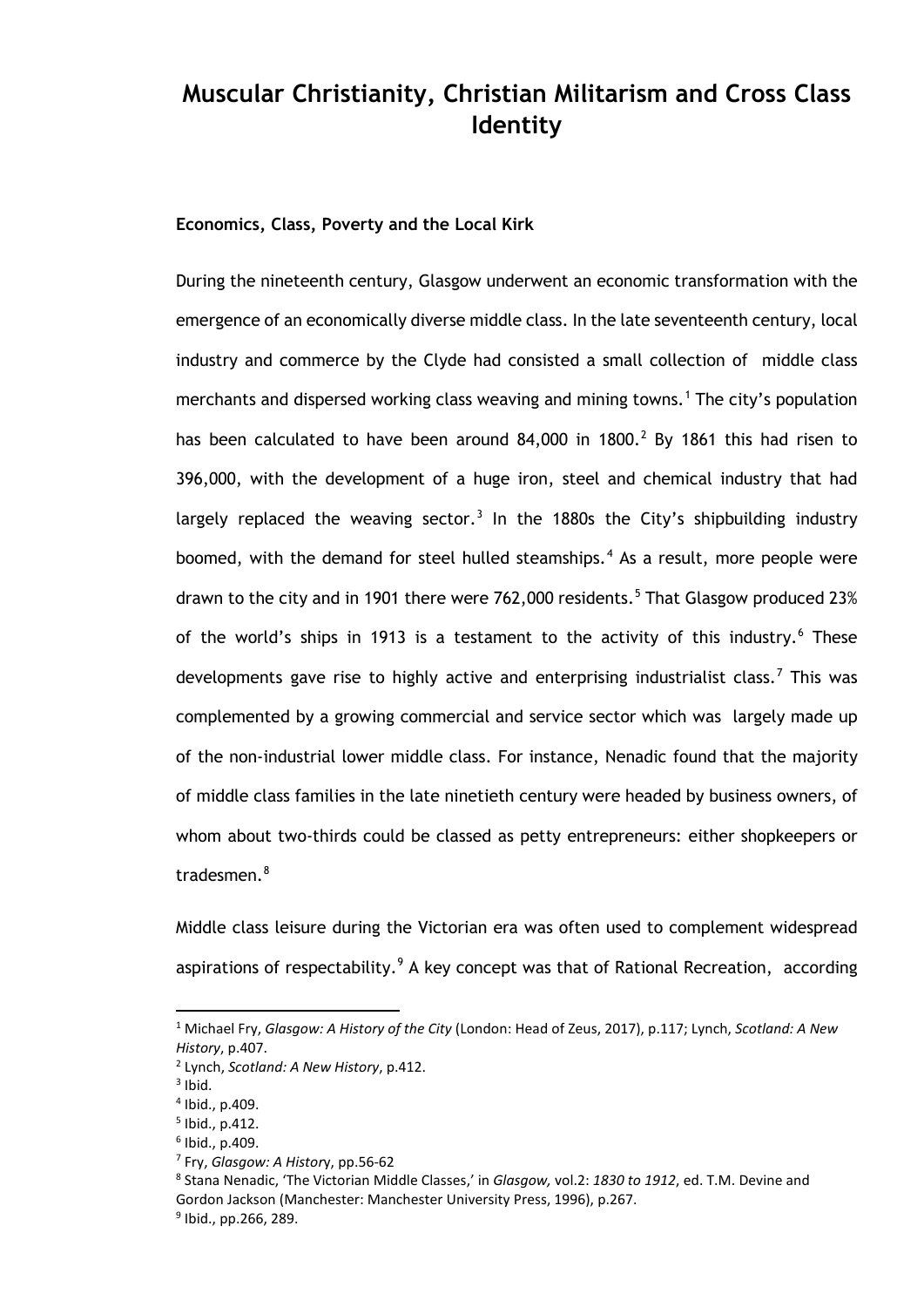# **Muscular Christianity, Christian Militarism and Cross Class Identity**

### **Economics, Class, Poverty and the Local Kirk**

During the nineteenth century, Glasgow underwent an economic transformation with the emergence of an economically diverse middle class. In the late seventeenth century, local industry and commerce by the Clyde had consisted a small collection of middle class merchants and dispersed working class weaving and mining towns.<sup>[1](#page-70-0)</sup> The city's population has been calculated to have been around  $84,000$  in  $1800.<sup>2</sup>$  $1800.<sup>2</sup>$  $1800.<sup>2</sup>$  By 1861 this had risen to 396,000, with the development of a huge iron, steel and chemical industry that had largely replaced the weaving sector.<sup>[3](#page-70-2)</sup> In the 1880s the City's shipbuilding industry boomed, with the demand for steel hulled steamships.<sup>[4](#page-70-3)</sup> As a result, more people were drawn to the city and in 1901 there were 762,000 residents.<sup>[5](#page-70-4)</sup> That Glasgow produced 23% of the world's ships in 1913 is a testament to the activity of this industry.<sup>[6](#page-70-5)</sup> These developments gave rise to highly active and enterprising industrialist class.<sup>[7](#page-70-6)</sup> This was complemented by a growing commercial and service sector which was largely made up of the non-industrial lower middle class. For instance, Nenadic found that the majority of middle class families in the late ninetieth century were headed by business owners, of whom about two-thirds could be classed as petty entrepreneurs: either shopkeepers or tradesmen. $8$ 

Middle class leisure during the Victorian era was often used to complement widespread aspirations of respectability.  $9A$  $9A$  key concept was that of Rational Recreation, according

<span id="page-70-0"></span><sup>1</sup> Michael Fry, *Glasgow: A History of the City* (London: Head of Zeus, 2017), p.117; Lynch, *Scotland: A New History*, p.407.

<sup>2</sup> Lynch, *Scotland: A New History*, p.412.

<span id="page-70-3"></span><span id="page-70-2"></span><span id="page-70-1"></span> $3$  Ibid.

<sup>4</sup> Ibid., p.409.

<sup>5</sup> Ibid., p.412.

<span id="page-70-5"></span><span id="page-70-4"></span> $6$  Ibid., p.409.

<span id="page-70-6"></span><sup>7</sup> Fry, *Glasgow: A Histor*y, pp.56-62

<span id="page-70-7"></span><sup>8</sup> Stana Nenadic, 'The Victorian Middle Classes,' in *Glasgow,* vol.2: *1830 to 1912*, ed. T.M. Devine and Gordon Jackson (Manchester: Manchester University Press, 1996), p.267.

<span id="page-70-8"></span> $9$  Ibid., pp. 266, 289.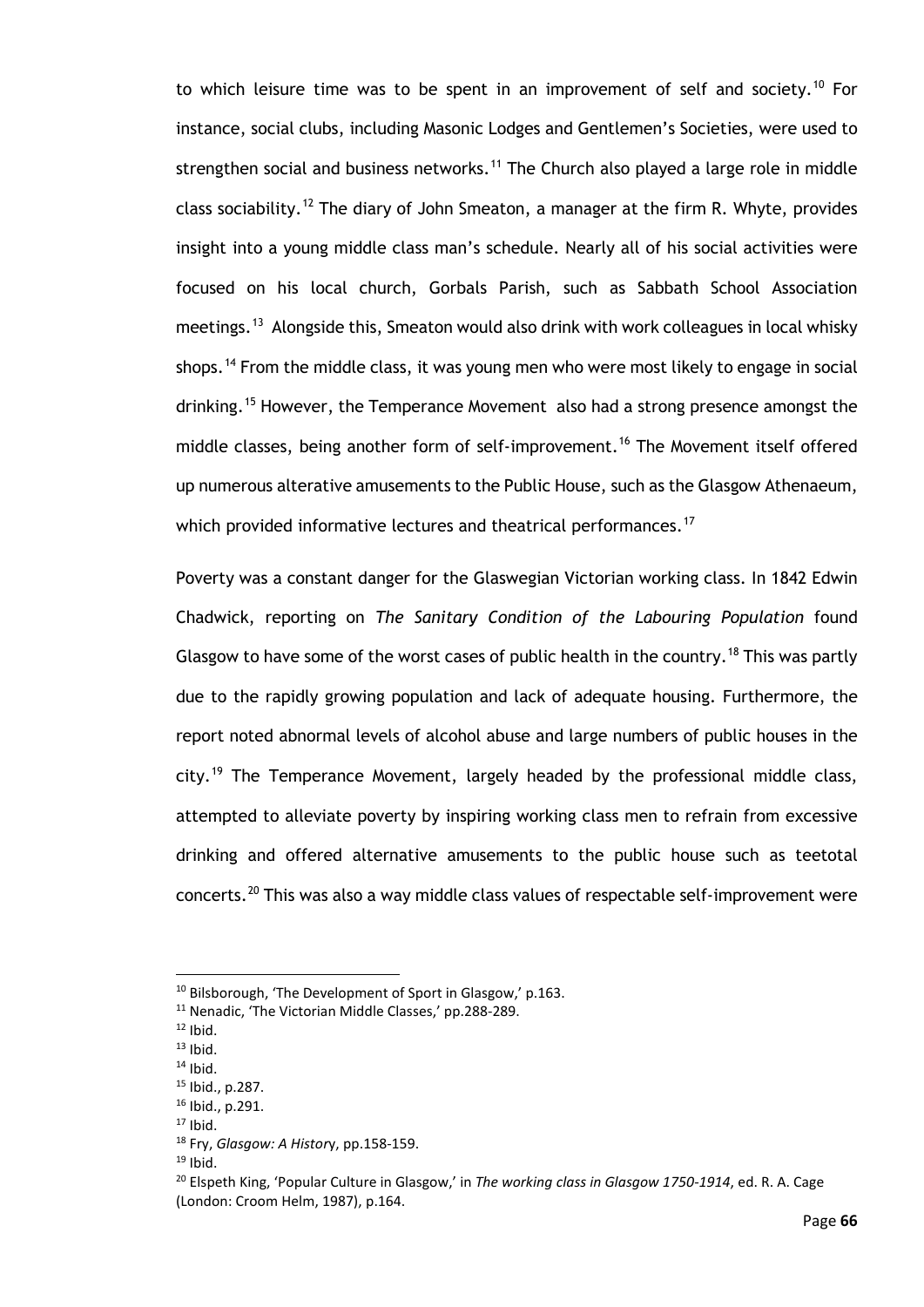to which leisure time was to be spent in an improvement of self and society.<sup>[10](#page-71-0)</sup> For instance, social clubs, including Masonic Lodges and Gentlemen's Societies, were used to strengthen social and business networks.<sup>[11](#page-71-1)</sup> The Church also played a large role in middle class sociability.<sup>[12](#page-71-2)</sup> The diary of John Smeaton, a manager at the firm R. Whyte, provides insight into a young middle class man's schedule. Nearly all of his social activities were focused on his local church, Gorbals Parish, such as Sabbath School Association meetings.<sup>13</sup> Alongside this, Smeaton would also drink with work colleagues in local whisky shops.<sup>[14](#page-71-4)</sup> From the middle class, it was young men who were most likely to engage in social drinking.<sup>[15](#page-71-5)</sup> However, the Temperance Movement also had a strong presence amongst the middle classes, being another form of self-improvement.<sup>[16](#page-71-6)</sup> The Movement itself offered up numerous alterative amusements to the Public House, such as the Glasgow Athenaeum, which provided informative lectures and theatrical performances.<sup>[17](#page-71-7)</sup>

Poverty was a constant danger for the Glaswegian Victorian working class. In 1842 Edwin Chadwick, reporting on *The Sanitary Condition of the Labouring Population* found Glasgow to have some of the worst cases of public health in the country.<sup>[18](#page-71-8)</sup> This was partly due to the rapidly growing population and lack of adequate housing. Furthermore, the report noted abnormal levels of alcohol abuse and large numbers of public houses in the city.<sup>[19](#page-71-9)</sup> The Temperance Movement, largely headed by the professional middle class, attempted to alleviate poverty by inspiring working class men to refrain from excessive drinking and offered alternative amusements to the public house such as teetotal concerts.<sup>[20](#page-71-10)</sup> This was also a way middle class values of respectable self-improvement were

 $19$  Ibid.

<span id="page-71-0"></span><sup>&</sup>lt;sup>10</sup> Bilsborough, 'The Development of Sport in Glasgow,' p.163.

<sup>&</sup>lt;sup>11</sup> Nenadic, 'The Victorian Middle Classes,' pp.288-289.

<span id="page-71-2"></span><span id="page-71-1"></span> $12$  Ibid.

<span id="page-71-3"></span> $13$  Ibid.

<span id="page-71-4"></span> $14$  Ibid.

<sup>15</sup> Ibid., p.287.

<span id="page-71-7"></span><span id="page-71-6"></span><span id="page-71-5"></span><sup>16</sup> Ibid., p.291.

 $17$  Ibid.

<span id="page-71-8"></span><sup>18</sup> Fry, *Glasgow: A Histor*y, pp.158-159.

<span id="page-71-10"></span><span id="page-71-9"></span><sup>20</sup> Elspeth King, 'Popular Culture in Glasgow,' in *The working class in Glasgow 1750-1914*, ed. R. A. Cage (London: Croom Helm, 1987), p.164.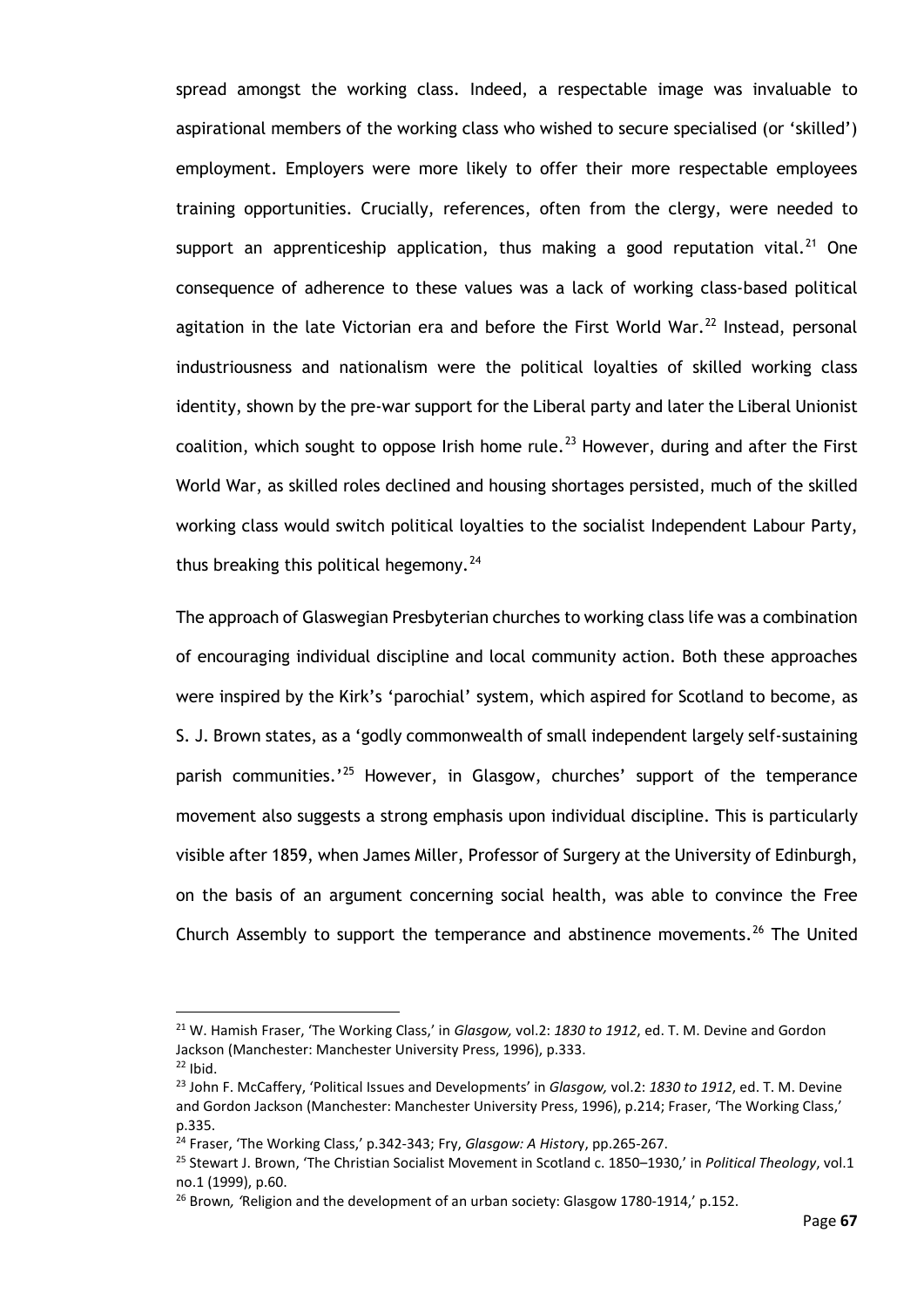spread amongst the working class. Indeed, a respectable image was invaluable to aspirational members of the working class who wished to secure specialised (or 'skilled') employment. Employers were more likely to offer their more respectable employees training opportunities. Crucially, references, often from the clergy, were needed to support an apprenticeship application, thus making a good reputation vital.<sup>[21](#page-72-0)</sup> One consequence of adherence to these values was a lack of working class-based political agitation in the late Victorian era and before the First World War. $^{22}$  $^{22}$  $^{22}$  Instead, personal industriousness and nationalism were the political loyalties of skilled working class identity, shown by the pre-war support for the Liberal party and later the Liberal Unionist coalition, which sought to oppose Irish home rule.<sup>[23](#page-72-2)</sup> However, during and after the First World War, as skilled roles declined and housing shortages persisted, much of the skilled working class would switch political loyalties to the socialist Independent Labour Party, thus breaking this political hegemony.<sup>[24](#page-72-3)</sup>

The approach of Glaswegian Presbyterian churches to working class life was a combination of encouraging individual discipline and local community action. Both these approaches were inspired by the Kirk's 'parochial' system, which aspired for Scotland to become, as S. J. Brown states, as a 'godly commonwealth of small independent largely self-sustaining parish communities.<sup>'[25](#page-72-4)</sup> However, in Glasgow, churches' support of the temperance movement also suggests a strong emphasis upon individual discipline. This is particularly visible after 1859, when James Miller, Professor of Surgery at the University of Edinburgh, on the basis of an argument concerning social health, was able to convince the Free Church Assembly to support the temperance and abstinence movements.<sup>[26](#page-72-5)</sup> The United

<span id="page-72-0"></span><sup>21</sup> W. Hamish Fraser, 'The Working Class,' in *Glasgow,* vol.2: *1830 to 1912*, ed. T. M. Devine and Gordon Jackson (Manchester: Manchester University Press, 1996), p.333.  $22$  Ibid.

<span id="page-72-2"></span><span id="page-72-1"></span><sup>23</sup> John F. McCaffery, 'Political Issues and Developments' in *Glasgow,* vol.2: *1830 to 1912*, ed. T. M. Devine and Gordon Jackson (Manchester: Manchester University Press, 1996), p.214; Fraser, 'The Working Class,' p.335.

<span id="page-72-3"></span><sup>24</sup> Fraser, 'The Working Class,' p.342-343; Fry, *Glasgow: A Histor*y, pp.265-267.

<span id="page-72-4"></span><sup>25</sup> Stewart J. Brown, 'The Christian Socialist Movement in Scotland c. 1850–1930,' in *Political Theology*, vol.1 no.1 (1999), p.60.

<span id="page-72-5"></span><sup>26</sup> Brown*, '*Religion and the development of an urban society: Glasgow 1780-1914,' p.152.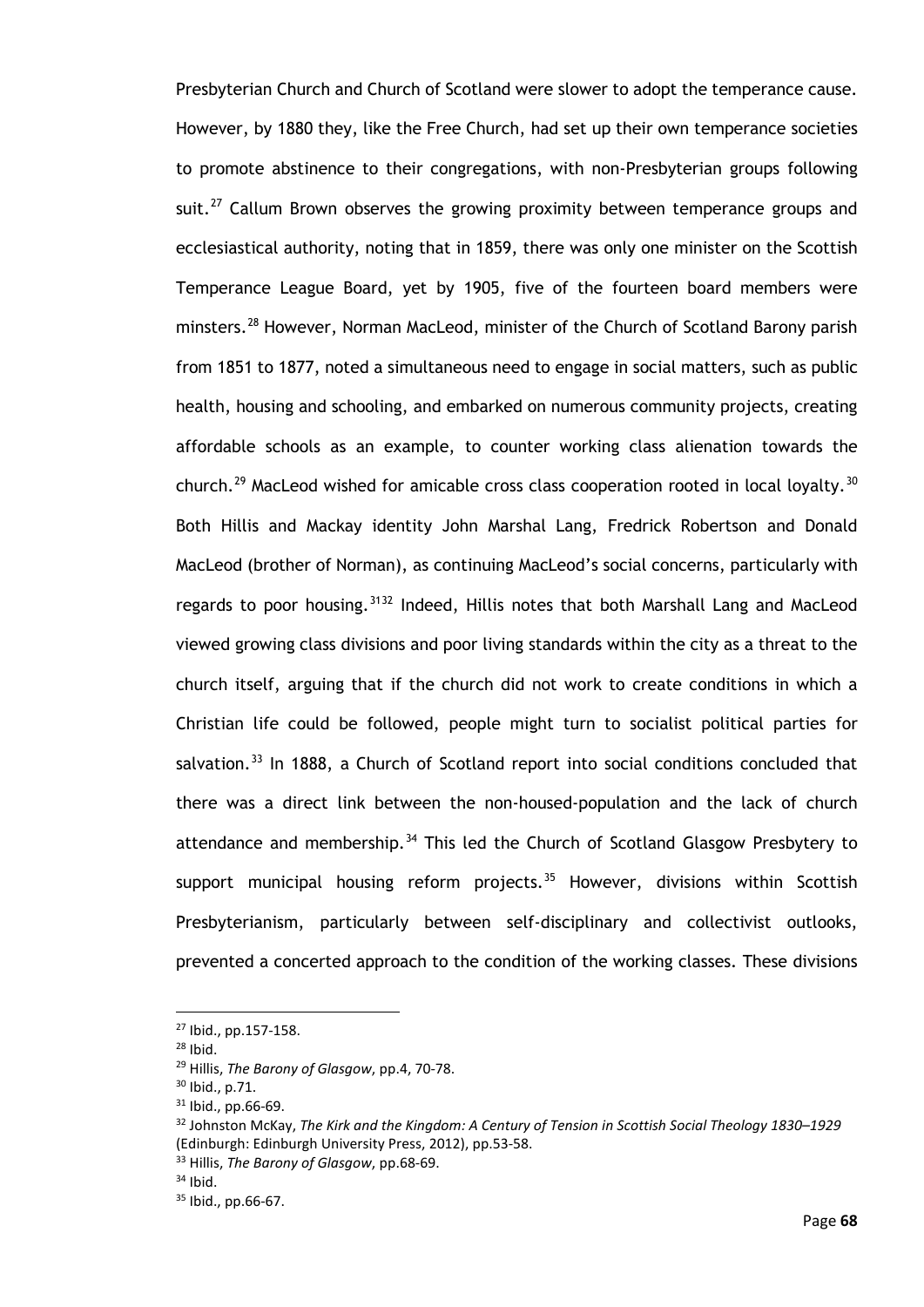Presbyterian Church and Church of Scotland were slower to adopt the temperance cause. However, by 1880 they, like the Free Church, had set up their own temperance societies to promote abstinence to their congregations, with non-Presbyterian groups following suit.<sup>[27](#page-73-0)</sup> Callum Brown observes the growing proximity between temperance groups and ecclesiastical authority, noting that in 1859, there was only one minister on the Scottish Temperance League Board, yet by 1905, five of the fourteen board members were minsters.[28](#page-73-1) However, Norman MacLeod, minister of the Church of Scotland Barony parish from 1851 to 1877, noted a simultaneous need to engage in social matters, such as public health, housing and schooling, and embarked on numerous community projects, creating affordable schools as an example, to counter working class alienation towards the church.<sup>[29](#page-73-2)</sup> MacLeod wished for amicable cross class cooperation rooted in local loyalty.<sup>[30](#page-73-3)</sup> Both Hillis and Mackay identity John Marshal Lang, Fredrick Robertson and Donald MacLeod (brother of Norman), as continuing MacLeod's social concerns, particularly with regards to poor housing.<sup>[31](#page-73-4)[32](#page-73-5)</sup> Indeed, Hillis notes that both Marshall Lang and MacLeod viewed growing class divisions and poor living standards within the city as a threat to the church itself, arguing that if the church did not work to create conditions in which a Christian life could be followed, people might turn to socialist political parties for salvation.<sup>[33](#page-73-6)</sup> In 1888, a Church of Scotland report into social conditions concluded that there was a direct link between the non-housed-population and the lack of church attendance and membership.<sup>[34](#page-73-7)</sup> This led the Church of Scotland Glasgow Presbytery to support municipal housing reform projects. $35$  However, divisions within Scottish Presbyterianism, particularly between self-disciplinary and collectivist outlooks, prevented a concerted approach to the condition of the working classes. These divisions

<sup>27</sup> Ibid., pp.157-158.

<span id="page-73-1"></span><span id="page-73-0"></span><sup>28</sup> Ibid.

<span id="page-73-2"></span><sup>29</sup> Hillis, *The Barony of Glasgow*, pp.4, 70-78.

<sup>30</sup> Ibid., p.71.

<span id="page-73-4"></span><span id="page-73-3"></span><sup>31</sup> Ibid., pp.66-69.

<span id="page-73-5"></span><sup>32</sup> Johnston McKay, *The Kirk and the Kingdom: A Century of Tension in Scottish Social Theology 1830–1929* (Edinburgh: Edinburgh University Press, 2012), pp.53-58.

<span id="page-73-6"></span><sup>33</sup> Hillis, *The Barony of Glasgow*, pp.68-69.

<span id="page-73-7"></span> $34$  Ibid.

<span id="page-73-8"></span><sup>35</sup> Ibid., pp.66-67.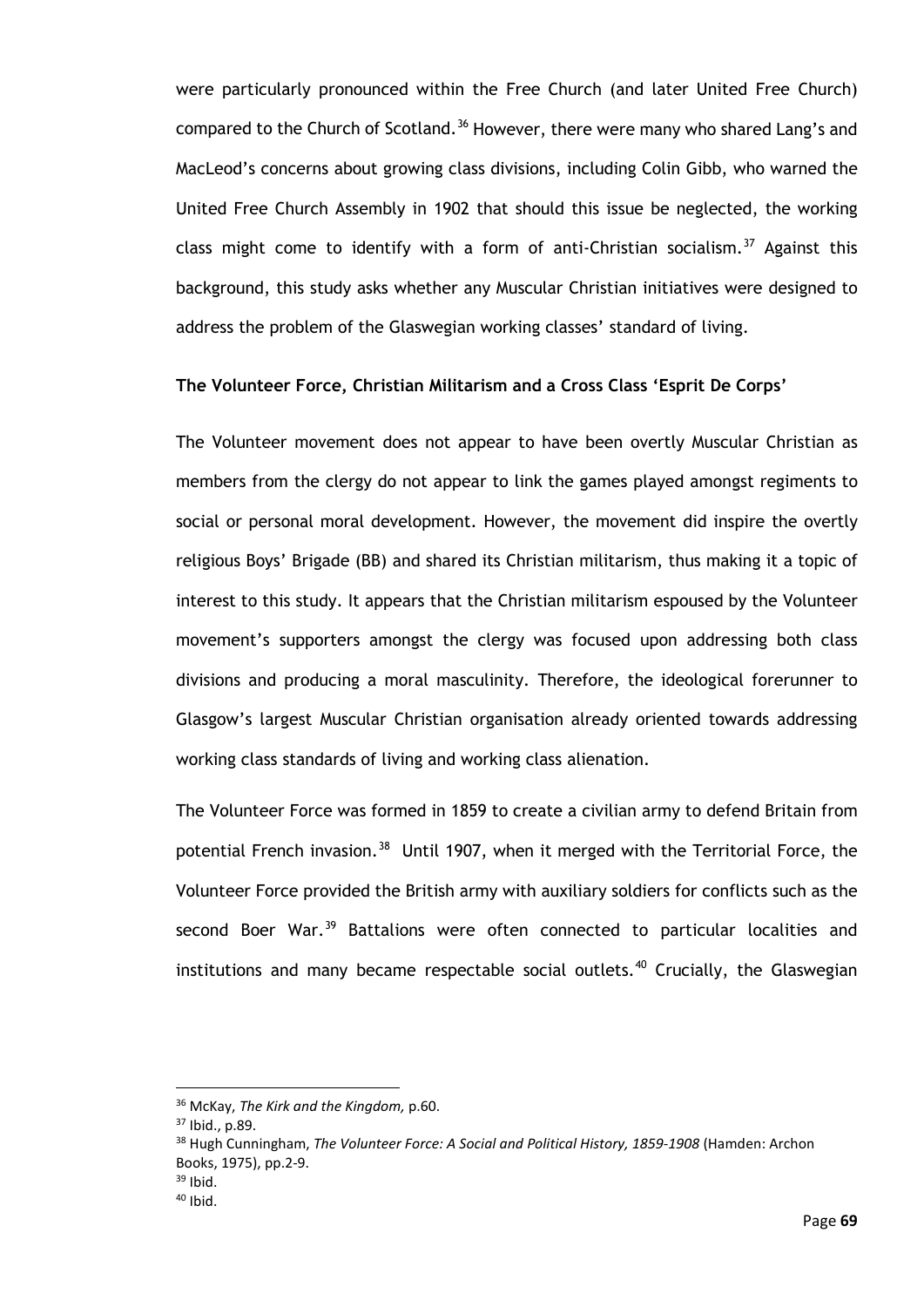were particularly pronounced within the Free Church (and later United Free Church) compared to the Church of Scotland.<sup>[36](#page-74-0)</sup> However, there were many who shared Lang's and MacLeod's concerns about growing class divisions, including Colin Gibb, who warned the United Free Church Assembly in 1902 that should this issue be neglected, the working class might come to identify with a form of anti-Christian socialism.<sup>[37](#page-74-1)</sup> Against this background, this study asks whether any Muscular Christian initiatives were designed to address the problem of the Glaswegian working classes' standard of living.

## **The Volunteer Force, Christian Militarism and a Cross Class 'Esprit De Corps'**

The Volunteer movement does not appear to have been overtly Muscular Christian as members from the clergy do not appear to link the games played amongst regiments to social or personal moral development. However, the movement did inspire the overtly religious Boys' Brigade (BB) and shared its Christian militarism, thus making it a topic of interest to this study. It appears that the Christian militarism espoused by the Volunteer movement's supporters amongst the clergy was focused upon addressing both class divisions and producing a moral masculinity. Therefore, the ideological forerunner to Glasgow's largest Muscular Christian organisation already oriented towards addressing working class standards of living and working class alienation.

The Volunteer Force was formed in 1859 to create a civilian army to defend Britain from potential French invasion.<sup>[38](#page-74-2)</sup> Until 1907, when it merged with the Territorial Force, the Volunteer Force provided the British army with auxiliary soldiers for conflicts such as the second Boer War.<sup>[39](#page-74-3)</sup> Battalions were often connected to particular localities and institutions and many became respectable social outlets.<sup>[40](#page-74-4)</sup> Crucially, the Glaswegian

<span id="page-74-0"></span><sup>36</sup> McKay, *The Kirk and the Kingdom,* p.60.

<span id="page-74-1"></span><sup>37</sup> Ibid., p.89.

<span id="page-74-2"></span><sup>38</sup> Hugh Cunningham, *The Volunteer Force: A Social and Political History, 1859-1908* (Hamden: Archon Books, 1975), pp.2-9.

<span id="page-74-4"></span><span id="page-74-3"></span> $39$  Ibid.

 $40$  Ibid.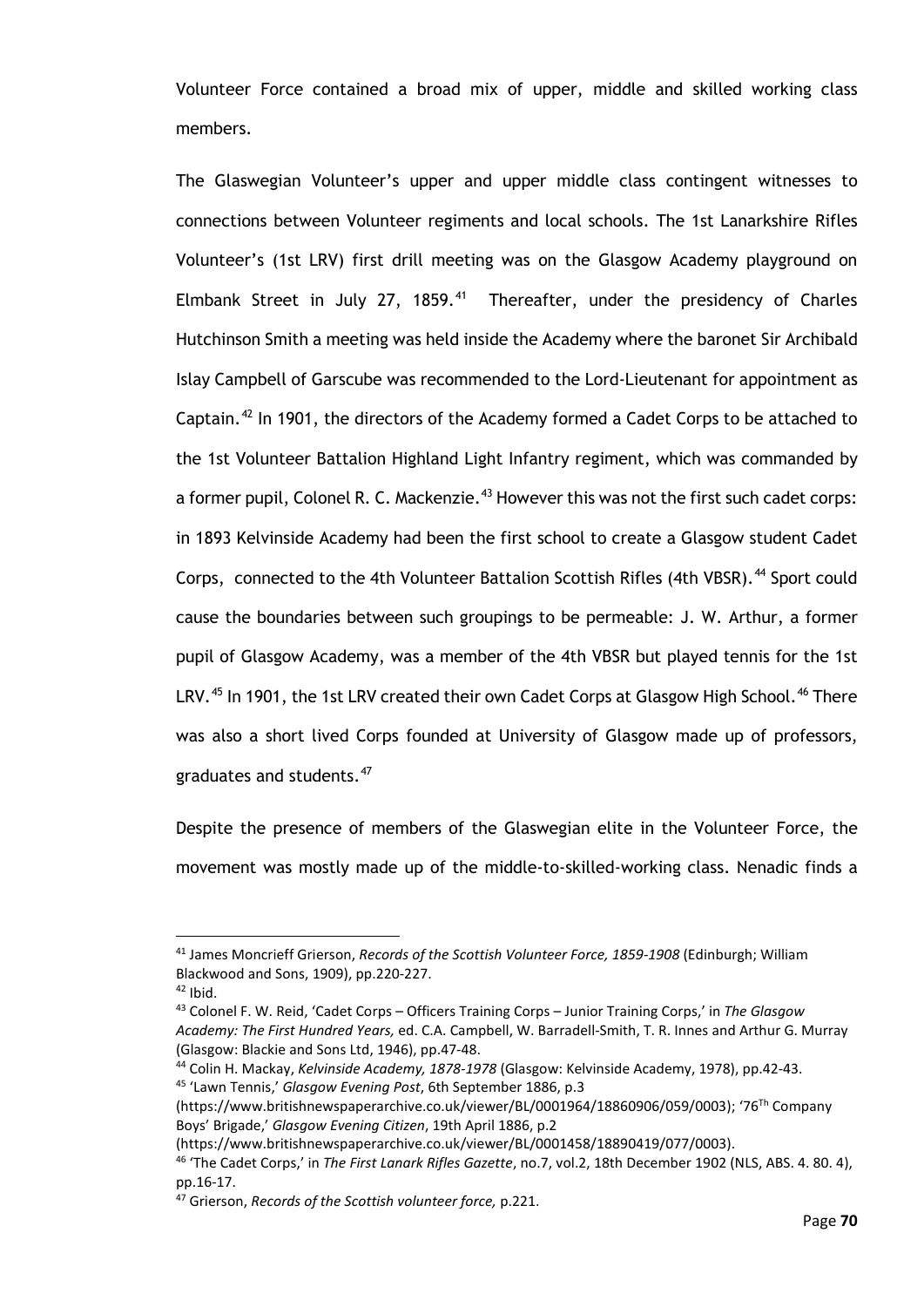Volunteer Force contained a broad mix of upper, middle and skilled working class members.

The Glaswegian Volunteer's upper and upper middle class contingent witnesses to connections between Volunteer regiments and local schools. The 1st Lanarkshire Rifles Volunteer's (1st LRV) first drill meeting was on the Glasgow Academy playground on Elmbank Street in July 27, 1859.<sup>41</sup> Thereafter, under the presidency of Charles Hutchinson Smith a meeting was held inside the Academy where the baronet Sir Archibald Islay Campbell of Garscube was recommended to the Lord-Lieutenant for appointment as Captain.[42](#page-75-1) In 1901, the directors of the Academy formed a Cadet Corps to be attached to the 1st Volunteer Battalion Highland Light Infantry regiment, which was commanded by a former pupil, Colonel R. C. Mackenzie.<sup>[43](#page-75-2)</sup> However this was not the first such cadet corps: in 1893 Kelvinside Academy had been the first school to create a Glasgow student Cadet Corps, connected to the 4th Volunteer Battalion Scottish Rifles (4th VBSR).<sup>[44](#page-75-3)</sup> Sport could cause the boundaries between such groupings to be permeable: J. W. Arthur, a former pupil of Glasgow Academy, was a member of the 4th VBSR but played tennis for the 1st LRV.<sup>[45](#page-75-4)</sup> In 1901, the 1st LRV created their own Cadet Corps at Glasgow High School.<sup>[46](#page-75-5)</sup> There was also a short lived Corps founded at University of Glasgow made up of professors, graduates and students.<sup>[47](#page-75-6)</sup>

Despite the presence of members of the Glaswegian elite in the Volunteer Force, the movement was mostly made up of the middle-to-skilled-working class. Nenadic finds a

<span id="page-75-0"></span><sup>41</sup> James Moncrieff Grierson, *Records of the Scottish Volunteer Force, 1859-1908* (Edinburgh; William Blackwood and Sons, 1909), pp.220-227.

<span id="page-75-1"></span> $42$  Ibid.

<span id="page-75-2"></span><sup>43</sup> Colonel F. W. Reid, 'Cadet Corps – Officers Training Corps – Junior Training Corps,' in *The Glasgow Academy: The First Hundred Years,* ed. C.A. Campbell, W. Barradell-Smith, T. R. Innes and Arthur G. Murray (Glasgow: Blackie and Sons Ltd, 1946), pp.47-48.

<span id="page-75-3"></span><sup>44</sup> Colin H. Mackay, *Kelvinside Academy, 1878-1978* (Glasgow: Kelvinside Academy, 1978), pp.42-43. <sup>45</sup> 'Lawn Tennis,' *Glasgow Evening Post*, 6th September 1886, p.3

<span id="page-75-4"></span><sup>(</sup>https://www.britishnewspaperarchive.co.uk/viewer/BL/0001964/18860906/059/0003); '76Th Company Boys' Brigade,' *Glasgow Evening Citizen*, 19th April 1886, p.2

<sup>(</sup>https://www.britishnewspaperarchive.co.uk/viewer/BL/0001458/18890419/077/0003).

<span id="page-75-5"></span><sup>46</sup> 'The Cadet Corps,' in *The First Lanark Rifles Gazette*, no.7, vol.2, 18th December 1902 (NLS, ABS. 4. 80. 4), pp.16-17.

<span id="page-75-6"></span><sup>47</sup> Grierson, *Records of the Scottish volunteer force,* p.221.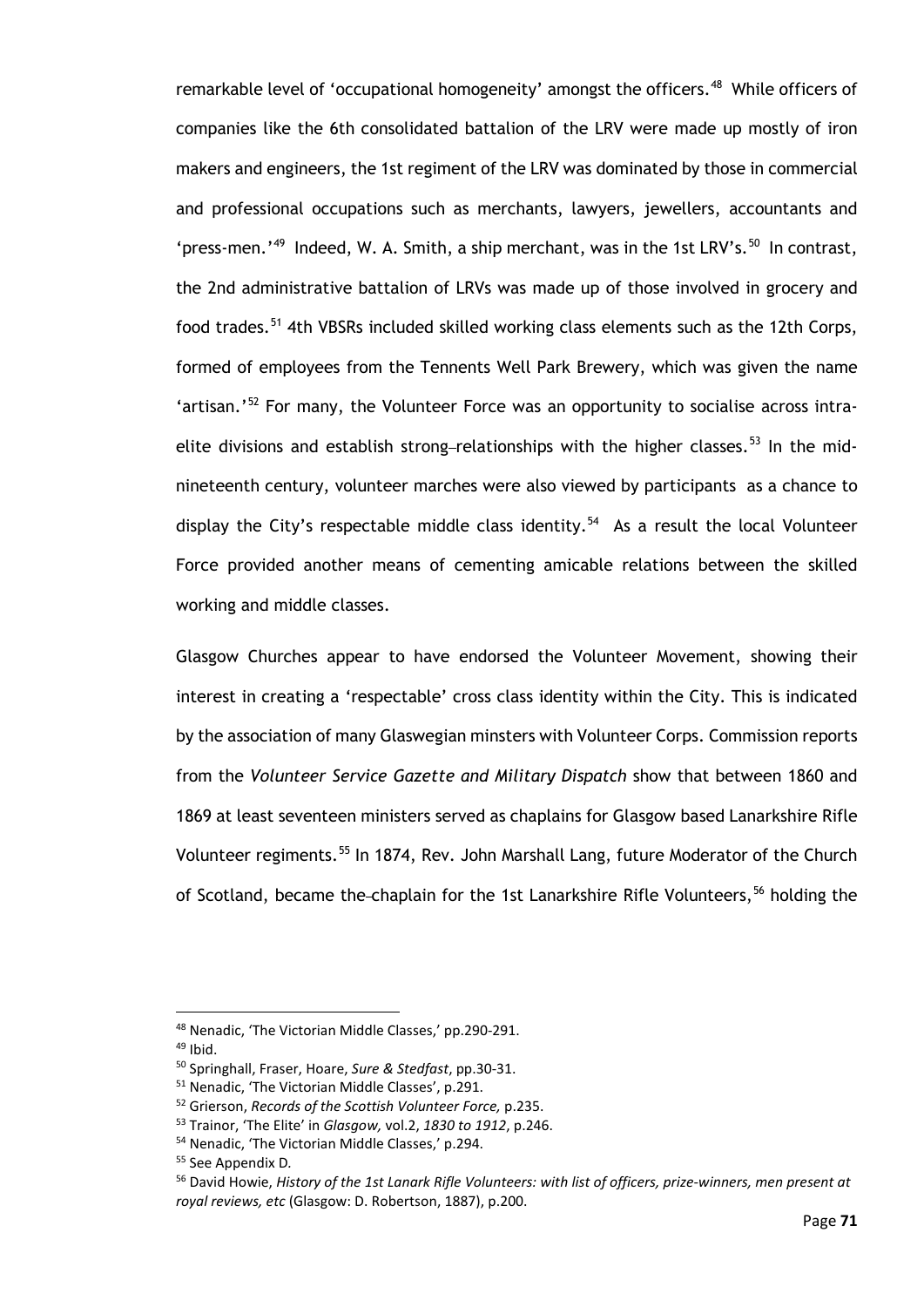remarkable level of 'occupational homogeneity' amongst the officers.<sup>[48](#page-76-0)</sup> While officers of companies like the 6th consolidated battalion of the LRV were made up mostly of iron makers and engineers, the 1st regiment of the LRV was dominated by those in commercial and professional occupations such as merchants, lawyers, jewellers, accountants and 'press-men.'<sup>49</sup> Indeed, W. A. Smith, a ship merchant, was in the 1st LRV's.<sup>50</sup> In contrast, the 2nd administrative battalion of LRVs was made up of those involved in grocery and food trades.<sup>[51](#page-76-3)</sup> 4th VBSRs included skilled working class elements such as the 12th Corps, formed of employees from the Tennents Well Park Brewery, which was given the name 'artisan.'<sup>[52](#page-76-4)</sup> For many, the Volunteer Force was an opportunity to socialise across intra-elite divisions and establish strong-relationships with the higher classes.<sup>[53](#page-76-5)</sup> In the midnineteenth century, volunteer marches were also viewed by participants as a chance to display the City's respectable middle class identity.<sup>54</sup> As a result the local Volunteer Force provided another means of cementing amicable relations between the skilled working and middle classes.

Glasgow Churches appear to have endorsed the Volunteer Movement, showing their interest in creating a 'respectable' cross class identity within the City. This is indicated by the association of many Glaswegian minsters with Volunteer Corps. Commission reports from the *Volunteer Service Gazette and Military Dispatch* show that between 1860 and 1869 at least seventeen ministers served as chaplains for Glasgow based Lanarkshire Rifle Volunteer regiments.<sup>[55](#page-76-7)</sup> In 1874, Rev. John Marshall Lang, future Moderator of the Church of Scotland, became the-chaplain for the 1st Lanarkshire Rifle Volunteers,<sup>[56](#page-76-8)</sup> holding the

<span id="page-76-0"></span><sup>48</sup> Nenadic, 'The Victorian Middle Classes,' pp.290-291.

<span id="page-76-1"></span> $49$  Ibid.

<span id="page-76-2"></span><sup>50</sup> Springhall, Fraser, Hoare, *Sure & Stedfast*, pp.30-31.

<span id="page-76-3"></span><sup>51</sup> Nenadic, 'The Victorian Middle Classes', p.291.

<sup>52</sup> Grierson, *Records of the Scottish Volunteer Force,* p.235.

<span id="page-76-5"></span><span id="page-76-4"></span><sup>53</sup> Trainor, 'The Elite' in *Glasgow,* vol.2, *1830 to 1912*, p.246.

<span id="page-76-7"></span><span id="page-76-6"></span><sup>54</sup> Nenadic, 'The Victorian Middle Classes,' p.294.

<sup>55</sup> See Appendix D*.*

<span id="page-76-8"></span><sup>56</sup> David Howie, *History of the 1st Lanark Rifle Volunteers: with list of officers, prize-winners, men present at royal reviews, etc* (Glasgow: D. Robertson, 1887), p.200.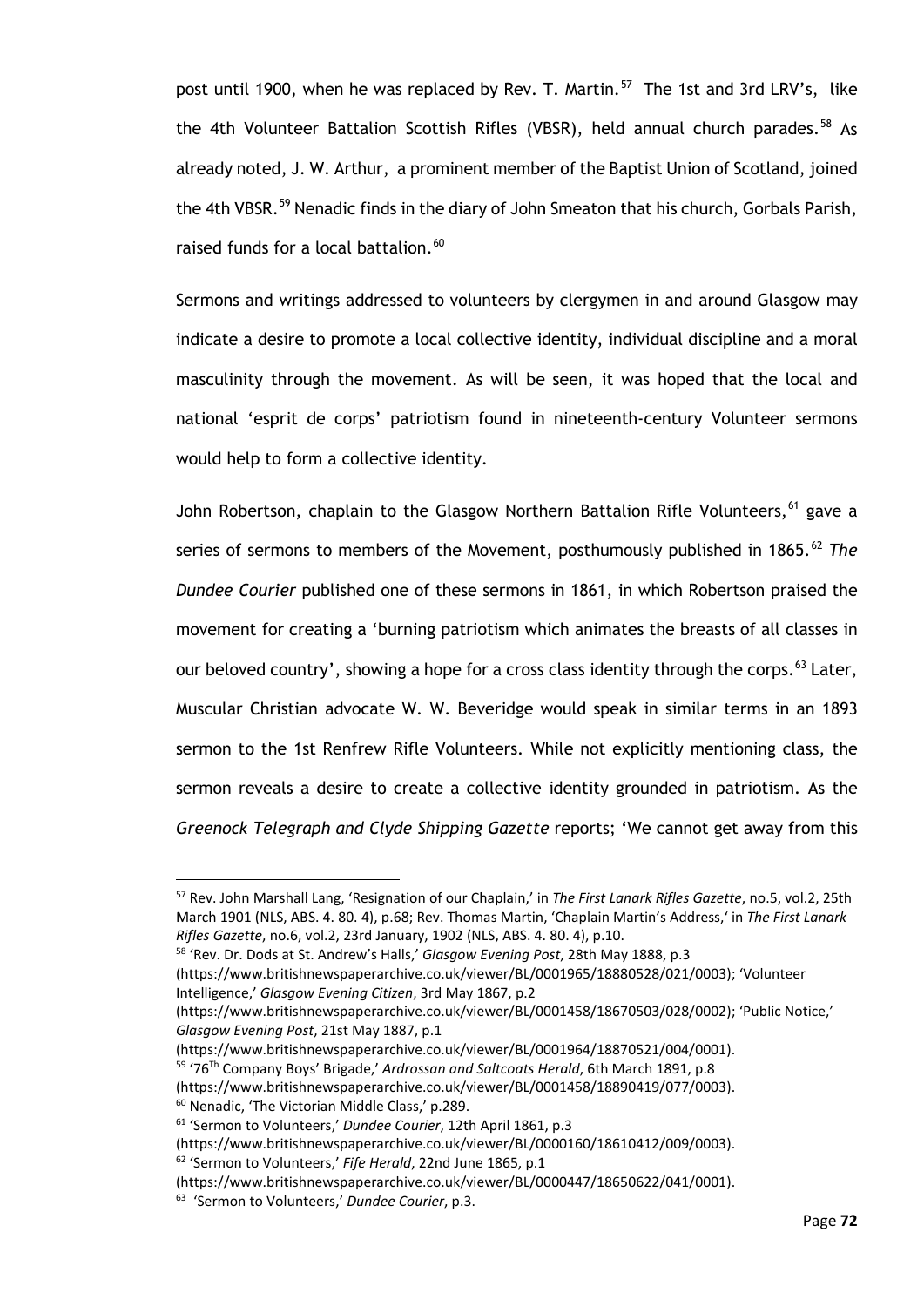post until 1900, when he was replaced by Rev. T. Martin.<sup>[57](#page-77-0)</sup> The 1st and 3rd LRV's, like the 4th Volunteer Battalion Scottish Rifles (VBSR), held annual church parades.<sup>[58](#page-77-1)</sup> As already noted, J. W. Arthur, a prominent member of the Baptist Union of Scotland, joined the 4th VBSR. [59](#page-77-2) Nenadic finds in the diary of John Smeaton that his church, Gorbals Parish, raised funds for a local battalion.<sup>[60](#page-77-3)</sup>

Sermons and writings addressed to volunteers by clergymen in and around Glasgow may indicate a desire to promote a local collective identity, individual discipline and a moral masculinity through the movement. As will be seen, it was hoped that the local and national 'esprit de corps' patriotism found in nineteenth-century Volunteer sermons would help to form a collective identity.

John Robertson, chaplain to the Glasgow Northern Battalion Rifle Volunteers,<sup>[61](#page-77-4)</sup> gave a series of sermons to members of the Movement, posthumously published in 1865.<sup>[62](#page-77-5)</sup> The *Dundee Courier* published one of these sermons in 1861, in which Robertson praised the movement for creating a 'burning patriotism which animates the breasts of all classes in our beloved country', showing a hope for a cross class identity through the corps.<sup>[63](#page-77-6)</sup> Later, Muscular Christian advocate W. W. Beveridge would speak in similar terms in an 1893 sermon to the 1st Renfrew Rifle Volunteers. While not explicitly mentioning class, the sermon reveals a desire to create a collective identity grounded in patriotism. As the *Greenock Telegraph and Clyde Shipping Gazette* reports; 'We cannot get away from this

<span id="page-77-0"></span><sup>57</sup> Rev. John Marshall Lang, 'Resignation of our Chaplain,' in *The First Lanark Rifles Gazette*, no.5, vol.2, 25th March 1901 (NLS, ABS. 4. 80. 4), p.68; Rev. Thomas Martin, 'Chaplain Martin's Address,' in *The First Lanark Rifles Gazette*, no.6, vol.2, 23rd January, 1902 (NLS, ABS. 4. 80. 4), p.10.

<span id="page-77-1"></span><sup>58</sup> 'Rev. Dr. Dods at St. Andrew's Halls,' *Glasgow Evening Post*, 28th May 1888, p.3

<sup>(</sup>https://www.britishnewspaperarchive.co.uk/viewer/BL/0001965/18880528/021/0003); 'Volunteer Intelligence,' *Glasgow Evening Citizen*, 3rd May 1867, p.2

<sup>(</sup>https://www.britishnewspaperarchive.co.uk/viewer/BL/0001458/18670503/028/0002); 'Public Notice,' *Glasgow Evening Post*, 21st May 1887, p.1

<sup>(</sup>https://www.britishnewspaperarchive.co.uk/viewer/BL/0001964/18870521/004/0001).

<span id="page-77-2"></span><sup>59</sup> '76Th Company Boys' Brigade,' *Ardrossan and Saltcoats Herald*, 6th March 1891, p.8

<sup>(</sup>https://www.britishnewspaperarchive.co.uk/viewer/BL/0001458/18890419/077/0003).

<span id="page-77-3"></span><sup>60</sup> Nenadic, 'The Victorian Middle Class,' p.289.

<span id="page-77-4"></span><sup>61</sup> 'Sermon to Volunteers,' *Dundee Courier*, 12th April 1861, p.3

<sup>(</sup>https://www.britishnewspaperarchive.co.uk/viewer/BL/0000160/18610412/009/0003).

<span id="page-77-5"></span><sup>62</sup> 'Sermon to Volunteers,' *Fife Herald*, 22nd June 1865, p.1

<sup>(</sup>https://www.britishnewspaperarchive.co.uk/viewer/BL/0000447/18650622/041/0001).

<span id="page-77-6"></span><sup>63</sup> 'Sermon to Volunteers,' *Dundee Courier*, p.3.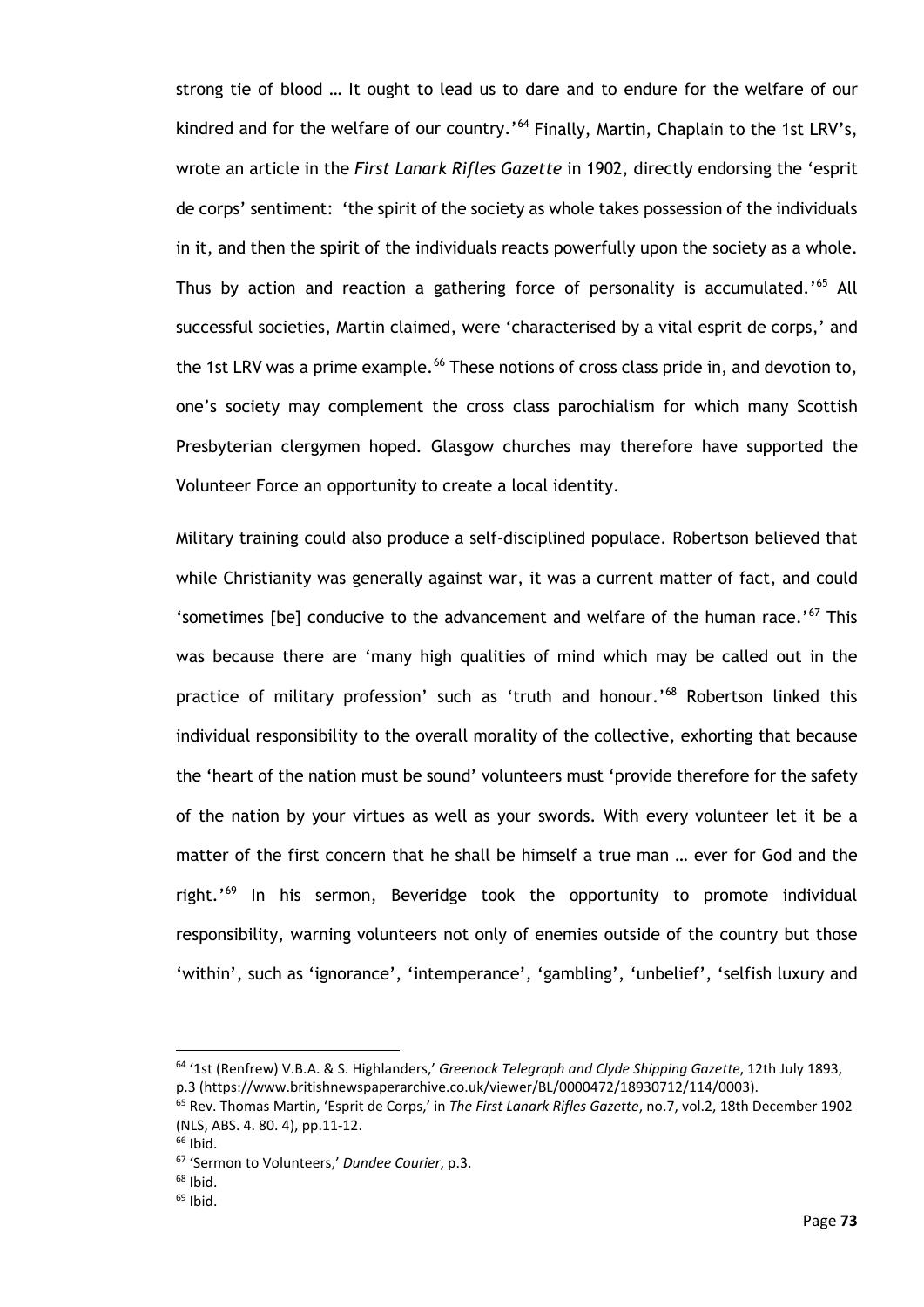strong tie of blood … It ought to lead us to dare and to endure for the welfare of our kindred and for the welfare of our country.'<sup>[64](#page-78-0)</sup> Finally, Martin, Chaplain to the 1st LRV's, wrote an article in the *First Lanark Rifles Gazette* in 1902, directly endorsing the 'esprit de corps' sentiment: 'the spirit of the society as whole takes possession of the individuals in it, and then the spirit of the individuals reacts powerfully upon the society as a whole. Thus by action and reaction a gathering force of personality is accumulated.<sup>1[65](#page-78-1)</sup> All successful societies, Martin claimed, were 'characterised by a vital esprit de corps,' and the 1st LRV was a prime example.<sup>[66](#page-78-2)</sup> These notions of cross class pride in, and devotion to, one's society may complement the cross class parochialism for which many Scottish Presbyterian clergymen hoped. Glasgow churches may therefore have supported the Volunteer Force an opportunity to create a local identity.

Military training could also produce a self-disciplined populace. Robertson believed that while Christianity was generally against war, it was a current matter of fact, and could 'sometimes [be] conducive to the advancement and welfare of the human race.'<sup>[67](#page-78-3)</sup> This was because there are 'many high qualities of mind which may be called out in the practice of military profession' such as 'truth and honour.'<sup>[68](#page-78-4)</sup> Robertson linked this individual responsibility to the overall morality of the collective, exhorting that because the 'heart of the nation must be sound' volunteers must 'provide therefore for the safety of the nation by your virtues as well as your swords. With every volunteer let it be a matter of the first concern that he shall be himself a true man … ever for God and the right.' [69](#page-78-5) In his sermon, Beveridge took the opportunity to promote individual responsibility, warning volunteers not only of enemies outside of the country but those 'within', such as 'ignorance', 'intemperance', 'gambling', 'unbelief', 'selfish luxury and

<span id="page-78-0"></span><sup>64</sup> '1st (Renfrew) V.B.A. & S. Highlanders,' *Greenock Telegraph and Clyde Shipping Gazette*, 12th July 1893, p.3 (https://www.britishnewspaperarchive.co.uk/viewer/BL/0000472/18930712/114/0003).

<span id="page-78-1"></span><sup>65</sup> Rev. Thomas Martin, 'Esprit de Corps,' in *The First Lanark Rifles Gazette*, no.7, vol.2, 18th December 1902 (NLS, ABS. 4. 80. 4), pp.11-12.

<span id="page-78-3"></span><span id="page-78-2"></span> $66$  Ibid.

<sup>67</sup> 'Sermon to Volunteers,' *Dundee Courier*, p.3.

<span id="page-78-4"></span> $68$  Ibid.

<span id="page-78-5"></span> $69$  Ibid.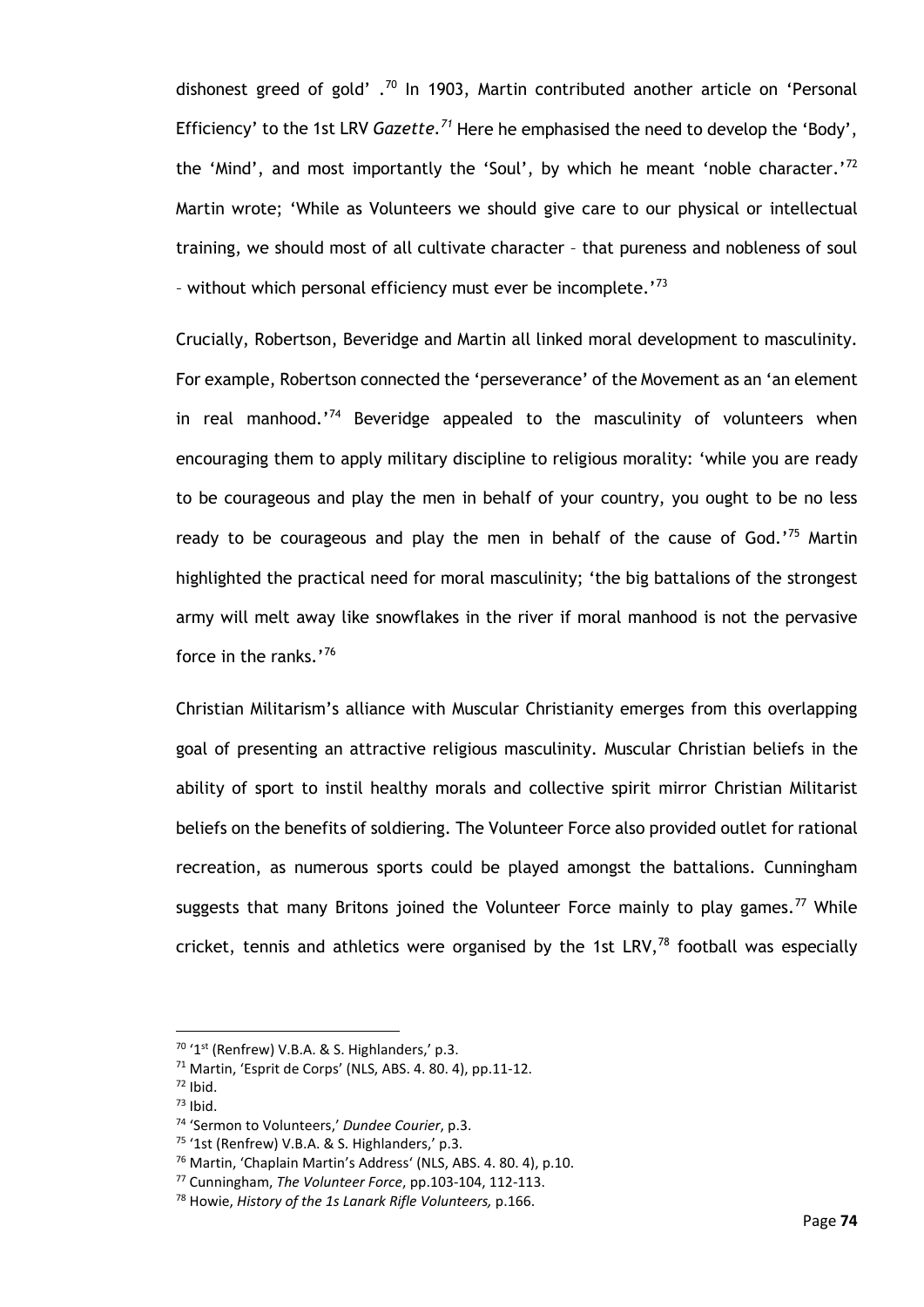dishonest greed of gold'  $\cdot$ <sup>[70](#page-79-0)</sup> In 1903, Martin contributed another article on 'Personal Efficiency' to the 1st LRV *Gazette.[71](#page-79-1)* Here he emphasised the need to develop the 'Body', the 'Mind', and most importantly the 'Soul', by which he meant 'noble character.'<sup>[72](#page-79-2)</sup> Martin wrote; 'While as Volunteers we should give care to our physical or intellectual training, we should most of all cultivate character – that pureness and nobleness of soul - without which personal efficiency must ever be incomplete.'<sup>[73](#page-79-3)</sup>

Crucially, Robertson, Beveridge and Martin all linked moral development to masculinity. For example, Robertson connected the 'perseverance' of the Movement as an 'an element in real manhood.<sup>'[74](#page-79-4)</sup> Beveridge appealed to the masculinity of volunteers when encouraging them to apply military discipline to religious morality: 'while you are ready to be courageous and play the men in behalf of your country, you ought to be no less ready to be courageous and play the men in behalf of the cause of God.<sup> $75$ </sup> Martin highlighted the practical need for moral masculinity; 'the big battalions of the strongest army will melt away like snowflakes in the river if moral manhood is not the pervasive force in the ranks.' [76](#page-79-6)

Christian Militarism's alliance with Muscular Christianity emerges from this overlapping goal of presenting an attractive religious masculinity. Muscular Christian beliefs in the ability of sport to instil healthy morals and collective spirit mirror Christian Militarist beliefs on the benefits of soldiering. The Volunteer Force also provided outlet for rational recreation, as numerous sports could be played amongst the battalions. Cunningham suggests that many Britons joined the Volunteer Force mainly to play games.<sup>[77](#page-79-7)</sup> While cricket, tennis and athletics were organised by the 1st LRV, $^{78}$  $^{78}$  $^{78}$  football was especially

<span id="page-79-0"></span> $70$  '1<sup>st</sup> (Renfrew) V.B.A. & S. Highlanders,' p.3.

<span id="page-79-1"></span><sup>71</sup> Martin, 'Esprit de Corps' (NLS, ABS. 4. 80. 4), pp.11-12.

 $72$  Ibid.

<span id="page-79-3"></span><span id="page-79-2"></span> $73$  Ibid.

<span id="page-79-4"></span><sup>74</sup> 'Sermon to Volunteers,' *Dundee Courier*, p.3.

<span id="page-79-5"></span> $75$  '1st (Renfrew) V.B.A. & S. Highlanders,' p.3.

<span id="page-79-6"></span><sup>76</sup> Martin, 'Chaplain Martin's Address' (NLS, ABS. 4. 80. 4), p.10.

<span id="page-79-7"></span><sup>77</sup> Cunningham, *The Volunteer Force*, pp.103-104, 112-113.

<span id="page-79-8"></span><sup>78</sup> Howie, *History of the 1s Lanark Rifle Volunteers,* p.166.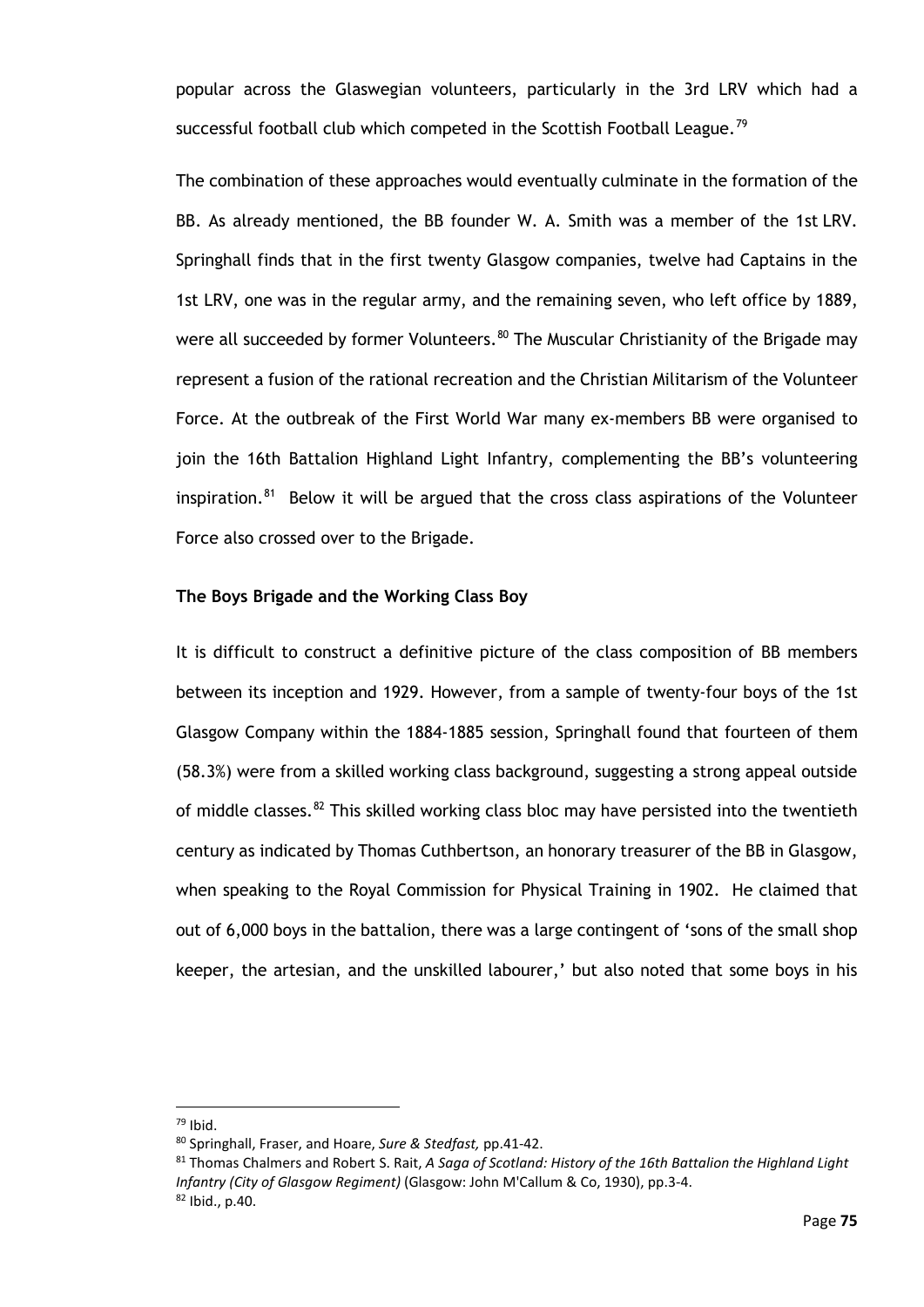popular across the Glaswegian volunteers, particularly in the 3rd LRV which had a successful football club which competed in the Scottish Football League.<sup>[79](#page-80-0)</sup>

The combination of these approaches would eventually culminate in the formation of the BB. As already mentioned, the BB founder W. A. Smith was a member of the 1st LRV. Springhall finds that in the first twenty Glasgow companies, twelve had Captains in the 1st LRV, one was in the regular army, and the remaining seven, who left office by 1889, were all succeeded by former Volunteers.<sup>[80](#page-80-1)</sup> The Muscular Christianity of the Brigade may represent a fusion of the rational recreation and the Christian Militarism of the Volunteer Force. At the outbreak of the First World War many ex-members BB were organised to join the 16th Battalion Highland Light Infantry, complementing the BB's volunteering inspiration. $81$  Below it will be argued that the cross class aspirations of the Volunteer Force also crossed over to the Brigade.

#### **The Boys Brigade and the Working Class Boy**

It is difficult to construct a definitive picture of the class composition of BB members between its inception and 1929. However, from a sample of twenty-four boys of the 1st Glasgow Company within the 1884-1885 session, Springhall found that fourteen of them (58.3%) were from a skilled working class background, suggesting a strong appeal outside of middle classes. $82$  This skilled working class bloc may have persisted into the twentieth century as indicated by Thomas Cuthbertson, an honorary treasurer of the BB in Glasgow, when speaking to the Royal Commission for Physical Training in 1902. He claimed that out of 6,000 boys in the battalion, there was a large contingent of 'sons of the small shop keeper, the artesian, and the unskilled labourer,' but also noted that some boys in his

<span id="page-80-0"></span> $79$  Ibid.

<span id="page-80-1"></span><sup>80</sup> Springhall, Fraser, and Hoare, *Sure & Stedfast,* pp.41-42.

<span id="page-80-3"></span><span id="page-80-2"></span><sup>81</sup> Thomas Chalmers and Robert S. Rait, *A Saga of Scotland: History of the 16th Battalion the Highland Light Infantry (City of Glasgow Regiment)* (Glasgow: John M'Callum & Co, 1930), pp.3-4. <sup>82</sup> Ibid., p.40.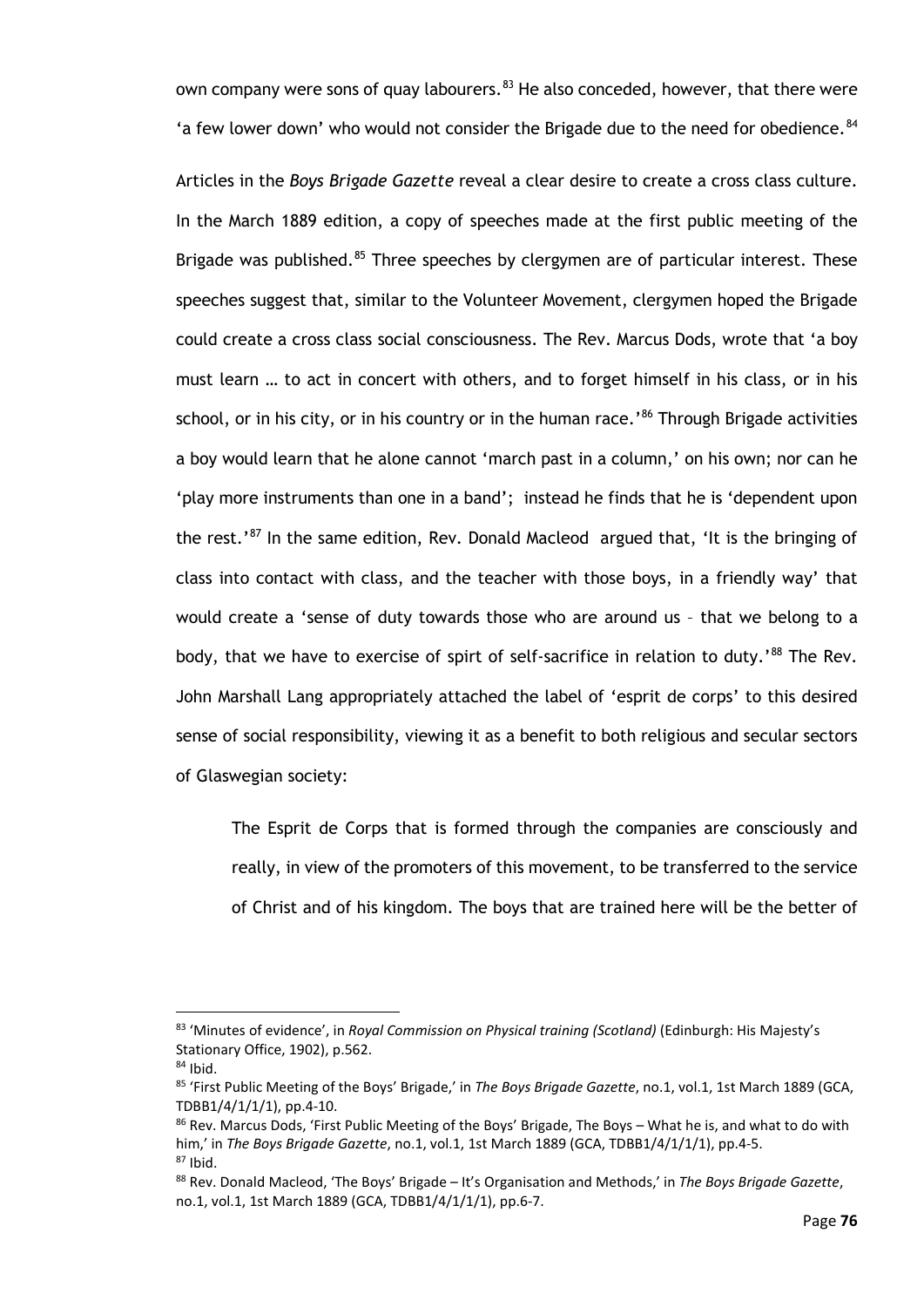own company were sons of quay labourers.<sup>[83](#page-81-0)</sup> He also conceded, however, that there were 'a few lower down' who would not consider the Brigade due to the need for obedience. $84$ 

Articles in the *Boys Brigade Gazette* reveal a clear desire to create a cross class culture. In the March 1889 edition, a copy of speeches made at the first public meeting of the Brigade was published.<sup>[85](#page-81-2)</sup> Three speeches by clergymen are of particular interest. These speeches suggest that, similar to the Volunteer Movement, clergymen hoped the Brigade could create a cross class social consciousness. The Rev. Marcus Dods, wrote that 'a boy must learn … to act in concert with others, and to forget himself in his class, or in his school, or in his city, or in his country or in the human race.'<sup>[86](#page-81-3)</sup> Through Brigade activities a boy would learn that he alone cannot 'march past in a column,' on his own; nor can he 'play more instruments than one in a band'; instead he finds that he is 'dependent upon the rest.'<sup>[87](#page-81-4)</sup> In the same edition, Rev. Donald Macleod argued that, 'It is the bringing of class into contact with class, and the teacher with those boys, in a friendly way' that would create a 'sense of duty towards those who are around us – that we belong to a body, that we have to exercise of spirt of self-sacrifice in relation to duty.' [88](#page-81-5) The Rev. John Marshall Lang appropriately attached the label of 'esprit de corps' to this desired sense of social responsibility, viewing it as a benefit to both religious and secular sectors of Glaswegian society:

The Esprit de Corps that is formed through the companies are consciously and really, in view of the promoters of this movement, to be transferred to the service of Christ and of his kingdom. The boys that are trained here will be the better of

<span id="page-81-0"></span><sup>83</sup> 'Minutes of evidence', in *Royal Commission on Physical training (Scotland)* (Edinburgh: His Majesty's Stationary Office, 1902), p.562.

<span id="page-81-1"></span> $84$  Ibid.

<span id="page-81-2"></span><sup>85</sup> 'First Public Meeting of the Boys' Brigade,' in *The Boys Brigade Gazette*, no.1, vol.1, 1st March 1889 (GCA, TDBB1/4/1/1/1), pp.4-10.

<span id="page-81-3"></span><sup>86</sup> Rev. Marcus Dods, 'First Public Meeting of the Boys' Brigade, The Boys – What he is, and what to do with him,' in *The Boys Brigade Gazette*, no.1, vol.1, 1st March 1889 (GCA, TDBB1/4/1/1/1), pp.4-5.  $87$  Ibid.

<span id="page-81-5"></span><span id="page-81-4"></span><sup>88</sup> Rev. Donald Macleod, 'The Boys' Brigade – It's Organisation and Methods,' in *The Boys Brigade Gazette*, no.1, vol.1, 1st March 1889 (GCA, TDBB1/4/1/1/1), pp.6-7.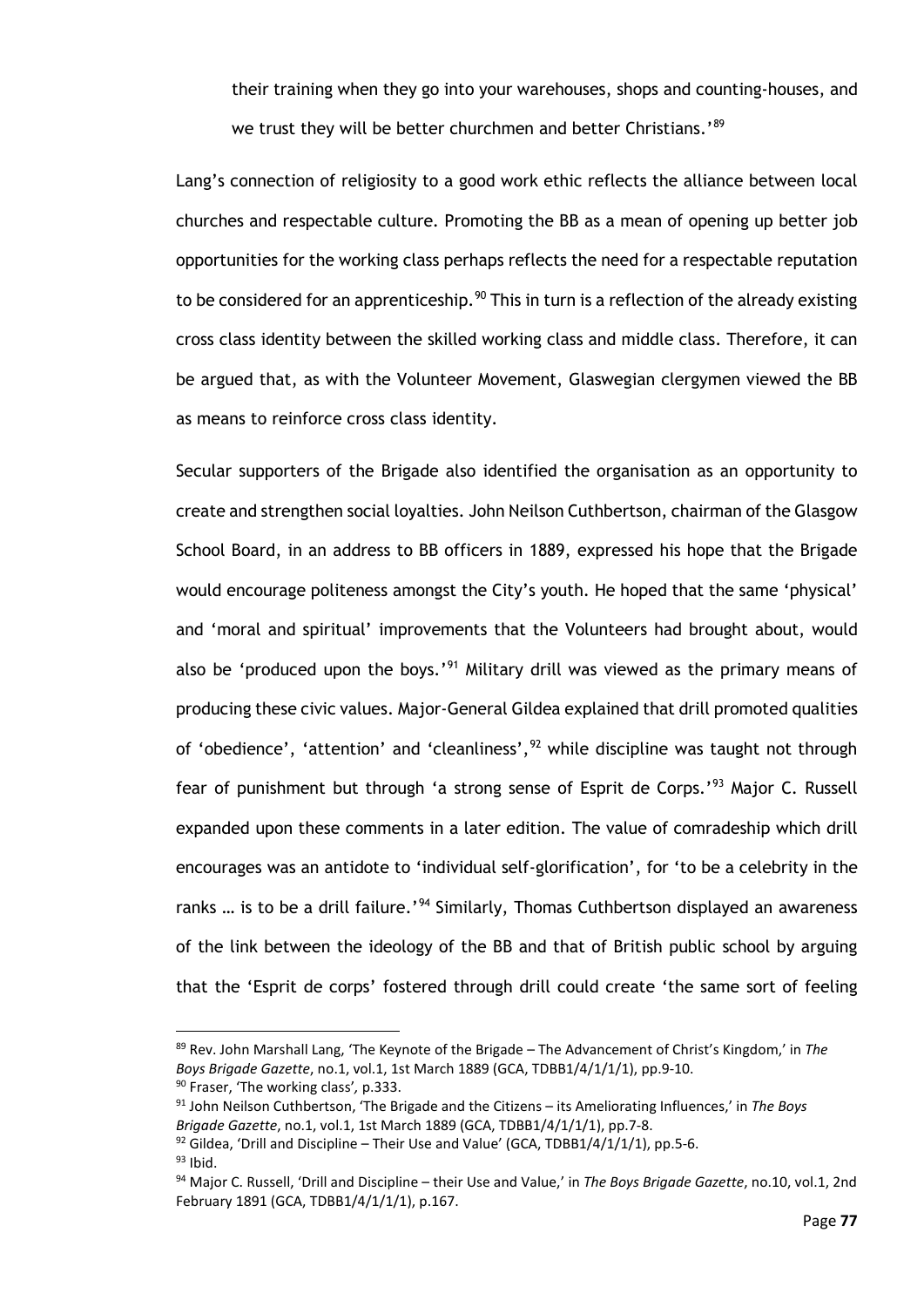their training when they go into your warehouses, shops and counting-houses, and we trust they will be better churchmen and better Christians.'<sup>[89](#page-82-0)</sup>

Lang's connection of religiosity to a good work ethic reflects the alliance between local churches and respectable culture. Promoting the BB as a mean of opening up better job opportunities for the working class perhaps reflects the need for a respectable reputation to be considered for an apprenticeship.<sup>[90](#page-82-1)</sup> This in turn is a reflection of the already existing cross class identity between the skilled working class and middle class. Therefore, it can be argued that, as with the Volunteer Movement, Glaswegian clergymen viewed the BB as means to reinforce cross class identity.

Secular supporters of the Brigade also identified the organisation as an opportunity to create and strengthen social loyalties. John Neilson Cuthbertson, chairman of the Glasgow School Board, in an address to BB officers in 1889, expressed his hope that the Brigade would encourage politeness amongst the City's youth. He hoped that the same 'physical' and 'moral and spiritual' improvements that the Volunteers had brought about, would also be 'produced upon the boys.'<sup>[91](#page-82-2)</sup> Military drill was viewed as the primary means of producing these civic values. Major-General Gildea explained that drill promoted qualities of 'obedience', 'attention' and 'cleanliness', <sup>[92](#page-82-3)</sup> while discipline was taught not through fear of punishment but through 'a strong sense of Esprit de Corps.'<sup>[93](#page-82-4)</sup> Major C. Russell expanded upon these comments in a later edition. The value of comradeship which drill encourages was an antidote to 'individual self-glorification', for 'to be a celebrity in the ranks ... is to be a drill failure.'<sup>[94](#page-82-5)</sup> Similarly, Thomas Cuthbertson displayed an awareness of the link between the ideology of the BB and that of British public school by arguing that the 'Esprit de corps' fostered through drill could create 'the same sort of feeling

<span id="page-82-0"></span><sup>89</sup> Rev. John Marshall Lang, 'The Keynote of the Brigade – The Advancement of Christ's Kingdom,' in *The Boys Brigade Gazette*, no.1, vol.1, 1st March 1889 (GCA, TDBB1/4/1/1/1), pp.9-10. <sup>90</sup> Fraser, 'The working class'*,* p.333.

<span id="page-82-2"></span><span id="page-82-1"></span><sup>91</sup> John Neilson Cuthbertson, 'The Brigade and the Citizens – its Ameliorating Influences,' in *The Boys Brigade Gazette*, no.1, vol.1, 1st March 1889 (GCA, TDBB1/4/1/1/1), pp.7-8.

<span id="page-82-4"></span><span id="page-82-3"></span> $92$  Gildea, 'Drill and Discipline – Their Use and Value' (GCA, TDBB1/4/1/1/1), pp.5-6.

 $93$  Ibid.

<span id="page-82-5"></span><sup>94</sup> Major C. Russell, 'Drill and Discipline – their Use and Value,' in *The Boys Brigade Gazette*, no.10, vol.1, 2nd February 1891 (GCA, TDBB1/4/1/1/1), p.167.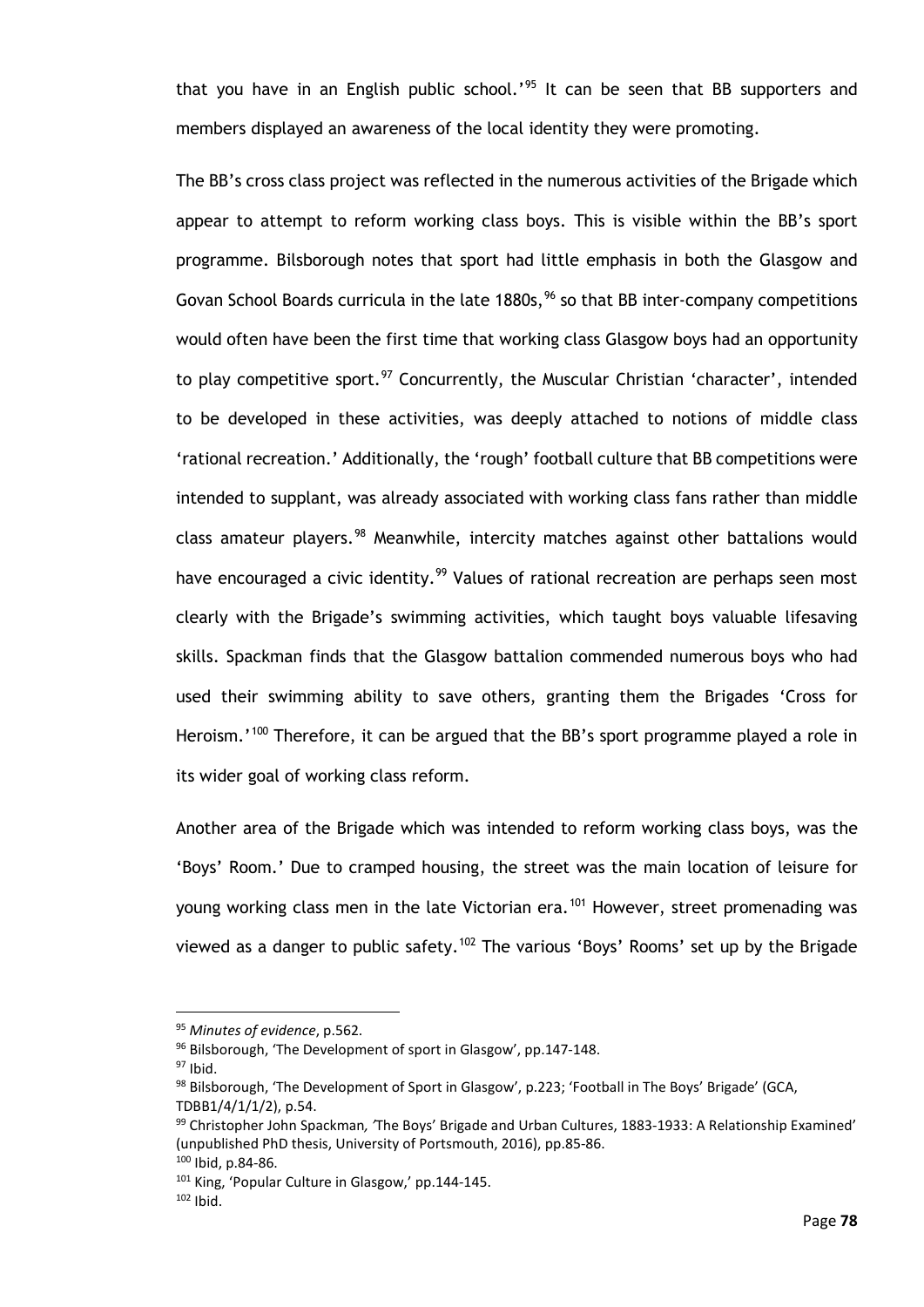that you have in an English public school.'<sup>[95](#page-83-0)</sup> It can be seen that BB supporters and members displayed an awareness of the local identity they were promoting.

The BB's cross class project was reflected in the numerous activities of the Brigade which appear to attempt to reform working class boys. This is visible within the BB's sport programme. Bilsborough notes that sport had little emphasis in both the Glasgow and Govan School Boards curricula in the late  $1880s$ ,  $96$  so that BB inter-company competitions would often have been the first time that working class Glasgow boys had an opportunity to play competitive sport.<sup>[97](#page-83-2)</sup> Concurrently, the Muscular Christian 'character', intended to be developed in these activities, was deeply attached to notions of middle class 'rational recreation.' Additionally, the 'rough' football culture that BB competitions were intended to supplant, was already associated with working class fans rather than middle class amateur players.<sup>[98](#page-83-3)</sup> Meanwhile, intercity matches against other battalions would have encouraged a civic identity.<sup>[99](#page-83-4)</sup> Values of rational recreation are perhaps seen most clearly with the Brigade's swimming activities, which taught boys valuable lifesaving skills. Spackman finds that the Glasgow battalion commended numerous boys who had used their swimming ability to save others, granting them the Brigades 'Cross for Heroism.<sup>'[100](#page-83-5)</sup> Therefore, it can be argued that the BB's sport programme played a role in its wider goal of working class reform.

Another area of the Brigade which was intended to reform working class boys, was the 'Boys' Room.' Due to cramped housing, the street was the main location of leisure for young working class men in the late Victorian era.<sup>[101](#page-83-6)</sup> However, street promenading was viewed as a danger to public safety.<sup>[102](#page-83-7)</sup> The various 'Boys' Rooms' set up by the Brigade

<span id="page-83-0"></span><sup>95</sup> *Minutes of evidence*, p.562.

<span id="page-83-1"></span><sup>96</sup> Bilsborough, 'The Development of sport in Glasgow', pp.147-148.

<span id="page-83-2"></span> $97$  Ibid.

<span id="page-83-3"></span><sup>98</sup> Bilsborough, 'The Development of Sport in Glasgow', p.223; 'Football in The Boys' Brigade' (GCA, TDBB1/4/1/1/2), p.54.

<span id="page-83-4"></span><sup>99</sup> Christopher John Spackman*, '*The Boys' Brigade and Urban Cultures, 1883-1933: A Relationship Examined' (unpublished PhD thesis, University of Portsmouth, 2016), pp.85-86.

<span id="page-83-5"></span><sup>100</sup> Ibid, p.84-86.

<span id="page-83-7"></span><span id="page-83-6"></span><sup>101</sup> King, 'Popular Culture in Glasgow,' pp.144-145. 102 Ibid.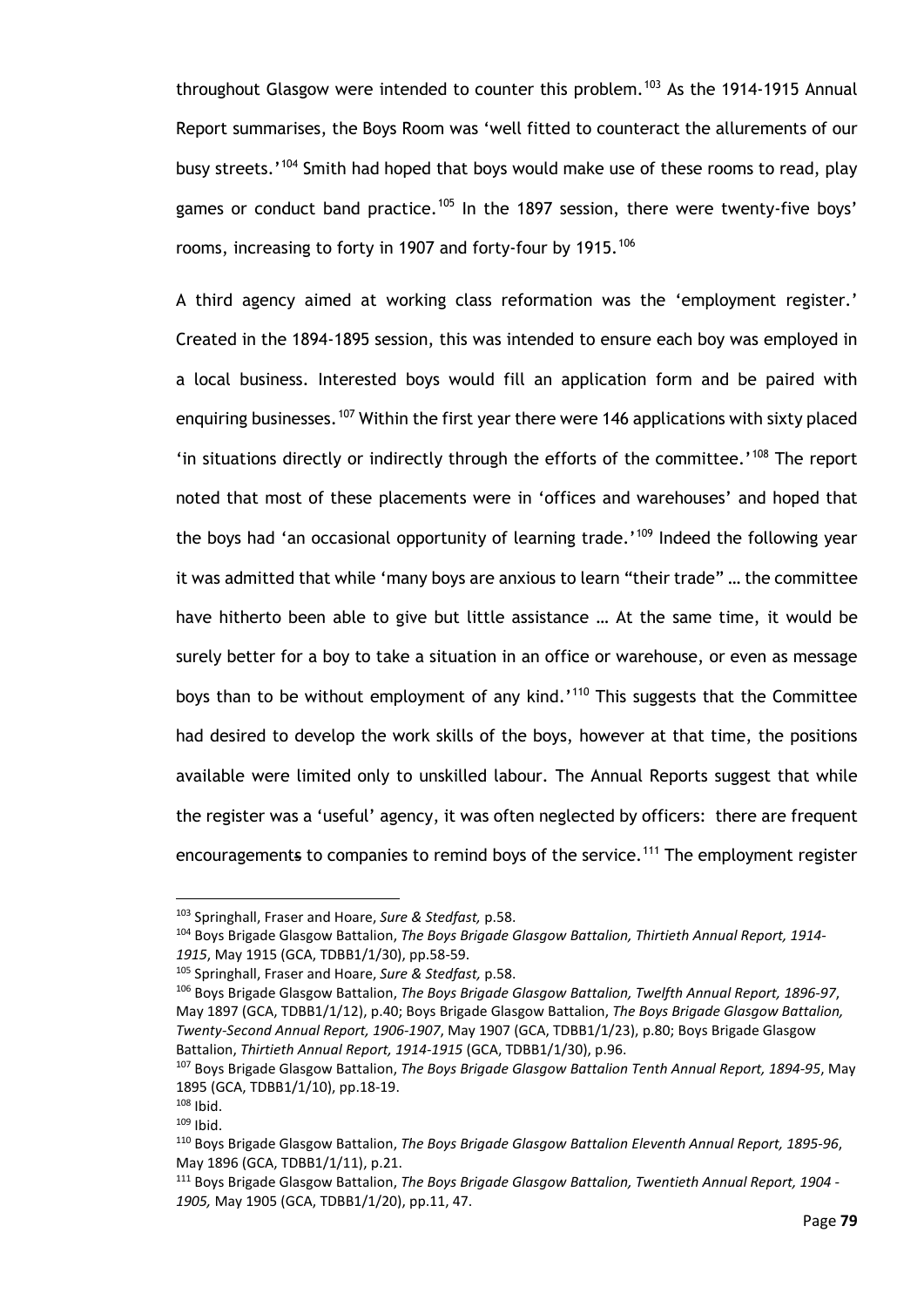throughout Glasgow were intended to counter this problem.<sup>[103](#page-84-0)</sup> As the 1914-1915 Annual Report summarises, the Boys Room was 'well fitted to counteract the allurements of our busy streets.'<sup>[104](#page-84-1)</sup> Smith had hoped that boys would make use of these rooms to read, play games or conduct band practice.<sup>[105](#page-84-2)</sup> In the 1897 session, there were twenty-five boys' rooms, increasing to forty in 1907 and forty-four by 1915.<sup>[106](#page-84-3)</sup>

A third agency aimed at working class reformation was the 'employment register.' Created in the 1894-1895 session, this was intended to ensure each boy was employed in a local business. Interested boys would fill an application form and be paired with enquiring businesses.<sup>[107](#page-84-4)</sup> Within the first year there were 146 applications with sixty placed 'in situations directly or indirectly through the efforts of the committee.' [108](#page-84-5) The report noted that most of these placements were in 'offices and warehouses' and hoped that the boys had 'an occasional opportunity of learning trade.'<sup>[109](#page-84-6)</sup> Indeed the following year it was admitted that while 'many boys are anxious to learn "their trade" … the committee have hitherto been able to give but little assistance … At the same time, it would be surely better for a boy to take a situation in an office or warehouse, or even as message boys than to be without employment of any kind.'<sup>[110](#page-84-7)</sup> This suggests that the Committee had desired to develop the work skills of the boys, however at that time, the positions available were limited only to unskilled labour. The Annual Reports suggest that while the register was a 'useful' agency, it was often neglected by officers: there are frequent encouragements to companies to remind boys of the service.<sup>[111](#page-84-8)</sup> The employment register

<span id="page-84-0"></span><sup>103</sup> Springhall, Fraser and Hoare, *Sure & Stedfast,* p.58.

<span id="page-84-1"></span><sup>104</sup> Boys Brigade Glasgow Battalion, *The Boys Brigade Glasgow Battalion, Thirtieth Annual Report, 1914- 1915*, May 1915 (GCA, TDBB1/1/30), pp.58-59.

<span id="page-84-2"></span><sup>105</sup> Springhall, Fraser and Hoare, *Sure & Stedfast,* p.58.

<span id="page-84-3"></span><sup>106</sup> Boys Brigade Glasgow Battalion, *The Boys Brigade Glasgow Battalion, Twelfth Annual Report, 1896-97*, May 1897 (GCA, TDBB1/1/12), p.40; Boys Brigade Glasgow Battalion, *The Boys Brigade Glasgow Battalion, Twenty-Second Annual Report, 1906-1907*, May 1907 (GCA, TDBB1/1/23), p.80; Boys Brigade Glasgow Battalion, *Thirtieth Annual Report, 1914-1915* (GCA, TDBB1/1/30), p.96.

<span id="page-84-4"></span><sup>107</sup> Boys Brigade Glasgow Battalion, *The Boys Brigade Glasgow Battalion Tenth Annual Report, 1894-95*, May 1895 (GCA, TDBB1/1/10), pp.18-19.

<span id="page-84-5"></span> $108$  Ibid.  $109$  Ibid.

<span id="page-84-7"></span><span id="page-84-6"></span><sup>110</sup> Boys Brigade Glasgow Battalion, *The Boys Brigade Glasgow Battalion Eleventh Annual Report, 1895-96*, May 1896 (GCA, TDBB1/1/11), p.21.

<span id="page-84-8"></span><sup>111</sup> Boys Brigade Glasgow Battalion, *The Boys Brigade Glasgow Battalion, Twentieth Annual Report, 1904 - 1905,* May 1905 (GCA, TDBB1/1/20), pp.11, 47.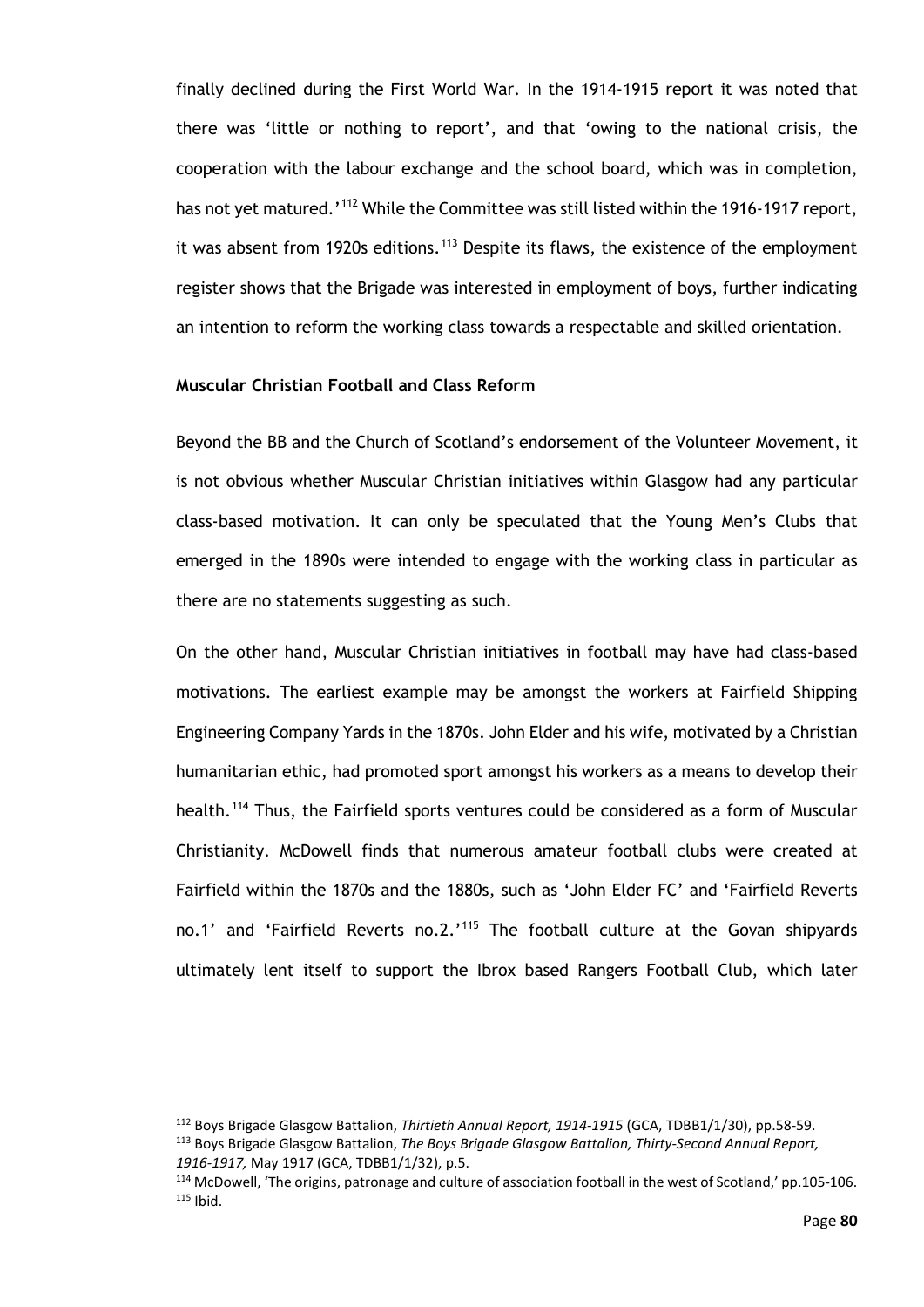finally declined during the First World War. In the 1914-1915 report it was noted that there was 'little or nothing to report', and that 'owing to the national crisis, the cooperation with the labour exchange and the school board, which was in completion, has not yet matured.'<sup>[112](#page-85-0)</sup> While the Committee was still listed within the 1916-1917 report, it was absent from 1920s editions.<sup>[113](#page-85-1)</sup> Despite its flaws, the existence of the employment register shows that the Brigade was interested in employment of boys, further indicating an intention to reform the working class towards a respectable and skilled orientation.

## **Muscular Christian Football and Class Reform**

Beyond the BB and the Church of Scotland's endorsement of the Volunteer Movement, it is not obvious whether Muscular Christian initiatives within Glasgow had any particular class-based motivation. It can only be speculated that the Young Men's Clubs that emerged in the 1890s were intended to engage with the working class in particular as there are no statements suggesting as such.

On the other hand, Muscular Christian initiatives in football may have had class-based motivations. The earliest example may be amongst the workers at Fairfield Shipping Engineering Company Yards in the 1870s. John Elder and his wife, motivated by a Christian humanitarian ethic, had promoted sport amongst his workers as a means to develop their health.<sup>[114](#page-85-2)</sup> Thus, the Fairfield sports ventures could be considered as a form of Muscular Christianity. McDowell finds that numerous amateur football clubs were created at Fairfield within the 1870s and the 1880s, such as 'John Elder FC' and 'Fairfield Reverts no.1' and 'Fairfield Reverts no.2.'<sup>[115](#page-85-3)</sup> The football culture at the Govan shipyards ultimately lent itself to support the Ibrox based Rangers Football Club, which later

<span id="page-85-1"></span><span id="page-85-0"></span><sup>112</sup> Boys Brigade Glasgow Battalion, *Thirtieth Annual Report, 1914-1915* (GCA, TDBB1/1/30), pp.58-59. <sup>113</sup> Boys Brigade Glasgow Battalion, *The Boys Brigade Glasgow Battalion, Thirty-Second Annual Report, 1916-1917,* May 1917 (GCA, TDBB1/1/32), p.5.

<span id="page-85-3"></span><span id="page-85-2"></span><sup>114</sup> McDowell, 'The origins, patronage and culture of association football in the west of Scotland,' pp.105-106.  $115$  Ibid.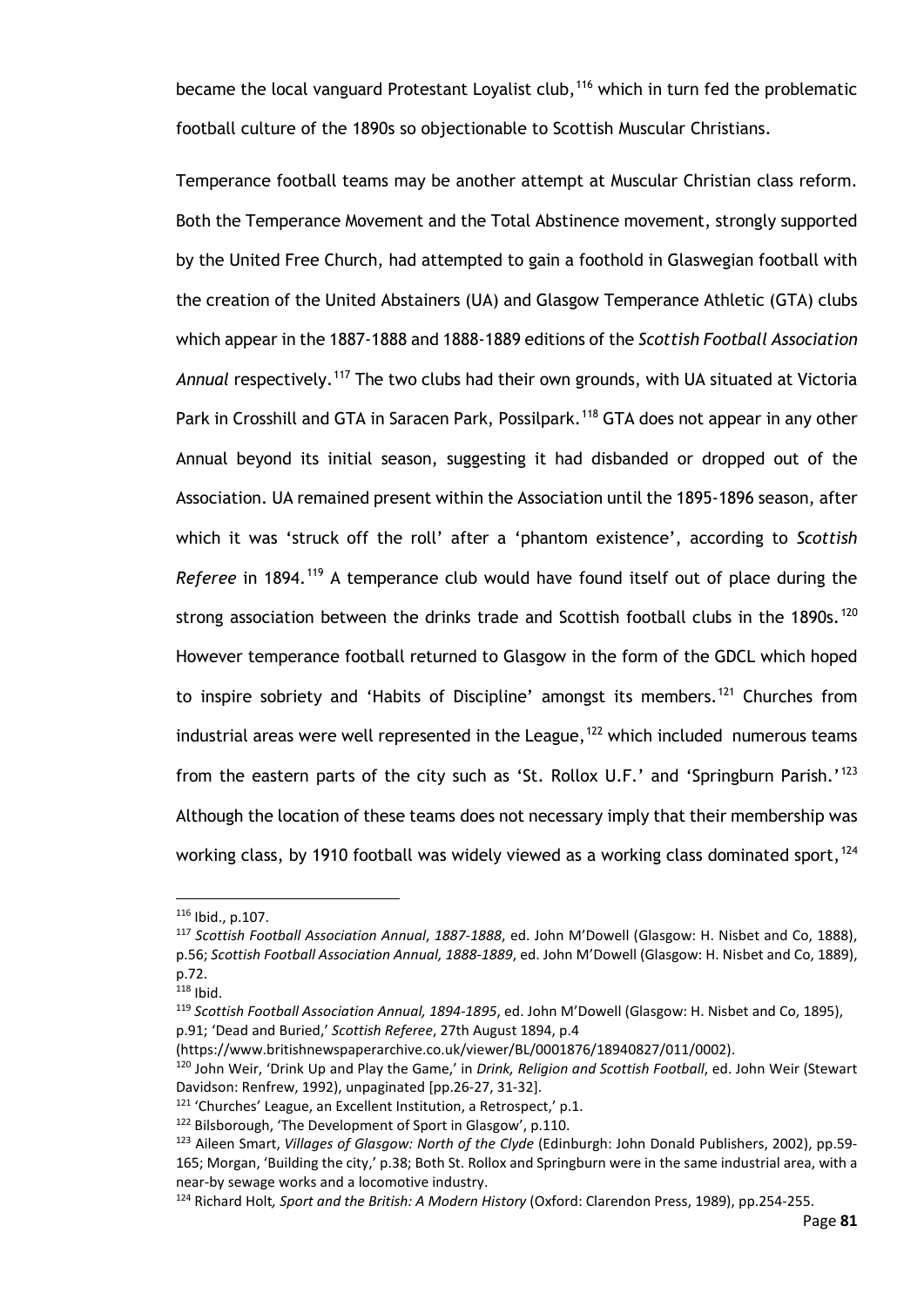became the local vanguard Protestant Loyalist club,<sup>[116](#page-86-0)</sup> which in turn fed the problematic football culture of the 1890s so objectionable to Scottish Muscular Christians.

Temperance football teams may be another attempt at Muscular Christian class reform. Both the Temperance Movement and the Total Abstinence movement, strongly supported by the United Free Church, had attempted to gain a foothold in Glaswegian football with the creation of the United Abstainers (UA) and Glasgow Temperance Athletic (GTA) clubs which appear in the 1887-1888 and 1888-1889 editions of the *Scottish Football Association Annual* respectively.[117](#page-86-1) The two clubs had their own grounds, with UA situated at Victoria Park in Crosshill and GTA in Saracen Park, Possilpark.<sup>[118](#page-86-2)</sup> GTA does not appear in any other Annual beyond its initial season, suggesting it had disbanded or dropped out of the Association. UA remained present within the Association until the 1895-1896 season, after which it was 'struck off the roll' after a 'phantom existence', according to *Scottish Referee* in 1894.<sup>[119](#page-86-3)</sup> A temperance club would have found itself out of place during the strong association between the drinks trade and Scottish football clubs in the  $1890s.120$  $1890s.120$ However temperance football returned to Glasgow in the form of the GDCL which hoped to inspire sobriety and 'Habits of Discipline' amongst its members.<sup>[121](#page-86-5)</sup> Churches from industrial areas were well represented in the League,  $122$  which included numerous teams from the eastern parts of the city such as 'St. Rollox U.F.' and 'Springburn Parish.'<sup>[123](#page-86-7)</sup> Although the location of these teams does not necessary imply that their membership was working class, by 1910 football was widely viewed as a working class dominated sport,  $124$ 

<span id="page-86-0"></span><sup>116</sup> Ibid., p.107.

<span id="page-86-1"></span><sup>117</sup> *Scottish Football Association Annual*, *1887-1888*, ed. John M'Dowell (Glasgow: H. Nisbet and Co, 1888), p.56; *Scottish Football Association Annual, 1888-1889*, ed. John M'Dowell (Glasgow: H. Nisbet and Co, 1889), p.72.

<span id="page-86-2"></span> $118$  Ibid.

<span id="page-86-3"></span><sup>119</sup> *Scottish Football Association Annual, 1894-1895*, ed. John M'Dowell (Glasgow: H. Nisbet and Co, 1895), p.91; 'Dead and Buried,' *Scottish Referee*, 27th August 1894, p.4

<span id="page-86-4"></span><sup>(</sup>https://www.britishnewspaperarchive.co.uk/viewer/BL/0001876/18940827/011/0002).<br><sup>120</sup> John Weir, 'Drink Up and Play the Game,' in *Drink, Religion and Scottish Football*, ed. John Weir (Stewart Davidson: Renfrew, 1992), unpaginated [pp.26-27, 31-32].

<span id="page-86-5"></span><sup>&</sup>lt;sup>121</sup> 'Churches' League, an Excellent Institution, a Retrospect,' p.1.

<span id="page-86-6"></span><sup>&</sup>lt;sup>122</sup> Bilsborough, 'The Development of Sport in Glasgow', p.110.

<span id="page-86-7"></span><sup>123</sup> Aileen Smart, *Villages of Glasgow: North of the Clyde* (Edinburgh: John Donald Publishers, 2002), pp.59- 165; Morgan, 'Building the city,' p.38; Both St. Rollox and Springburn were in the same industrial area, with a near-by sewage works and a locomotive industry.

<span id="page-86-8"></span><sup>124</sup> Richard Holt*, Sport and the British: A Modern History* (Oxford: Clarendon Press, 1989), pp.254-255.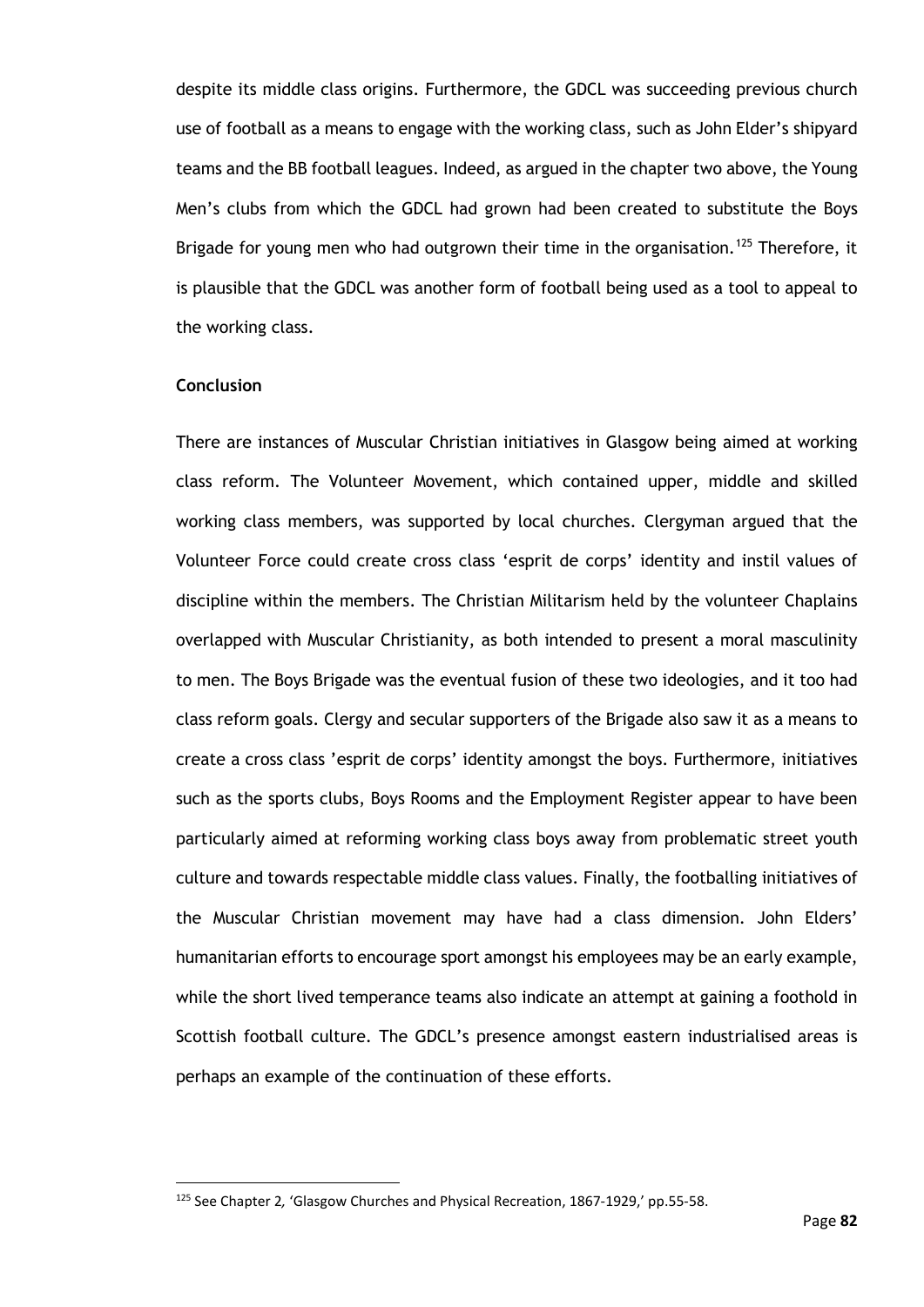despite its middle class origins. Furthermore, the GDCL was succeeding previous church use of football as a means to engage with the working class, such as John Elder's shipyard teams and the BB football leagues. Indeed, as argued in the chapter two above, the Young Men's clubs from which the GDCL had grown had been created to substitute the Boys Brigade for young men who had outgrown their time in the organisation.<sup>[125](#page-87-0)</sup> Therefore, it is plausible that the GDCL was another form of football being used as a tool to appeal to the working class.

## **Conclusion**

There are instances of Muscular Christian initiatives in Glasgow being aimed at working class reform. The Volunteer Movement, which contained upper, middle and skilled working class members, was supported by local churches. Clergyman argued that the Volunteer Force could create cross class 'esprit de corps' identity and instil values of discipline within the members. The Christian Militarism held by the volunteer Chaplains overlapped with Muscular Christianity, as both intended to present a moral masculinity to men. The Boys Brigade was the eventual fusion of these two ideologies, and it too had class reform goals. Clergy and secular supporters of the Brigade also saw it as a means to create a cross class 'esprit de corps' identity amongst the boys. Furthermore, initiatives such as the sports clubs, Boys Rooms and the Employment Register appear to have been particularly aimed at reforming working class boys away from problematic street youth culture and towards respectable middle class values. Finally, the footballing initiatives of the Muscular Christian movement may have had a class dimension. John Elders' humanitarian efforts to encourage sport amongst his employees may be an early example, while the short lived temperance teams also indicate an attempt at gaining a foothold in Scottish football culture. The GDCL's presence amongst eastern industrialised areas is perhaps an example of the continuation of these efforts.

<span id="page-87-0"></span><sup>125</sup> See Chapter 2*,* 'Glasgow Churches and Physical Recreation, 1867-1929,' pp.55-58.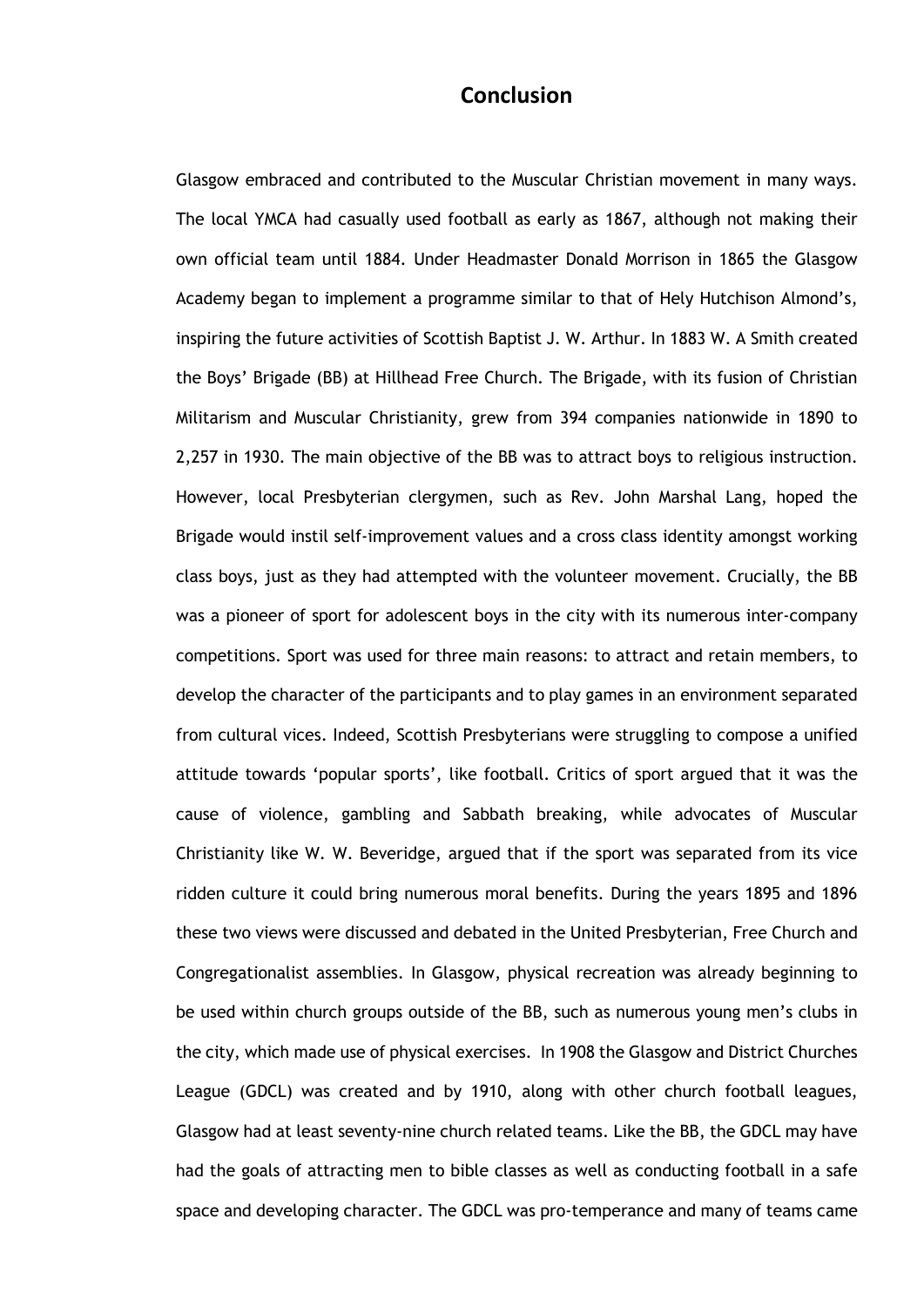# **Conclusion**

Glasgow embraced and contributed to the Muscular Christian movement in many ways. The local YMCA had casually used football as early as 1867, although not making their own official team until 1884. Under Headmaster Donald Morrison in 1865 the Glasgow Academy began to implement a programme similar to that of Hely Hutchison Almond's, inspiring the future activities of Scottish Baptist J. W. Arthur. In 1883 W. A Smith created the Boys' Brigade (BB) at Hillhead Free Church. The Brigade, with its fusion of Christian Militarism and Muscular Christianity, grew from 394 companies nationwide in 1890 to 2,257 in 1930. The main objective of the BB was to attract boys to religious instruction. However, local Presbyterian clergymen, such as Rev. John Marshal Lang, hoped the Brigade would instil self-improvement values and a cross class identity amongst working class boys, just as they had attempted with the volunteer movement. Crucially, the BB was a pioneer of sport for adolescent boys in the city with its numerous inter-company competitions. Sport was used for three main reasons: to attract and retain members, to develop the character of the participants and to play games in an environment separated from cultural vices. Indeed, Scottish Presbyterians were struggling to compose a unified attitude towards 'popular sports', like football. Critics of sport argued that it was the cause of violence, gambling and Sabbath breaking, while advocates of Muscular Christianity like W. W. Beveridge, argued that if the sport was separated from its vice ridden culture it could bring numerous moral benefits. During the years 1895 and 1896 these two views were discussed and debated in the United Presbyterian, Free Church and Congregationalist assemblies. In Glasgow, physical recreation was already beginning to be used within church groups outside of the BB, such as numerous young men's clubs in the city, which made use of physical exercises. In 1908 the Glasgow and District Churches League (GDCL) was created and by 1910, along with other church football leagues, Glasgow had at least seventy-nine church related teams. Like the BB, the GDCL may have had the goals of attracting men to bible classes as well as conducting football in a safe space and developing character. The GDCL was pro-temperance and many of teams came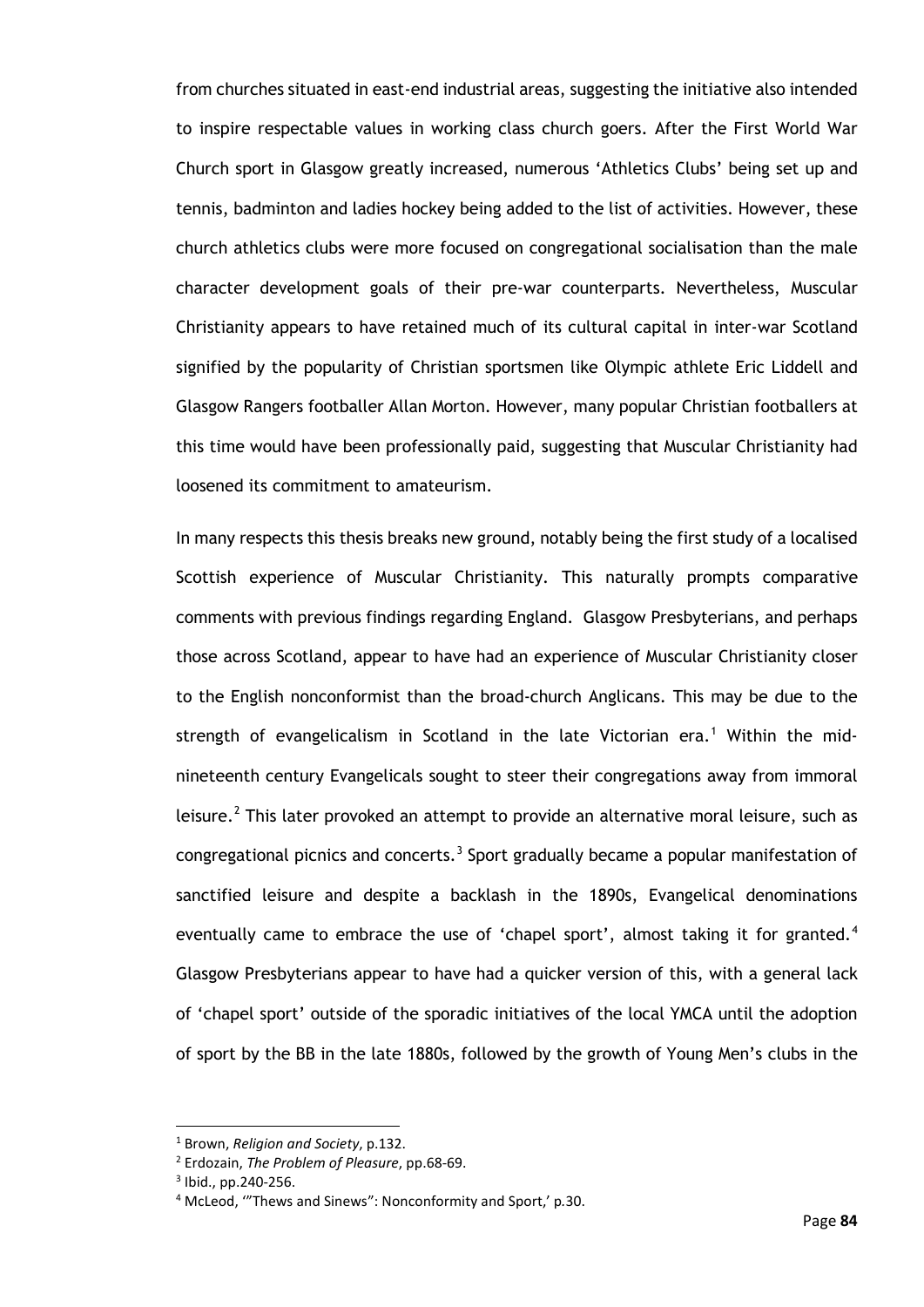from churches situated in east-end industrial areas, suggesting the initiative also intended to inspire respectable values in working class church goers. After the First World War Church sport in Glasgow greatly increased, numerous 'Athletics Clubs' being set up and tennis, badminton and ladies hockey being added to the list of activities. However, these church athletics clubs were more focused on congregational socialisation than the male character development goals of their pre-war counterparts. Nevertheless, Muscular Christianity appears to have retained much of its cultural capital in inter-war Scotland signified by the popularity of Christian sportsmen like Olympic athlete Eric Liddell and Glasgow Rangers footballer Allan Morton. However, many popular Christian footballers at this time would have been professionally paid, suggesting that Muscular Christianity had loosened its commitment to amateurism.

In many respects this thesis breaks new ground, notably being the first study of a localised Scottish experience of Muscular Christianity. This naturally prompts comparative comments with previous findings regarding England. Glasgow Presbyterians, and perhaps those across Scotland, appear to have had an experience of Muscular Christianity closer to the English nonconformist than the broad-church Anglicans. This may be due to the strength of evangelicalism in Scotland in the late Victorian era.<sup>[1](#page-89-0)</sup> Within the midnineteenth century Evangelicals sought to steer their congregations away from immoral leisure.<sup>[2](#page-89-1)</sup> This later provoked an attempt to provide an alternative moral leisure, such as congregational picnics and concerts.<sup>[3](#page-89-2)</sup> Sport gradually became a popular manifestation of sanctified leisure and despite a backlash in the 1890s, Evangelical denominations eventually came to embrace the use of 'chapel sport', almost taking it for granted.<sup>[4](#page-89-3)</sup> Glasgow Presbyterians appear to have had a quicker version of this, with a general lack of 'chapel sport' outside of the sporadic initiatives of the local YMCA until the adoption of sport by the BB in the late 1880s, followed by the growth of Young Men's clubs in the

<span id="page-89-1"></span><span id="page-89-0"></span><sup>1</sup> Brown, *Religion and Society*, p.132.

<sup>2</sup> Erdozain, *The Problem of Pleasure*, pp.68-69.

<sup>3</sup> Ibid., pp.240-256.

<span id="page-89-3"></span><span id="page-89-2"></span><sup>4</sup> McLeod, '"Thews and Sinews": Nonconformity and Sport,' p*.*30.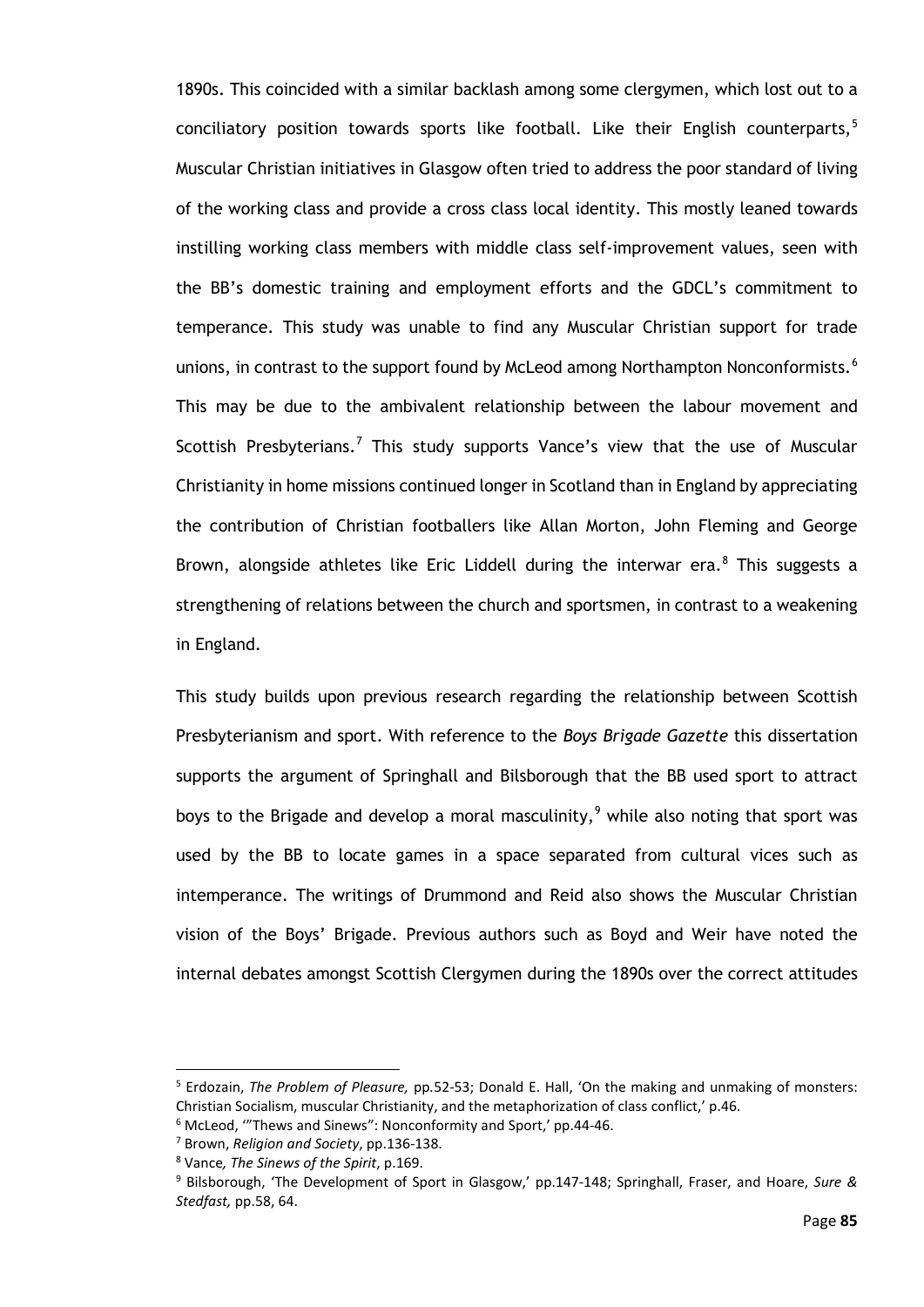1890s. This coincided with a similar backlash among some clergymen, which lost out to a conciliatory position towards sports like football. Like their English counterparts, $5$ Muscular Christian initiatives in Glasgow often tried to address the poor standard of living of the working class and provide a cross class local identity. This mostly leaned towards instilling working class members with middle class self-improvement values, seen with the BB's domestic training and employment efforts and the GDCL's commitment to temperance. This study was unable to find any Muscular Christian support for trade unions, in contrast to the support found by McLeod among Northampton Nonconformists.<sup>[6](#page-90-1)</sup> This may be due to the ambivalent relationship between the labour movement and Scottish Presbyterians.<sup>[7](#page-90-2)</sup> This study supports Vance's view that the use of Muscular Christianity in home missions continued longer in Scotland than in England by appreciating the contribution of Christian footballers like Allan Morton, John Fleming and George Brown, alongside athletes like Eric Liddell during the interwar era.<sup>[8](#page-90-3)</sup> This suggests a strengthening of relations between the church and sportsmen, in contrast to a weakening in England.

This study builds upon previous research regarding the relationship between Scottish Presbyterianism and sport. With reference to the *Boys Brigade Gazette* this dissertation supports the argument of Springhall and Bilsborough that the BB used sport to attract boys to the Brigade and develop a moral masculinity,<sup>[9](#page-90-4)</sup> while also noting that sport was used by the BB to locate games in a space separated from cultural vices such as intemperance. The writings of Drummond and Reid also shows the Muscular Christian vision of the Boys' Brigade. Previous authors such as Boyd and Weir have noted the internal debates amongst Scottish Clergymen during the 1890s over the correct attitudes

<span id="page-90-0"></span><sup>5</sup> Erdozain, *The Problem of Pleasure,* pp*.*52-53; Donald E. Hall, 'On the making and unmaking of monsters: Christian Socialism, muscular Christianity, and the metaphorization of class conflict,' p.46.

 $6$  McLeod, "Thews and Sinews": Nonconformity and Sport,' pp.44-46.

<span id="page-90-3"></span><span id="page-90-2"></span><span id="page-90-1"></span><sup>7</sup> Brown, *Religion and Society*, pp.136-138.

<sup>8</sup> Vance*, The Sinews of the Spirit*, p.169.

<span id="page-90-4"></span><sup>9</sup> Bilsborough, 'The Development of Sport in Glasgow,' pp.147-148; Springhall, Fraser, and Hoare, *Sure & Stedfast,* pp.58, 64.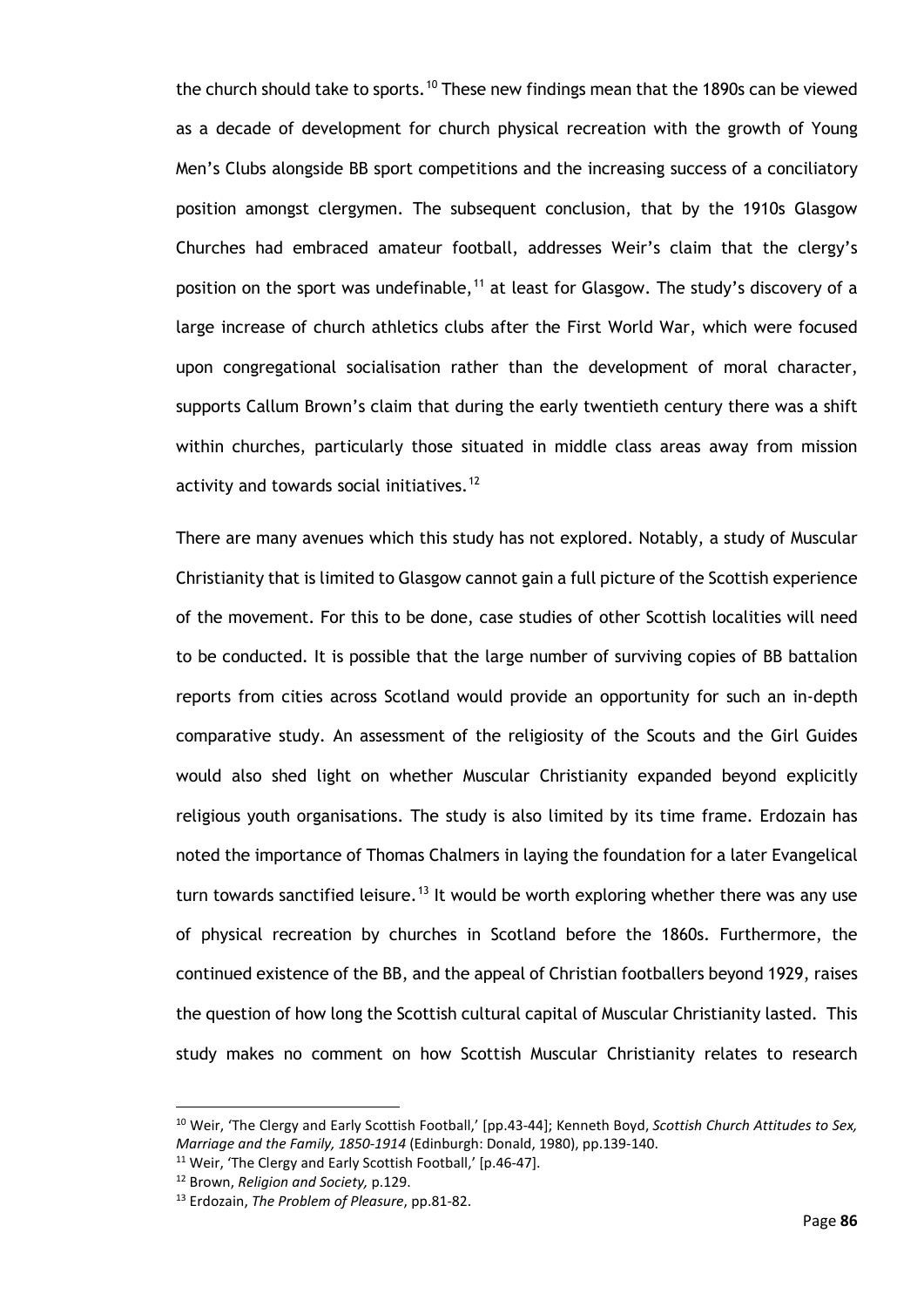the church should take to sports.<sup>[10](#page-91-0)</sup> These new findings mean that the 1890s can be viewed as a decade of development for church physical recreation with the growth of Young Men's Clubs alongside BB sport competitions and the increasing success of a conciliatory position amongst clergymen. The subsequent conclusion, that by the 1910s Glasgow Churches had embraced amateur football, addresses Weir's claim that the clergy's position on the sport was undefinable,<sup>[11](#page-91-1)</sup> at least for Glasgow. The study's discovery of a large increase of church athletics clubs after the First World War, which were focused upon congregational socialisation rather than the development of moral character, supports Callum Brown's claim that during the early twentieth century there was a shift within churches, particularly those situated in middle class areas away from mission activity and towards social initiatives.<sup>[12](#page-91-2)</sup>

There are many avenues which this study has not explored. Notably, a study of Muscular Christianity that is limited to Glasgow cannot gain a full picture of the Scottish experience of the movement. For this to be done, case studies of other Scottish localities will need to be conducted. It is possible that the large number of surviving copies of BB battalion reports from cities across Scotland would provide an opportunity for such an in-depth comparative study. An assessment of the religiosity of the Scouts and the Girl Guides would also shed light on whether Muscular Christianity expanded beyond explicitly religious youth organisations. The study is also limited by its time frame. Erdozain has noted the importance of Thomas Chalmers in laying the foundation for a later Evangelical turn towards sanctified leisure.<sup>[13](#page-91-3)</sup> It would be worth exploring whether there was any use of physical recreation by churches in Scotland before the 1860s. Furthermore, the continued existence of the BB, and the appeal of Christian footballers beyond 1929, raises the question of how long the Scottish cultural capital of Muscular Christianity lasted. This study makes no comment on how Scottish Muscular Christianity relates to research

<span id="page-91-0"></span><sup>10</sup> Weir, 'The Clergy and Early Scottish Football,' [pp.43-44]; Kenneth Boyd, *Scottish Church Attitudes to Sex, Marriage and the Family, 1850-1914* (Edinburgh: Donald, 1980), pp.139-140.

<span id="page-91-1"></span><sup>&</sup>lt;sup>11</sup> Weir, 'The Clergy and Early Scottish Football,' [p.46-47].

<span id="page-91-2"></span><sup>12</sup> Brown, *Religion and Society,* p.129.

<span id="page-91-3"></span><sup>13</sup> Erdozain, *The Problem of Pleasure*, pp.81-82.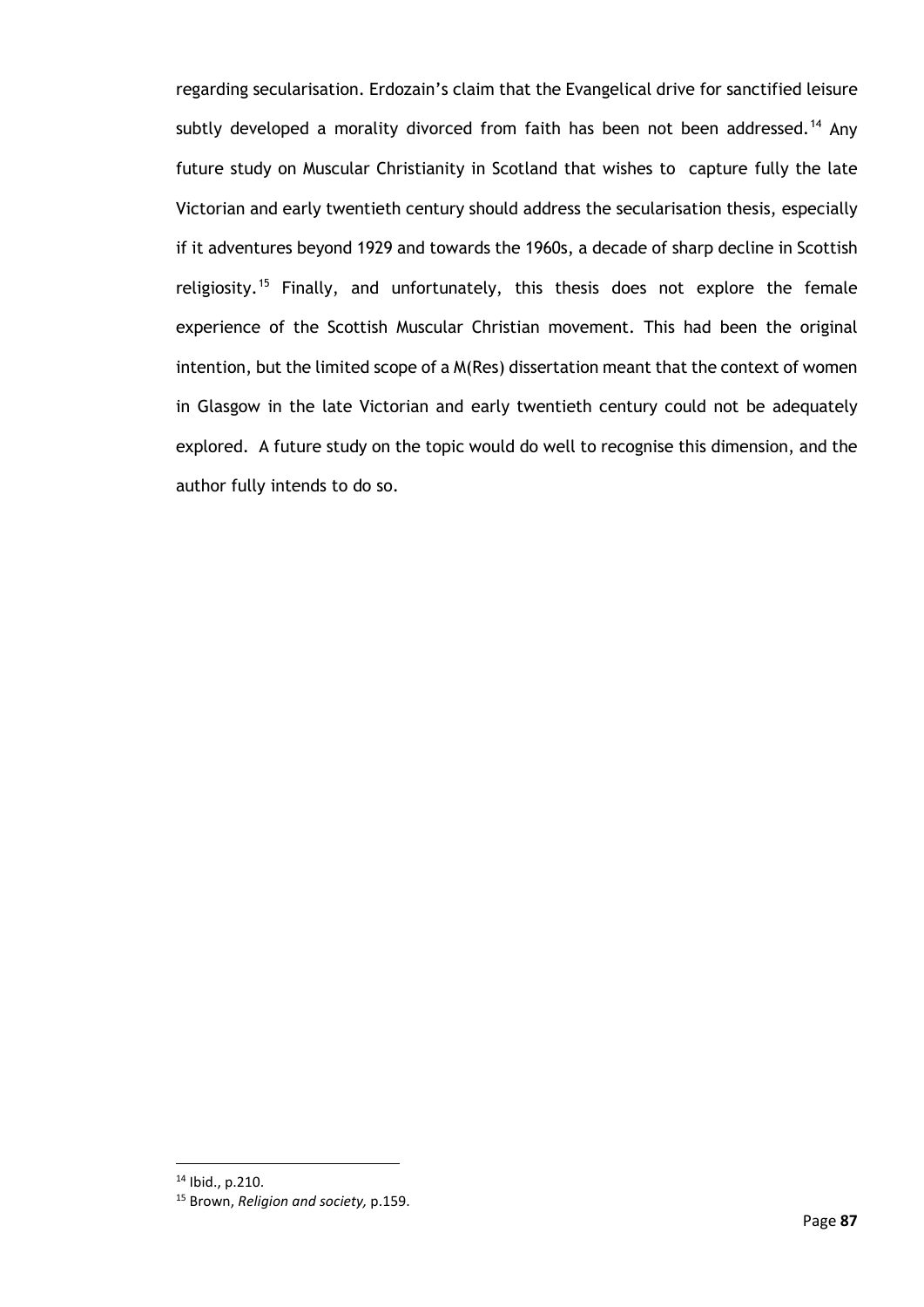regarding secularisation. Erdozain's claim that the Evangelical drive for sanctified leisure subtly developed a morality divorced from faith has been not been addressed.<sup>[14](#page-92-0)</sup> Any future study on Muscular Christianity in Scotland that wishes to capture fully the late Victorian and early twentieth century should address the secularisation thesis, especially if it adventures beyond 1929 and towards the 1960s, a decade of sharp decline in Scottish religiosity.<sup>[15](#page-92-1)</sup> Finally, and unfortunately, this thesis does not explore the female experience of the Scottish Muscular Christian movement. This had been the original intention, but the limited scope of a M(Res) dissertation meant that the context of women in Glasgow in the late Victorian and early twentieth century could not be adequately explored. A future study on the topic would do well to recognise this dimension, and the author fully intends to do so.

<span id="page-92-0"></span><sup>14</sup> Ibid., p.210.

<span id="page-92-1"></span><sup>15</sup> Brown, *Religion and society,* p.159.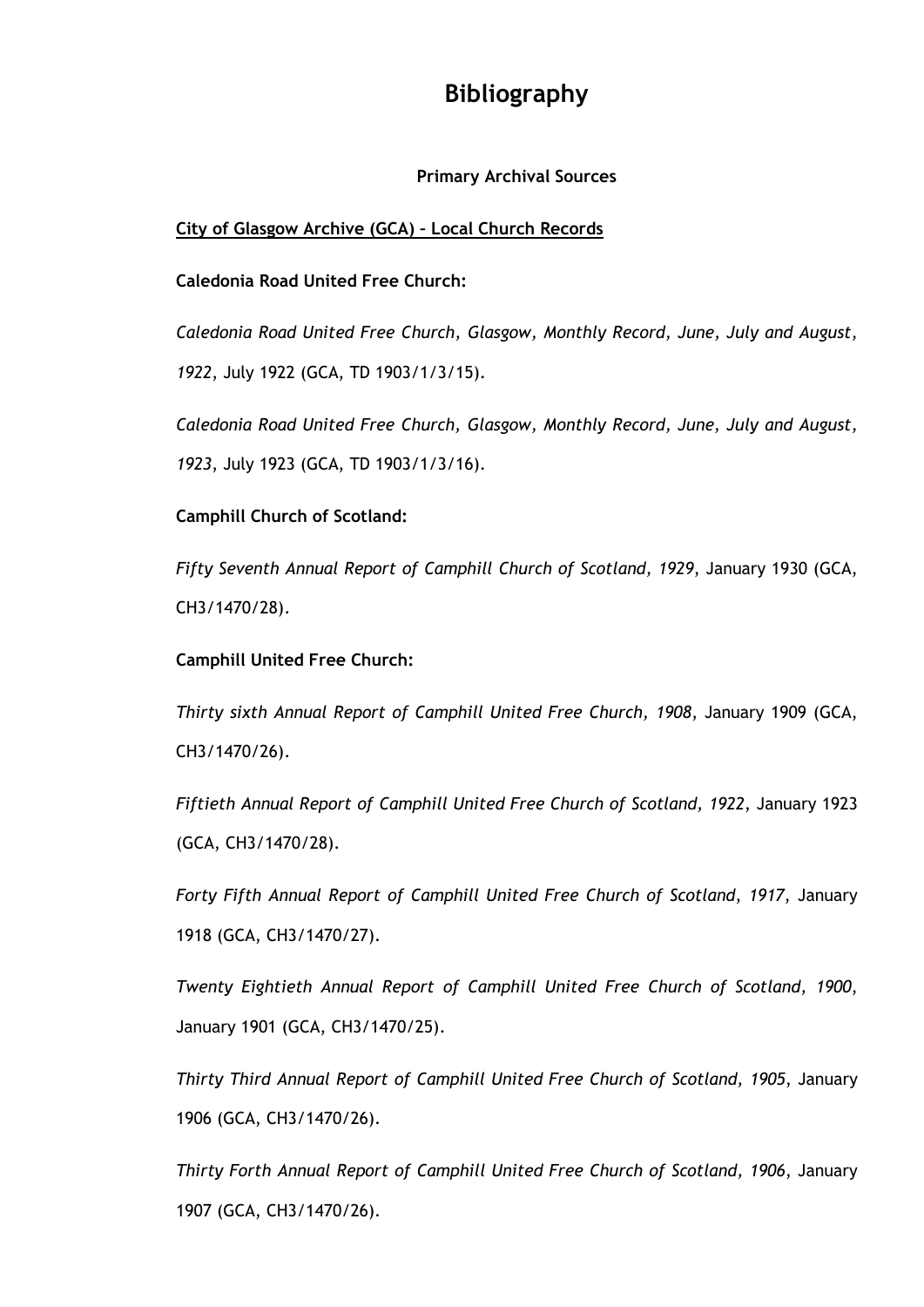# **Bibliography**

# **Primary Archival Sources**

# **City of Glasgow Archive (GCA) – Local Church Records**

# **Caledonia Road United Free Church:**

*Caledonia Road United Free Church, Glasgow, Monthly Record, June, July and August, 1922*, July 1922 (GCA, TD 1903/1/3/15).

*Caledonia Road United Free Church, Glasgow, Monthly Record, June, July and August, 1923*, July 1923 (GCA, TD 1903/1/3/16).

# **Camphill Church of Scotland:**

*Fifty Seventh Annual Report of Camphill Church of Scotland, 1929*, January 1930 (GCA, CH3/1470/28).

## **Camphill United Free Church:**

*Thirty sixth Annual Report of Camphill United Free Church, 1908*, January 1909 (GCA, CH3/1470/26).

*Fiftieth Annual Report of Camphill United Free Church of Scotland, 1922*, January 1923 (GCA, CH3/1470/28).

*Forty Fifth Annual Report of Camphill United Free Church of Scotland*, *1917*, January 1918 (GCA, CH3/1470/27).

*Twenty Eightieth Annual Report of Camphill United Free Church of Scotland, 1900*, January 1901 (GCA, CH3/1470/25).

*Thirty Third Annual Report of Camphill United Free Church of Scotland, 1905*, January 1906 (GCA, CH3/1470/26).

*Thirty Forth Annual Report of Camphill United Free Church of Scotland, 1906*, January 1907 (GCA, CH3/1470/26).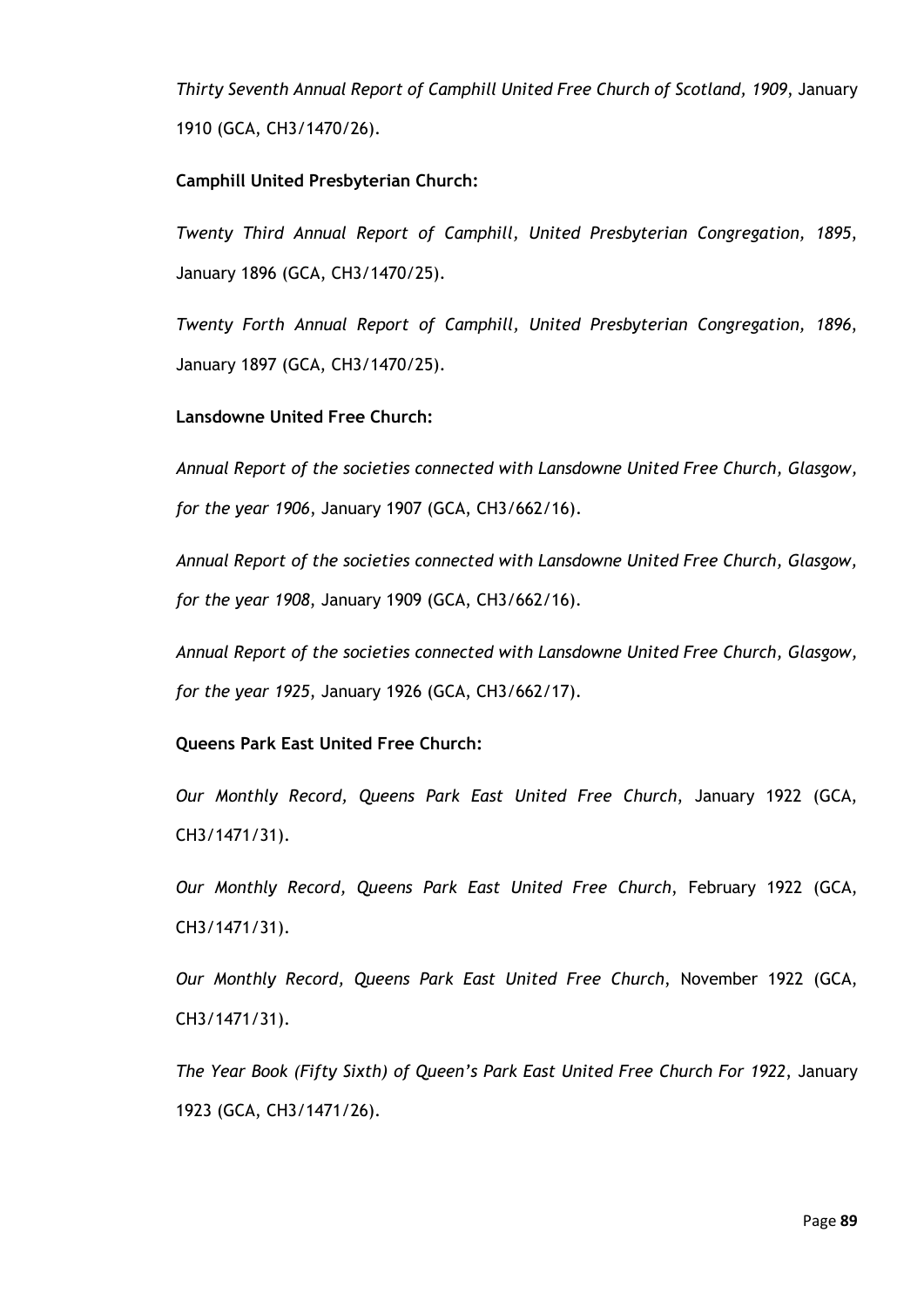*Thirty Seventh Annual Report of Camphill United Free Church of Scotland, 1909*, January 1910 (GCA, CH3/1470/26).

## **Camphill United Presbyterian Church:**

*Twenty Third Annual Report of Camphill, United Presbyterian Congregation, 1895*, January 1896 (GCA, CH3/1470/25).

*Twenty Forth Annual Report of Camphill, United Presbyterian Congregation, 1896*, January 1897 (GCA, CH3/1470/25).

#### **Lansdowne United Free Church:**

*Annual Report of the societies connected with Lansdowne United Free Church, Glasgow, for the year 1906*, January 1907 (GCA, CH3/662/16).

*Annual Report of the societies connected with Lansdowne United Free Church, Glasgow, for the year 1908*, January 1909 (GCA, CH3/662/16).

*Annual Report of the societies connected with Lansdowne United Free Church, Glasgow, for the year 1925*, January 1926 (GCA, CH3/662/17).

## **Queens Park East United Free Church:**

*Our Monthly Record, Queens Park East United Free Church*, January 1922 (GCA, CH3/1471/31).

*Our Monthly Record, Queens Park East United Free Church*, February 1922 (GCA, CH3/1471/31).

*Our Monthly Record, Queens Park East United Free Church*, November 1922 (GCA, CH3/1471/31).

*The Year Book (Fifty Sixth) of Queen's Park East United Free Church For 1922*, January 1923 (GCA, CH3/1471/26).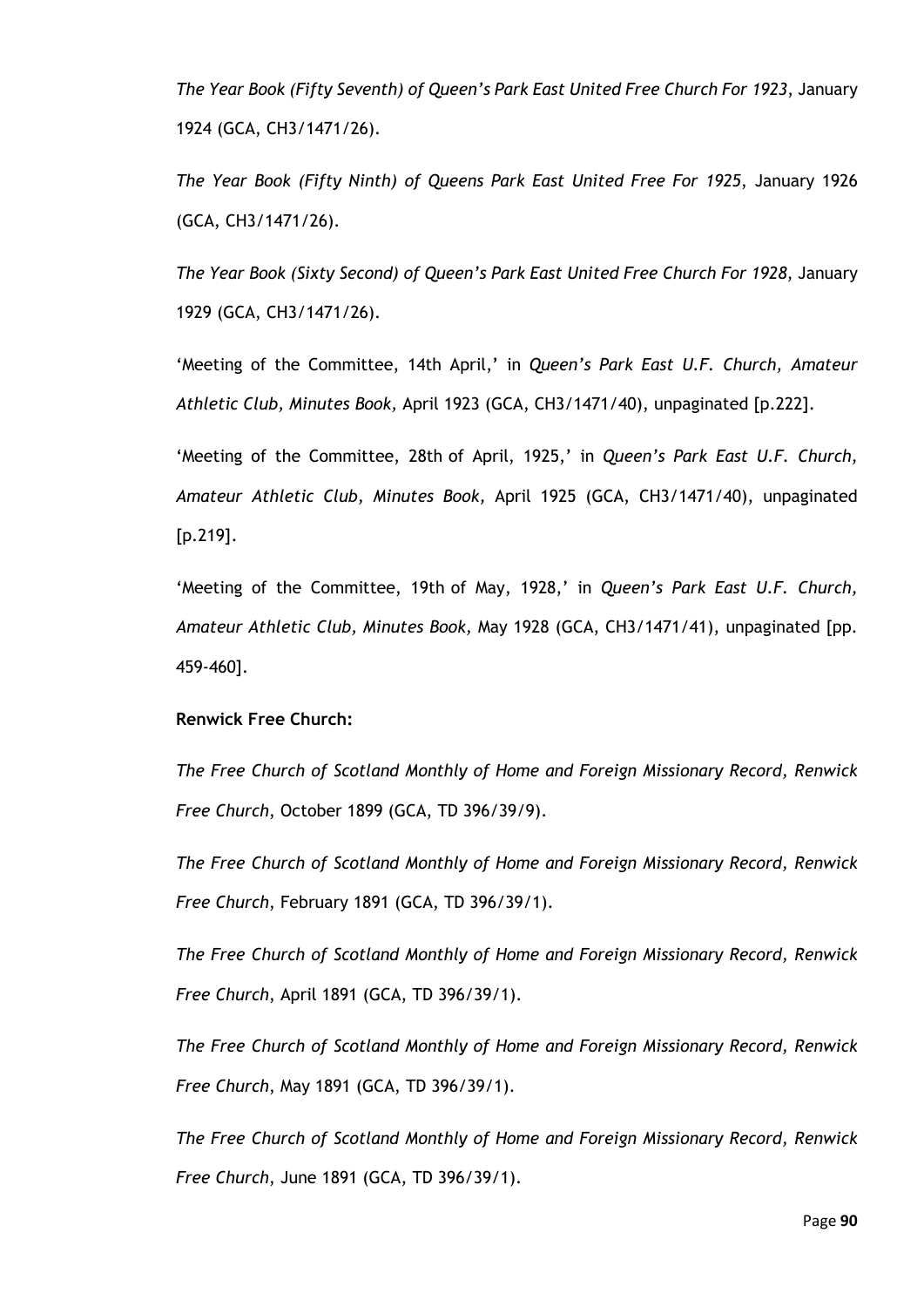*The Year Book (Fifty Seventh) of Queen's Park East United Free Church For 1923*, January 1924 (GCA, CH3/1471/26).

*The Year Book (Fifty Ninth) of Queens Park East United Free For 1925*, January 1926 (GCA, CH3/1471/26).

*The Year Book (Sixty Second) of Queen's Park East United Free Church For 1928*, January 1929 (GCA, CH3/1471/26).

'Meeting of the Committee, 14th April,' in *Queen's Park East U.F. Church, Amateur Athletic Club, Minutes Book,* April 1923 (GCA, CH3/1471/40), unpaginated [p.222].

'Meeting of the Committee, 28th of April, 1925,' in *Queen's Park East U.F. Church, Amateur Athletic Club, Minutes Book,* April 1925 (GCA, CH3/1471/40), unpaginated [p.219].

'Meeting of the Committee, 19th of May, 1928,' in *Queen's Park East U.F. Church, Amateur Athletic Club, Minutes Book,* May 1928 (GCA, CH3/1471/41), unpaginated [pp. 459-460].

#### **Renwick Free Church:**

*The Free Church of Scotland Monthly of Home and Foreign Missionary Record, Renwick Free Church*, October 1899 (GCA, TD 396/39/9).

*The Free Church of Scotland Monthly of Home and Foreign Missionary Record, Renwick Free Church*, February 1891 (GCA, TD 396/39/1).

*The Free Church of Scotland Monthly of Home and Foreign Missionary Record, Renwick Free Church*, April 1891 (GCA, TD 396/39/1).

*The Free Church of Scotland Monthly of Home and Foreign Missionary Record, Renwick Free Church*, May 1891 (GCA, TD 396/39/1).

*The Free Church of Scotland Monthly of Home and Foreign Missionary Record, Renwick Free Church*, June 1891 (GCA, TD 396/39/1).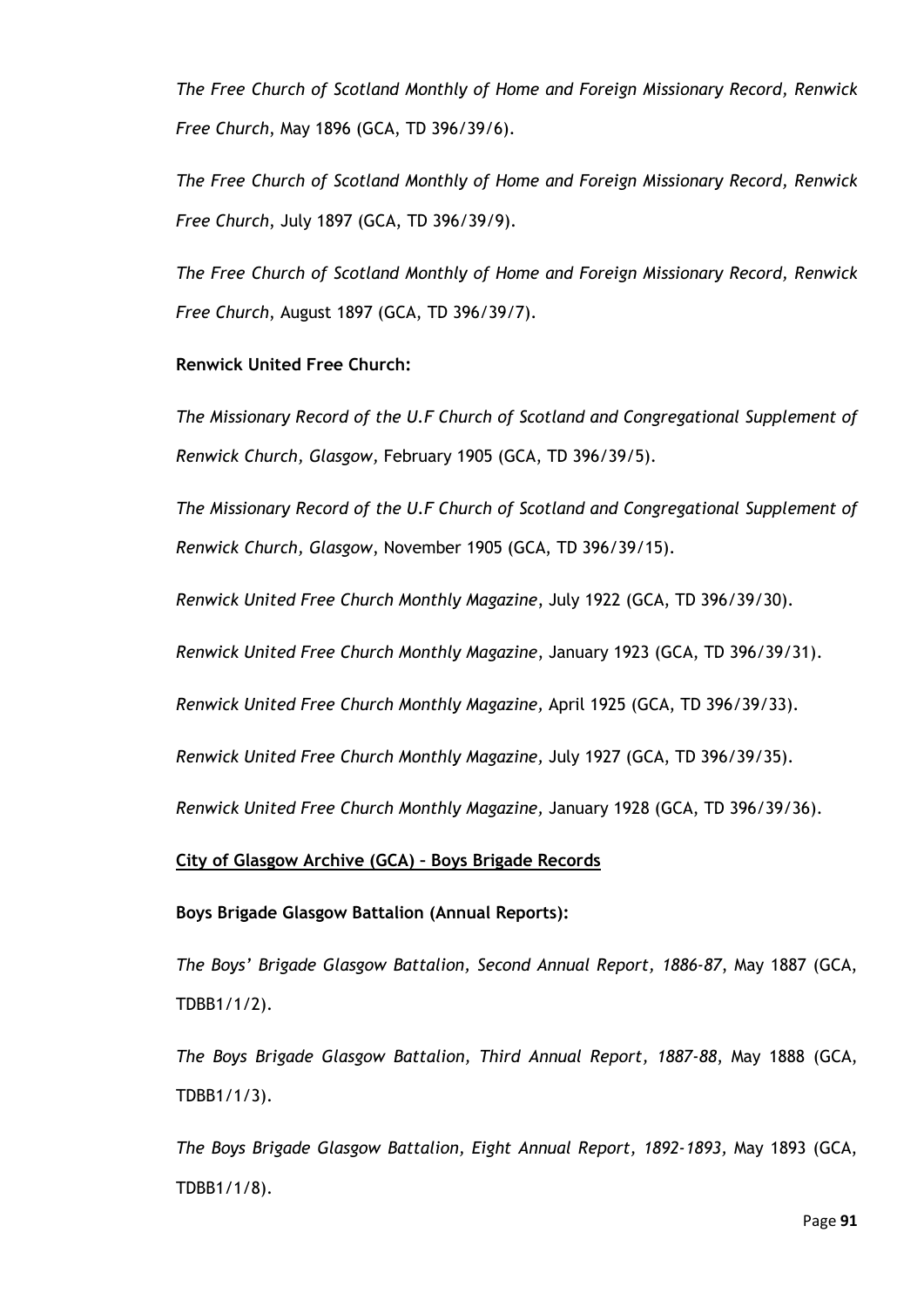*The Free Church of Scotland Monthly of Home and Foreign Missionary Record, Renwick Free Church*, May 1896 (GCA, TD 396/39/6).

*The Free Church of Scotland Monthly of Home and Foreign Missionary Record, Renwick Free Church*, July 1897 (GCA, TD 396/39/9).

*The Free Church of Scotland Monthly of Home and Foreign Missionary Record, Renwick Free Church*, August 1897 (GCA, TD 396/39/7).

#### **Renwick United Free Church:**

*The Missionary Record of the U.F Church of Scotland and Congregational Supplement of Renwick Church, Glasgow,* February 1905 (GCA, TD 396/39/5).

*The Missionary Record of the U.F Church of Scotland and Congregational Supplement of Renwick Church, Glasgow*, November 1905 (GCA, TD 396/39/15).

*Renwick United Free Church Monthly Magazine*, July 1922 (GCA, TD 396/39/30).

*Renwick United Free Church Monthly Magazine*, January 1923 (GCA, TD 396/39/31).

*Renwick United Free Church Monthly Magazine,* April 1925 (GCA, TD 396/39/33).

*Renwick United Free Church Monthly Magazine,* July 1927 (GCA, TD 396/39/35).

*Renwick United Free Church Monthly Magazine,* January 1928 (GCA, TD 396/39/36).

#### **City of Glasgow Archive (GCA) – Boys Brigade Records**

#### **Boys Brigade Glasgow Battalion (Annual Reports):**

*The Boys' Brigade Glasgow Battalion, Second Annual Report, 1886-87*, May 1887 (GCA, TDBB1/1/2).

*The Boys Brigade Glasgow Battalion, Third Annual Report, 1887-88*, May 1888 (GCA, TDBB1/1/3).

*The Boys Brigade Glasgow Battalion, Eight Annual Report, 1892-1893,* May 1893 (GCA, TDBB1/1/8).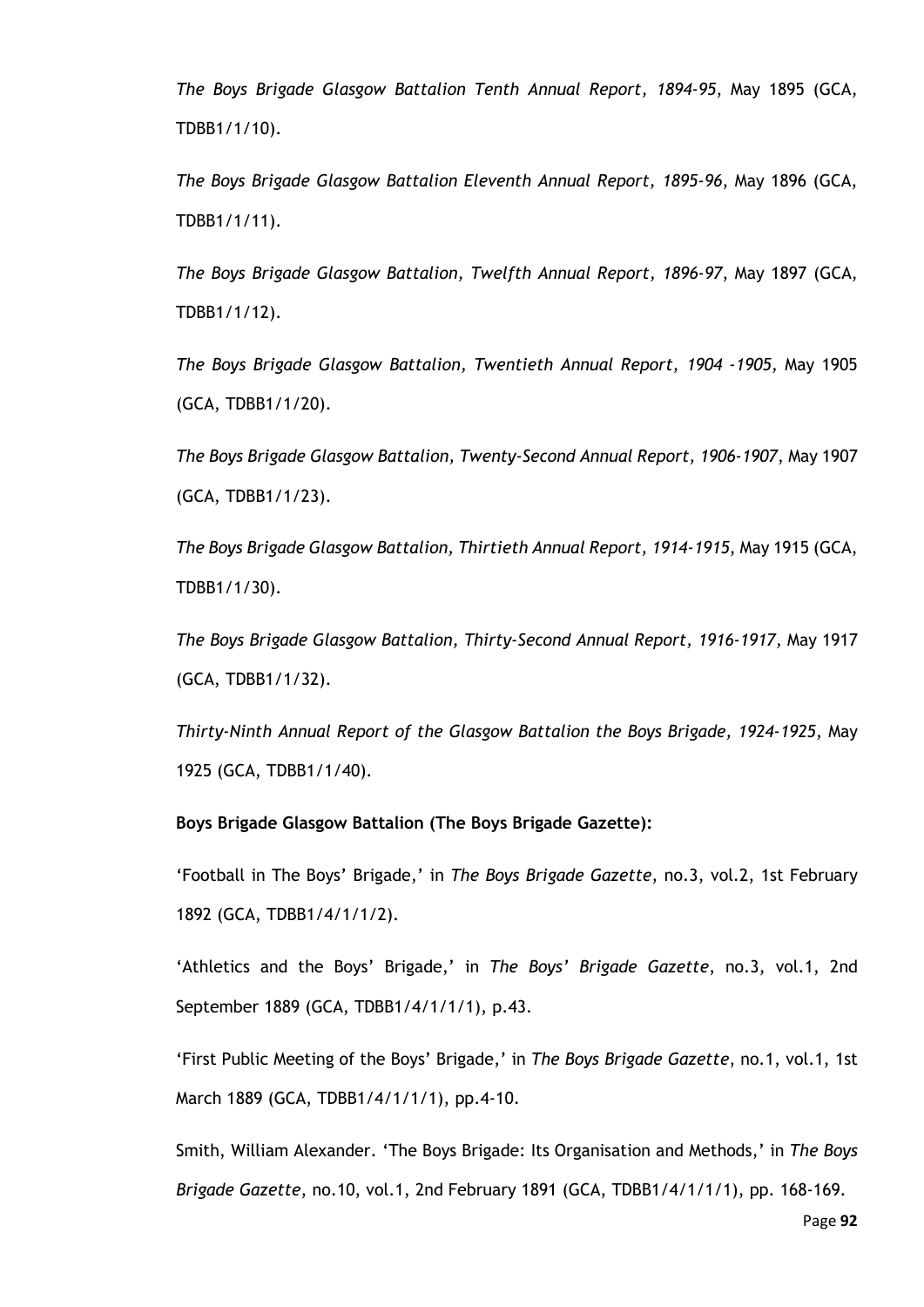*The Boys Brigade Glasgow Battalion Tenth Annual Report, 1894-95*, May 1895 (GCA, TDBB1/1/10).

*The Boys Brigade Glasgow Battalion Eleventh Annual Report, 1895-96*, May 1896 (GCA, TDBB1/1/11).

*The Boys Brigade Glasgow Battalion, Twelfth Annual Report, 1896-97*, May 1897 (GCA, TDBB1/1/12).

*The Boys Brigade Glasgow Battalion, Twentieth Annual Report, 1904 -1905,* May 1905 (GCA, TDBB1/1/20).

*The Boys Brigade Glasgow Battalion, Twenty-Second Annual Report, 1906-1907*, May 1907 (GCA, TDBB1/1/23).

*The Boys Brigade Glasgow Battalion, Thirtieth Annual Report, 1914-1915*, May 1915 (GCA, TDBB1/1/30).

*The Boys Brigade Glasgow Battalion, Thirty-Second Annual Report, 1916-1917,* May 1917 (GCA, TDBB1/1/32).

*Thirty-Ninth Annual Report of the Glasgow Battalion the Boys Brigade, 1924-1925*, May 1925 (GCA, TDBB1/1/40).

## **Boys Brigade Glasgow Battalion (The Boys Brigade Gazette):**

'Football in The Boys' Brigade,' in *The Boys Brigade Gazette*, no.3, vol.2, 1st February 1892 (GCA, TDBB1/4/1/1/2).

'Athletics and the Boys' Brigade,' in *The Boys' Brigade Gazette*, no.3, vol.1, 2nd September 1889 (GCA, TDBB1/4/1/1/1), p.43.

'First Public Meeting of the Boys' Brigade,' in *The Boys Brigade Gazette*, no.1, vol.1, 1st March 1889 (GCA, TDBB1/4/1/1/1), pp.4-10.

Smith, William Alexander. 'The Boys Brigade: Its Organisation and Methods,' in *The Boys Brigade Gazette*, no.10, vol.1, 2nd February 1891 (GCA, TDBB1/4/1/1/1), pp. 168-169.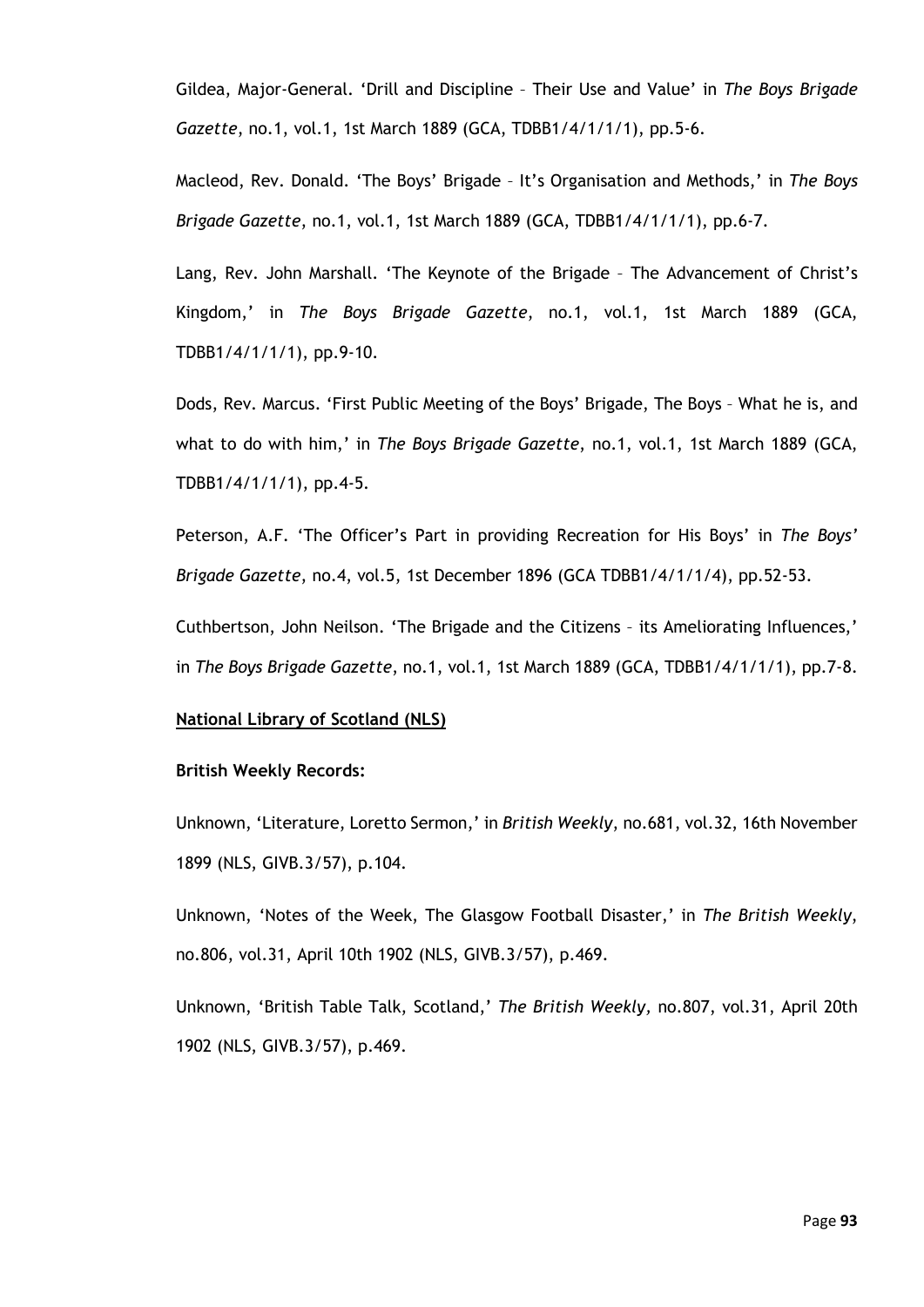Gildea, Major-General. 'Drill and Discipline – Their Use and Value' in *The Boys Brigade Gazette*, no.1, vol.1, 1st March 1889 (GCA, TDBB1/4/1/1/1), pp.5-6.

Macleod, Rev. Donald. 'The Boys' Brigade – It's Organisation and Methods,' in *The Boys Brigade Gazette*, no.1, vol.1, 1st March 1889 (GCA, TDBB1/4/1/1/1), pp.6-7.

Lang, Rev. John Marshall. 'The Keynote of the Brigade – The Advancement of Christ's Kingdom,' in *The Boys Brigade Gazette*, no.1, vol.1, 1st March 1889 (GCA, TDBB1/4/1/1/1), pp.9-10.

Dods, Rev. Marcus. 'First Public Meeting of the Boys' Brigade, The Boys – What he is, and what to do with him,' in *The Boys Brigade Gazette*, no.1, vol.1, 1st March 1889 (GCA, TDBB1/4/1/1/1), pp.4-5.

Peterson, A.F. 'The Officer's Part in providing Recreation for His Boys' in *The Boys' Brigade Gazette*, no.4, vol.5, 1st December 1896 (GCA TDBB1/4/1/1/4), pp.52-53.

Cuthbertson, John Neilson. 'The Brigade and the Citizens – its Ameliorating Influences,' in *The Boys Brigade Gazette*, no.1, vol.1, 1st March 1889 (GCA, TDBB1/4/1/1/1), pp.7-8.

#### **National Library of Scotland (NLS)**

#### **British Weekly Records:**

Unknown, 'Literature, Loretto Sermon,' in *British Weekly*, no.681, vol.32, 16th November 1899 (NLS, GIVB.3/57), p.104.

Unknown, 'Notes of the Week, The Glasgow Football Disaster,' in *The British Weekly*, no.806, vol.31, April 10th 1902 (NLS, GIVB.3/57), p.469.

Unknown, 'British Table Talk, Scotland,' *The British Weekly,* no.807, vol.31, April 20th 1902 (NLS, GIVB.3/57), p.469.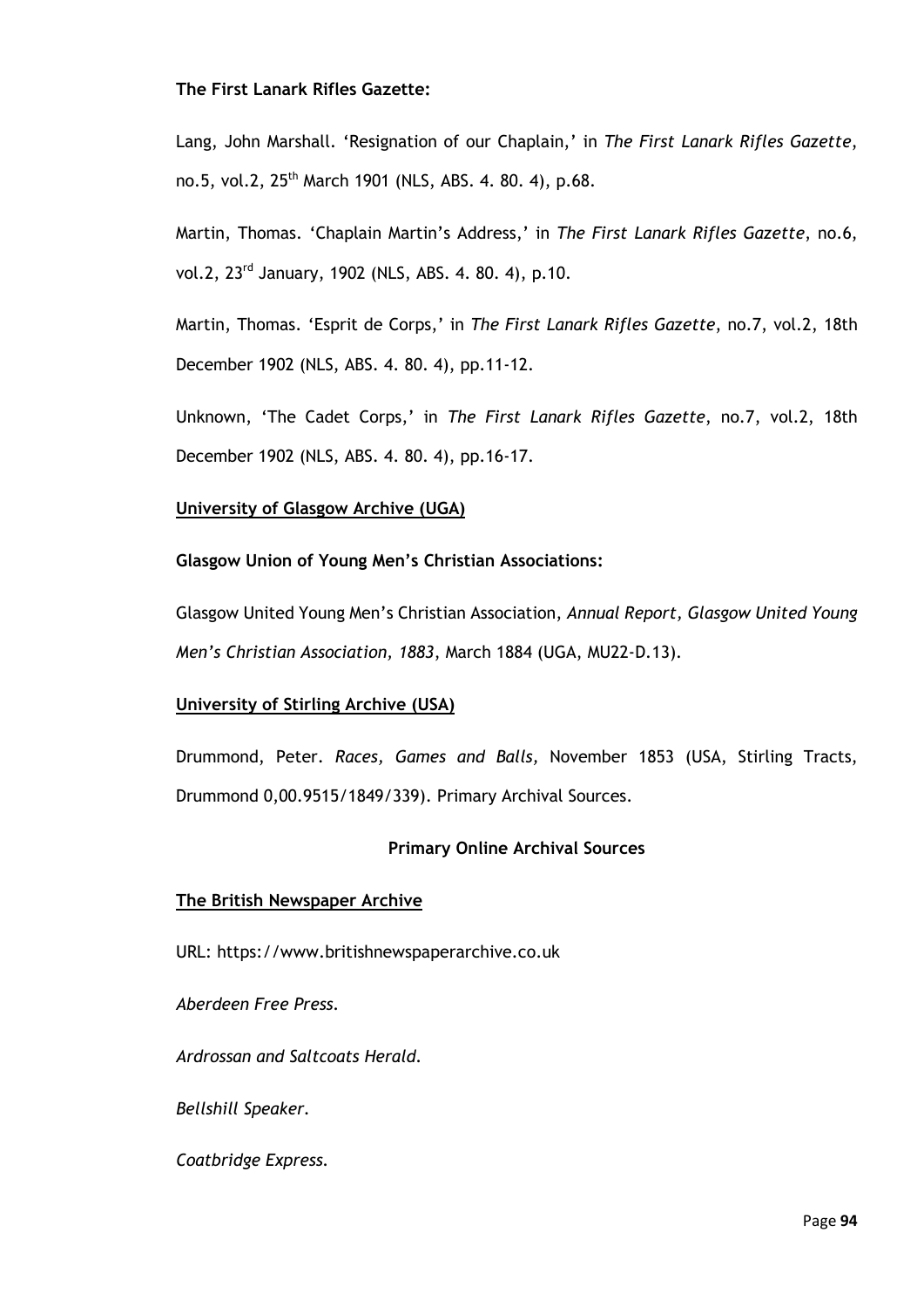#### **The First Lanark Rifles Gazette:**

Lang, John Marshall. 'Resignation of our Chaplain,' in *The First Lanark Rifles Gazette*, no.5, vol.2, 25th March 1901 (NLS, ABS. 4. 80. 4), p.68.

Martin, Thomas. 'Chaplain Martin's Address,' in *The First Lanark Rifles Gazette*, no.6, vol.2, 23rd January, 1902 (NLS, ABS. 4. 80. 4), p.10.

Martin, Thomas. 'Esprit de Corps,' in *The First Lanark Rifles Gazette*, no.7, vol.2, 18th December 1902 (NLS, ABS. 4. 80. 4), pp.11-12.

Unknown, 'The Cadet Corps,' in *The First Lanark Rifles Gazette*, no.7, vol.2, 18th December 1902 (NLS, ABS. 4. 80. 4), pp.16-17.

# **University of Glasgow Archive (UGA)**

**Glasgow Union of Young Men's Christian Associations:**

Glasgow United Young Men's Christian Association, *Annual Report, Glasgow United Young Men's Christian Association, 1883*, March 1884 (UGA, MU22-D.13).

## **University of Stirling Archive (USA)**

Drummond, Peter. *Races, Games and Balls,* November 1853 (USA, Stirling Tracts, Drummond 0,00.9515/1849/339). Primary Archival Sources.

## **Primary Online Archival Sources**

## **The British Newspaper Archive**

URL: https://www.britishnewspaperarchive.co.uk

*Aberdeen Free Press.* 

*Ardrossan and Saltcoats Herald.*

*Bellshill Speaker.*

*Coatbridge Express.*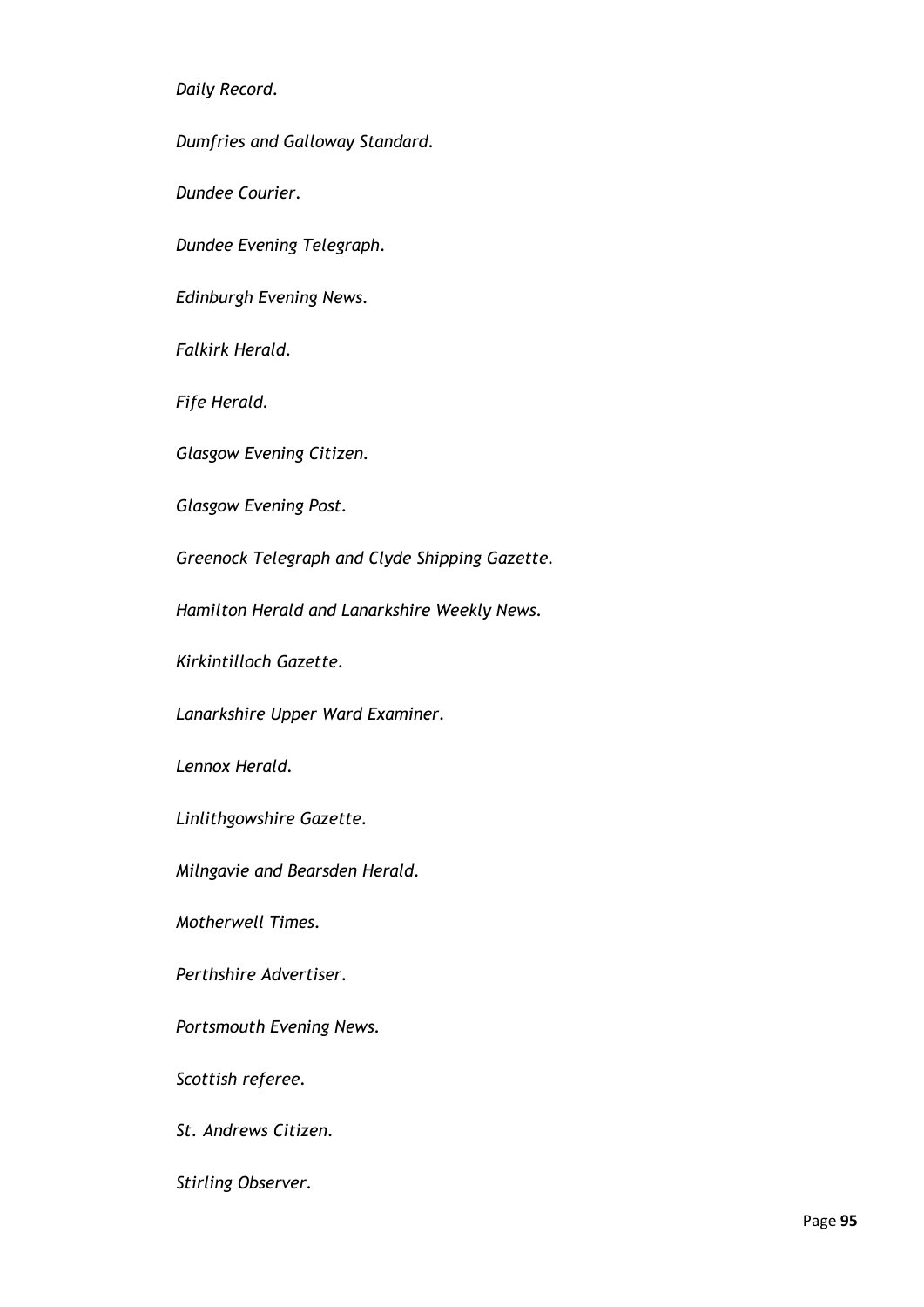*Daily Record.*

*Dumfries and Galloway Standard.*

*Dundee Courier.*

*Dundee Evening Telegraph.*

*Edinburgh Evening News.*

*Falkirk Herald.*

*Fife Herald.* 

*Glasgow Evening Citizen.*

*Glasgow Evening Post.*

*Greenock Telegraph and Clyde Shipping Gazette.*

*Hamilton Herald and Lanarkshire Weekly News.*

*Kirkintilloch Gazette.*

*Lanarkshire Upper Ward Examiner.*

*Lennox Herald.*

*Linlithgowshire Gazette.*

*Milngavie and Bearsden Herald.*

*Motherwell Times.*

*Perthshire Advertiser.*

*Portsmouth Evening News.* 

*Scottish referee.*

*St. Andrews Citizen.*

*Stirling Observer.*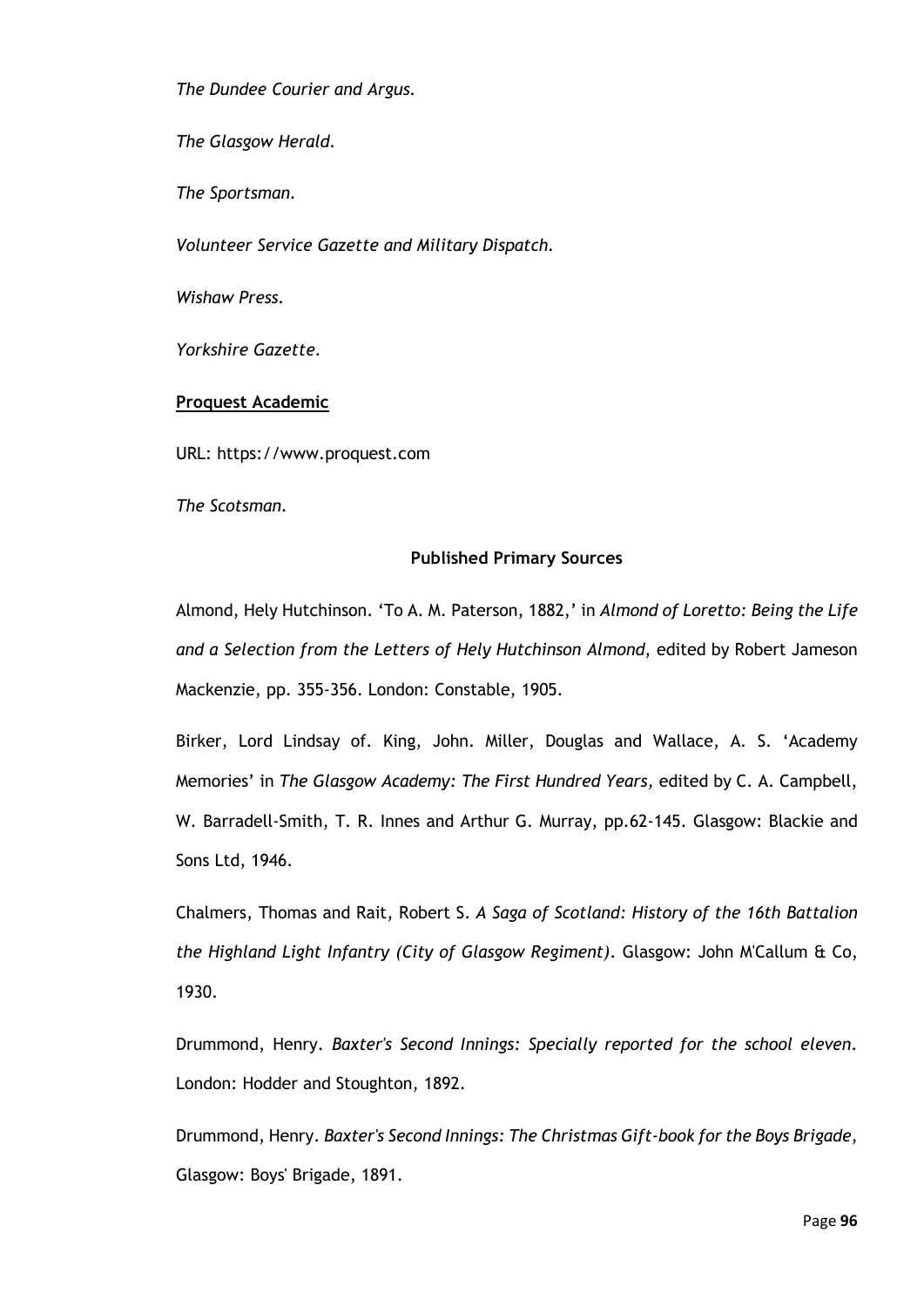*The Dundee Courier and Argus.*

*The Glasgow Herald.*

*The Sportsman.*

*Volunteer Service Gazette and Military Dispatch.*

*Wishaw Press.* 

*Yorkshire Gazette.*

# **Proquest Academic**

URL: https://www.proquest.com

*The Scotsman.*

# **Published Primary Sources**

Almond, Hely Hutchinson. 'To A. M. Paterson, 1882,' in *Almond of Loretto: Being the Life and a Selection from the Letters of Hely Hutchinson Almond*, edited by Robert Jameson Mackenzie, pp. 355-356. London: Constable, 1905.

Birker, Lord Lindsay of. King, John. Miller, Douglas and Wallace, A. S. 'Academy Memories' in *The Glasgow Academy: The First Hundred Years,* edited by C. A. Campbell, W. Barradell-Smith, T. R. Innes and Arthur G. Murray, pp.62-145. Glasgow: Blackie and Sons Ltd, 1946.

Chalmers, Thomas and Rait, Robert S. *A Saga of Scotland: History of the 16th Battalion the Highland Light Infantry (City of Glasgow Regiment)*. Glasgow: John M'Callum & Co, 1930.

Drummond, Henry. *Baxter's Second Innings: Specially reported for the school eleven*. London: Hodder and Stoughton, 1892.

Drummond, Henry. *Baxter's Second Innings: The Christmas Gift-book for the Boys Brigade*, Glasgow: Boys' Brigade, 1891.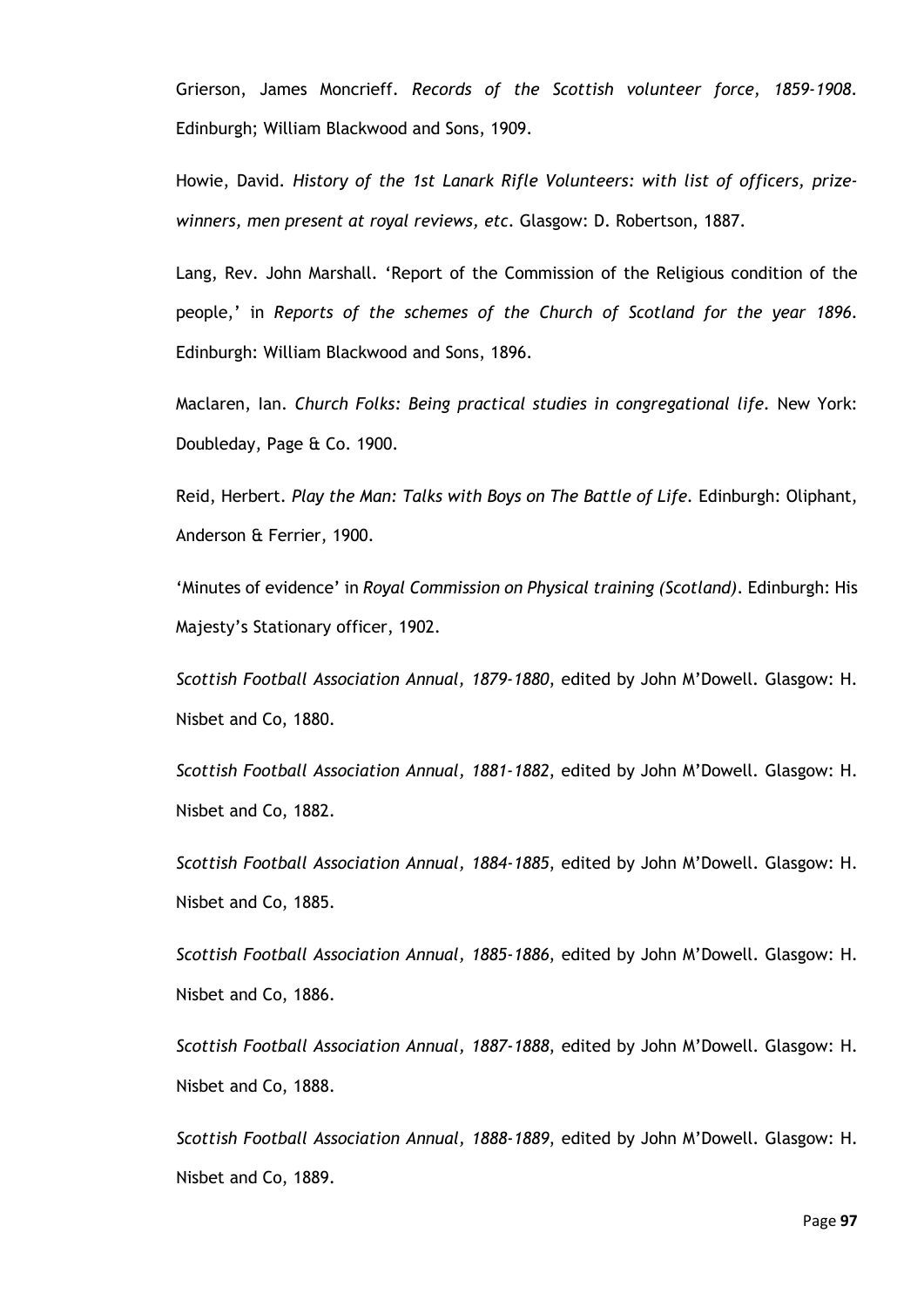Grierson, James Moncrieff. *Records of the Scottish volunteer force, 1859-1908*. Edinburgh; William Blackwood and Sons, 1909.

Howie, David. *History of the 1st Lanark Rifle Volunteers: with list of officers, prizewinners, men present at royal reviews, etc*. Glasgow: D. Robertson, 1887.

Lang, Rev. John Marshall. 'Report of the Commission of the Religious condition of the people,' in *Reports of the schemes of the Church of Scotland for the year 1896*. Edinburgh: William Blackwood and Sons, 1896.

Maclaren, Ian. *Church Folks: Being practical studies in congregational life.* New York: Doubleday, Page & Co. 1900.

Reid, Herbert. *Play the Man: Talks with Boys on The Battle of Life.* Edinburgh: Oliphant, Anderson & Ferrier, 1900.

'Minutes of evidence' in *Royal Commission on Physical training (Scotland)*. Edinburgh: His Majesty's Stationary officer, 1902.

*Scottish Football Association Annual, 1879-1880*, edited by John M'Dowell. Glasgow: H. Nisbet and Co, 1880.

*Scottish Football Association Annual, 1881-1882*, edited by John M'Dowell. Glasgow: H. Nisbet and Co, 1882.

*Scottish Football Association Annual, 1884-1885*, edited by John M'Dowell. Glasgow: H. Nisbet and Co, 1885.

*Scottish Football Association Annual, 1885-1886*, edited by John M'Dowell. Glasgow: H. Nisbet and Co, 1886.

*Scottish Football Association Annual, 1887-1888*, edited by John M'Dowell. Glasgow: H. Nisbet and Co, 1888.

*Scottish Football Association Annual, 1888-1889*, edited by John M'Dowell. Glasgow: H. Nisbet and Co, 1889.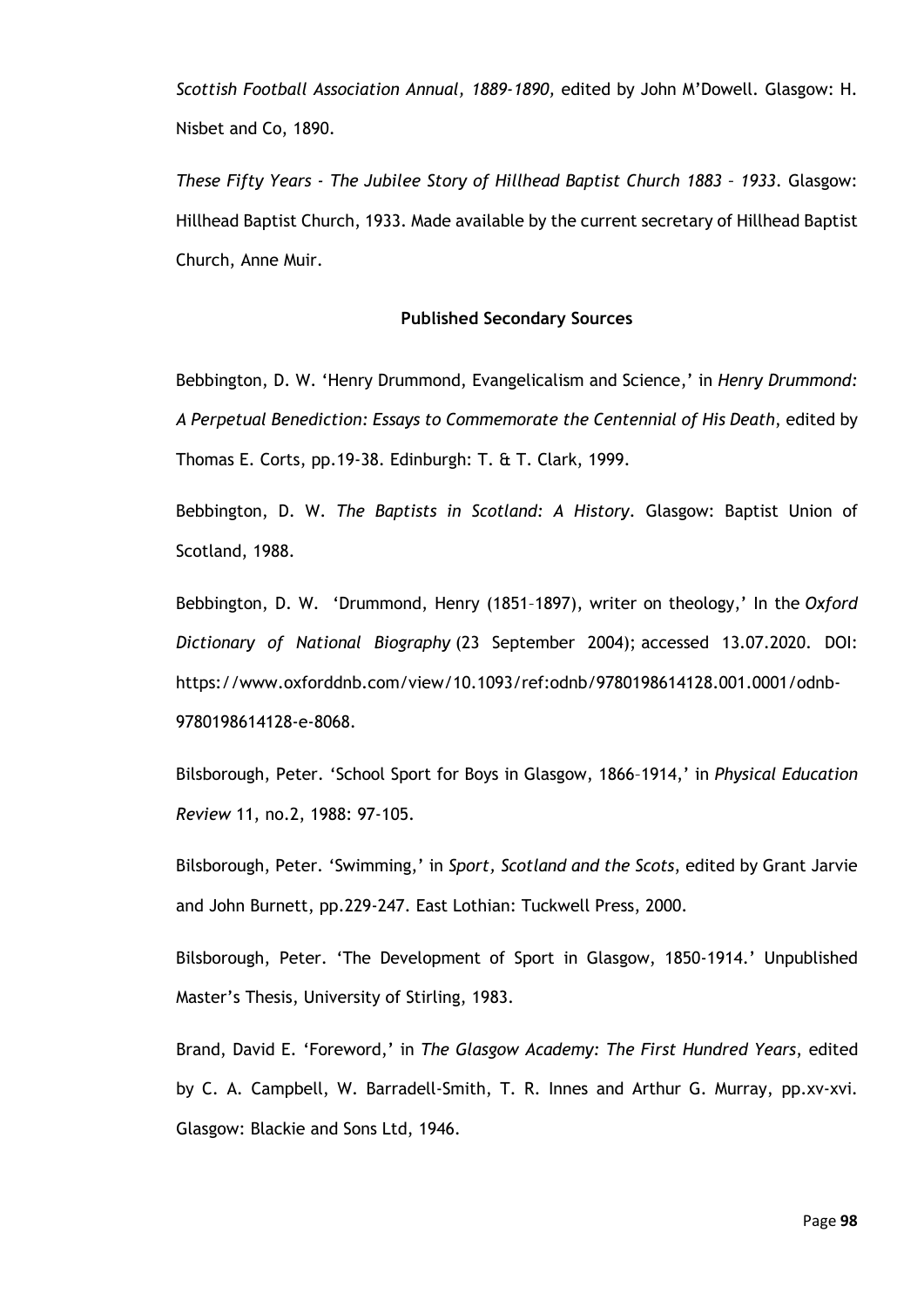*Scottish Football Association Annual, 1889-1890,* edited by John M'Dowell. Glasgow: H. Nisbet and Co, 1890.

*These Fifty Years - The Jubilee Story of Hillhead Baptist Church 1883 – 1933*. Glasgow: Hillhead Baptist Church, 1933. Made available by the current secretary of Hillhead Baptist Church, Anne Muir.

#### **Published Secondary Sources**

Bebbington, D. W. 'Henry Drummond, Evangelicalism and Science,' in *Henry Drummond: A Perpetual Benediction: Essays to Commemorate the Centennial of His Death*, edited by Thomas E. Corts, pp.19-38. Edinburgh: T. & T. Clark, 1999.

Bebbington, D. W. *The Baptists in Scotland: A History*. Glasgow: Baptist Union of Scotland, 1988.

Bebbington, D. W. 'Drummond, Henry (1851–1897), writer on theology,' In the *Oxford Dictionary of National Biography* (23 September 2004); accessed 13.07.2020. DOI: https://www.oxforddnb.com/view/10.1093/ref:odnb/9780198614128.001.0001/odnb-9780198614128-e-8068.

Bilsborough, Peter. 'School Sport for Boys in Glasgow, 1866–1914,' in *Physical Education Review* 11, no.2, 1988: 97-105.

Bilsborough, Peter. 'Swimming,' in *Sport, Scotland and the Scots*, edited by Grant Jarvie and John Burnett, pp.229-247. East Lothian: Tuckwell Press, 2000.

Bilsborough, Peter. 'The Development of Sport in Glasgow, 1850-1914.' Unpublished Master's Thesis, University of Stirling, 1983.

Brand, David E. 'Foreword,' in *The Glasgow Academy: The First Hundred Years*, edited by C. A. Campbell, W. Barradell-Smith, T. R. Innes and Arthur G. Murray, pp.xv-xvi. Glasgow: Blackie and Sons Ltd, 1946.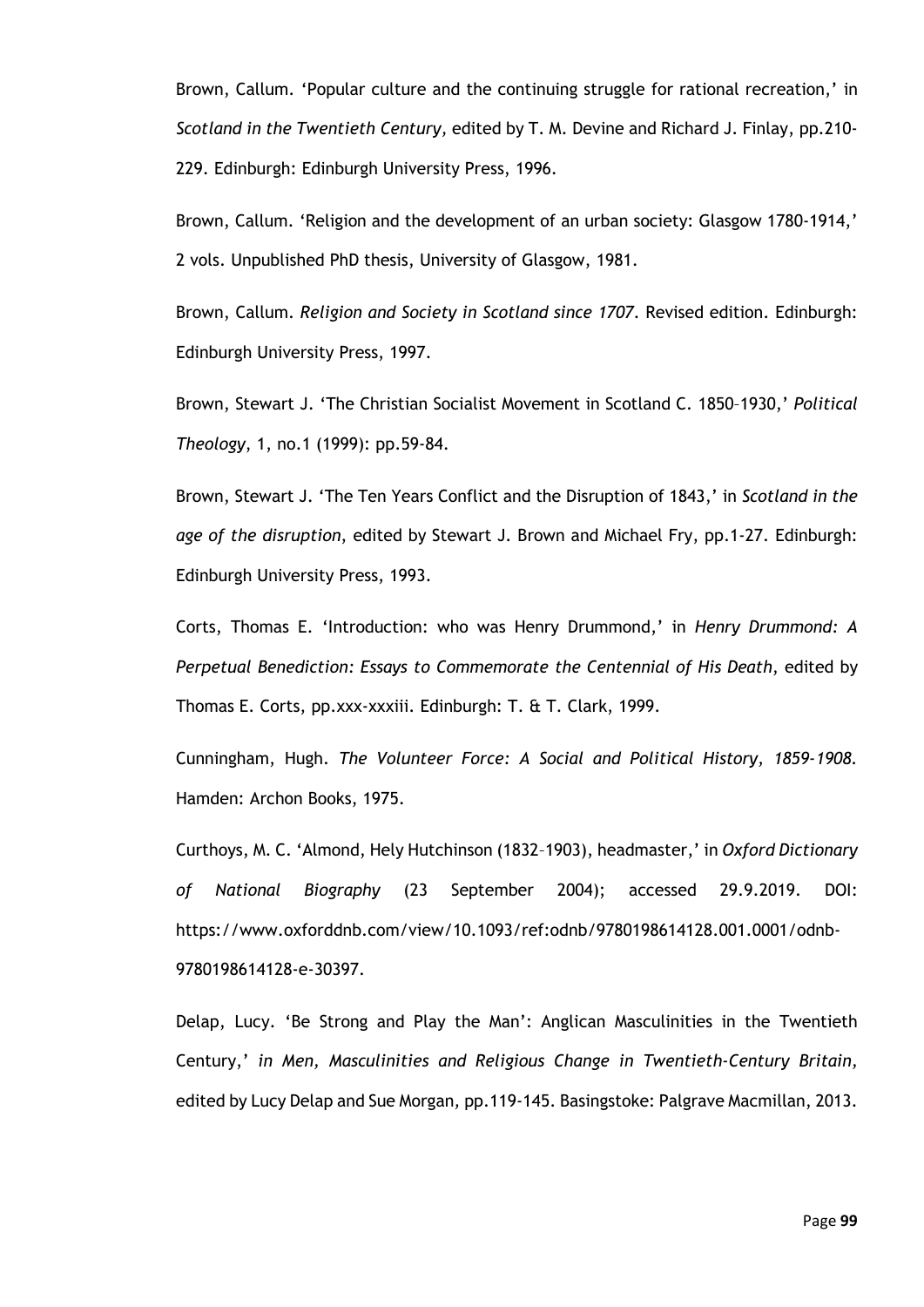Brown, Callum. 'Popular culture and the continuing struggle for rational recreation,' in *Scotland in the Twentieth Century,* edited by T. M. Devine and Richard J. Finlay, pp.210- 229. Edinburgh: Edinburgh University Press, 1996.

Brown, Callum. 'Religion and the development of an urban society: Glasgow 1780-1914,' 2 vols. Unpublished PhD thesis, University of Glasgow, 1981.

Brown, Callum. *Religion and Society in Scotland since 1707*. Revised edition. Edinburgh: Edinburgh University Press, 1997.

Brown, Stewart J. 'The Christian Socialist Movement in Scotland C. 1850–1930,' *Political Theology*, 1, no.1 (1999): pp.59-84.

Brown, Stewart J. 'The Ten Years Conflict and the Disruption of 1843,' in *Scotland in the age of the disruption*, edited by Stewart J. Brown and Michael Fry, pp.1-27. Edinburgh: Edinburgh University Press, 1993.

Corts, Thomas E. 'Introduction: who was Henry Drummond,' in *Henry Drummond: A Perpetual Benediction: Essays to Commemorate the Centennial of His Death*, edited by Thomas E. Corts, pp.xxx-xxxiii. Edinburgh: T. & T. Clark, 1999.

Cunningham, Hugh. *The Volunteer Force: A Social and Political History, 1859-1908.*  Hamden: Archon Books, 1975.

Curthoys, M. C. 'Almond, Hely Hutchinson (1832–1903), headmaster,' in *Oxford Dictionary of National Biography* (23 September 2004); accessed 29.9.2019. DOI: https://www.oxforddnb.com/view/10.1093/ref:odnb/9780198614128.001.0001/odnb-9780198614128-e-30397.

Delap, Lucy. 'Be Strong and Play the Man': Anglican Masculinities in the Twentieth Century,' *in Men, Masculinities and Religious Change in Twentieth-Century Britain,*  edited by Lucy Delap and Sue Morgan*,* pp.119-145. Basingstoke: Palgrave Macmillan, 2013.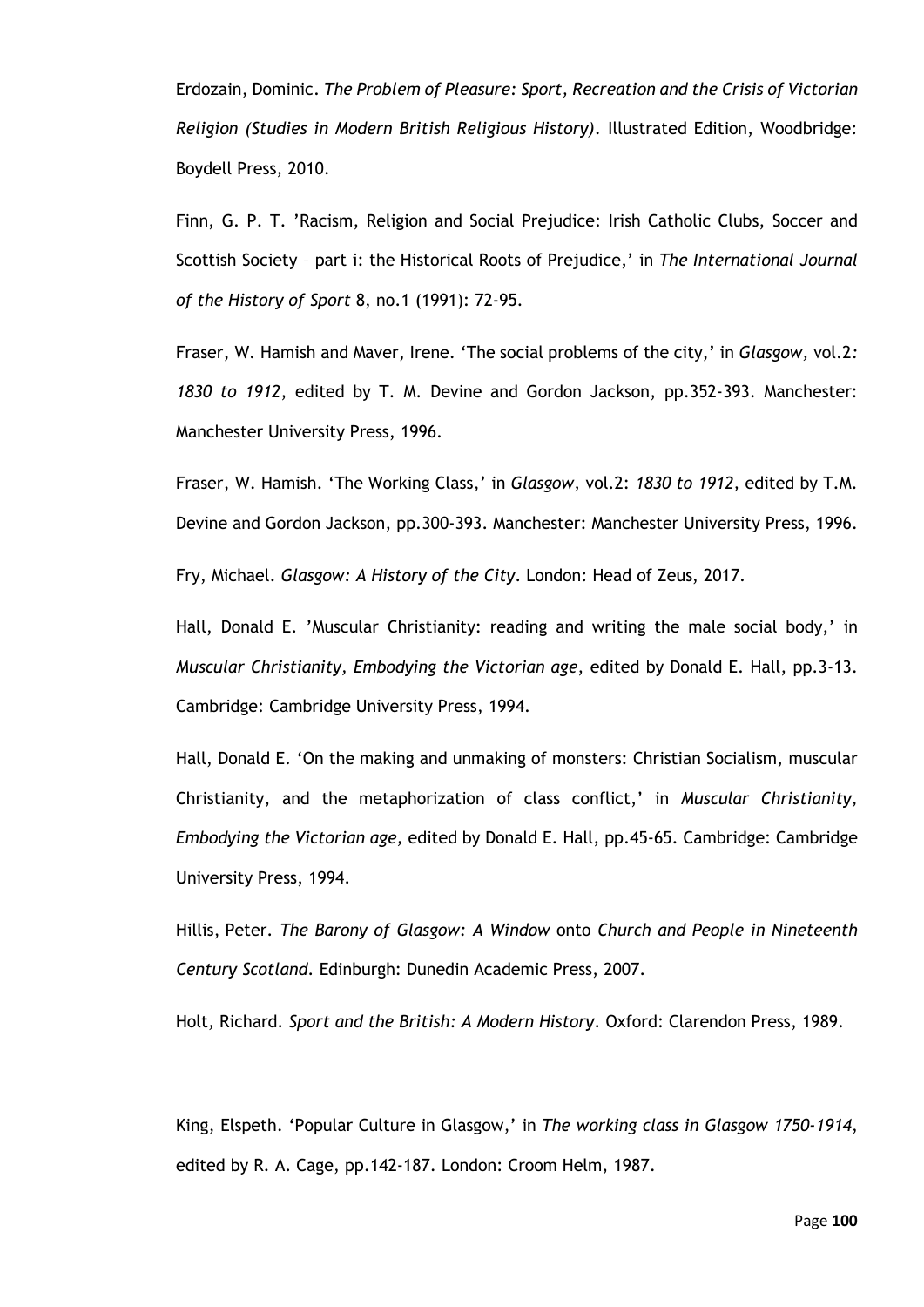Erdozain, Dominic. *The Problem of Pleasure: Sport, Recreation and the Crisis of Victorian Religion (Studies in Modern British Religious History)*. Illustrated Edition, Woodbridge: Boydell Press, 2010.

Finn, G. P. T. 'Racism, Religion and Social Prejudice: Irish Catholic Clubs, Soccer and Scottish Society – part i: the Historical Roots of Prejudice,' in *The International Journal of the History of Sport* 8, no.1 (1991): 72-95.

Fraser, W. Hamish and Maver, Irene. 'The social problems of the city,' in *Glasgow,* vol.2*: 1830 to 1912*, edited by T. M. Devine and Gordon Jackson, pp.352-393. Manchester: Manchester University Press, 1996.

Fraser, W. Hamish. 'The Working Class,' in *Glasgow,* vol.2: *1830 to 1912,* edited by T.M. Devine and Gordon Jackson, pp.300-393. Manchester: Manchester University Press, 1996.

Fry, Michael. *Glasgow: A History of the City*. London: Head of Zeus, 2017.

Hall, Donald E. 'Muscular Christianity: reading and writing the male social body,' in *Muscular Christianity, Embodying the Victorian age*, edited by Donald E. Hall, pp.3-13. Cambridge: Cambridge University Press, 1994.

Hall, Donald E. 'On the making and unmaking of monsters: Christian Socialism, muscular Christianity, and the metaphorization of class conflict,' in *Muscular Christianity, Embodying the Victorian age,* edited by Donald E. Hall, pp.45-65. Cambridge: Cambridge University Press, 1994.

Hillis, Peter. *The Barony of Glasgow: A Window* onto *Church and People in Nineteenth Century Scotland*. Edinburgh: Dunedin Academic Press, 2007.

Holt*,* Richard. *Sport and the British: A Modern History*. Oxford: Clarendon Press, 1989.

King, Elspeth. 'Popular Culture in Glasgow,' in *The working class in Glasgow 1750-1914*, edited by R. A. Cage, pp.142-187. London: Croom Helm, 1987.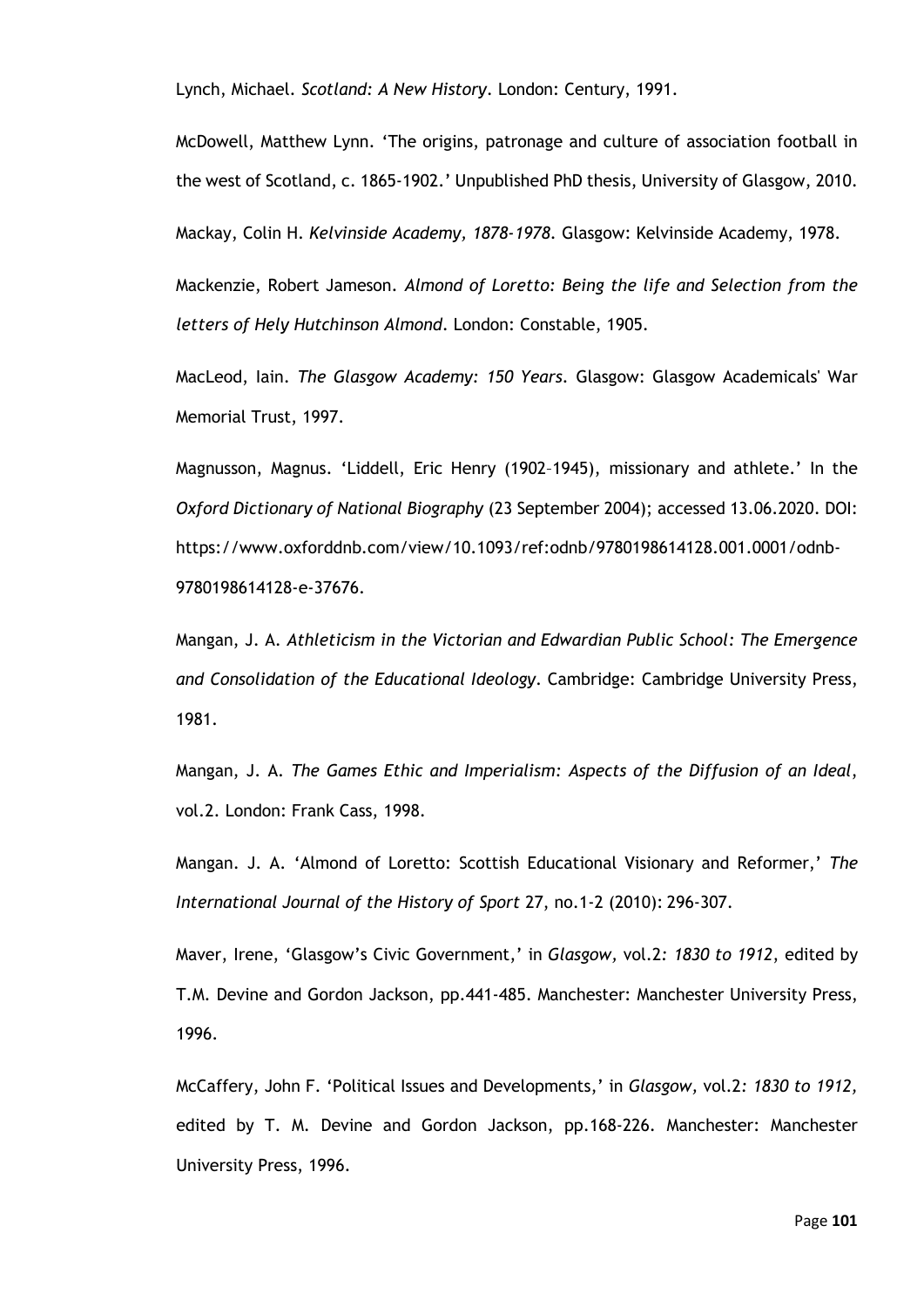Lynch, Michael. *Scotland: A New History*. London: Century, 1991.

McDowell, Matthew Lynn. 'The origins, patronage and culture of association football in the west of Scotland, c. 1865-1902.' Unpublished PhD thesis, University of Glasgow, 2010.

Mackay, Colin H. *Kelvinside Academy, 1878-1978.* Glasgow: Kelvinside Academy, 1978.

Mackenzie, Robert Jameson. *Almond of Loretto: Being the life and Selection from the letters of Hely Hutchinson Almond*. London: Constable, 1905.

MacLeod, Iain. *The Glasgow Academy: 150 Years*. Glasgow: Glasgow Academicals' War Memorial Trust, 1997.

Magnusson, Magnus. 'Liddell, Eric Henry (1902–1945), missionary and athlete.' In the *Oxford Dictionary of National Biography* (23 September 2004); accessed 13.06.2020. DOI: https://www.oxforddnb.com/view/10.1093/ref:odnb/9780198614128.001.0001/odnb-9780198614128-e-37676.

Mangan, J. A. *Athleticism in the Victorian and Edwardian Public School: The Emergence and Consolidation of the Educational Ideology*. Cambridge: Cambridge University Press, 1981.

Mangan, J. A. *The Games Ethic and Imperialism: Aspects of the Diffusion of an Ideal*, vol.2. London: Frank Cass, 1998.

Mangan. J. A. 'Almond of Loretto: Scottish Educational Visionary and Reformer,' *The International Journal of the History of Sport* 27, no.1-2 (2010): 296-307.

Maver, Irene, 'Glasgow's Civic Government,' in *Glasgow,* vol.2*: 1830 to 1912*, edited by T.M. Devine and Gordon Jackson, pp.441-485. Manchester: Manchester University Press, 1996.

McCaffery, John F. 'Political Issues and Developments,' in *Glasgow,* vol.2*: 1830 to 1912,* edited by T. M. Devine and Gordon Jackson, pp.168-226. Manchester: Manchester University Press, 1996.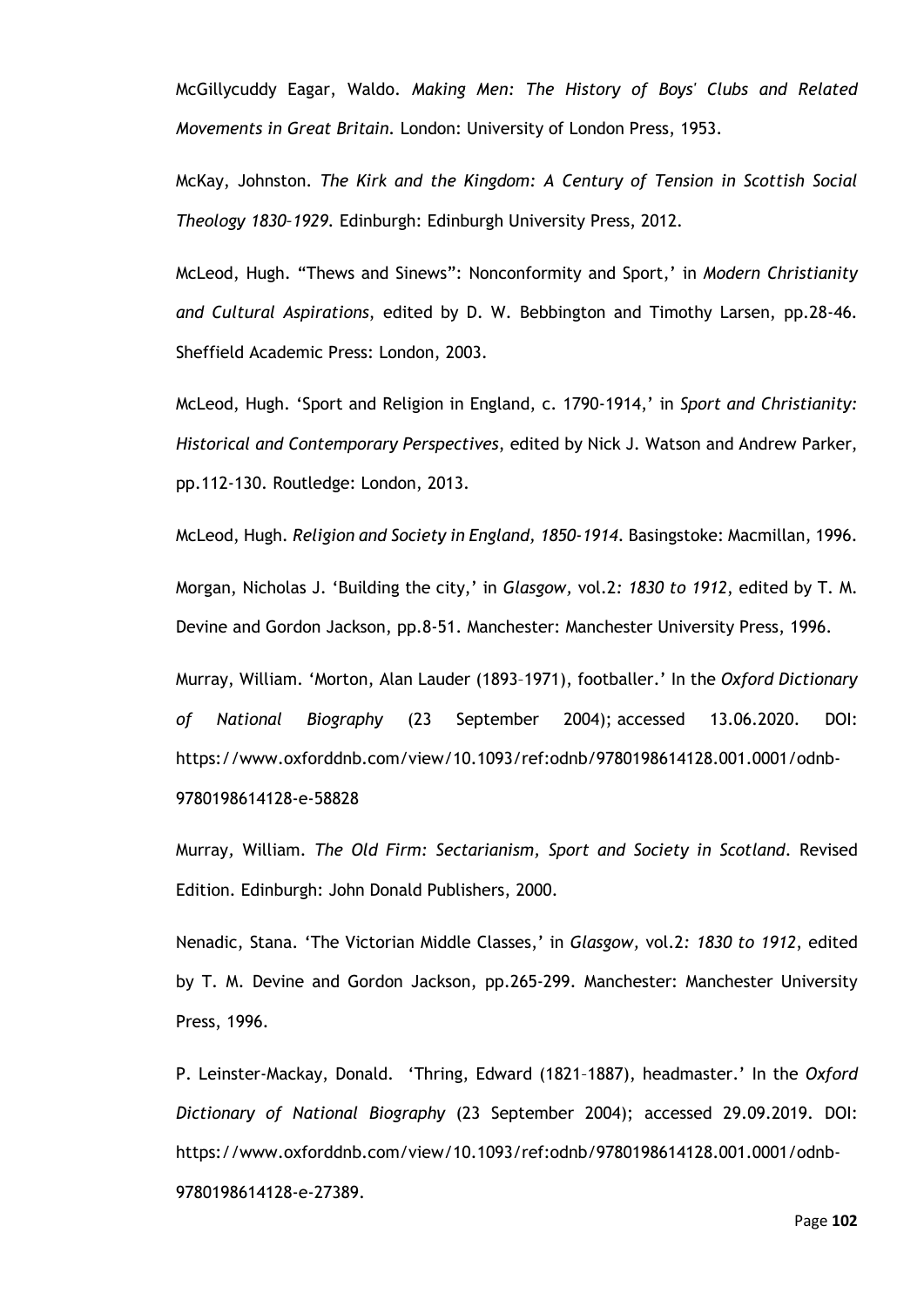McGillycuddy Eagar, Waldo. *Making Men: The History of Boys' Clubs and Related Movements in Great Britain.* London: University of London Press, 1953.

McKay, Johnston. *The Kirk and the Kingdom: A Century of Tension in Scottish Social Theology 1830–1929.* Edinburgh: Edinburgh University Press, 2012*.*

McLeod, Hugh. "Thews and Sinews": Nonconformity and Sport,' in *Modern Christianity and Cultural Aspirations*, edited by D. W. Bebbington and Timothy Larsen, pp.28-46*.*  Sheffield Academic Press: London, 2003.

McLeod, Hugh. 'Sport and Religion in England, c. 1790-1914,' in *Sport and Christianity: Historical and Contemporary Perspectives*, edited by Nick J. Watson and Andrew Parker, pp.112-130. Routledge: London, 2013.

McLeod, Hugh. *Religion and Society in England, 1850-1914*. Basingstoke: Macmillan, 1996. Morgan, Nicholas J. 'Building the city,' in *Glasgow,* vol.2*: 1830 to 1912*, edited by T. M. Devine and Gordon Jackson, pp.8-51. Manchester: Manchester University Press, 1996.

Murray, William. 'Morton, Alan Lauder (1893–1971), footballer.' In the *Oxford Dictionary of National Biography* (23 September 2004); accessed 13.06.2020. DOI: https://www.oxforddnb.com/view/10.1093/ref:odnb/9780198614128.001.0001/odnb-9780198614128-e-58828

Murray*,* William. *The Old Firm: Sectarianism, Sport and Society in Scotland*. Revised Edition. Edinburgh: John Donald Publishers, 2000.

Nenadic, Stana. 'The Victorian Middle Classes,' in *Glasgow,* vol.2*: 1830 to 1912*, edited by T. M. Devine and Gordon Jackson, pp.265-299. Manchester: Manchester University Press, 1996.

P. Leinster-Mackay, Donald. 'Thring, Edward (1821–1887), headmaster.' In the *Oxford Dictionary of National Biography* (23 September 2004); accessed 29.09.2019. DOI: https://www.oxforddnb.com/view/10.1093/ref:odnb/9780198614128.001.0001/odnb-9780198614128-e-27389.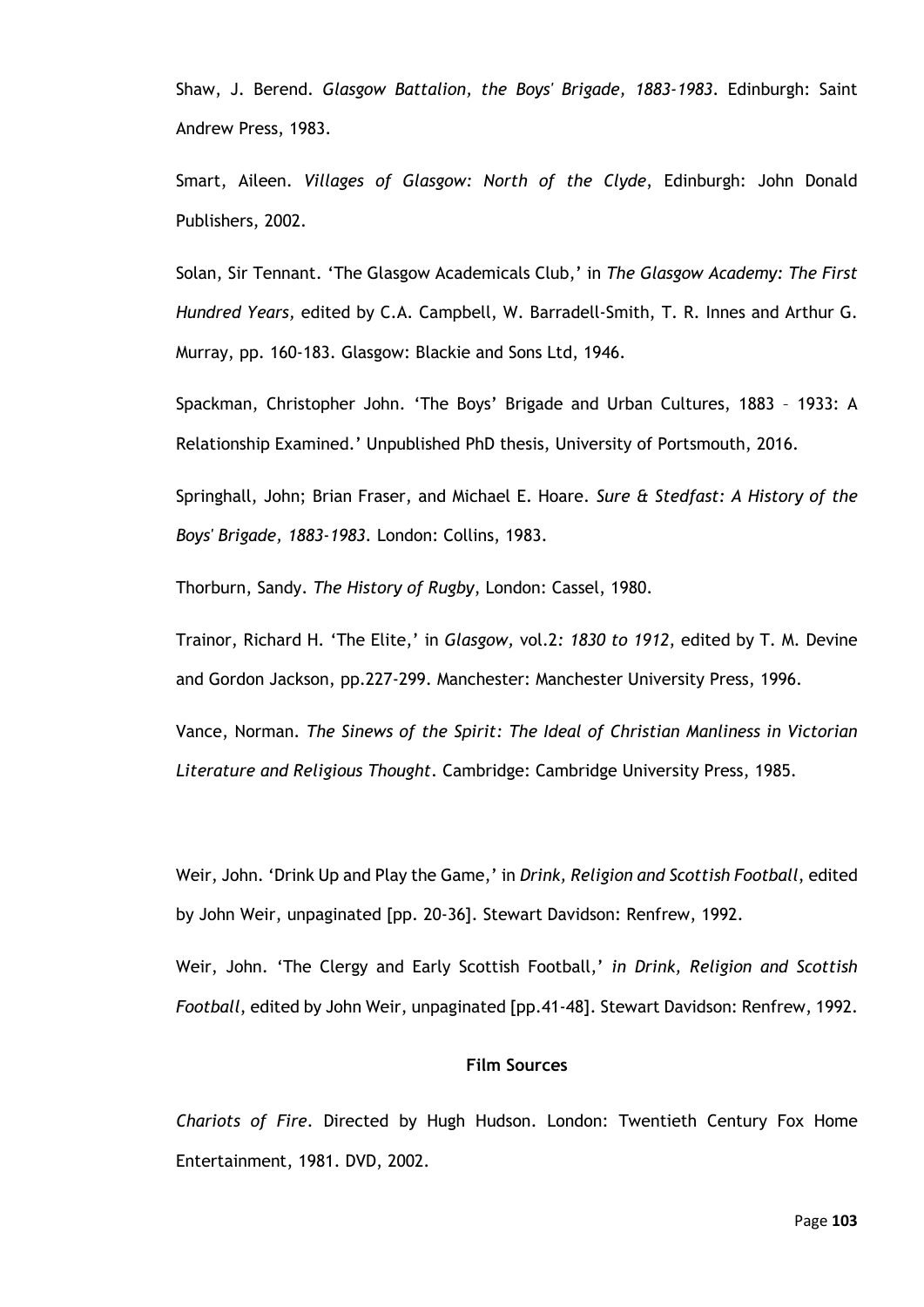Shaw, J. Berend. *Glasgow Battalion, the Boys' Brigade, 1883-1983*. Edinburgh: Saint Andrew Press, 1983.

Smart, Aileen. *Villages of Glasgow: North of the Clyde*, Edinburgh: John Donald Publishers, 2002.

Solan, Sir Tennant. 'The Glasgow Academicals Club,' in *The Glasgow Academy: The First Hundred Years,* edited by C.A. Campbell, W. Barradell-Smith, T. R. Innes and Arthur G. Murray, pp. 160-183. Glasgow: Blackie and Sons Ltd, 1946.

Spackman, Christopher John. 'The Boys' Brigade and Urban Cultures, 1883 – 1933: A Relationship Examined.' Unpublished PhD thesis, University of Portsmouth, 2016.

Springhall, John; Brian Fraser, and Michael E. Hoare. *Sure & Stedfast: A History of the Boys' Brigade, 1883-1983.* London: Collins, 1983.

Thorburn, Sandy. *The History of Rugby*, London: Cassel, 1980.

Trainor, Richard H. 'The Elite,' in *Glasgow,* vol.2*: 1830 to 1912*, edited by T. M. Devine and Gordon Jackson, pp.227-299. Manchester: Manchester University Press, 1996.

Vance, Norman. *The Sinews of the Spirit: The Ideal of Christian Manliness in Victorian Literature and Religious Thought*. Cambridge: Cambridge University Press, 1985.

Weir, John. 'Drink Up and Play the Game,' in *Drink, Religion and Scottish Football*, edited by John Weir, unpaginated [pp. 20-36]. Stewart Davidson: Renfrew, 1992.

Weir, John. 'The Clergy and Early Scottish Football,' *in Drink, Religion and Scottish Football*, edited by John Weir, unpaginated [pp.41-48]. Stewart Davidson: Renfrew, 1992.

#### **Film Sources**

*Chariots of Fire*. Directed by Hugh Hudson. London: Twentieth Century Fox Home Entertainment, 1981. DVD, 2002.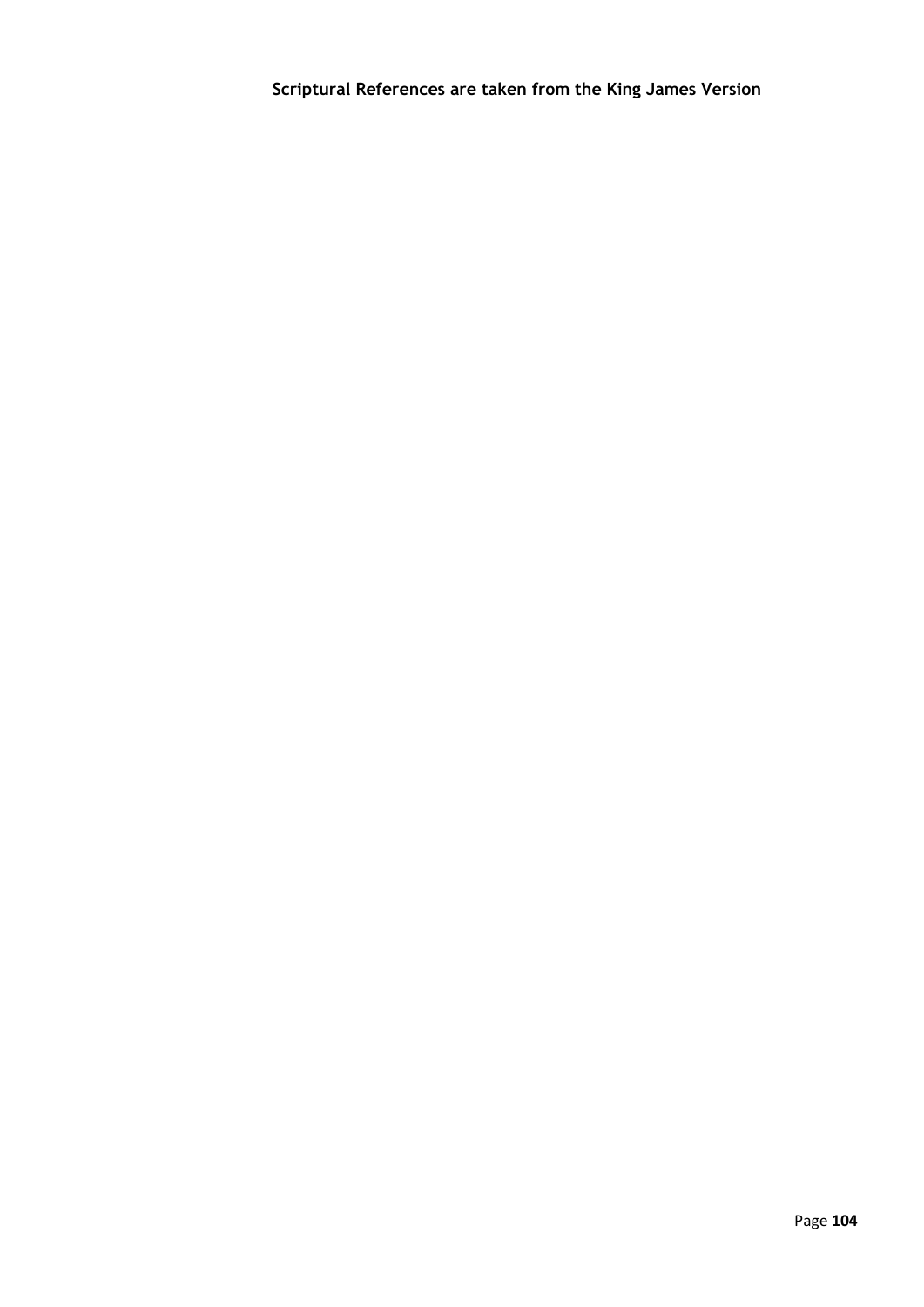**Scriptural References are taken from the King James Version**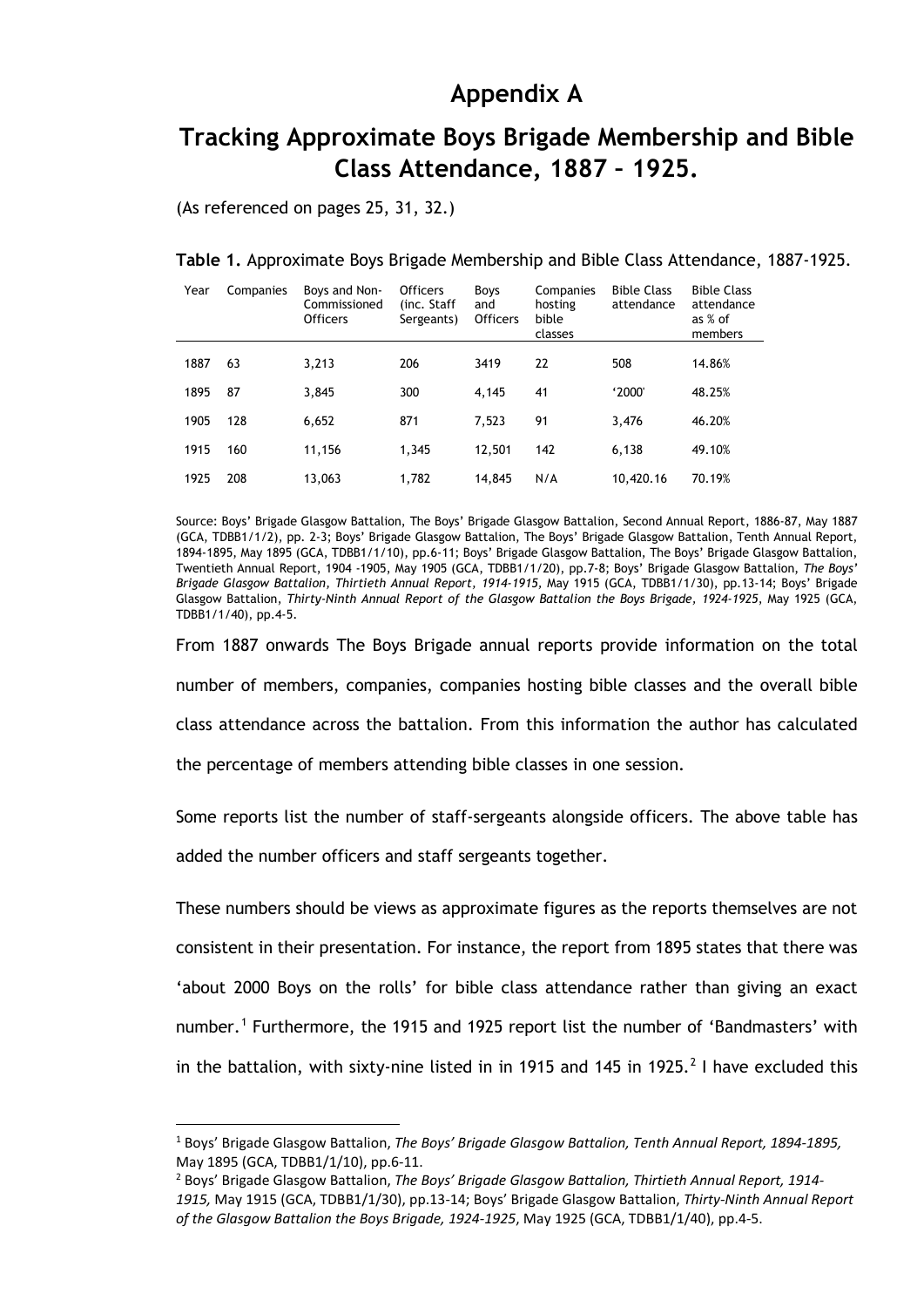## **Appendix A**

# **Tracking Approximate Boys Brigade Membership and Bible Class Attendance, 1887 – 1925.**

(As referenced on pages 25, 31, 32.)

### **Table 1.** Approximate Boys Brigade Membership and Bible Class Attendance, 1887-1925.

| Year | Companies | Boys and Non-<br>Commissioned<br><b>Officers</b> | <b>Officers</b><br>(inc. Staff<br>Sergeants) | <b>Boys</b><br>and<br><b>Officers</b> | Companies<br>hosting<br>bible<br>classes | <b>Bible Class</b><br>attendance | <b>Bible Class</b><br>attendance<br>as % of<br>members |
|------|-----------|--------------------------------------------------|----------------------------------------------|---------------------------------------|------------------------------------------|----------------------------------|--------------------------------------------------------|
|      |           |                                                  |                                              |                                       |                                          |                                  |                                                        |
| 1887 | 63        | 3,213                                            | 206                                          | 3419                                  | 22                                       | 508                              | 14.86%                                                 |
|      |           |                                                  |                                              |                                       |                                          |                                  |                                                        |
| 1895 | 87        | 3,845                                            | 300                                          | 4.145                                 | 41                                       | '2000'                           | 48.25%                                                 |
|      |           |                                                  |                                              |                                       |                                          |                                  |                                                        |
| 1905 | 128       | 6,652                                            | 871                                          | 7,523                                 | 91                                       | 3,476                            | 46.20%                                                 |
|      |           |                                                  |                                              |                                       |                                          |                                  |                                                        |
| 1915 | 160       | 11,156                                           | 1,345                                        | 12,501                                | 142                                      | 6,138                            | 49.10%                                                 |
| 1925 | 208       | 13,063                                           | 1,782                                        | 14,845                                | N/A                                      | 10,420.16                        | 70.19%                                                 |
|      |           |                                                  |                                              |                                       |                                          |                                  |                                                        |

Source: Boys' Brigade Glasgow Battalion, The Boys' Brigade Glasgow Battalion, Second Annual Report, 1886-87, May 1887 (GCA, TDBB1/1/2), pp. 2-3; Boys' Brigade Glasgow Battalion, The Boys' Brigade Glasgow Battalion, Tenth Annual Report, 1894-1895, May 1895 (GCA, TDBB1/1/10), pp.6-11; Boys' Brigade Glasgow Battalion, The Boys' Brigade Glasgow Battalion, Twentieth Annual Report, 1904 -1905, May 1905 (GCA, TDBB1/1/20), pp.7-8; Boys' Brigade Glasgow Battalion, *The Boys' Brigade Glasgow Battalion, Thirtieth Annual Report, 1914-1915,* May 1915 (GCA, TDBB1/1/30), pp.13-14; Boys' Brigade Glasgow Battalion, *Thirty-Ninth Annual Report of the Glasgow Battalion the Boys Brigade, 1924-1925*, May 1925 (GCA, TDBB1/1/40), pp.4-5.

From 1887 onwards The Boys Brigade annual reports provide information on the total number of members, companies, companies hosting bible classes and the overall bible class attendance across the battalion. From this information the author has calculated the percentage of members attending bible classes in one session.

Some reports list the number of staff-sergeants alongside officers. The above table has added the number officers and staff sergeants together.

These numbers should be views as approximate figures as the reports themselves are not consistent in their presentation. For instance, the report from 1895 states that there was 'about 2000 Boys on the rolls' for bible class attendance rather than giving an exact number.<sup>[1](#page-110-0)</sup> Furthermore, the 1915 and 1925 report list the number of 'Bandmasters' with in the battalion, with sixty-nine listed in in 1915 and 145 in 19[2](#page-110-1)5.<sup>2</sup> I have excluded this

<span id="page-110-0"></span><sup>1</sup> Boys' Brigade Glasgow Battalion, *The Boys' Brigade Glasgow Battalion, Tenth Annual Report, 1894-1895,*  May 1895 (GCA, TDBB1/1/10), pp.6-11.

<span id="page-110-1"></span><sup>2</sup> Boys' Brigade Glasgow Battalion, *The Boys' Brigade Glasgow Battalion, Thirtieth Annual Report, 1914- 1915,* May 1915 (GCA, TDBB1/1/30), pp.13-14; Boys' Brigade Glasgow Battalion, *Thirty-Ninth Annual Report of the Glasgow Battalion the Boys Brigade, 1924-1925*, May 1925 (GCA, TDBB1/1/40), pp.4-5.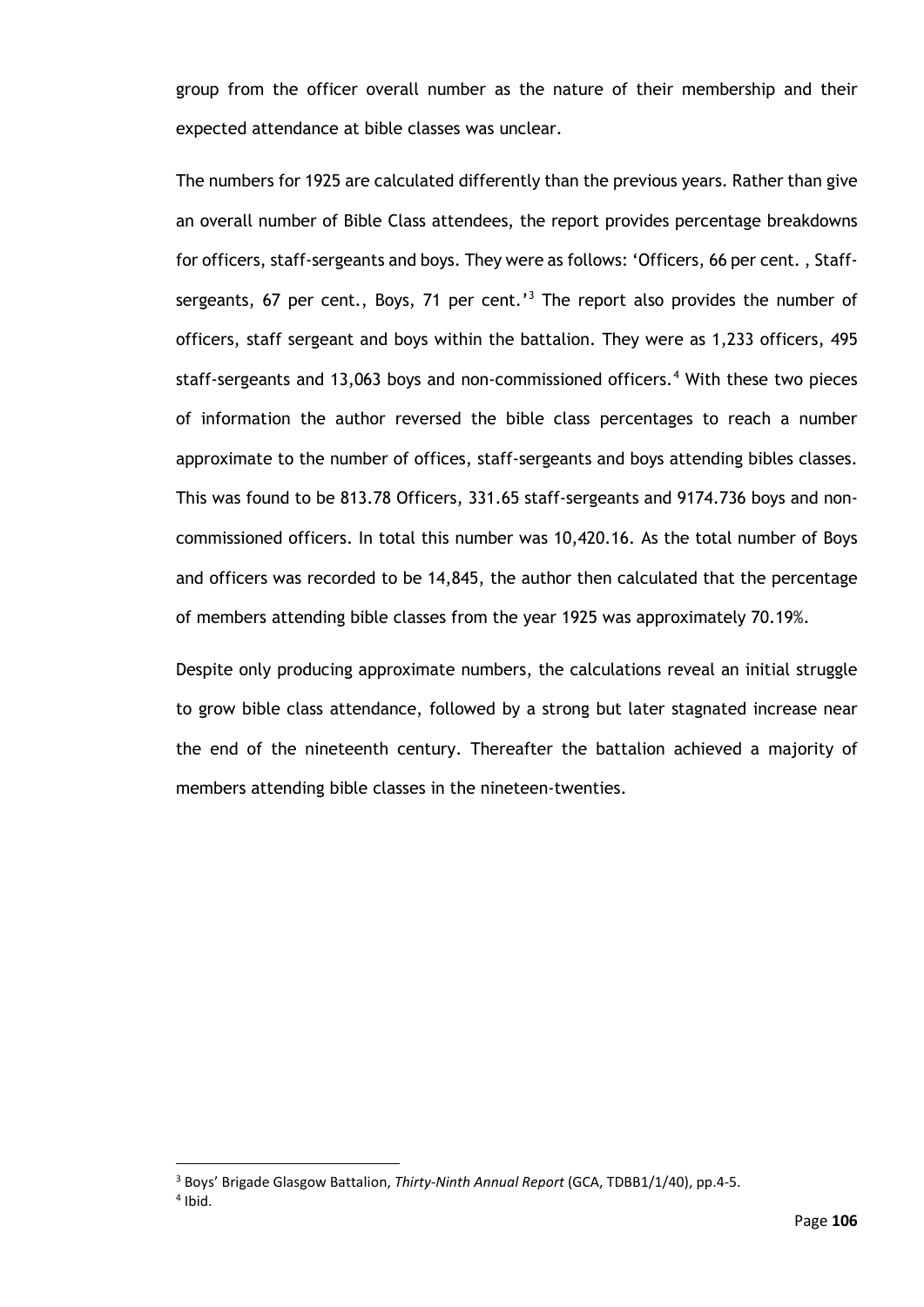group from the officer overall number as the nature of their membership and their expected attendance at bible classes was unclear.

The numbers for 1925 are calculated differently than the previous years. Rather than give an overall number of Bible Class attendees, the report provides percentage breakdowns for officers, staff-sergeants and boys. They were as follows: 'Officers, 66 per cent. , Staff-sergeants, 67 per cent., Boys, 71 per cent.'<sup>[3](#page-111-0)</sup> The report also provides the number of officers, staff sergeant and boys within the battalion. They were as 1,233 officers, 495 staff-sergeants and 13,063 boys and non-commissioned officers.<sup>[4](#page-111-1)</sup> With these two pieces of information the author reversed the bible class percentages to reach a number approximate to the number of offices, staff-sergeants and boys attending bibles classes. This was found to be 813.78 Officers, 331.65 staff-sergeants and 9174.736 boys and noncommissioned officers. In total this number was 10,420.16. As the total number of Boys and officers was recorded to be 14,845, the author then calculated that the percentage of members attending bible classes from the year 1925 was approximately 70.19%.

Despite only producing approximate numbers, the calculations reveal an initial struggle to grow bible class attendance, followed by a strong but later stagnated increase near the end of the nineteenth century. Thereafter the battalion achieved a majority of members attending bible classes in the nineteen-twenties.

<sup>3</sup> Boys' Brigade Glasgow Battalion, *Thirty-Ninth Annual Report* (GCA, TDBB1/1/40), pp.4-5.

<span id="page-111-1"></span><span id="page-111-0"></span> $4$  Ibid.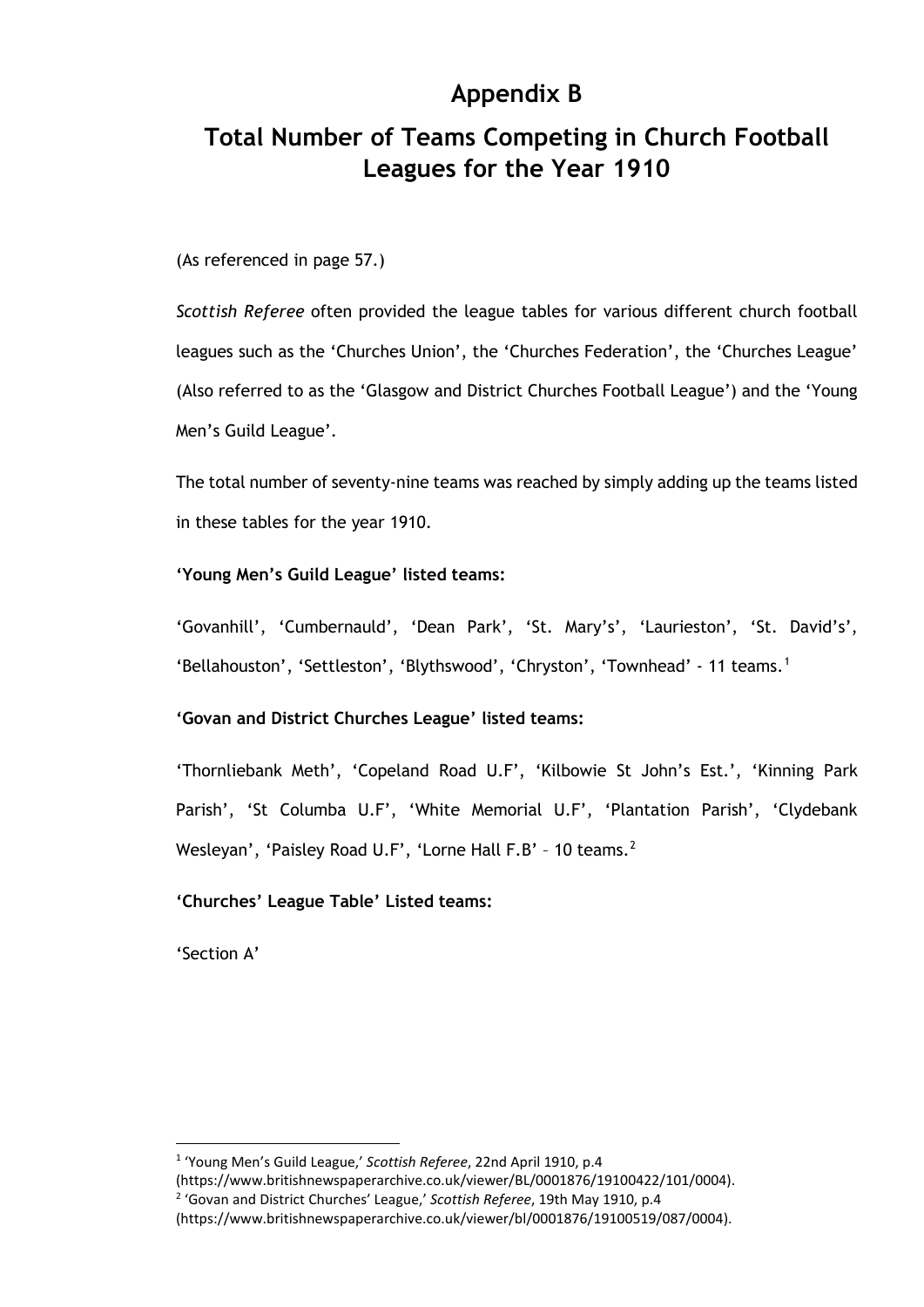# **Appendix B**

# **Total Number of Teams Competing in Church Football Leagues for the Year 1910**

(As referenced in page 57.)

*Scottish Referee* often provided the league tables for various different church football leagues such as the 'Churches Union', the 'Churches Federation', the 'Churches League' (Also referred to as the 'Glasgow and District Churches Football League') and the 'Young Men's Guild League'.

The total number of seventy-nine teams was reached by simply adding up the teams listed in these tables for the year 1910.

### **'Young Men's Guild League' listed teams:**

'Govanhill', 'Cumbernauld', 'Dean Park', 'St. Mary's', 'Laurieston', 'St. David's', 'Bellahouston', 'Settleston', 'Blythswood', 'Chryston', 'Townhead' - [1](#page-112-0)1 teams.<sup>1</sup>

## **'Govan and District Churches League' listed teams:**

'Thornliebank Meth', 'Copeland Road U.F', 'Kilbowie St John's Est.', 'Kinning Park Parish', 'St Columba U.F', 'White Memorial U.F', 'Plantation Parish', 'Clydebank Wesleyan', 'Paisley Road U.F', 'Lorne Hall F.B' - 10 teams.<sup>[2](#page-112-1)</sup>

### **'Churches' League Table' Listed teams:**

'Section A'

(https://www.britishnewspaperarchive.co.uk/viewer/BL/0001876/19100422/101/0004).

<span id="page-112-0"></span><sup>1</sup> 'Young Men's Guild League,' *Scottish Referee*, 22nd April 1910, p.4

<span id="page-112-1"></span><sup>2</sup> 'Govan and District Churches' League,' *Scottish Referee*, 19th May 1910, p.4

<sup>(</sup>https://www.britishnewspaperarchive.co.uk/viewer/bl/0001876/19100519/087/0004).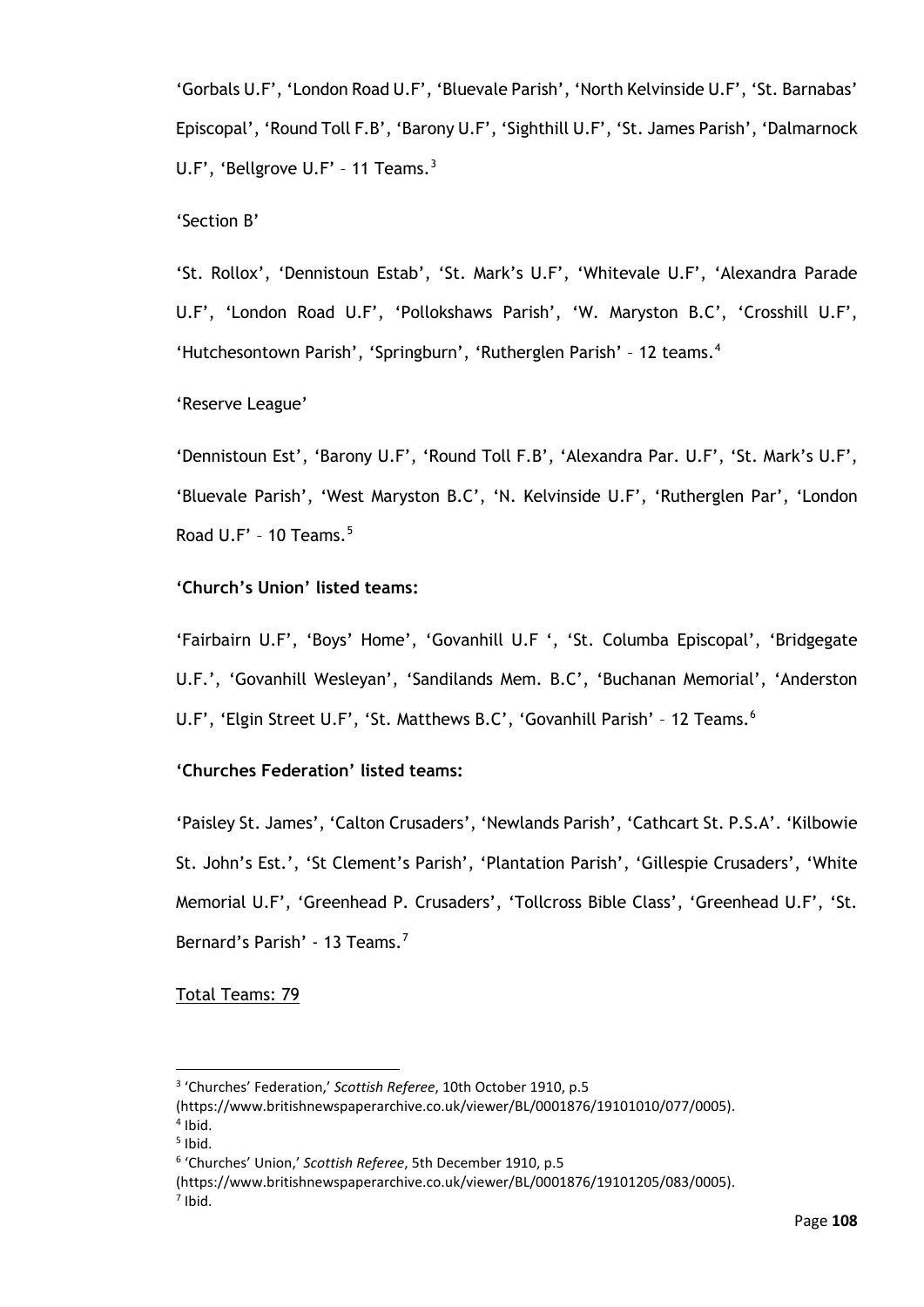'Gorbals U.F', 'London Road U.F', 'Bluevale Parish', 'North Kelvinside U.F', 'St. Barnabas' Episcopal', 'Round Toll F.B', 'Barony U.F', 'Sighthill U.F', 'St. James Parish', 'Dalmarnock U.F', 'Bellgrove U.F' - 11 Teams.<sup>[3](#page-113-0)</sup>

### 'Section B'

'St. Rollox', 'Dennistoun Estab', 'St. Mark's U.F', 'Whitevale U.F', 'Alexandra Parade U.F', 'London Road U.F', 'Pollokshaws Parish', 'W. Maryston B.C', 'Crosshill U.F', 'Hutchesontown Parish', 'Springburn', 'Rutherglen Parish' - 12 teams.<sup>[4](#page-113-1)</sup>

'Reserve League'

'Dennistoun Est', 'Barony U.F', 'Round Toll F.B', 'Alexandra Par. U.F', 'St. Mark's U.F', 'Bluevale Parish', 'West Maryston B.C', 'N. Kelvinside U.F', 'Rutherglen Par', 'London Road  $U.F' - 10$  Teams.<sup>[5](#page-113-2)</sup>

### **'Church's Union' listed teams:**

'Fairbairn U.F', 'Boys' Home', 'Govanhill U.F ', 'St. Columba Episcopal', 'Bridgegate U.F.', 'Govanhill Wesleyan', 'Sandilands Mem. B.C', 'Buchanan Memorial', 'Anderston U.F', 'Elgin Street U.F', 'St. Matthews B.C', 'Govanhill Parish' - 12 Teams.<sup>[6](#page-113-3)</sup>

## **'Churches Federation' listed teams:**

'Paisley St. James', 'Calton Crusaders', 'Newlands Parish', 'Cathcart St. P.S.A'. 'Kilbowie St. John's Est.', 'St Clement's Parish', 'Plantation Parish', 'Gillespie Crusaders', 'White Memorial U.F', 'Greenhead P. Crusaders', 'Tollcross Bible Class', 'Greenhead U.F', 'St. Bernard's Parish' - 13 Teams.<sup>[7](#page-113-4)</sup>

Total Teams: 79

<span id="page-113-0"></span><sup>3</sup> 'Churches' Federation,' *Scottish Referee*, 10th October 1910, p.5

<sup>(</sup>https://www.britishnewspaperarchive.co.uk/viewer/BL/0001876/19101010/077/0005).

<span id="page-113-1"></span> $4$  Ibid.

<span id="page-113-2"></span> $<sup>5</sup>$  Ibid.</sup>

<span id="page-113-3"></span><sup>6</sup> 'Churches' Union,' *Scottish Referee*, 5th December 1910, p.5

<sup>(</sup>https://www.britishnewspaperarchive.co.uk/viewer/BL/0001876/19101205/083/0005).

<span id="page-113-4"></span> $<sup>7</sup>$  Ibid.</sup>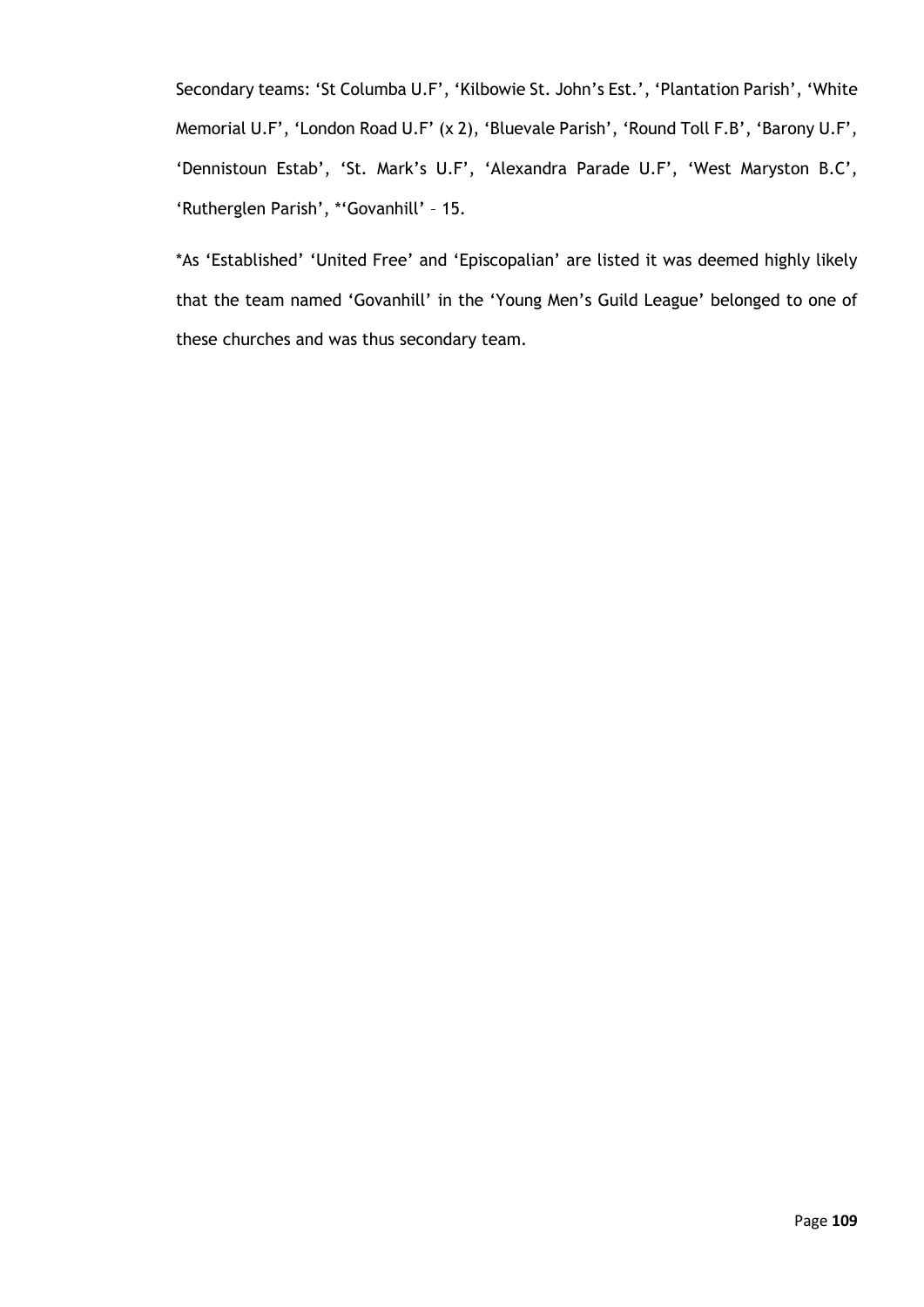Secondary teams: 'St Columba U.F', 'Kilbowie St. John's Est.', 'Plantation Parish', 'White Memorial U.F', 'London Road U.F' (x 2), 'Bluevale Parish', 'Round Toll F.B', 'Barony U.F', 'Dennistoun Estab', 'St. Mark's U.F', 'Alexandra Parade U.F', 'West Maryston B.C', 'Rutherglen Parish', \*'Govanhill' – 15.

\*As 'Established' 'United Free' and 'Episcopalian' are listed it was deemed highly likely that the team named 'Govanhill' in the 'Young Men's Guild League' belonged to one of these churches and was thus secondary team.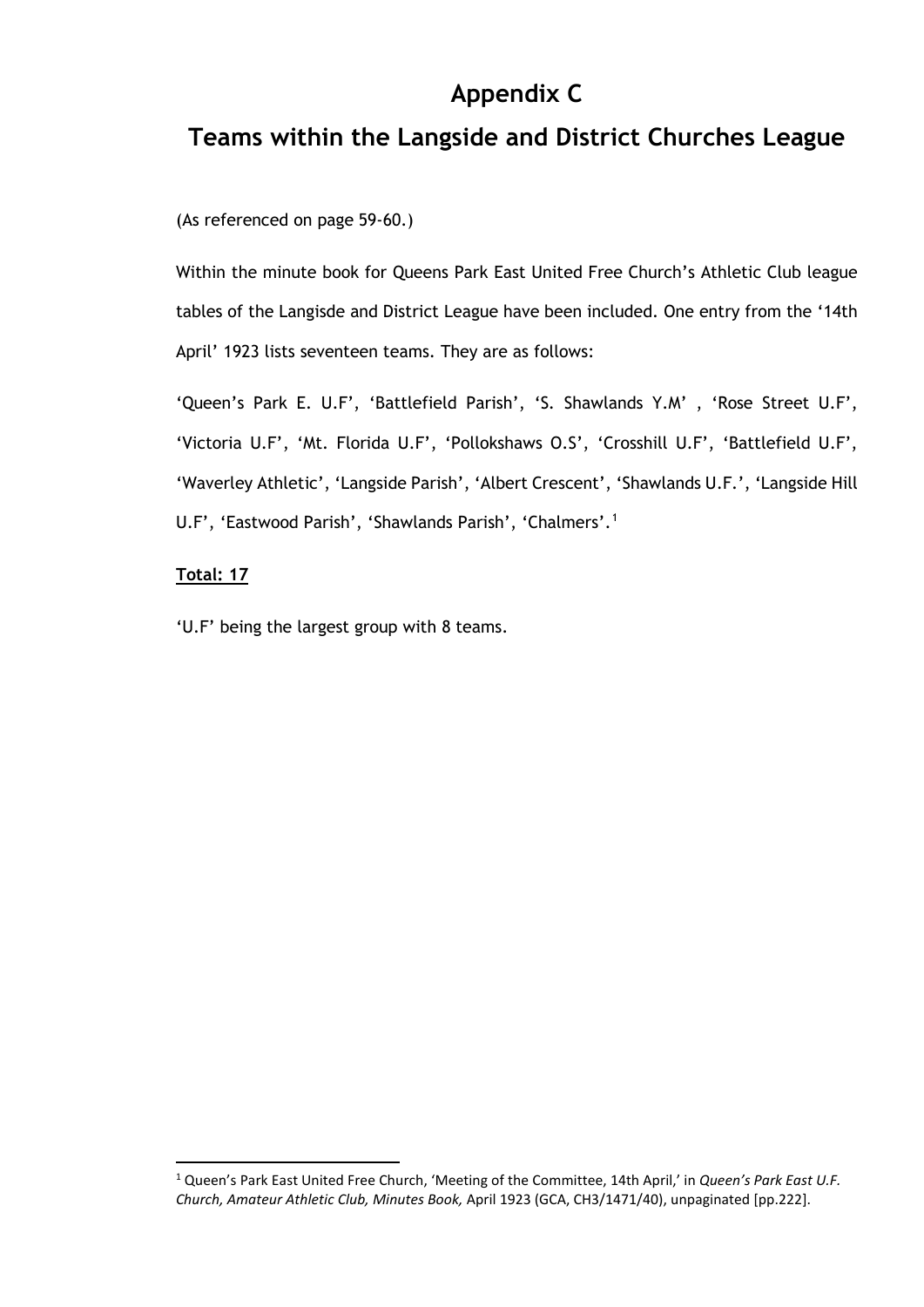# **Appendix C**

# **Teams within the Langside and District Churches League**

(As referenced on page 59-60.)

Within the minute book for Queens Park East United Free Church's Athletic Club league tables of the Langisde and District League have been included. One entry from the '14th April' 1923 lists seventeen teams. They are as follows:

'Queen's Park E. U.F', 'Battlefield Parish', 'S. Shawlands Y.M' , 'Rose Street U.F', 'Victoria U.F', 'Mt. Florida U.F', 'Pollokshaws O.S', 'Crosshill U.F', 'Battlefield U.F', 'Waverley Athletic', 'Langside Parish', 'Albert Crescent', 'Shawlands U.F.', 'Langside Hill U.F', 'Eastwood Parish', 'Shawlands Parish', 'Chalmers'.[1](#page-115-0)

### **Total: 17**

'U.F' being the largest group with 8 teams.

<span id="page-115-0"></span><sup>1</sup> Queen's Park East United Free Church, 'Meeting of the Committee, 14th April,' in *Queen's Park East U.F. Church, Amateur Athletic Club, Minutes Book,* April 1923 (GCA, CH3/1471/40), unpaginated [pp.222].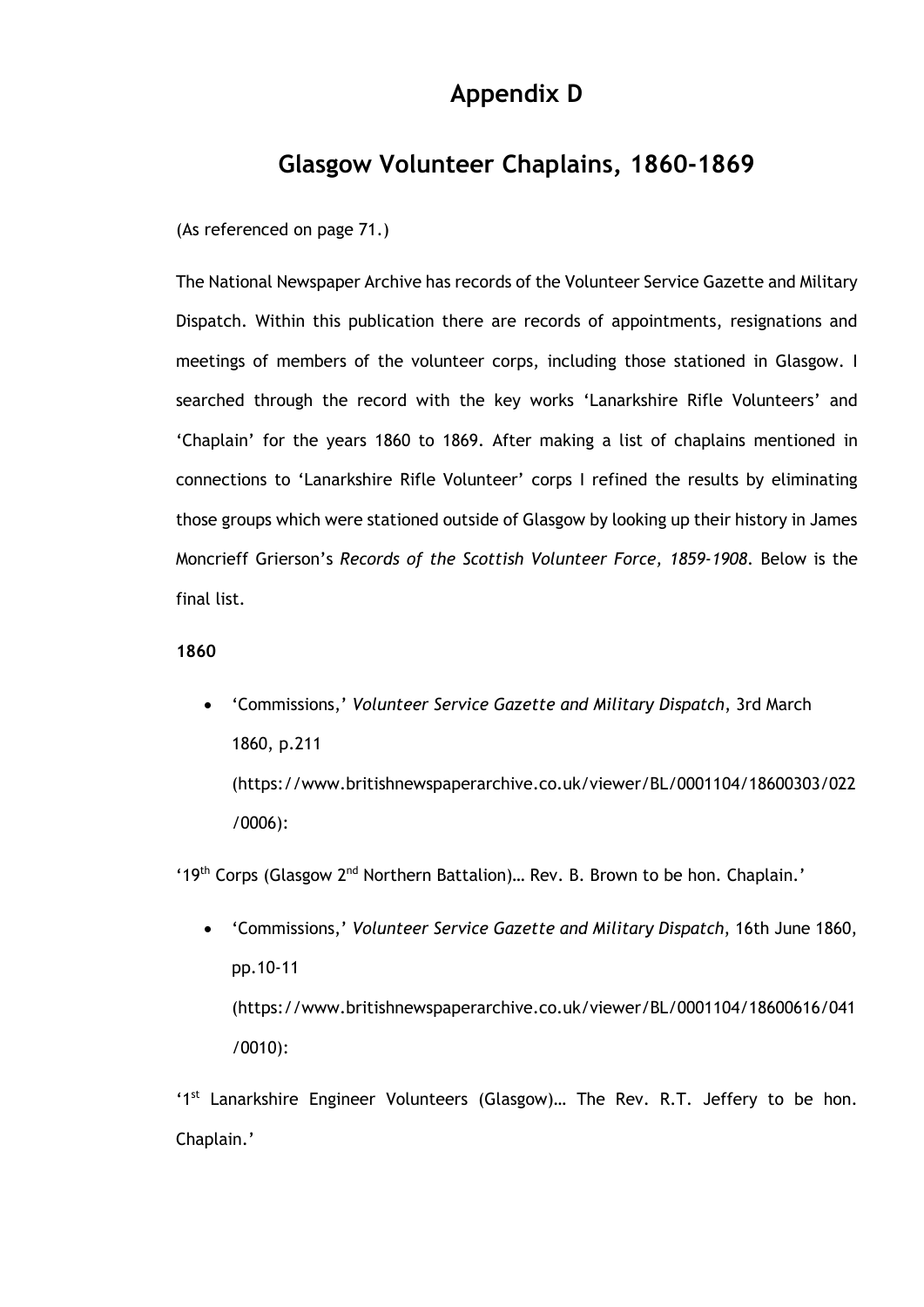# **Appendix D**

# **Glasgow Volunteer Chaplains, 1860-1869**

(As referenced on page 71.)

The National Newspaper Archive has records of the Volunteer Service Gazette and Military Dispatch. Within this publication there are records of appointments, resignations and meetings of members of the volunteer corps, including those stationed in Glasgow. I searched through the record with the key works 'Lanarkshire Rifle Volunteers' and 'Chaplain' for the years 1860 to 1869. After making a list of chaplains mentioned in connections to 'Lanarkshire Rifle Volunteer' corps I refined the results by eliminating those groups which were stationed outside of Glasgow by looking up their history in James Moncrieff Grierson's *Records of the Scottish Volunteer Force, 1859-1908*. Below is the final list.

#### **1860**

• 'Commissions,' *Volunteer Service Gazette and Military Dispatch*, 3rd March 1860, p.211 (https://www.britishnewspaperarchive.co.uk/viewer/BL/0001104/18600303/022 /0006):

'19<sup>th</sup> Corps (Glasgow  $2^{nd}$  Northern Battalion)... Rev. B. Brown to be hon. Chaplain.'

• 'Commissions,' *Volunteer Service Gazette and Military Dispatch*, 16th June 1860, pp.10-11 (https://www.britishnewspaperarchive.co.uk/viewer/BL/0001104/18600616/041 /0010):

'1<sup>st</sup> Lanarkshire Engineer Volunteers (Glasgow)... The Rev. R.T. Jeffery to be hon. Chaplain.'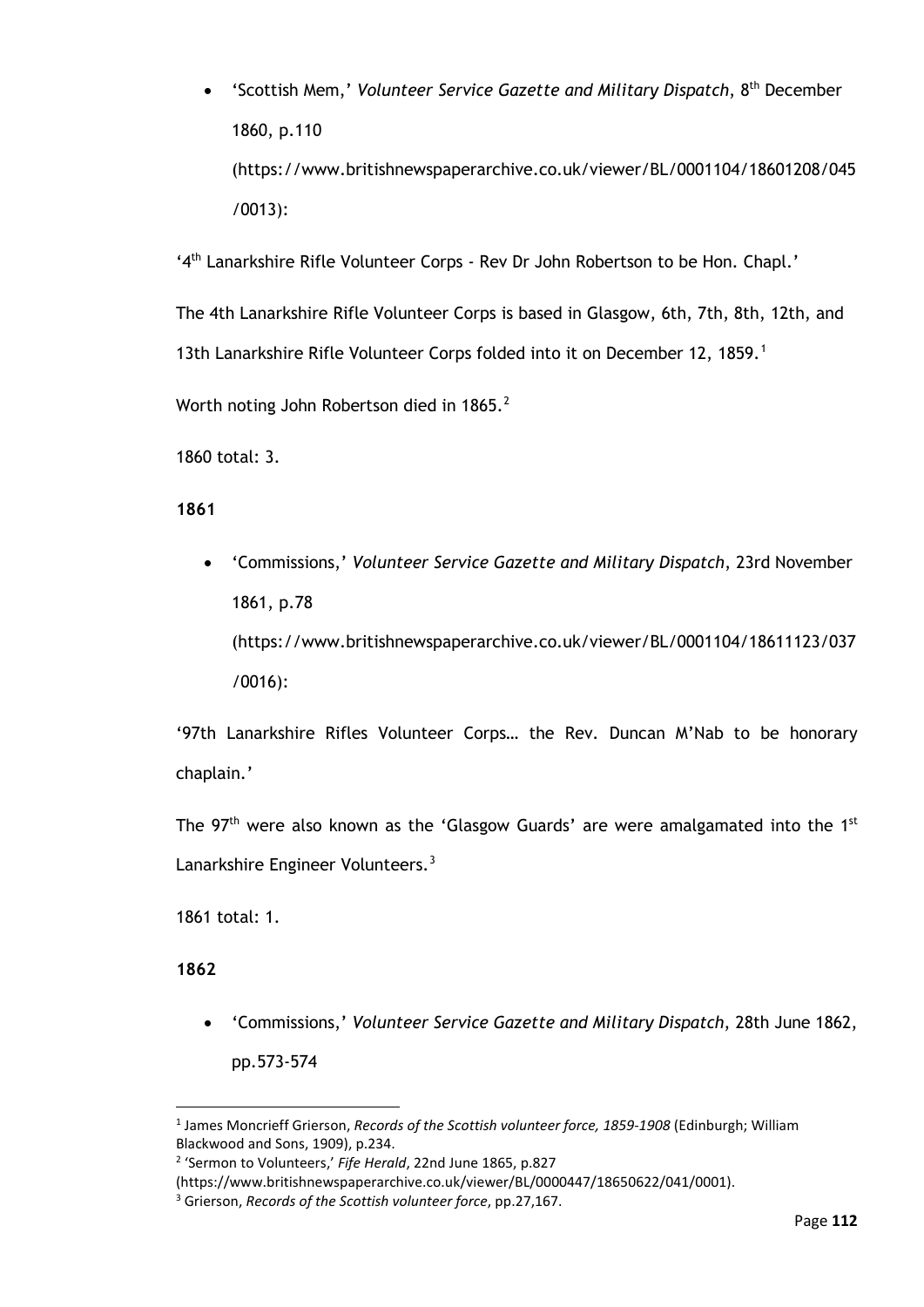• 'Scottish Mem,' *Volunteer Service Gazette and Military Dispatch*, 8th December 1860, p.110 (https://www.britishnewspaperarchive.co.uk/viewer/BL/0001104/18601208/045 /0013):

'4th Lanarkshire Rifle Volunteer Corps - Rev Dr John Robertson to be Hon. Chapl.'

The 4th Lanarkshire Rifle Volunteer Corps is based in Glasgow, 6th, 7th, 8th, 12th, and [1](#page-117-0)3th Lanarkshire Rifle Volunteer Corps folded into it on December 12, 1859.<sup>1</sup>

Worth noting John Robertson died in 1865.<sup>[2](#page-117-1)</sup>

1860 total: 3.

### **1861**

• 'Commissions,' *Volunteer Service Gazette and Military Dispatch*, 23rd November 1861, p.78 (https://www.britishnewspaperarchive.co.uk/viewer/BL/0001104/18611123/037

/0016):

'97th Lanarkshire Rifles Volunteer Corps… the Rev. Duncan M'Nab to be honorary chaplain.'

The  $97<sup>th</sup>$  were also known as the 'Glasgow Guards' are were amalgamated into the 1st Lanarkshire Engineer Volunteers.<sup>[3](#page-117-2)</sup>

1861 total: 1.

### **1862**

• 'Commissions,' *Volunteer Service Gazette and Military Dispatch*, 28th June 1862, pp.573-574

<span id="page-117-0"></span><sup>1</sup> James Moncrieff Grierson, *Records of the Scottish volunteer force, 1859-1908* (Edinburgh; William Blackwood and Sons, 1909), p.234.

<span id="page-117-1"></span><sup>2</sup> 'Sermon to Volunteers,' *Fife Herald*, 22nd June 1865, p.827

<sup>(</sup>https://www.britishnewspaperarchive.co.uk/viewer/BL/0000447/18650622/041/0001).

<span id="page-117-2"></span><sup>3</sup> Grierson, *Records of the Scottish volunteer force*, pp.27,167.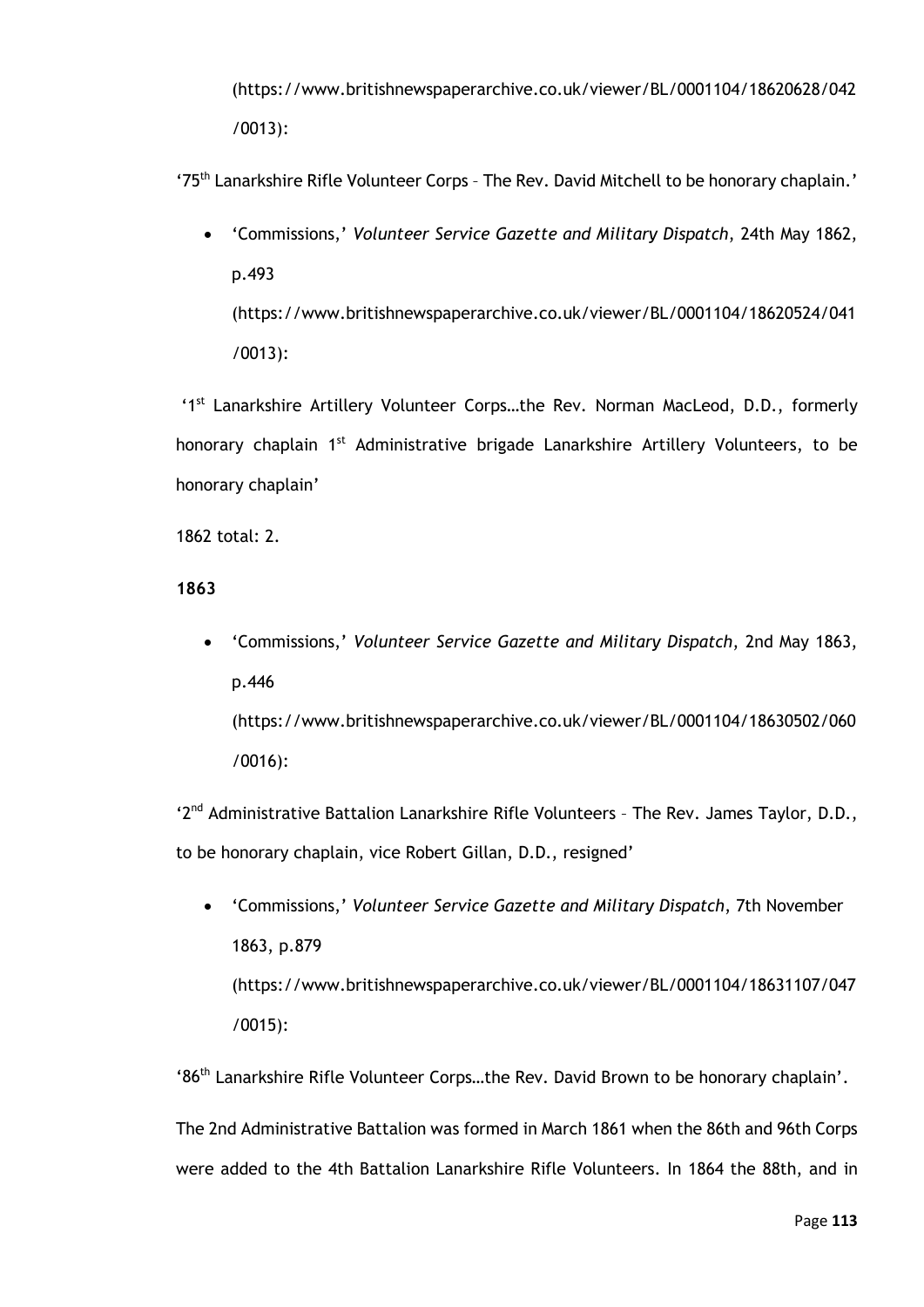(https://www.britishnewspaperarchive.co.uk/viewer/BL/0001104/18620628/042 /0013):

'75th Lanarkshire Rifle Volunteer Corps – The Rev. David Mitchell to be honorary chaplain.'

• 'Commissions,' *Volunteer Service Gazette and Military Dispatch*, 24th May 1862, p.493 (https://www.britishnewspaperarchive.co.uk/viewer/BL/0001104/18620524/041 /0013):

'1<sup>st</sup> Lanarkshire Artillery Volunteer Corps...the Rev. Norman MacLeod, D.D., formerly honorary chaplain 1<sup>st</sup> Administrative brigade Lanarkshire Artillery Volunteers, to be honorary chaplain'

1862 total: 2.

### **1863**

• 'Commissions,' *Volunteer Service Gazette and Military Dispatch*, 2nd May 1863, p.446 (https://www.britishnewspaperarchive.co.uk/viewer/BL/0001104/18630502/060 /0016):

'2<sup>nd</sup> Administrative Battalion Lanarkshire Rifle Volunteers - The Rev. James Taylor, D.D., to be honorary chaplain, vice Robert Gillan, D.D., resigned'

• 'Commissions,' *Volunteer Service Gazette and Military Dispatch*, 7th November 1863, p.879 (https://www.britishnewspaperarchive.co.uk/viewer/BL/0001104/18631107/047 /0015):

'86th Lanarkshire Rifle Volunteer Corps…the Rev. David Brown to be honorary chaplain'.

The 2nd Administrative Battalion was formed in March 1861 when the 86th and 96th Corps were added to the 4th Battalion Lanarkshire Rifle Volunteers. In 1864 the 88th, and in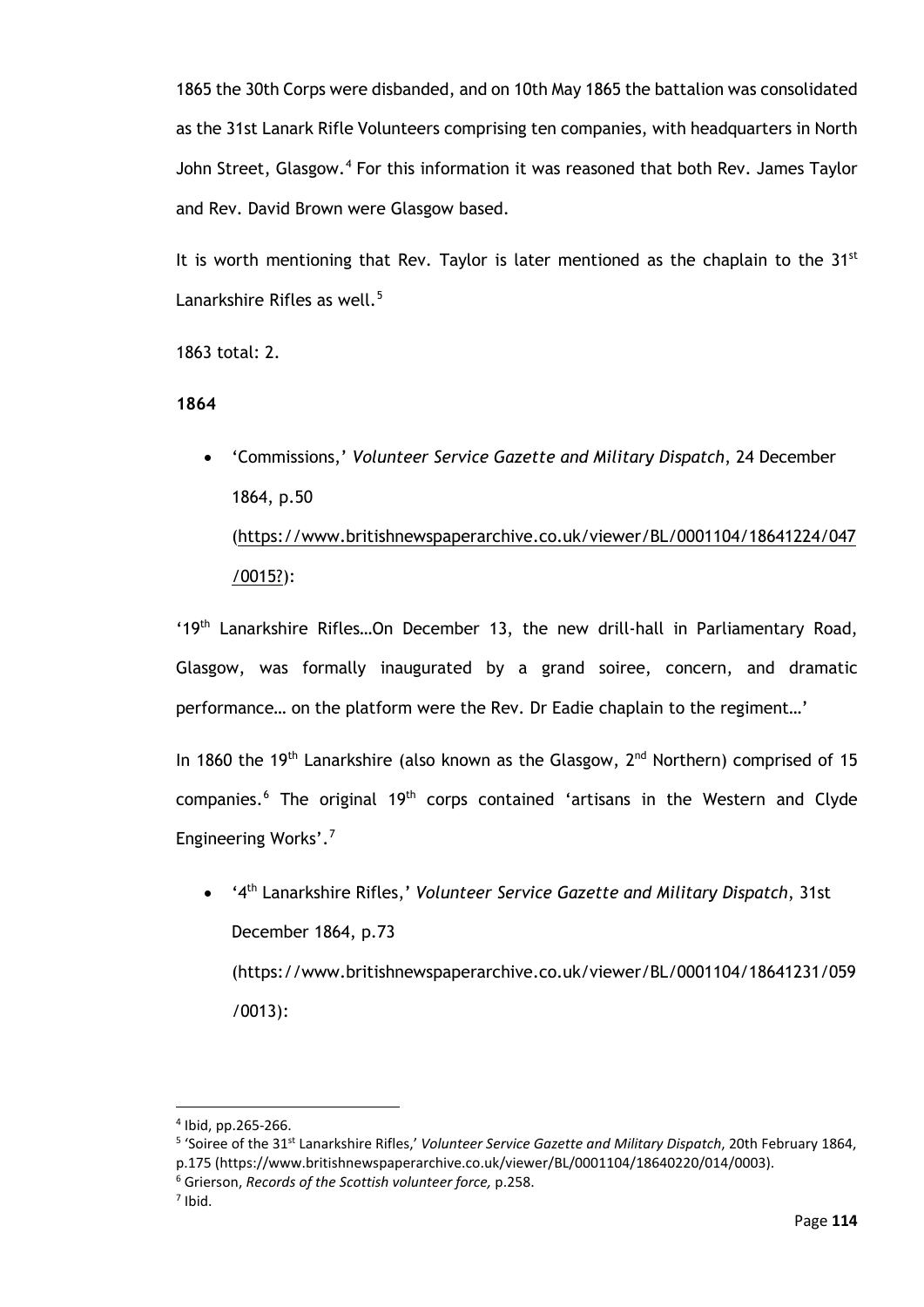1865 the 30th Corps were disbanded, and on 10th May 1865 the battalion was consolidated as the 31st Lanark Rifle Volunteers comprising ten companies, with headquarters in North John Street, Glasgow.<sup>[4](#page-119-0)</sup> For this information it was reasoned that both Rev. James Taylor and Rev. David Brown were Glasgow based.

It is worth mentioning that Rev. Taylor is later mentioned as the chaplain to the  $31^{st}$ Lanarkshire Rifles as well. $5$ 

1863 total: 2.

### **1864**

• 'Commissions,' *Volunteer Service Gazette and Military Dispatch*, 24 December 1864, p.50 (https://www.britishnewspaperarchive.co.uk/viewer/BL/0001104/18641224/047 /0015?):

'19th Lanarkshire Rifles…On December 13, the new drill-hall in Parliamentary Road, Glasgow, was formally inaugurated by a grand soiree, concern, and dramatic performance… on the platform were the Rev. Dr Eadie chaplain to the regiment…'

In 1860 the 19<sup>th</sup> Lanarkshire (also known as the Glasgow,  $2^{nd}$  Northern) comprised of 15 companies.<sup>[6](#page-119-2)</sup> The original 19<sup>th</sup> corps contained 'artisans in the Western and Clyde Engineering Works'.[7](#page-119-3)

• '4th Lanarkshire Rifles,' *Volunteer Service Gazette and Military Dispatch*, 31st December 1864, p.73 (https://www.britishnewspaperarchive.co.uk/viewer/BL/0001104/18641231/059 /0013):

<span id="page-119-0"></span> $4$  Ibid, pp.265-266.

<span id="page-119-1"></span><sup>5</sup> 'Soiree of the 31st Lanarkshire Rifles,' *Volunteer Service Gazette and Military Dispatch*, 20th February 1864, p.175 (https://www.britishnewspaperarchive.co.uk/viewer/BL/0001104/18640220/014/0003).

<sup>6</sup> Grierson, *Records of the Scottish volunteer force,* p.258.

<span id="page-119-3"></span><span id="page-119-2"></span> $<sup>7</sup>$  Ibid.</sup>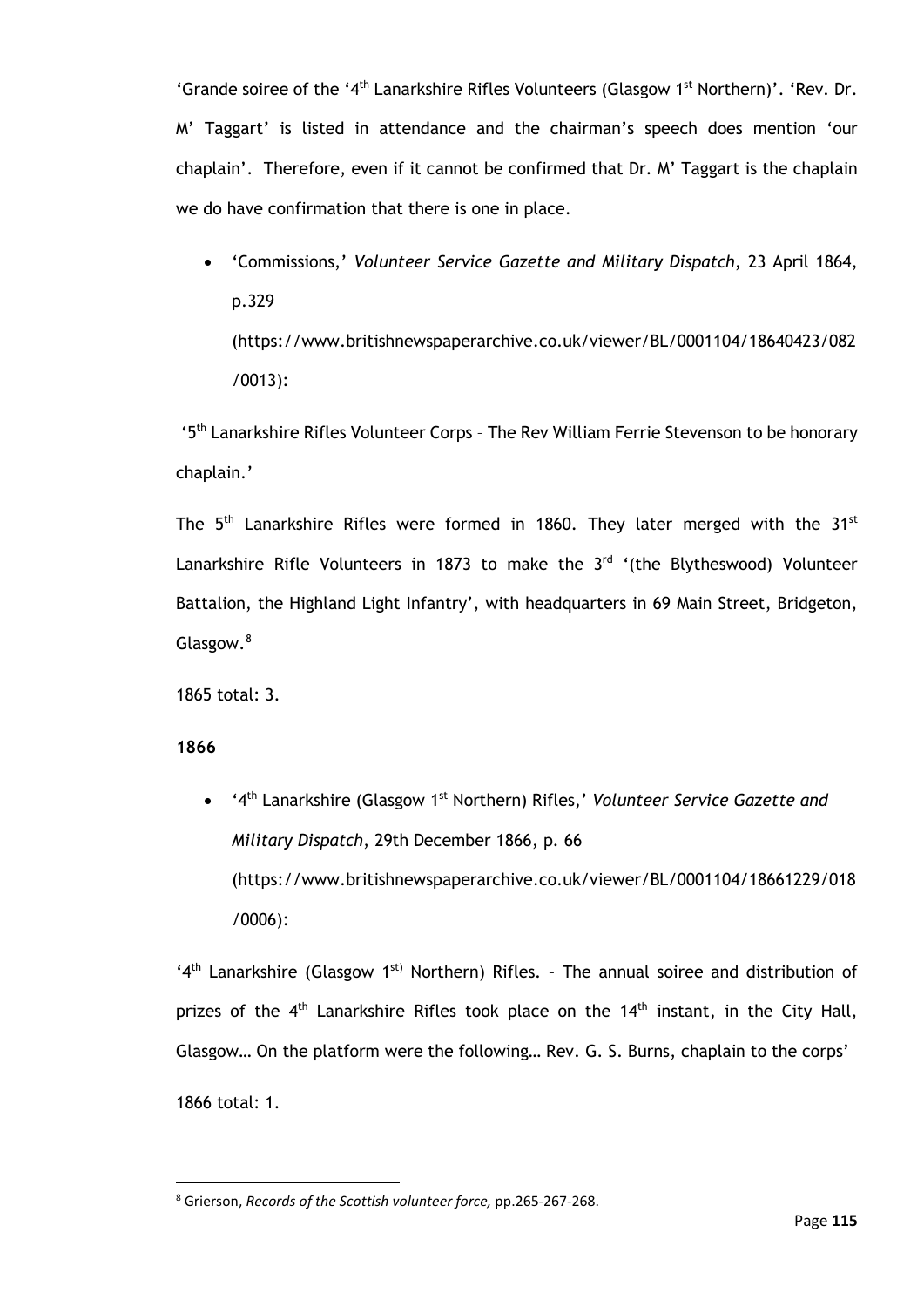'Grande soiree of the '4<sup>th</sup> Lanarkshire Rifles Volunteers (Glasgow 1<sup>st</sup> Northern)'. 'Rev. Dr. M' Taggart' is listed in attendance and the chairman's speech does mention 'our chaplain'. Therefore, even if it cannot be confirmed that Dr. M' Taggart is the chaplain we do have confirmation that there is one in place.

• 'Commissions,' *Volunteer Service Gazette and Military Dispatch*, 23 April 1864, p.329 (https://www.britishnewspaperarchive.co.uk/viewer/BL/0001104/18640423/082 /0013):

'5th Lanarkshire Rifles Volunteer Corps – The Rev William Ferrie Stevenson to be honorary chaplain.'

The 5<sup>th</sup> Lanarkshire Rifles were formed in 1860. They later merged with the 31<sup>st</sup> Lanarkshire Rifle Volunteers in 1873 to make the  $3<sup>rd</sup>$  '(the Blytheswood) Volunteer Battalion, the Highland Light Infantry', with headquarters in 69 Main Street, Bridgeton, Glasgow.<sup>[8](#page-120-0)</sup>

1865 total: 3.

**1866**

• '4th Lanarkshire (Glasgow 1st Northern) Rifles,' *Volunteer Service Gazette and Military Dispatch*, 29th December 1866, p. 66 (https://www.britishnewspaperarchive.co.uk/viewer/BL/0001104/18661229/018 /0006):

'4<sup>th</sup> Lanarkshire (Glasgow 1<sup>st)</sup> Northern) Rifles. - The annual soiree and distribution of prizes of the  $4<sup>th</sup>$  Lanarkshire Rifles took place on the  $14<sup>th</sup>$  instant, in the City Hall, Glasgow… On the platform were the following… Rev. G. S. Burns, chaplain to the corps' 1866 total: 1.

<span id="page-120-0"></span><sup>8</sup> Grierson, *Records of the Scottish volunteer force,* pp.265-267-268.